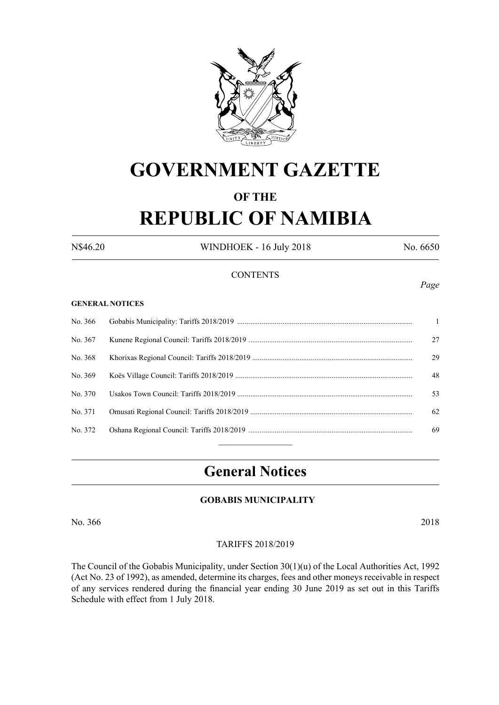

# **GOVERNMENT GAZETTE**

# **OF THE REPUBLIC OF NAMIBIA**

N\$46.20 WINDHOEK - 16 July 2018 No. 6650

#### **CONTENTS**

#### **GENERAL NOTICES**

| No. 366 | $\mathbf{1}$ |
|---------|--------------|
| No. 367 | 27           |
| No. 368 | 29           |
| No. 369 | 48           |
| No. 370 | 53           |
| No. 371 | 62           |
| No. 372 | 69           |
|         |              |

# **General Notices**

#### **GOBABIS MUNICIPALITY**

No. 366 2018

#### TARIFFS 2018/2019

The Council of the Gobabis Municipality, under Section 30(1)(u) of the Local Authorities Act, 1992 (Act No. 23 of 1992), as amended, determine its charges, fees and other moneys receivable in respect of any services rendered during the financial year ending 30 June 2019 as set out in this Tariffs Schedule with effect from 1 July 2018.

#### *Page*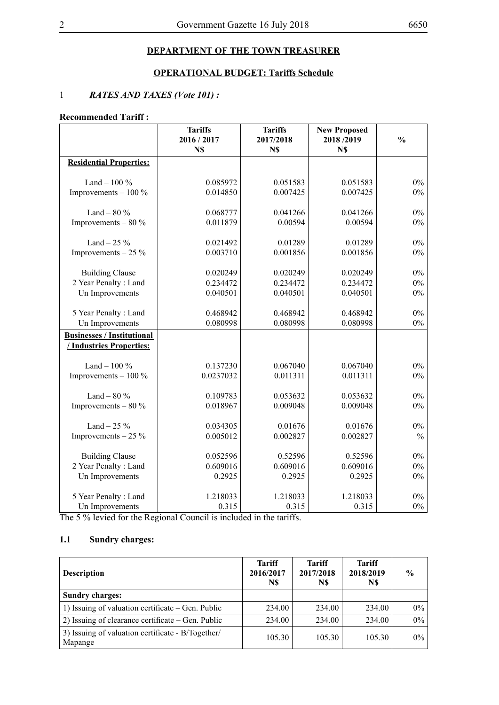## **DEPARTMENT OF THE TOWN TREASURER**

## **OPERATIONAL BUDGET: Tariffs Schedule**

#### 1 *RATES AND TAXES (Vote 101) :*

## **Recommended Tariff :**

|                                   | <b>Tariffs</b> | <b>Tariffs</b> | <b>New Proposed</b> |               |
|-----------------------------------|----------------|----------------|---------------------|---------------|
|                                   | 2016 / 2017    | 2017/2018      | 2018/2019           | $\frac{0}{0}$ |
|                                   | N\$            | N\$            | N\$                 |               |
| <b>Residential Properties:</b>    |                |                |                     |               |
|                                   |                |                |                     |               |
| Land $-100\%$                     | 0.085972       | 0.051583       | 0.051583            | $0\%$         |
| Improvements $-100\%$             | 0.014850       | 0.007425       | 0.007425            | $0\%$         |
| Land $-80\%$                      | 0.068777       | 0.041266       | 0.041266            | $0\%$         |
| Improvements $-80\%$              | 0.011879       | 0.00594        | 0.00594             | $0\%$         |
|                                   |                |                |                     |               |
| Land $-25%$                       | 0.021492       | 0.01289        | 0.01289             | $0\%$         |
| Improvements $-25\%$              | 0.003710       | 0.001856       | 0.001856            | $0\%$         |
|                                   |                |                |                     |               |
| <b>Building Clause</b>            | 0.020249       | 0.020249       | 0.020249            | $0\%$         |
| 2 Year Penalty: Land              | 0.234472       | 0.234472       | 0.234472            | $0\%$         |
| Un Improvements                   | 0.040501       | 0.040501       | 0.040501            | $0\%$         |
|                                   |                |                |                     |               |
| 5 Year Penalty: Land              | 0.468942       | 0.468942       | 0.468942            | $0\%$         |
| Un Improvements                   | 0.080998       | 0.080998       | 0.080998            | $0\%$         |
| <b>Businesses / Institutional</b> |                |                |                     |               |
| / Industries Properties:          |                |                |                     |               |
|                                   |                |                |                     |               |
| Land $-100\%$                     | 0.137230       | 0.067040       | 0.067040            | $0\%$         |
| Improvements $-100\%$             | 0.0237032      | 0.011311       | 0.011311            | $0\%$         |
|                                   |                |                |                     |               |
| Land $-80%$                       | 0.109783       | 0.053632       | 0.053632            | $0\%$         |
| Improvements $-80\%$              | 0.018967       | 0.009048       | 0.009048            | $0\%$         |
|                                   |                |                |                     |               |
| Land $-25%$                       | 0.034305       | 0.01676        | 0.01676             | $0\%$         |
| Improvements $-25\%$              | 0.005012       | 0.002827       | 0.002827            | $\frac{0}{0}$ |
|                                   |                |                |                     |               |
| <b>Building Clause</b>            | 0.052596       | 0.52596        | 0.52596             | $0\%$         |
| 2 Year Penalty: Land              | 0.609016       | 0.609016       | 0.609016            | $0\%$         |
| Un Improvements                   | 0.2925         | 0.2925         | 0.2925              | $0\%$         |
|                                   |                |                |                     |               |
| 5 Year Penalty: Land              | 1.218033       | 1.218033       | 1.218033            | $0\%$         |
| Un Improvements                   | 0.315          | 0.315          | 0.315               | $0\%$         |

The 5 % levied for the Regional Council is included in the tariffs.

## **1.1 Sundry charges:**

| <b>Description</b>                                           | <b>Tariff</b><br>2016/2017<br>N\$ | <b>Tariff</b><br>2017/2018<br>N\$ | <b>Tariff</b><br>2018/2019<br>N\$ | $\frac{6}{9}$ |
|--------------------------------------------------------------|-----------------------------------|-----------------------------------|-----------------------------------|---------------|
| <b>Sundry charges:</b>                                       |                                   |                                   |                                   |               |
| 1) Issuing of valuation certificate – Gen. Public            | 234.00                            | 234.00                            | 234.00                            | $0\%$         |
| 2) Issuing of clearance certificate – Gen. Public            | 234.00                            | 234.00                            | 234.00                            | $0\%$         |
| 3) Issuing of valuation certificate - B/Together/<br>Mapange | 105.30                            | 105.30                            | 105.30                            | $0\%$         |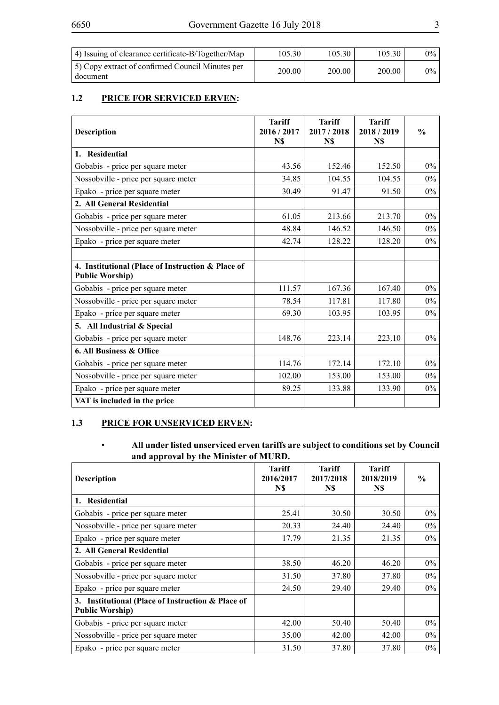| 4) Issuing of clearance certificate-B/Together/Map           | 105.30 | 105.30 | 105.30 | $0\%$ |
|--------------------------------------------------------------|--------|--------|--------|-------|
| 5) Copy extract of confirmed Council Minutes per<br>document | 200.00 | 200.00 | 200.00 | $0\%$ |

## **1.2 PRICE FOR SERVICED ERVEN:**

| <b>Description</b>                                                          | <b>Tariff</b><br>2016/2017<br>N\$ | <b>Tariff</b><br>2017/2018<br>N\$ | <b>Tariff</b><br>2018/2019<br>N\$ | $\frac{0}{0}$ |
|-----------------------------------------------------------------------------|-----------------------------------|-----------------------------------|-----------------------------------|---------------|
| 1. Residential                                                              |                                   |                                   |                                   |               |
| Gobabis - price per square meter                                            | 43.56                             | 152.46                            | 152.50                            | $0\%$         |
| Nossobville - price per square meter                                        | 34.85                             | 104.55                            | 104.55                            | $0\%$         |
| Epako - price per square meter                                              | 30.49                             | 91.47                             | 91.50                             | $0\%$         |
| 2. All General Residential                                                  |                                   |                                   |                                   |               |
| Gobabis - price per square meter                                            | 61.05                             | 213.66                            | 213.70                            | $0\%$         |
| Nossobville - price per square meter                                        | 48.84                             | 146.52                            | 146.50                            | $0\%$         |
| Epako - price per square meter                                              | 42.74                             | 128.22                            | 128.20                            | $0\%$         |
|                                                                             |                                   |                                   |                                   |               |
| 4. Institutional (Place of Instruction & Place of<br><b>Public Worship)</b> |                                   |                                   |                                   |               |
| Gobabis - price per square meter                                            | 111.57                            | 167.36                            | 167.40                            | $0\%$         |
| Nossobville - price per square meter                                        | 78.54                             | 117.81                            | 117.80                            | $0\%$         |
| Epako - price per square meter                                              | 69.30                             | 103.95                            | 103.95                            | $0\%$         |
| 5. All Industrial & Special                                                 |                                   |                                   |                                   |               |
| Gobabis - price per square meter                                            | 148.76                            | 223.14                            | 223.10                            | $0\%$         |
| 6. All Business & Office                                                    |                                   |                                   |                                   |               |
| Gobabis - price per square meter                                            | 114.76                            | 172.14                            | 172.10                            | $0\%$         |
| Nossobville - price per square meter                                        | 102.00                            | 153.00                            | 153.00                            | $0\%$         |
| Epako - price per square meter                                              | 89.25                             | 133.88                            | 133.90                            | $0\%$         |
| VAT is included in the price                                                |                                   |                                   |                                   |               |

#### **1.3 PRICE FOR UNSERVICED ERVEN:**

#### • **All under listed unserviced erven tariffs are subject to conditions set by Council and approval by the Minister of MURD.**

| <b>Description</b>                                                             | <b>Tariff</b><br>2016/2017<br>N\$ | <b>Tariff</b><br>2017/2018<br>N\$ | <b>Tariff</b><br>2018/2019<br>N\$ | $\frac{0}{0}$ |
|--------------------------------------------------------------------------------|-----------------------------------|-----------------------------------|-----------------------------------|---------------|
| 1. Residential                                                                 |                                   |                                   |                                   |               |
| Gobabis - price per square meter                                               | 25.41                             | 30.50                             | 30.50                             | $0\%$         |
| Nossobville - price per square meter                                           | 20.33                             | 24.40                             | 24.40                             | $0\%$         |
| Epako - price per square meter                                                 | 17.79                             | 21.35                             | 21.35                             | $0\%$         |
| 2. All General Residential                                                     |                                   |                                   |                                   |               |
| Gobabis - price per square meter                                               | 38.50                             | 46.20                             | 46.20                             | $0\%$         |
| Nossobville - price per square meter                                           | 31.50                             | 37.80                             | 37.80                             | $0\%$         |
| Epako - price per square meter                                                 | 24.50                             | 29.40                             | 29.40                             | $0\%$         |
| Institutional (Place of Instruction & Place of<br>3.<br><b>Public Worship)</b> |                                   |                                   |                                   |               |
| Gobabis - price per square meter                                               | 42.00                             | 50.40                             | 50.40                             | $0\%$         |
| Nossobville - price per square meter                                           | 35.00                             | 42.00                             | 42.00                             | $0\%$         |
| Epako - price per square meter                                                 | 31.50                             | 37.80                             | 37.80                             | $0\%$         |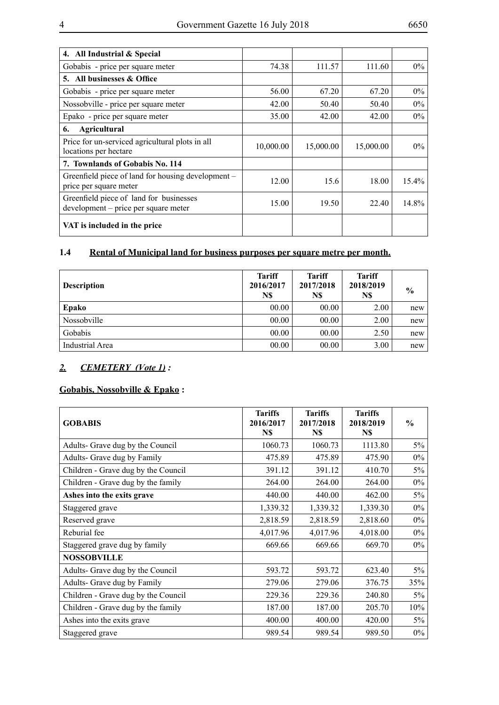| 4. All Industrial & Special                                                     |           |           |           |          |
|---------------------------------------------------------------------------------|-----------|-----------|-----------|----------|
| Gobabis - price per square meter                                                | 74.38     | 111.57    | 111.60    | $0\%$    |
| 5. All businesses & Office                                                      |           |           |           |          |
| Gobabis - price per square meter                                                | 56.00     | 67.20     | 67.20     | $0\%$    |
| Nossobville - price per square meter                                            | 42.00     | 50.40     | 50.40     | $0\%$    |
| Epako - price per square meter                                                  | 35.00     | 42.00     | 42.00     | $0\%$    |
| Agricultural<br>6.                                                              |           |           |           |          |
| Price for un-serviced agricultural plots in all<br>locations per hectare        | 10,000.00 | 15,000.00 | 15,000.00 | $0\%$    |
| 7. Townlands of Gobabis No. 114                                                 |           |           |           |          |
| Greenfield piece of land for housing development –<br>price per square meter    | 12.00     | 15.6      | 18.00     | $15.4\%$ |
| Greenfield piece of land for businesses<br>development – price per square meter | 15.00     | 19.50     | 22.40     | 14.8%    |
| VAT is included in the price                                                    |           |           |           |          |

## **1.4 Rental of Municipal land for business purposes per square metre per month.**

| <b>Description</b> | <b>Tariff</b><br>2016/2017<br>N\$ | <b>Tariff</b><br>2017/2018<br>N\$ | <b>Tariff</b><br>2018/2019<br>N\$ | $\frac{6}{9}$ |
|--------------------|-----------------------------------|-----------------------------------|-----------------------------------|---------------|
| Epako              | 00.00                             | 00.00                             | 2.00                              | new           |
| Nossobville        | 00.00                             | 00.00                             | 2.00                              | new           |
| Gobabis            | 00.00                             | 00.00                             | 2.50                              | new           |
| Industrial Area    | 00.00                             | 00.00                             | 3.00                              | new           |

#### *2. CEMETERY (Vote 1) :*

# **Gobabis, Nossobville & Epako :**

| <b>GOBABIS</b>                      | <b>Tariffs</b><br>2016/2017<br>N\$ | <b>Tariffs</b><br>2017/2018<br>N\$ | <b>Tariffs</b><br>2018/2019<br>N\$ | $\frac{6}{6}$ |
|-------------------------------------|------------------------------------|------------------------------------|------------------------------------|---------------|
| Adults- Grave dug by the Council    | 1060.73                            | 1060.73                            | 1113.80                            | $5\%$         |
| Adults- Grave dug by Family         | 475.89                             | 475.89                             | 475.90                             | $0\%$         |
| Children - Grave dug by the Council | 391.12                             | 391.12                             | 410.70                             | 5%            |
| Children - Grave dug by the family  | 264.00                             | 264.00                             | 264.00                             | $0\%$         |
| Ashes into the exits grave          | 440.00                             | 440.00                             | 462.00                             | $5\%$         |
| Staggered grave                     | 1,339.32                           | 1,339.32                           | 1,339.30                           | $0\%$         |
| Reserved grave                      | 2,818.59                           | 2,818.59                           | 2,818.60                           | $0\%$         |
| Reburial fee                        | 4,017.96                           | 4,017.96                           | 4,018.00                           | $0\%$         |
| Staggered grave dug by family       | 669.66                             | 669.66                             | 669.70                             | $0\%$         |
| <b>NOSSOBVILLE</b>                  |                                    |                                    |                                    |               |
| Adults- Grave dug by the Council    | 593.72                             | 593.72                             | 623.40                             | $5\%$         |
| Adults- Grave dug by Family         | 279.06                             | 279.06                             | 376.75                             | 35%           |
| Children - Grave dug by the Council | 229.36                             | 229.36                             | 240.80                             | $5\%$         |
| Children - Grave dug by the family  | 187.00                             | 187.00                             | 205.70                             | 10%           |
| Ashes into the exits grave          | 400.00                             | 400.00                             | 420.00                             | $5\%$         |
| Staggered grave                     | 989.54                             | 989.54                             | 989.50                             | $0\%$         |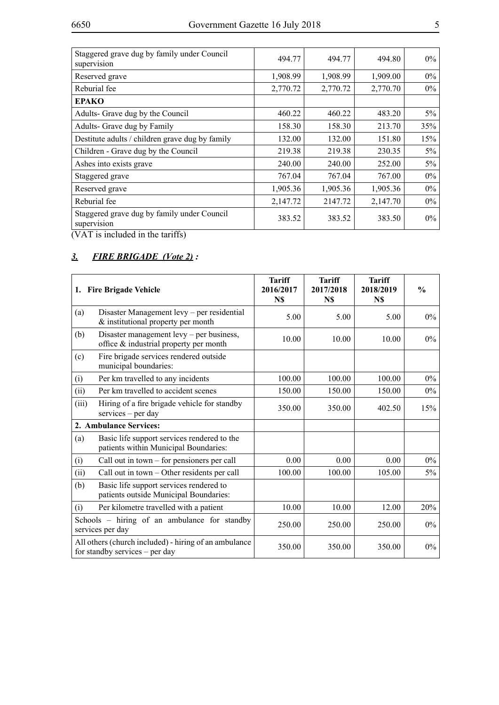| Staggered grave dug by family under Council<br>supervision | 494.77   | 494.77   | 494.80   | $0\%$ |
|------------------------------------------------------------|----------|----------|----------|-------|
| Reserved grave                                             | 1,908.99 | 1,908.99 | 1,909.00 | $0\%$ |
| Reburial fee                                               | 2,770.72 | 2,770.72 | 2,770.70 | $0\%$ |
| <b>EPAKO</b>                                               |          |          |          |       |
| Adults- Grave dug by the Council                           | 460.22   | 460.22   | 483.20   | $5\%$ |
| Adults- Grave dug by Family                                | 158.30   | 158.30   | 213.70   | 35%   |
| Destitute adults / children grave dug by family            | 132.00   | 132.00   | 151.80   | 15%   |
| Children - Grave dug by the Council                        | 219.38   | 219.38   | 230.35   | $5\%$ |
| Ashes into exists grave                                    | 240.00   | 240.00   | 252.00   | $5\%$ |
| Staggered grave                                            | 767.04   | 767.04   | 767.00   | $0\%$ |
| Reserved grave                                             | 1,905.36 | 1,905.36 | 1,905.36 | $0\%$ |
| Reburial fee                                               | 2,147.72 | 2147.72  | 2,147.70 | $0\%$ |
| Staggered grave dug by family under Council<br>supervision | 383.52   | 383.52   | 383.50   | $0\%$ |
| $(3.7 \text{ A/T})$ in the dealer decay and $(20.5)$       |          |          |          |       |

## *3. FIRE BRIGADE (Vote 2) :*

|                                                                        | 1. Fire Brigade Vehicle                                                                 | <b>Tariff</b><br>2016/2017<br>N\$ | <b>Tariff</b><br>2017/2018<br>N\$ | <b>Tariff</b><br>2018/2019<br>N\$ | $\frac{0}{0}$ |
|------------------------------------------------------------------------|-----------------------------------------------------------------------------------------|-----------------------------------|-----------------------------------|-----------------------------------|---------------|
| (a)                                                                    | Disaster Management levy - per residential<br>& institutional property per month        | 5.00                              | 5.00                              | 5.00                              | $0\%$         |
| (b)                                                                    | Disaster management levy $-$ per business,<br>office & industrial property per month    | 10.00                             | 10.00                             | 10.00                             | 0%            |
| Fire brigade services rendered outside<br>(c)<br>municipal boundaries: |                                                                                         |                                   |                                   |                                   |               |
| (i)                                                                    | Per km travelled to any incidents                                                       | 100.00                            | 100.00                            | 100.00                            | $0\%$         |
| (ii)                                                                   | Per km travelled to accident scenes                                                     | 150.00                            | 150.00                            | 150.00                            | 0%            |
| (iii)                                                                  | Hiring of a fire brigade vehicle for standby<br>services – per day                      | 350.00                            | 350.00                            | 402.50                            | 15%           |
|                                                                        | 2. Ambulance Services:                                                                  |                                   |                                   |                                   |               |
| (a)                                                                    | Basic life support services rendered to the<br>patients within Municipal Boundaries:    |                                   |                                   |                                   |               |
| (i)                                                                    | Call out in town $-$ for pensioners per call                                            | 0.00                              | 0.00                              | 0.00                              | $0\%$         |
| (ii)                                                                   | Call out in town – Other residents per call                                             | 100.00                            | 100.00                            | 105.00                            | 5%            |
| (b)                                                                    | Basic life support services rendered to<br>patients outside Municipal Boundaries:       |                                   |                                   |                                   |               |
| (i)                                                                    | Per kilometre travelled with a patient                                                  | 10.00                             | 10.00                             | 12.00                             | 20%           |
| Schools – hiring of an ambulance for standby<br>services per day       |                                                                                         | 250.00                            | 250.00                            | 250.00                            | 0%            |
|                                                                        | All others (church included) - hiring of an ambulance<br>for standby services - per day | 350.00                            | 350.00                            | 350.00                            | $0\%$         |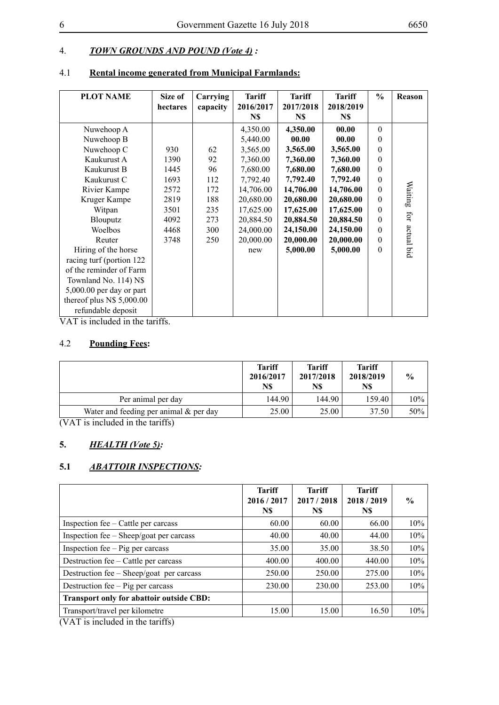## 4. *TOWN GROUNDS AND POUND (Vote 4) :*

## 4.1 **Rental income generated from Municipal Farmlands:**

| <b>PLOT NAME</b>           | Size of<br>hectares | Carrying<br>capacity | <b>Tariff</b><br>2016/2017<br>N\$ | <b>Tariff</b><br>2017/2018<br>N\$ | <b>Tariff</b><br>2018/2019<br>N\$ | $\frac{0}{0}$ | Reason     |
|----------------------------|---------------------|----------------------|-----------------------------------|-----------------------------------|-----------------------------------|---------------|------------|
| Nuwehoop A                 |                     |                      | 4,350.00                          | 4,350.00                          | 00.00                             | $\Omega$      |            |
| Nuwehoop B                 |                     |                      | 5,440.00                          | 00.00                             | 00.00                             | $\theta$      |            |
| Nuwehoop C                 | 930                 | 62                   | 3,565.00                          | 3,565.00                          | 3,565.00                          | $\theta$      |            |
| Kaukurust A                | 1390                | 92                   | 7,360.00                          | 7,360.00                          | 7,360.00                          | $\theta$      |            |
| Kaukurust B                | 1445                | 96                   | 7,680.00                          | 7,680.00                          | 7,680.00                          | $\Omega$      |            |
| Kaukurust C                | 1693                | 112                  | 7,792.40                          | 7,792.40                          | 7,792.40                          | $\theta$      |            |
| Rivier Kampe               | 2572                | 172                  | 14,706.00                         | 14,706.00                         | 14,706.00                         | $\theta$      | Waiting    |
| Kruger Kampe               | 2819                | 188                  | 20,680.00                         | 20,680.00                         | 20,680.00                         | $\theta$      |            |
| Witpan                     | 3501                | 235                  | 17,625.00                         | 17,625.00                         | 17,625.00                         | $\theta$      |            |
| Blouputz                   | 4092                | 273                  | 20,884.50                         | 20,884.50                         | 20,884.50                         | $\theta$      | for        |
| Woelbos                    | 4468                | 300                  | 24,000.00                         | 24,150.00                         | 24,150.00                         | $\theta$      |            |
| Reuter                     | 3748                | 250                  | 20,000.00                         | 20,000.00                         | 20,000.00                         | $\Omega$      |            |
| Hiring of the horse        |                     |                      | new                               | 5,000.00                          | 5,000.00                          | $\theta$      | actual bid |
| racing turf (portion 122)  |                     |                      |                                   |                                   |                                   |               |            |
| of the reminder of Farm    |                     |                      |                                   |                                   |                                   |               |            |
| Townland No. 114) N\$      |                     |                      |                                   |                                   |                                   |               |            |
| $5,000.00$ per day or part |                     |                      |                                   |                                   |                                   |               |            |
| thereof plus $N$5,000.00$  |                     |                      |                                   |                                   |                                   |               |            |
| refundable deposit         |                     |                      |                                   |                                   |                                   |               |            |

VAT is included in the tariffs.

#### 4.2 **Pounding Fees:**

|                                           | <b>Tariff</b><br>2016/2017<br>N\$ | <b>Tariff</b><br>2017/2018<br>N\$ | <b>Tariff</b><br>2018/2019<br>N\$ | $\frac{6}{9}$ |
|-------------------------------------------|-----------------------------------|-----------------------------------|-----------------------------------|---------------|
| Per animal per day                        | 144.90                            | 144.90                            | 159.40                            | 10%           |
| Water and feeding per animal $\&$ per day | 25.00                             | 25.00                             | 37.50                             | $50\%$        |

(VAT is included in the tariffs)

## **5.** *HEALTH (Vote 5):*

## **5.1** *ABATTOIR INSPECTIONS:*

|                                                                                                                                                                                                                                                                                                                                                      | <b>Tariff</b><br>2016/2017<br>N\$ | <b>Tariff</b><br>2017/2018<br>N\$ | <b>Tariff</b><br>2018/2019<br>N\$ | $\frac{6}{9}$ |
|------------------------------------------------------------------------------------------------------------------------------------------------------------------------------------------------------------------------------------------------------------------------------------------------------------------------------------------------------|-----------------------------------|-----------------------------------|-----------------------------------|---------------|
| Inspection fee – Cattle per carcass                                                                                                                                                                                                                                                                                                                  | 60.00                             | 60.00                             | 66.00                             | 10%           |
| Inspection fee – Sheep/goat per carcass                                                                                                                                                                                                                                                                                                              | 40.00                             | 40.00                             | 44.00                             | 10%           |
| Inspection fee $-$ Pig per carcass                                                                                                                                                                                                                                                                                                                   | 35.00                             | 35.00                             | 38.50                             | 10%           |
| Destruction fee – Cattle per carcass                                                                                                                                                                                                                                                                                                                 | 400.00                            | 400.00                            | 440.00                            | 10%           |
| Destruction fee – Sheep/goat per carcass                                                                                                                                                                                                                                                                                                             | 250.00                            | 250.00                            | 275.00                            | 10%           |
| Destruction fee – Pig per carcass                                                                                                                                                                                                                                                                                                                    | 230.00                            | 230.00                            | 253.00                            | 10%           |
| <b>Transport only for abattoir outside CBD:</b>                                                                                                                                                                                                                                                                                                      |                                   |                                   |                                   |               |
| Transport/travel per kilometre<br>$\sqrt{3}$ $\sqrt{2}$ $\sqrt{1}$ $\sqrt{2}$ $\sqrt{1}$ $\sqrt{1}$ $\sqrt{1}$ $\sqrt{1}$ $\sqrt{1}$ $\sqrt{1}$ $\sqrt{1}$ $\sqrt{1}$ $\sqrt{1}$ $\sqrt{1}$ $\sqrt{1}$ $\sqrt{1}$ $\sqrt{1}$ $\sqrt{1}$ $\sqrt{1}$ $\sqrt{1}$ $\sqrt{1}$ $\sqrt{1}$ $\sqrt{1}$ $\sqrt{1}$ $\sqrt{1}$ $\sqrt{1}$ $\sqrt{1}$ $\sqrt{1$ | 15.00                             | 15.00                             | 16.50                             | $10\%$        |

(VAT is included in the tariffs)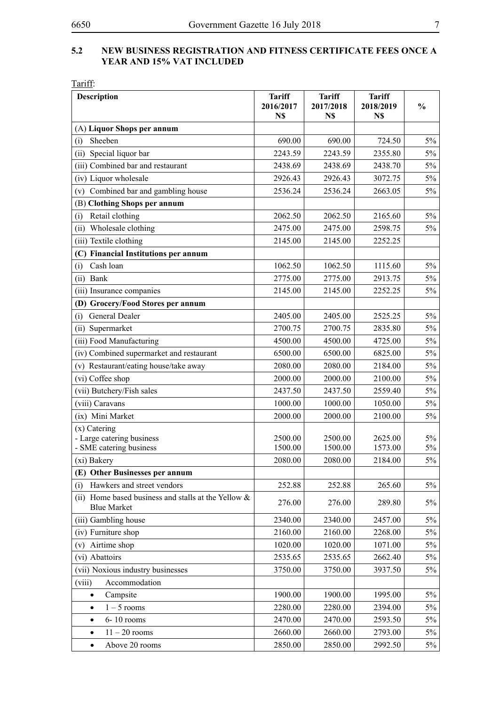#### **5.2 NEW Business Registration AND FITNESS CERTIFICATE Fees Once a Year and 15% VAT Included**

| <b>Description</b>                                                           | <b>Tariff</b><br>2016/2017<br>N\$ | <b>Tariff</b><br>2017/2018<br>N\$ | <b>Tariff</b><br>2018/2019<br>N\$ | $\frac{0}{0}$ |
|------------------------------------------------------------------------------|-----------------------------------|-----------------------------------|-----------------------------------|---------------|
| (A) Liquor Shops per annum                                                   |                                   |                                   |                                   |               |
| Sheeben<br>(i)                                                               | 690.00                            | 690.00                            | 724.50                            | 5%            |
| (ii) Special liquor bar                                                      | 2243.59                           | 2243.59                           | 2355.80                           | 5%            |
| (iii) Combined bar and restaurant                                            | 2438.69                           | 2438.69                           | 2438.70                           | $5\%$         |
| (iv) Liquor wholesale                                                        | 2926.43                           | 2926.43                           | 3072.75                           | 5%            |
| Combined bar and gambling house<br>(v)                                       | 2536.24                           | 2536.24                           | 2663.05                           | $5\%$         |
| (B) Clothing Shops per annum                                                 |                                   |                                   |                                   |               |
| Retail clothing<br>(i)                                                       | 2062.50                           | 2062.50                           | 2165.60                           | 5%            |
| Wholesale clothing<br>(ii)                                                   | 2475.00                           | 2475.00                           | 2598.75                           | $5\%$         |
| (iii) Textile clothing                                                       | 2145.00                           | 2145.00                           | 2252.25                           |               |
| (C) Financial Institutions per annum                                         |                                   |                                   |                                   |               |
| Cash loan<br>(i)                                                             | 1062.50                           | 1062.50                           | 1115.60                           | 5%            |
| Bank<br>(ii)                                                                 | 2775.00                           | 2775.00                           | 2913.75                           | $5\%$         |
| (iii) Insurance companies                                                    | 2145.00                           | 2145.00                           | 2252.25                           | 5%            |
| (D) Grocery/Food Stores per annum                                            |                                   |                                   |                                   |               |
| General Dealer<br>(i)                                                        | 2405.00                           | 2405.00                           | 2525.25                           | $5\%$         |
| (ii) Supermarket                                                             | 2700.75                           | 2700.75                           | 2835.80                           | $5\%$         |
| (iii) Food Manufacturing                                                     | 4500.00                           | 4500.00                           | 4725.00                           | $5\%$         |
| (iv) Combined supermarket and restaurant                                     | 6500.00                           | 6500.00                           | 6825.00                           | 5%            |
| (v) Restaurant/eating house/take away                                        | 2080.00                           | 2080.00                           | 2184.00                           | $5\%$         |
| (vi) Coffee shop                                                             | 2000.00                           | 2000.00                           | 2100.00                           | $5\%$         |
| (vii) Butchery/Fish sales                                                    | 2437.50                           | 2437.50                           | 2559.40                           | $5\%$         |
| (viii) Caravans                                                              | 1000.00                           | 1000.00                           | 1050.00                           | $5\%$         |
| (ix) Mini Market                                                             | 2000.00                           | 2000.00                           | 2100.00                           | $5\%$         |
| (x) Catering                                                                 |                                   |                                   |                                   |               |
| - Large catering business<br>- SME catering business                         | 2500.00<br>1500.00                | 2500.00<br>1500.00                | 2625.00<br>1573.00                | 5%<br>$5\%$   |
| (xi) Bakery                                                                  | 2080.00                           | 2080.00                           | 2184.00                           | $5\%$         |
| (E) Other Businesses per annum                                               |                                   |                                   |                                   |               |
| Hawkers and street vendors<br>(i)                                            | 252.88                            | 252.88                            | 265.60                            | 5%            |
| (ii) Home based business and stalls at the Yellow $\&$<br><b>Blue Market</b> | 276.00                            | 276.00                            | 289.80                            | 5%            |
| (iii) Gambling house                                                         | 2340.00                           | 2340.00                           | 2457.00                           | 5%            |
| (iv) Furniture shop                                                          | 2160.00                           | 2160.00                           | 2268.00                           | 5%            |
| Airtime shop<br>(v)                                                          | 1020.00                           | 1020.00                           | 1071.00                           | 5%            |
| (vi) Abattoirs                                                               | 2535.65                           | 2535.65                           | 2662.40                           | 5%            |
| (vii) Noxious industry businesses                                            | 3750.00                           | 3750.00                           | 3937.50                           | 5%            |
| Accommodation<br>(viii)                                                      |                                   |                                   |                                   |               |
| Campsite<br>$\bullet$                                                        | 1900.00                           | 1900.00                           | 1995.00                           | 5%            |
| $1 - 5$ rooms<br>$\bullet$                                                   | 2280.00                           | 2280.00                           | 2394.00                           | 5%            |
| 6-10 rooms<br>$\bullet$                                                      | 2470.00                           | 2470.00                           | 2593.50                           | 5%            |
| $11 - 20$ rooms<br>$\bullet$                                                 | 2660.00                           | 2660.00                           | 2793.00                           | 5%            |
| Above 20 rooms<br>$\bullet$                                                  | 2850.00                           | 2850.00                           | 2992.50                           | $5\%$         |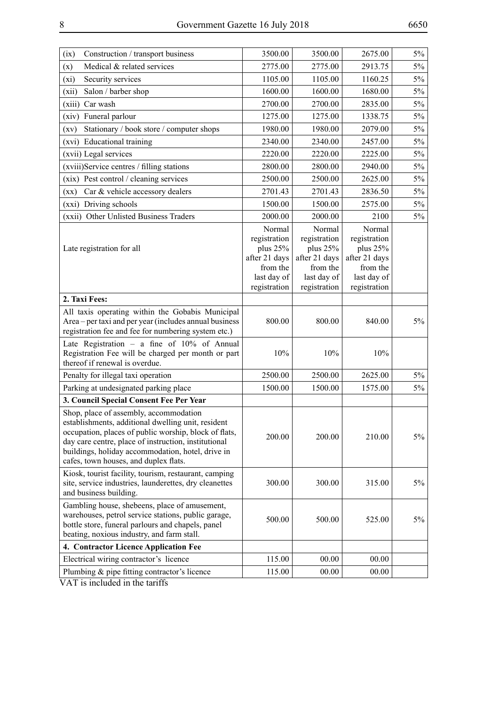| (ix)<br>Construction / transport business                                                                                                                                                                                                                                                                   | 3500.00                                                                                        | 3500.00                                                                                        | 2675.00                                                                                          | $5\%$ |
|-------------------------------------------------------------------------------------------------------------------------------------------------------------------------------------------------------------------------------------------------------------------------------------------------------------|------------------------------------------------------------------------------------------------|------------------------------------------------------------------------------------------------|--------------------------------------------------------------------------------------------------|-------|
| Medical & related services<br>(x)                                                                                                                                                                                                                                                                           | 2775.00                                                                                        | 2775.00                                                                                        | 2913.75                                                                                          | $5\%$ |
| Security services<br>(xi)                                                                                                                                                                                                                                                                                   | 1105.00                                                                                        | 1105.00                                                                                        | 1160.25                                                                                          | 5%    |
| Salon / barber shop<br>(xii)                                                                                                                                                                                                                                                                                | 1600.00                                                                                        | 1600.00                                                                                        | 1680.00                                                                                          | $5\%$ |
| Car wash<br>(xiii)                                                                                                                                                                                                                                                                                          | 2700.00                                                                                        | 2700.00                                                                                        | 2835.00                                                                                          | $5\%$ |
| Funeral parlour<br>(xiv)                                                                                                                                                                                                                                                                                    | 1275.00                                                                                        | 1275.00                                                                                        | 1338.75                                                                                          | $5\%$ |
| Stationary / book store / computer shops<br>(xv)                                                                                                                                                                                                                                                            | 1980.00                                                                                        | 1980.00                                                                                        | 2079.00                                                                                          | $5\%$ |
| (xvi) Educational training                                                                                                                                                                                                                                                                                  | 2340.00                                                                                        | 2340.00                                                                                        | 2457.00                                                                                          | $5\%$ |
| (xvii) Legal services                                                                                                                                                                                                                                                                                       | 2220.00                                                                                        | 2220.00                                                                                        | 2225.00                                                                                          | $5\%$ |
| (xviii)Service centres / filling stations                                                                                                                                                                                                                                                                   | 2800.00                                                                                        | 2800.00                                                                                        | 2940.00                                                                                          | $5\%$ |
| (xix) Pest control / cleaning services                                                                                                                                                                                                                                                                      | 2500.00                                                                                        | 2500.00                                                                                        | 2625.00                                                                                          | 5%    |
| Car & vehicle accessory dealers<br>$(\mathbf{xx})$                                                                                                                                                                                                                                                          | 2701.43                                                                                        | 2701.43                                                                                        | 2836.50                                                                                          | $5\%$ |
| (xxi) Driving schools                                                                                                                                                                                                                                                                                       | 1500.00                                                                                        | 1500.00                                                                                        | 2575.00                                                                                          | $5\%$ |
| (xxii) Other Unlisted Business Traders                                                                                                                                                                                                                                                                      | 2000.00                                                                                        | 2000.00                                                                                        | 2100                                                                                             | $5\%$ |
| Late registration for all                                                                                                                                                                                                                                                                                   | Normal<br>registration<br>plus 25%<br>after 21 days<br>from the<br>last day of<br>registration | Normal<br>registration<br>plus 25%<br>after 21 days<br>from the<br>last day of<br>registration | Normal<br>registration<br>plus $25%$<br>after 21 days<br>from the<br>last day of<br>registration |       |
| 2. Taxi Fees:                                                                                                                                                                                                                                                                                               |                                                                                                |                                                                                                |                                                                                                  |       |
| All taxis operating within the Gobabis Municipal<br>Area - per taxi and per year (includes annual business<br>registration fee and fee for numbering system etc.)                                                                                                                                           | 800.00                                                                                         | 800.00                                                                                         | 840.00                                                                                           | $5\%$ |
| Late Registration - a fine of $10\%$ of Annual<br>Registration Fee will be charged per month or part<br>thereof if renewal is overdue.                                                                                                                                                                      | 10%                                                                                            | 10%                                                                                            | 10%                                                                                              |       |
| Penalty for illegal taxi operation                                                                                                                                                                                                                                                                          | 2500.00                                                                                        | 2500.00                                                                                        | 2625.00                                                                                          | $5\%$ |
| Parking at undesignated parking place                                                                                                                                                                                                                                                                       | 1500.00                                                                                        | 1500.00                                                                                        | 1575.00                                                                                          | 5%    |
| 3. Council Special Consent Fee Per Year                                                                                                                                                                                                                                                                     |                                                                                                |                                                                                                |                                                                                                  |       |
| Shop, place of assembly, accommodation<br>establishments, additional dwelling unit, resident<br>occupation, places of public worship, block of flats,<br>day care centre, place of instruction, institutional<br>buildings, holiday accommodation, hotel, drive in<br>cafes, town houses, and duplex flats. | 200.00                                                                                         | 200.00                                                                                         | 210.00                                                                                           | 5%    |
| Kiosk, tourist facility, tourism, restaurant, camping<br>site, service industries, launderettes, dry cleanettes<br>and business building.                                                                                                                                                                   | 300.00                                                                                         | 300.00                                                                                         | 315.00                                                                                           | $5\%$ |
| Gambling house, shebeens, place of amusement,<br>warehouses, petrol service stations, public garage,<br>bottle store, funeral parlours and chapels, panel<br>beating, noxious industry, and farm stall.                                                                                                     | 500.00                                                                                         | 500.00                                                                                         | 525.00                                                                                           | $5\%$ |
| 4. Contractor Licence Application Fee                                                                                                                                                                                                                                                                       |                                                                                                |                                                                                                |                                                                                                  |       |
| Electrical wiring contractor's licence                                                                                                                                                                                                                                                                      | 115.00                                                                                         | 00.00                                                                                          | 00.00                                                                                            |       |
| Plumbing & pipe fitting contractor's licence                                                                                                                                                                                                                                                                | 115.00                                                                                         | 00.00                                                                                          | 00.00                                                                                            |       |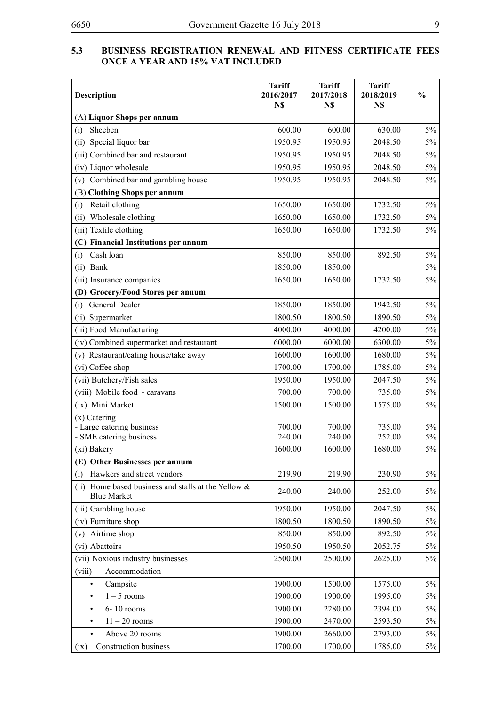#### **5.3 BUSINESS REGISTRATION RENEWAL AND FITNESS CERTIFICATE FF ONCE A YEAR AND 15% VAT IN**

| <b>Description</b>                                                           | <b>Tariff</b><br>2016/2017<br>N\$ | <b>Tariff</b><br>2017/2018<br>N\$ | <b>Tariff</b><br>2018/2019<br>N\$ | $\frac{0}{0}$ |
|------------------------------------------------------------------------------|-----------------------------------|-----------------------------------|-----------------------------------|---------------|
| (A) Liquor Shops per annum                                                   |                                   |                                   |                                   |               |
| Sheeben<br>(i)                                                               | 600.00                            | 600.00                            | 630.00                            | 5%            |
| Special liquor bar<br>(ii)                                                   | 1950.95                           | 1950.95                           | 2048.50                           | 5%            |
| (iii) Combined bar and restaurant                                            | 1950.95                           | 1950.95                           | 2048.50                           | $5\%$         |
| (iv) Liquor wholesale                                                        | 1950.95                           | 1950.95                           | 2048.50                           | $5\%$         |
| Combined bar and gambling house<br>(v)                                       | 1950.95                           | 1950.95                           | 2048.50                           | $5\%$         |
| (B) Clothing Shops per annum                                                 |                                   |                                   |                                   |               |
| Retail clothing<br>(i)                                                       | 1650.00                           | 1650.00                           | 1732.50                           | $5\%$         |
| Wholesale clothing<br>(ii)                                                   | 1650.00                           | 1650.00                           | 1732.50                           | $5\%$         |
| (iii) Textile clothing                                                       | 1650.00                           | 1650.00                           | 1732.50                           | 5%            |
| (C) Financial Institutions per annum                                         |                                   |                                   |                                   |               |
| Cash loan<br>(i)                                                             | 850.00                            | 850.00                            | 892.50                            | 5%            |
| (ii) Bank                                                                    | 1850.00                           | 1850.00                           |                                   | $5\%$         |
| (iii) Insurance companies                                                    | 1650.00                           | 1650.00                           | 1732.50                           | 5%            |
| (D) Grocery/Food Stores per annum                                            |                                   |                                   |                                   |               |
| General Dealer<br>(i)                                                        | 1850.00                           | 1850.00                           | 1942.50                           | $5\%$         |
| (ii) Supermarket                                                             | 1800.50                           | 1800.50                           | 1890.50                           | $5\%$         |
| (iii) Food Manufacturing                                                     | 4000.00                           | 4000.00                           | 4200.00                           | $5\%$         |
| (iv) Combined supermarket and restaurant                                     | 6000.00                           | 6000.00                           | 6300.00                           | 5%            |
| (v) Restaurant/eating house/take away                                        | 1600.00                           | 1600.00                           | 1680.00                           | $5\%$         |
| (vi) Coffee shop                                                             | 1700.00                           | 1700.00                           | 1785.00                           | $5\%$         |
| (vii) Butchery/Fish sales                                                    | 1950.00                           | 1950.00                           | 2047.50                           | $5\%$         |
| (viii) Mobile food - caravans                                                | 700.00                            | 700.00                            | 735.00                            | $5\%$         |
| (ix) Mini Market                                                             | 1500.00                           | 1500.00                           | 1575.00                           | $5\%$         |
| (x) Catering<br>- Large catering business<br>- SME catering business         | 700.00<br>240.00                  | 700.00<br>240.00                  | 735.00<br>252.00                  | 5%<br>$5\%$   |
| (xi) Bakery                                                                  | 1600.00                           | 1600.00                           | 1680.00                           | $5\%$         |
| (E) Other Businesses per annum                                               |                                   |                                   |                                   |               |
| Hawkers and street vendors<br>(i)                                            | 219.90                            | 219.90                            | 230.90                            | 5%            |
| Home based business and stalls at the Yellow &<br>(ii)<br><b>Blue Market</b> | 240.00                            | 240.00                            | 252.00                            | 5%            |
| (iii) Gambling house                                                         | 1950.00                           | 1950.00                           | 2047.50                           | 5%            |
| (iv) Furniture shop                                                          | 1800.50                           | 1800.50                           | 1890.50                           | 5%            |
| Airtime shop<br>(v)                                                          | 850.00                            | 850.00                            | 892.50                            | 5%            |
| (vi) Abattoirs                                                               | 1950.50                           | 1950.50                           | 2052.75                           | 5%            |
| (vii) Noxious industry businesses                                            | 2500.00                           | 2500.00                           | 2625.00                           | 5%            |
| Accommodation<br>(viii)                                                      |                                   |                                   |                                   |               |
| Campsite<br>$\bullet$                                                        | 1900.00                           | 1500.00                           | 1575.00                           | 5%            |
| $1 - 5$ rooms<br>$\bullet$                                                   | 1900.00                           | 1900.00                           | 1995.00                           | 5%            |
| 6-10 rooms<br>$\bullet$                                                      | 1900.00                           | 2280.00                           | 2394.00                           | 5%            |
| $11 - 20$ rooms<br>$\bullet$                                                 | 1900.00                           | 2470.00                           | 2593.50                           | 5%            |
| Above 20 rooms<br>$\bullet$                                                  | 1900.00                           | 2660.00                           | 2793.00                           | $5\%$         |
| <b>Construction business</b><br>(ix)                                         | 1700.00                           | 1700.00                           | 1785.00                           | $5\%$         |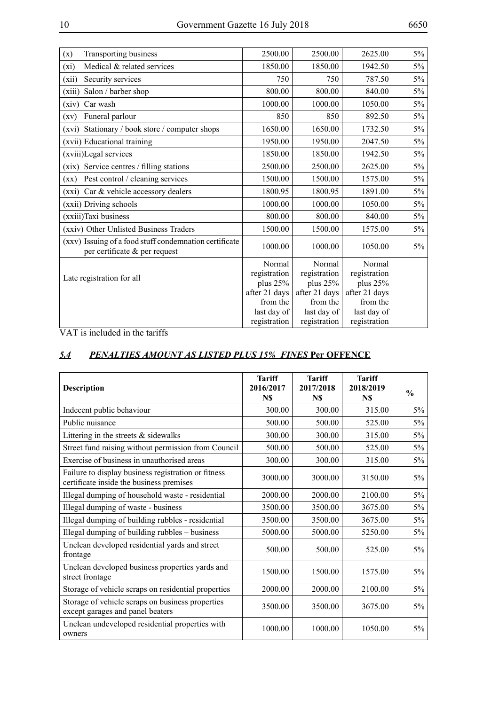|--|

| Transporting business<br>(x)                                                            | 2500.00                | 2500.00                | 2625.00                | $5\%$ |
|-----------------------------------------------------------------------------------------|------------------------|------------------------|------------------------|-------|
| Medical & related services<br>(xi)                                                      | 1850.00                | 1850.00                | 1942.50                | 5%    |
| Security services<br>(xii)                                                              | 750                    | 750                    | 787.50                 | 5%    |
| (xiii)<br>Salon / barber shop                                                           | 800.00                 | 800.00                 | 840.00                 | $5\%$ |
| Car wash<br>(xiv)                                                                       | 1000.00                | 1000.00                | 1050.00                | 5%    |
| Funeral parlour<br>(xv)                                                                 | 850                    | 850                    | 892.50                 | 5%    |
| Stationary / book store / computer shops<br>(xvi)                                       | 1650.00                | 1650.00                | 1732.50                | $5\%$ |
| (xvii) Educational training                                                             | 1950.00                | 1950.00                | 2047.50                | $5\%$ |
| (xviii)Legal services                                                                   | 1850.00                | 1850.00                | 1942.50                | 5%    |
| Service centres / filling stations<br>(xix)                                             | 2500.00                | 2500.00                | 2625.00                | $5\%$ |
| Pest control / cleaning services<br>$(\mathbf{xx})$                                     | 1500.00                | 1500.00                | 1575.00                | 5%    |
| (xxi) Car & vehicle accessory dealers                                                   | 1800.95                | 1800.95                | 1891.00                | 5%    |
| (xxii) Driving schools                                                                  | 1000.00                | 1000.00                | 1050.00                | $5\%$ |
| (xxiii)Taxi business                                                                    | 800.00                 | 800.00                 | 840.00                 | $5\%$ |
| (xxiv) Other Unlisted Business Traders                                                  | 1500.00                | 1500.00                | 1575.00                | 5%    |
| (xxv) Issuing of a food stuff condemnation certificate<br>per certificate & per request | 1000.00                | 1000.00                | 1050.00                | $5\%$ |
|                                                                                         | Normal<br>registration | Normal<br>registration | Normal<br>registration |       |
| Late registration for all                                                               | plus $25%$             | plus $25%$             | plus 25%               |       |
|                                                                                         | after 21 days          | after 21 days          | after 21 days          |       |
|                                                                                         | from the               | from the               | from the               |       |
|                                                                                         | last day of            | last day of            | last day of            |       |
|                                                                                         | registration           | registration           | registration           |       |

## *5.4 PENALTIES AMOUNT AS LISTED PLUS 15% FINES* **Per OFFENCE**

| <b>Description</b>                                                                              | <b>Tariff</b><br>2016/2017<br>N\$ | <b>Tariff</b><br>2017/2018<br>N\$ | <b>Tariff</b><br>2018/2019<br>N\$ | $\frac{0}{0}$ |
|-------------------------------------------------------------------------------------------------|-----------------------------------|-----------------------------------|-----------------------------------|---------------|
| Indecent public behaviour                                                                       | 300.00                            | 300.00                            | 315.00                            | $5\%$         |
| Public nuisance                                                                                 | 500.00                            | 500.00                            | 525.00                            | $5\%$         |
| Littering in the streets $&$ sidewalks                                                          | 300.00                            | 300.00                            | 315.00                            | 5%            |
| Street fund raising without permission from Council                                             | 500.00                            | 500.00                            | 525.00                            | $5\%$         |
| Exercise of business in unauthorised areas                                                      | 300.00                            | 300.00                            | 315.00                            | 5%            |
| Failure to display business registration or fitness<br>certificate inside the business premises | 3000.00                           | 3000.00                           | 3150.00                           | $5\%$         |
| Illegal dumping of household waste - residential                                                | 2000.00                           | 2000.00                           | 2100.00                           | $5\%$         |
| Illegal dumping of waste - business                                                             | 3500.00                           | 3500.00                           | 3675.00                           | 5%            |
| Illegal dumping of building rubbles - residential                                               | 3500.00                           | 3500.00                           | 3675.00                           | 5%            |
| Illegal dumping of building rubbles – business                                                  | 5000.00                           | 5000.00                           | 5250.00                           | 5%            |
| Unclean developed residential yards and street<br>frontage                                      | 500.00                            | 500.00                            | 525.00                            | $5\%$         |
| Unclean developed business properties yards and<br>street frontage                              | 1500.00                           | 1500.00                           | 1575.00                           | 5%            |
| Storage of vehicle scraps on residential properties                                             | 2000.00                           | 2000.00                           | 2100.00                           | $5\%$         |
| Storage of vehicle scraps on business properties<br>except garages and panel beaters            | 3500.00                           | 3500.00                           | 3675.00                           | $5\%$         |
| Unclean undeveloped residential properties with<br>owners                                       | 1000.00                           | 1000.00                           | 1050.00                           | $5\%$         |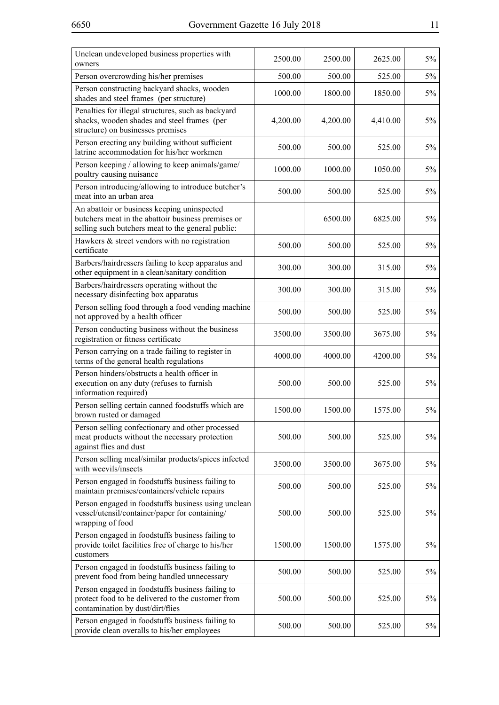| Unclean undeveloped business properties with<br>owners                                                                                                 | 2500.00  | 2500.00  | 2625.00  | $5\%$ |
|--------------------------------------------------------------------------------------------------------------------------------------------------------|----------|----------|----------|-------|
| Person overcrowding his/her premises                                                                                                                   | 500.00   | 500.00   | 525.00   | $5\%$ |
| Person constructing backyard shacks, wooden<br>shades and steel frames (per structure)                                                                 | 1000.00  | 1800.00  | 1850.00  | $5\%$ |
| Penalties for illegal structures, such as backyard<br>shacks, wooden shades and steel frames (per<br>structure) on businesses premises                 | 4,200.00 | 4,200.00 | 4,410.00 | 5%    |
| Person erecting any building without sufficient<br>latrine accommodation for his/her workmen                                                           | 500.00   | 500.00   | 525.00   | 5%    |
| Person keeping / allowing to keep animals/game/<br>poultry causing nuisance                                                                            | 1000.00  | 1000.00  | 1050.00  | $5\%$ |
| Person introducing/allowing to introduce butcher's<br>meat into an urban area                                                                          | 500.00   | 500.00   | 525.00   | 5%    |
| An abattoir or business keeping uninspected<br>butchers meat in the abattoir business premises or<br>selling such butchers meat to the general public: |          | 6500.00  | 6825.00  | 5%    |
| Hawkers $&$ street vendors with no registration<br>certificate                                                                                         | 500.00   | 500.00   | 525.00   | $5\%$ |
| Barbers/hairdressers failing to keep apparatus and<br>other equipment in a clean/sanitary condition                                                    | 300.00   | 300.00   | 315.00   | 5%    |
| Barbers/hairdressers operating without the<br>necessary disinfecting box apparatus                                                                     | 300.00   | 300.00   | 315.00   | 5%    |
| Person selling food through a food vending machine<br>not approved by a health officer                                                                 | 500.00   | 500.00   | 525.00   | 5%    |
| Person conducting business without the business<br>registration or fitness certificate                                                                 | 3500.00  | 3500.00  | 3675.00  | $5\%$ |
| Person carrying on a trade failing to register in<br>terms of the general health regulations                                                           | 4000.00  | 4000.00  | 4200.00  | 5%    |
| Person hinders/obstructs a health officer in<br>execution on any duty (refuses to furnish<br>information required)                                     | 500.00   | 500.00   | 525.00   | $5\%$ |
| Person selling certain canned foodstuffs which are<br>brown rusted or damaged                                                                          | 1500.00  | 1500.00  | 1575.00  | $5\%$ |
| Person selling confectionary and other processed<br>meat products without the necessary protection<br>against flies and dust                           | 500.00   | 500.00   | 525.00   | $5\%$ |
| Person selling meal/similar products/spices infected<br>with weevils/insects                                                                           | 3500.00  | 3500.00  | 3675.00  | $5\%$ |
| Person engaged in foodstuffs business failing to<br>maintain premises/containers/vehicle repairs                                                       | 500.00   | 500.00   | 525.00   | $5\%$ |
| Person engaged in foodstuffs business using unclean<br>vessel/utensil/container/paper for containing/<br>wrapping of food                              | 500.00   | 500.00   | 525.00   | $5\%$ |
| Person engaged in foodstuffs business failing to<br>provide toilet facilities free of charge to his/her<br>customers                                   | 1500.00  | 1500.00  | 1575.00  | $5\%$ |
| Person engaged in foodstuffs business failing to<br>prevent food from being handled unnecessary                                                        | 500.00   | 500.00   | 525.00   | $5\%$ |
| Person engaged in foodstuffs business failing to<br>protect food to be delivered to the customer from<br>contamination by dust/dirt/flies              | 500.00   | 500.00   | 525.00   | 5%    |
| Person engaged in foodstuffs business failing to<br>provide clean overalls to his/her employees                                                        | 500.00   | 500.00   | 525.00   | 5%    |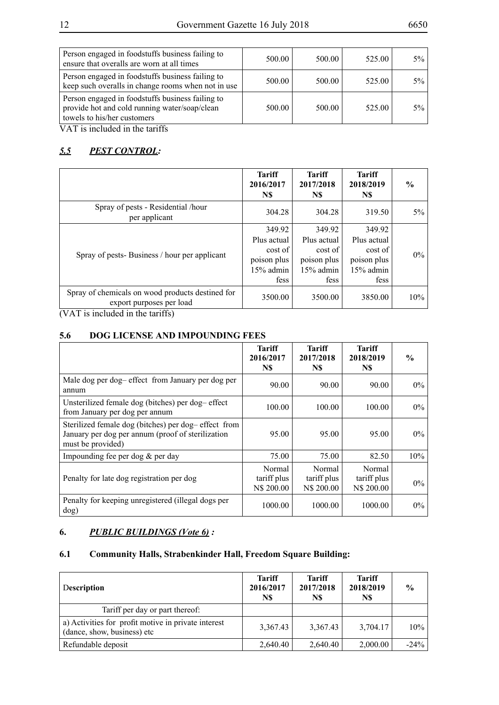| Person engaged in foodstuffs business failing to<br>ensure that overalls are worn at all times                                   | 500.00 | 500.00 | 525.00 | $5%$  |
|----------------------------------------------------------------------------------------------------------------------------------|--------|--------|--------|-------|
| Person engaged in foodstuffs business failing to<br>keep such overalls in change rooms when not in use                           | 500.00 | 500.00 | 525.00 | $5%$  |
| Person engaged in foodstuffs business failing to<br>provide hot and cold running water/soap/clean<br>towels to his/her customers | 500.00 | 500.00 | 525.00 | $5\%$ |

## *5.5 PEST CONTROL:*

|                                                                                                                                                | <b>Tariff</b><br>2016/2017<br>N\$                                      | <b>Tariff</b><br>2017/2018<br>N\$                                      | <b>Tariff</b><br>2018/2019<br>N\$                                    | $\frac{0}{0}$ |
|------------------------------------------------------------------------------------------------------------------------------------------------|------------------------------------------------------------------------|------------------------------------------------------------------------|----------------------------------------------------------------------|---------------|
| Spray of pests - Residential /hour<br>per applicant                                                                                            | 304.28                                                                 | 304.28                                                                 | 319.50                                                               | $5\%$         |
| Spray of pests-Business / hour per applicant                                                                                                   | 349.92<br>Plus actual<br>cost of<br>poison plus<br>$15%$ admin<br>fess | 349.92<br>Plus actual<br>cost of<br>poison plus<br>$15%$ admin<br>fess | 349.92<br>Plus actual<br>cost of<br>poison plus<br>15% admin<br>fess | $0\%$         |
| Spray of chemicals on wood products destined for<br>export purposes per load<br>$(3.7 \text{ A/T})$ is in the 1. 1. 1 in the standard $(20.5)$ | 3500.00                                                                | 3500.00                                                                | 3850.00                                                              | 10%           |

(VAT is included in the tariffs)

#### **5.6 DOG LICENSE AND IMPOUNDING FEES**

|                                                                                                                               | <b>Tariff</b><br>2016/2017<br>N\$   | <b>Tariff</b><br>2017/2018<br>N\$   | Tariff<br>2018/2019<br>N\$          | $\frac{0}{0}$ |
|-------------------------------------------------------------------------------------------------------------------------------|-------------------------------------|-------------------------------------|-------------------------------------|---------------|
| Male dog per dog-effect from January per dog per<br>annum                                                                     | 90.00                               | 90.00                               | 90.00                               | $0\%$         |
| Unsterilized female dog (bitches) per dog-effect<br>from January per dog per annum                                            | 100.00                              | 100.00                              | 100.00                              | $0\%$         |
| Sterilized female dog (bitches) per dog-effect from<br>January per dog per annum (proof of sterilization<br>must be provided) | 95.00                               | 95.00                               | 95.00                               | $0\%$         |
| Impounding fee per dog & per day                                                                                              | 75.00                               | 75.00                               | 82.50                               | 10%           |
| Penalty for late dog registration per dog                                                                                     | Normal<br>tariff plus<br>N\$ 200.00 | Normal<br>tariff plus<br>N\$ 200.00 | Normal<br>tariff plus<br>N\$ 200.00 | $0\%$         |
| Penalty for keeping unregistered (illegal dogs per<br>dog)                                                                    | 1000.00                             | 1000.00                             | 1000.00                             | $0\%$         |

## **6.** *PUBLIC BUILDINGS (Vote 6) :*

## **6.1 Community Halls, Strabenkinder Hall, Freedom Square Building:**

| Description                                                                        | <b>Tariff</b><br>2016/2017<br>N\$ | <b>Tariff</b><br>2017/2018<br>N\$ | <b>Tariff</b><br>2018/2019<br>N\$ | $\frac{0}{0}$ |
|------------------------------------------------------------------------------------|-----------------------------------|-----------------------------------|-----------------------------------|---------------|
| Tariff per day or part thereof:                                                    |                                   |                                   |                                   |               |
| a) Activities for profit motive in private interest<br>(dance, show, business) etc | 3,367.43                          | 3,367.43                          | 3,704.17                          | $10\%$        |
| Refundable deposit                                                                 | 2,640.40                          | 2,640.40                          | 2,000.00                          | $-24\%$       |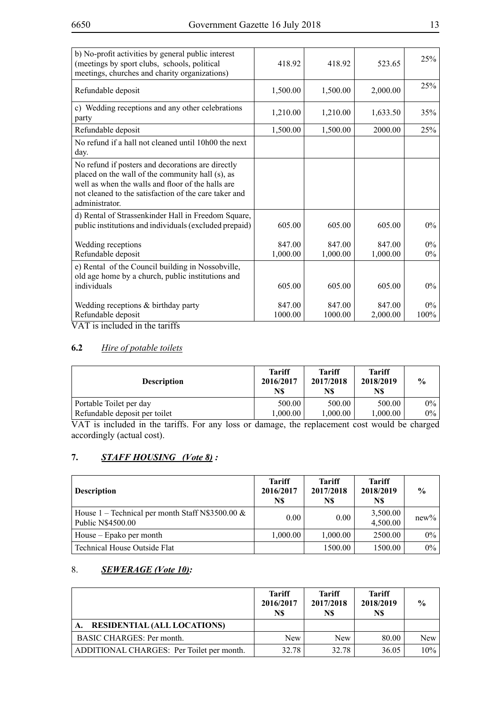| b) No-profit activities by general public interest<br>(meetings by sport clubs, schools, political<br>meetings, churches and charity organizations)                                                                                   | 418.92            | 418.92            | 523.65             | 25%           |
|---------------------------------------------------------------------------------------------------------------------------------------------------------------------------------------------------------------------------------------|-------------------|-------------------|--------------------|---------------|
| Refundable deposit                                                                                                                                                                                                                    | 1,500.00          | 1,500.00          | 2,000.00           | 25%           |
| c) Wedding receptions and any other celebrations<br>party                                                                                                                                                                             | 1,210.00          | 1,210.00          | 1,633.50           | 35%           |
| Refundable deposit                                                                                                                                                                                                                    | 1,500.00          | 1,500.00          | 2000.00            | 25%           |
| No refund if a hall not cleaned until 10h00 the next<br>day.                                                                                                                                                                          |                   |                   |                    |               |
| No refund if posters and decorations are directly<br>placed on the wall of the community hall (s), as<br>well as when the walls and floor of the halls are<br>not cleaned to the satisfaction of the care taker and<br>administrator. |                   |                   |                    |               |
| d) Rental of Strassenkinder Hall in Freedom Square,<br>public institutions and individuals (excluded prepaid)                                                                                                                         | 605.00            | 605.00            | 605.00             | $0\%$         |
| Wedding receptions                                                                                                                                                                                                                    | 847.00            | 847.00            | 847.00             | $0\%$         |
| Refundable deposit                                                                                                                                                                                                                    | 1,000.00          | 1,000.00          | 1,000.00           | $0\%$         |
| e) Rental of the Council building in Nossobville,<br>old age home by a church, public institutions and<br>individuals                                                                                                                 | 605.00            | 605.00            | 605.00             | $0\%$         |
| Wedding receptions & birthday party<br>Refundable deposit                                                                                                                                                                             | 847.00<br>1000.00 | 847.00<br>1000.00 | 847.00<br>2,000.00 | $0\%$<br>100% |

## **6.2** *Hire of potable toilets*

| <b>Description</b>            | <b>Tariff</b><br>2016/2017<br>N\$ | <b>Tariff</b><br>2017/2018<br>N\$ | <b>Tariff</b><br>2018/2019<br>N\$ | $\frac{0}{0}$ |
|-------------------------------|-----------------------------------|-----------------------------------|-----------------------------------|---------------|
| Portable Toilet per day       | 500.00                            | 500.00                            | 500.00                            | $0\%$         |
| Refundable deposit per toilet | 1.000.00                          | 1.000.00                          | 1.000.00                          | $0\%$         |

VAT is included in the tariffs. For any loss or damage, the replacement cost would be charged accordingly (actual cost).

## **7.** *STAFF HOUSING (Vote 8) :*

| <b>Description</b>                                                       | <b>Tariff</b><br>2016/2017<br>N\$ | <b>Tariff</b><br>2017/2018<br>N\$ | <b>Tariff</b><br>2018/2019<br>N\$ | $\frac{0}{0}$ |
|--------------------------------------------------------------------------|-----------------------------------|-----------------------------------|-----------------------------------|---------------|
| House 1 – Technical per month Staff N\$3500.00 $\&$<br>Public N\$4500.00 | 0.00                              | 0.00                              | 3,500.00<br>4,500.00              | $new\%$       |
| House – Epako per month                                                  | 1,000.00                          | 1,000.00                          | 2500.00                           | $0\%$         |
| Technical House Outside Flat                                             |                                   | 1500.00                           | 1500.00                           | $0\%$         |

#### 8. *SEWERAGE (Vote 10):*

|                                           | <b>Tariff</b><br>2016/2017<br>N\$ | <b>Tariff</b><br>2017/2018<br>N\$ | <b>Tariff</b><br>2018/2019<br>N\$ | $\frac{0}{0}$ |
|-------------------------------------------|-----------------------------------|-----------------------------------|-----------------------------------|---------------|
| <b>RESIDENTIAL (ALL LOCATIONS)</b>        |                                   |                                   |                                   |               |
| BASIC CHARGES: Per month.                 | <b>New</b>                        | <b>New</b>                        | 80.00                             | New           |
| ADDITIONAL CHARGES: Per Toilet per month. | 32.78                             | 32.78                             | 36.05                             | $10\%$        |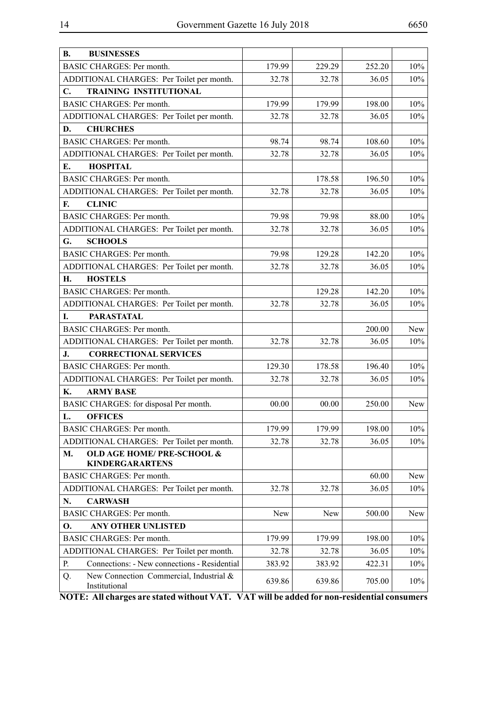| <b>B.</b><br><b>BUSINESSES</b>                                        |        |        |        |            |
|-----------------------------------------------------------------------|--------|--------|--------|------------|
| <b>BASIC CHARGES: Per month.</b>                                      | 179.99 | 229.29 | 252.20 | 10%        |
| ADDITIONAL CHARGES: Per Toilet per month.                             | 32.78  | 32.78  | 36.05  | 10%        |
| C.<br><b>TRAINING INSTITUTIONAL</b>                                   |        |        |        |            |
| <b>BASIC CHARGES: Per month.</b>                                      | 179.99 | 179.99 | 198.00 | 10%        |
| ADDITIONAL CHARGES: Per Toilet per month.                             | 32.78  | 32.78  | 36.05  | 10%        |
| <b>CHURCHES</b><br>D.                                                 |        |        |        |            |
| <b>BASIC CHARGES: Per month.</b>                                      | 98.74  | 98.74  | 108.60 | 10%        |
| ADDITIONAL CHARGES: Per Toilet per month.                             | 32.78  | 32.78  | 36.05  | 10%        |
| <b>HOSPITAL</b><br>Е.                                                 |        |        |        |            |
| <b>BASIC CHARGES: Per month.</b>                                      |        | 178.58 | 196.50 | 10%        |
| ADDITIONAL CHARGES: Per Toilet per month.                             | 32.78  | 32.78  | 36.05  | 10%        |
| <b>CLINIC</b><br>F.                                                   |        |        |        |            |
| <b>BASIC CHARGES: Per month.</b>                                      | 79.98  | 79.98  | 88.00  | 10%        |
| ADDITIONAL CHARGES: Per Toilet per month.                             | 32.78  | 32.78  | 36.05  | 10%        |
| G.<br><b>SCHOOLS</b>                                                  |        |        |        |            |
| <b>BASIC CHARGES: Per month.</b>                                      | 79.98  | 129.28 | 142.20 | 10%        |
| ADDITIONAL CHARGES: Per Toilet per month.                             | 32.78  | 32.78  | 36.05  | 10%        |
| Н.<br><b>HOSTELS</b>                                                  |        |        |        |            |
| <b>BASIC CHARGES: Per month.</b>                                      |        | 129.28 | 142.20 | 10%        |
| ADDITIONAL CHARGES: Per Toilet per month.                             | 32.78  | 32.78  | 36.05  | 10%        |
| <b>PARASTATAL</b><br>I.                                               |        |        |        |            |
| <b>BASIC CHARGES: Per month.</b>                                      |        |        | 200.00 | New        |
| ADDITIONAL CHARGES: Per Toilet per month.                             | 32.78  | 32.78  | 36.05  | 10%        |
| <b>CORRECTIONAL SERVICES</b><br>J.                                    |        |        |        |            |
| <b>BASIC CHARGES: Per month.</b>                                      | 129.30 | 178.58 | 196.40 | 10%        |
| ADDITIONAL CHARGES: Per Toilet per month.                             | 32.78  | 32.78  | 36.05  | 10%        |
| <b>K.</b><br><b>ARMY BASE</b>                                         |        |        |        |            |
| BASIC CHARGES: for disposal Per month.                                | 00.00  | 00.00  | 250.00 | <b>New</b> |
| <b>OFFICES</b><br>L.                                                  |        |        |        |            |
| <b>BASIC CHARGES: Per month.</b>                                      | 179.99 | 179.99 | 198.00 | 10%        |
| ADDITIONAL CHARGES: Per Toilet per month.                             | 32.78  | 32.78  | 36.05  | 10%        |
| <b>OLD AGE HOME/ PRE-SCHOOL &amp;</b><br>М.<br><b>KINDERGARARTENS</b> |        |        |        |            |
| BASIC CHARGES: Per month.                                             |        |        | 60.00  | New        |
| ADDITIONAL CHARGES: Per Toilet per month.                             | 32.78  | 32.78  | 36.05  | 10%        |
| <b>CARWASH</b><br>N.                                                  |        |        |        |            |
| <b>BASIC CHARGES: Per month.</b>                                      | New    | New    | 500.00 | New        |
| <b>ANY OTHER UNLISTED</b><br>О.                                       |        |        |        |            |
| <b>BASIC CHARGES: Per month.</b>                                      | 179.99 | 179.99 | 198.00 | 10%        |
| ADDITIONAL CHARGES: Per Toilet per month.                             | 32.78  | 32.78  | 36.05  | 10%        |
| Connections: - New connections - Residential<br>P.                    | 383.92 | 383.92 | 422.31 | 10%        |
| New Connection Commercial, Industrial &<br>Q.<br>Institutional        | 639.86 | 639.86 | 705.00 | 10%        |

**NOTE: All charges are stated without VAT. VAT will be added for non-residential consumers**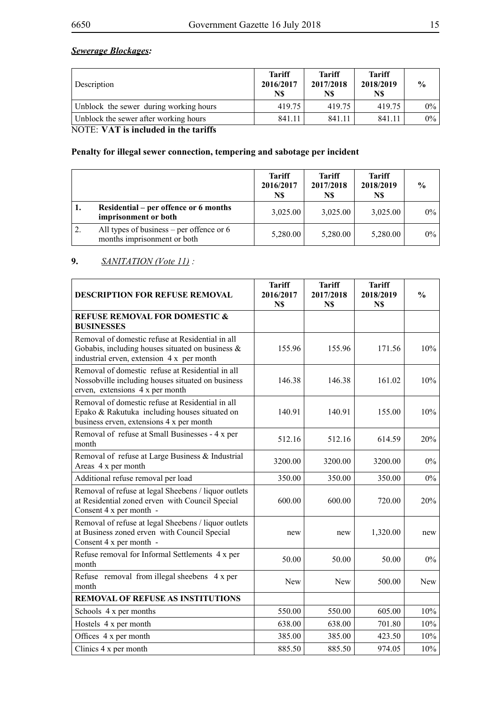## *Sewerage Blockages:*

| Description                            | <b>Tariff</b><br>2016/2017<br>N\$ | <b>Tariff</b><br>2017/2018<br>N\$ | <b>Tariff</b><br>2018/2019<br>N\$ | $\frac{0}{0}$ |
|----------------------------------------|-----------------------------------|-----------------------------------|-----------------------------------|---------------|
| Unblock the sewer during working hours | 419.75                            | 419.75                            | 419.75                            | $0\%$         |
| Unblock the sewer after working hours  | 841.11                            | 841 11                            | 841.11                            | $0\%$         |

NOTE: **VAT is included in the tariffs**

## **Penalty for illegal sewer connection, tempering and sabotage per incident**

|    |                                                                           | <b>Tariff</b><br>2016/2017<br>N\$ | Tariff<br>2017/2018<br>N\$ | <b>Tariff</b><br>2018/2019<br>N\$ | $\frac{0}{0}$ |
|----|---------------------------------------------------------------------------|-----------------------------------|----------------------------|-----------------------------------|---------------|
| ı. | Residential – per offence or 6 months<br>imprisonment or both             | 3,025.00                          | 3,025.00                   | 3,025.00                          | $0\%$         |
|    | All types of business – per offence or $6$<br>months imprisonment or both | 5,280.00                          | 5,280.00                   | 5,280.00                          | $0\%$         |

#### **9.** *SANITATION (Vote 11) :*

| <b>DESCRIPTION FOR REFUSE REMOVAL</b>                                                                                                             | <b>Tariff</b><br>2016/2017<br>N\$ | <b>Tariff</b><br>2017/2018<br>N\$ | <b>Tariff</b><br>2018/2019<br>N\$ | $\frac{0}{0}$ |
|---------------------------------------------------------------------------------------------------------------------------------------------------|-----------------------------------|-----------------------------------|-----------------------------------|---------------|
| <b>REFUSE REMOVAL FOR DOMESTIC &amp;</b><br><b>BUSINESSES</b>                                                                                     |                                   |                                   |                                   |               |
| Removal of domestic refuse at Residential in all<br>Gobabis, including houses situated on business &<br>industrial erven, extension 4 x per month | 155.96                            | 155.96                            | 171.56                            | 10%           |
| Removal of domestic refuse at Residential in all<br>Nossobville including houses situated on business<br>erven, extensions 4 x per month          | 146.38                            | 146.38                            | 161.02                            | 10%           |
| Removal of domestic refuse at Residential in all<br>Epako & Rakutuka including houses situated on<br>business erven, extensions 4 x per month     | 140.91                            | 140.91                            | 155.00                            | 10%           |
| Removal of refuse at Small Businesses - 4 x per<br>month                                                                                          | 512.16                            | 512.16                            | 614.59                            | 20%           |
| Removal of refuse at Large Business & Industrial<br>Areas 4 x per month                                                                           | 3200.00                           | 3200.00                           | 3200.00                           | 0%            |
| Additional refuse removal per load                                                                                                                | 350.00                            | 350.00                            | 350.00                            | $0\%$         |
| Removal of refuse at legal Sheebens / liquor outlets<br>at Residential zoned erven with Council Special<br>Consent 4 x per month -                | 600.00                            | 600.00                            | 720.00                            | 20%           |
| Removal of refuse at legal Sheebens / liquor outlets<br>at Business zoned erven with Council Special<br>Consent 4 x per month -                   | new                               | new                               | 1,320.00                          | new           |
| Refuse removal for Informal Settlements 4 x per<br>month                                                                                          | 50.00                             | 50.00                             | 50.00                             | $0\%$         |
| Refuse removal from illegal sheebens 4 x per<br>month                                                                                             | New                               | <b>New</b>                        | 500.00                            | New           |
| <b>REMOVAL OF REFUSE AS INSTITUTIONS</b>                                                                                                          |                                   |                                   |                                   |               |
| Schools 4 x per months                                                                                                                            | 550.00                            | 550.00                            | 605.00                            | 10%           |
| Hostels 4 x per month                                                                                                                             | 638.00                            | 638.00                            | 701.80                            | 10%           |
| Offices 4 x per month                                                                                                                             | 385.00                            | 385.00                            | 423.50                            | 10%           |
| Clinics 4 x per month                                                                                                                             | 885.50                            | 885.50                            | 974.05                            | 10%           |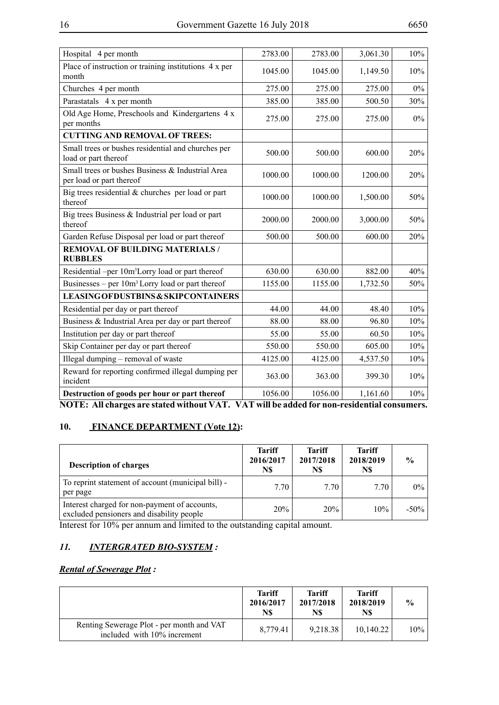| Hospital 4 per month                                                                       | 2783.00 | 2783.00 | 3,061.30 | 10%   |  |  |  |
|--------------------------------------------------------------------------------------------|---------|---------|----------|-------|--|--|--|
| Place of instruction or training institutions 4 x per<br>month                             | 1045.00 | 1045.00 | 1,149.50 | 10%   |  |  |  |
| Churches 4 per month                                                                       | 275.00  | 275.00  | 275.00   | $0\%$ |  |  |  |
| Parastatals 4 x per month                                                                  | 385.00  | 385.00  | 500.50   | 30%   |  |  |  |
| Old Age Home, Preschools and Kindergartens 4 x<br>per months                               | 275.00  | 275.00  | 275.00   | $0\%$ |  |  |  |
| <b>CUTTING AND REMOVAL OF TREES:</b>                                                       |         |         |          |       |  |  |  |
| Small trees or bushes residential and churches per<br>load or part thereof                 | 500.00  | 500.00  | 600.00   | 20%   |  |  |  |
| Small trees or bushes Business & Industrial Area<br>per load or part thereof               | 1000.00 | 1000.00 | 1200.00  | 20%   |  |  |  |
| Big trees residential $&$ churches per load or part<br>thereof                             | 1000.00 | 1000.00 | 1,500.00 | 50%   |  |  |  |
| Big trees Business & Industrial per load or part<br>thereof                                | 2000.00 | 2000.00 | 3,000.00 | 50%   |  |  |  |
| Garden Refuse Disposal per load or part thereof                                            | 500.00  | 500.00  | 600.00   | 20%   |  |  |  |
| <b>REMOVAL OF BUILDING MATERIALS /</b><br><b>RUBBLES</b>                                   |         |         |          |       |  |  |  |
| Residential -per 10m <sup>3</sup> Lorry load or part thereof                               | 630.00  | 630.00  | 882.00   | 40%   |  |  |  |
| Businesses – per $10m3$ Lorry load or part thereof                                         | 1155.00 | 1155.00 | 1,732.50 | 50%   |  |  |  |
| <b>LEASING OF DUSTBINS &amp; SKIPCONTAINERS</b>                                            |         |         |          |       |  |  |  |
| Residential per day or part thereof                                                        | 44.00   | 44.00   | 48.40    | 10%   |  |  |  |
| Business & Industrial Area per day or part thereof                                         | 88.00   | 88.00   | 96.80    | 10%   |  |  |  |
| Institution per day or part thereof                                                        | 55.00   | 55.00   | 60.50    | 10%   |  |  |  |
| Skip Container per day or part thereof                                                     | 550.00  | 550.00  | 605.00   | 10%   |  |  |  |
| Illegal dumping - removal of waste                                                         | 4125.00 | 4125.00 | 4,537.50 | 10%   |  |  |  |
| Reward for reporting confirmed illegal dumping per<br>incident                             | 363.00  | 363.00  | 399.30   | 10%   |  |  |  |
| Destruction of goods per hour or part thereof                                              | 1056.00 | 1056.00 | 1,161.60 | 10%   |  |  |  |
| NOTE: All charges are stated without VAT. VAT will be added for non-residential consumers. |         |         |          |       |  |  |  |

## **10. FINANCE DEPARTMENT (Vote 12):**

| <b>Description of charges</b>                                                              | <b>Tariff</b><br>2016/2017<br>N\$ | <b>Tariff</b><br>2017/2018<br>N\$ | <b>Tariff</b><br>2018/2019<br>N\$ | $\frac{0}{0}$ |
|--------------------------------------------------------------------------------------------|-----------------------------------|-----------------------------------|-----------------------------------|---------------|
| To reprint statement of account (municipal bill) -<br>per page                             | 7.70                              | 7.70                              | 7.70                              | $0\%$         |
| Interest charged for non-payment of accounts,<br>excluded pensioners and disability people | 20%                               | 20%                               | 10%                               | $-50\%$       |

Interest for 10% per annum and limited to the outstanding capital amount.

## *11. INTERGRATED BIO-SYSTEM :*

## *Rental of Sewerage Plot :*

|                                                                          | <b>Tariff</b><br>2016/2017<br>N\$ | <b>Tariff</b><br>2017/2018<br>N\$ | <b>Tariff</b><br>2018/2019<br>N\$ | $\frac{6}{9}$ |
|--------------------------------------------------------------------------|-----------------------------------|-----------------------------------|-----------------------------------|---------------|
| Renting Sewerage Plot - per month and VAT<br>included with 10% increment | 8.779.41                          | 9.218.38                          | 10,140.22                         | 10%           |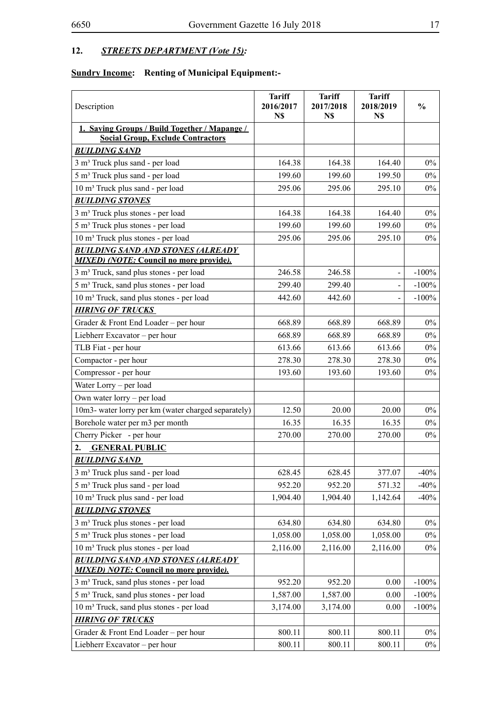## **12.** *STREETS DEPARTMENT (Vote 15):*

## **Sundry Income: Renting of Municipal Equipment:-**

| Description                                                                                 | <b>Tariff</b><br>2016/2017<br>N\$ | <b>Tariff</b><br>2017/2018<br>N\$ | <b>Tariff</b><br>2018/2019<br>N\$ | $\frac{6}{6}$ |
|---------------------------------------------------------------------------------------------|-----------------------------------|-----------------------------------|-----------------------------------|---------------|
| 1. Saving Groups / Build Together / Mapange /                                               |                                   |                                   |                                   |               |
| <b>Social Group, Exclude Contractors</b>                                                    |                                   |                                   |                                   |               |
| <b>BUILDING SAND</b>                                                                        |                                   |                                   |                                   |               |
| 3 m <sup>3</sup> Truck plus sand - per load                                                 | 164.38                            | 164.38                            | 164.40                            | $0\%$         |
| 5 m <sup>3</sup> Truck plus sand - per load                                                 | 199.60                            | 199.60                            | 199.50                            | $0\%$         |
| 10 m <sup>3</sup> Truck plus sand - per load                                                | 295.06                            | 295.06                            | 295.10                            | $0\%$         |
| <b>BUILDING STONES</b>                                                                      |                                   |                                   |                                   |               |
| 3 m <sup>3</sup> Truck plus stones - per load                                               | 164.38                            | 164.38                            | 164.40                            | $0\%$         |
| 5 m <sup>3</sup> Truck plus stones - per load                                               | 199.60                            | 199.60                            | 199.60                            | $0\%$         |
| 10 m <sup>3</sup> Truck plus stones - per load                                              | 295.06                            | 295.06                            | 295.10                            | $0\%$         |
| <b>BUILDING SAND AND STONES (ALREADY</b><br><b>MIXED</b> ) (NOTE: Council no more provide). |                                   |                                   |                                   |               |
| 3 m <sup>3</sup> Truck, sand plus stones - per load                                         | 246.58                            | 246.58                            | $\blacksquare$                    | $-100%$       |
| 5 m <sup>3</sup> Truck, sand plus stones - per load                                         | 299.40                            | 299.40                            |                                   | $-100%$       |
| 10 m <sup>3</sup> Truck, sand plus stones - per load                                        | 442.60                            | 442.60                            |                                   | $-100%$       |
| <b>HIRING OF TRUCKS</b>                                                                     |                                   |                                   |                                   |               |
| Grader & Front End Loader – per hour                                                        | 668.89                            | 668.89                            | 668.89                            | $0\%$         |
| Liebherr Excavator – per hour                                                               | 668.89                            | 668.89                            | 668.89                            | $0\%$         |
| TLB Fiat - per hour                                                                         | 613.66                            | 613.66                            | 613.66                            | $0\%$         |
| Compactor - per hour                                                                        | 278.30                            | 278.30                            | 278.30                            | $0\%$         |
| Compressor - per hour                                                                       | 193.60                            | 193.60                            | 193.60                            | 0%            |
| Water Lorry - per load                                                                      |                                   |                                   |                                   |               |
| Own water lorry – per load                                                                  |                                   |                                   |                                   |               |
| 10m3- water lorry per km (water charged separately)                                         | 12.50                             | 20.00                             | 20.00                             | $0\%$         |
| Borehole water per m3 per month                                                             | 16.35                             | 16.35                             | 16.35                             | $0\%$         |
| Cherry Picker - per hour                                                                    | 270.00                            | 270.00                            | 270.00                            | $0\%$         |
| <b>GENERAL PUBLIC</b><br>2.                                                                 |                                   |                                   |                                   |               |
| <b>BUILDING SAND</b>                                                                        |                                   |                                   |                                   |               |
| 3 m <sup>3</sup> Truck plus sand - per load                                                 | 628.45                            | 628.45                            | 377.07                            | $-40%$        |
| 5 m <sup>3</sup> Truck plus sand - per load                                                 | 952.20                            | 952.20                            | 571.32                            | $-40%$        |
| 10 m <sup>3</sup> Truck plus sand - per load                                                | 1,904.40                          | 1,904.40                          | 1,142.64                          | $-40%$        |
| <b>BUILDING STONES</b>                                                                      |                                   |                                   |                                   |               |
| 3 m <sup>3</sup> Truck plus stones - per load                                               | 634.80                            | 634.80                            | 634.80                            | $0\%$         |
| 5 m <sup>3</sup> Truck plus stones - per load                                               | 1,058.00                          | 1,058.00                          | 1,058.00                          | $0\%$         |
| 10 m <sup>3</sup> Truck plus stones - per load                                              | 2,116.00                          | 2,116.00                          | 2,116.00                          | $0\%$         |
| <b>BUILDING SAND AND STONES (ALREADY</b><br><b>MIXED</b> ) NOTE: Council no more provide).  |                                   |                                   |                                   |               |
| 3 m <sup>3</sup> Truck, sand plus stones - per load                                         | 952.20                            | 952.20                            | 0.00                              | $-100%$       |
| 5 m <sup>3</sup> Truck, sand plus stones - per load                                         | 1,587.00                          | 1,587.00                          | 0.00                              | $-100%$       |
| 10 m <sup>3</sup> Truck, sand plus stones - per load                                        | 3,174.00                          | 3,174.00                          | 0.00                              | $-100%$       |
| <b>HIRING OF TRUCKS</b>                                                                     |                                   |                                   |                                   |               |
| Grader & Front End Loader – per hour                                                        | 800.11                            | 800.11                            | 800.11                            | $0\%$         |
| Liebherr Excavator - per hour                                                               | 800.11                            | 800.11                            | 800.11                            | $0\%$         |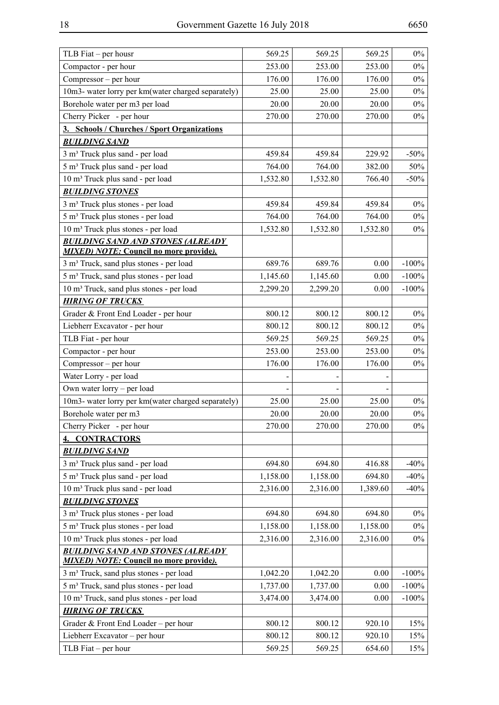| TLB Fiat – per housr                                 | 569.25   | 569.25   | 569.25   | $0\%$   |
|------------------------------------------------------|----------|----------|----------|---------|
| Compactor - per hour                                 | 253.00   | 253.00   | 253.00   | $0\%$   |
| Compressor – per hour                                | 176.00   | 176.00   | 176.00   | $0\%$   |
| 10m3- water lorry per km(water charged separately)   | 25.00    | 25.00    | 25.00    | $0\%$   |
| Borehole water per m3 per load                       | 20.00    | 20.00    | 20.00    | $0\%$   |
| Cherry Picker - per hour                             | 270.00   | 270.00   | 270.00   | $0\%$   |
| 3. Schools / Churches / Sport Organizations          |          |          |          |         |
| <b>BUILDING SAND</b>                                 |          |          |          |         |
| 3 m <sup>3</sup> Truck plus sand - per load          | 459.84   | 459.84   | 229.92   | $-50%$  |
| 5 m <sup>3</sup> Truck plus sand - per load          | 764.00   | 764.00   | 382.00   | 50%     |
| 10 m <sup>3</sup> Truck plus sand - per load         | 1,532.80 | 1,532.80 | 766.40   | $-50%$  |
| <b>BUILDING STONES</b>                               |          |          |          |         |
| 3 m <sup>3</sup> Truck plus stones - per load        | 459.84   | 459.84   | 459.84   | $0\%$   |
| 5 m <sup>3</sup> Truck plus stones - per load        | 764.00   | 764.00   | 764.00   | $0\%$   |
| 10 m <sup>3</sup> Truck plus stones - per load       | 1,532.80 | 1,532.80 | 1,532.80 | $0\%$   |
| <b>BUILDING SAND AND STONES (ALREADY</b>             |          |          |          |         |
| <b>MIXED</b> ) NOTE: Council no more provide).       |          |          |          |         |
| 3 m <sup>3</sup> Truck, sand plus stones - per load  | 689.76   | 689.76   | 0.00     | $-100%$ |
| 5 m <sup>3</sup> Truck, sand plus stones - per load  | 1,145.60 | 1,145.60 | 0.00     | $-100%$ |
| 10 m <sup>3</sup> Truck, sand plus stones - per load | 2,299.20 | 2,299.20 | 0.00     | $-100%$ |
| <b>HIRING OF TRUCKS</b>                              |          |          |          |         |
| Grader & Front End Loader - per hour                 | 800.12   | 800.12   | 800.12   | $0\%$   |
| Liebherr Excavator - per hour                        | 800.12   | 800.12   | 800.12   | $0\%$   |
| TLB Fiat - per hour                                  | 569.25   | 569.25   | 569.25   | $0\%$   |
| Compactor - per hour                                 | 253.00   | 253.00   | 253.00   | $0\%$   |
| Compressor – per hour                                | 176.00   | 176.00   | 176.00   | $0\%$   |
| Water Lorry - per load                               |          |          |          |         |
| Own water lorry – per load                           |          |          |          |         |
| 10m3- water lorry per km(water charged separately)   | 25.00    | 25.00    | 25.00    | $0\%$   |
| Borehole water per m3                                | 20.00    | 20.00    | 20.00    | $0\%$   |
| Cherry Picker - per hour                             | 270.00   | 270.00   | 270.00   | $0\%$   |
| <b>CONTRACTORS</b><br>4.                             |          |          |          |         |
| <b>BUILDING SAND</b>                                 |          |          |          |         |
| 3 m <sup>3</sup> Truck plus sand - per load          | 694.80   | 694.80   | 416.88   | $-40%$  |
| 5 m <sup>3</sup> Truck plus sand - per load          | 1,158.00 | 1,158.00 | 694.80   | $-40%$  |
| 10 m <sup>3</sup> Truck plus sand - per load         | 2,316.00 | 2,316.00 | 1,389.60 | $-40%$  |
| <b>BUILDING STONES</b>                               |          |          |          |         |
| 3 m <sup>3</sup> Truck plus stones - per load        | 694.80   | 694.80   | 694.80   | $0\%$   |
| 5 m <sup>3</sup> Truck plus stones - per load        | 1,158.00 | 1,158.00 | 1,158.00 | $0\%$   |
| 10 m <sup>3</sup> Truck plus stones - per load       | 2,316.00 | 2,316.00 | 2,316.00 | $0\%$   |
| <b>BUILDING SAND AND STONES (ALREADY</b>             |          |          |          |         |
| <b>MIXED</b> ) NOTE: Council no more provide).       |          |          |          |         |
| 3 m <sup>3</sup> Truck, sand plus stones - per load  | 1,042.20 | 1,042.20 | 0.00     | $-100%$ |
| 5 m <sup>3</sup> Truck, sand plus stones - per load  | 1,737.00 | 1,737.00 | 0.00     | $-100%$ |
| 10 m <sup>3</sup> Truck, sand plus stones - per load | 3,474.00 | 3,474.00 | 0.00     | $-100%$ |
| <b>HIRING OF TRUCKS</b>                              |          |          |          |         |
| Grader & Front End Loader – per hour                 | 800.12   | 800.12   | 920.10   | 15%     |
| Liebherr Excavator - per hour                        | 800.12   | 800.12   | 920.10   | 15%     |
| TLB Fiat $-$ per hour                                | 569.25   | 569.25   | 654.60   | 15%     |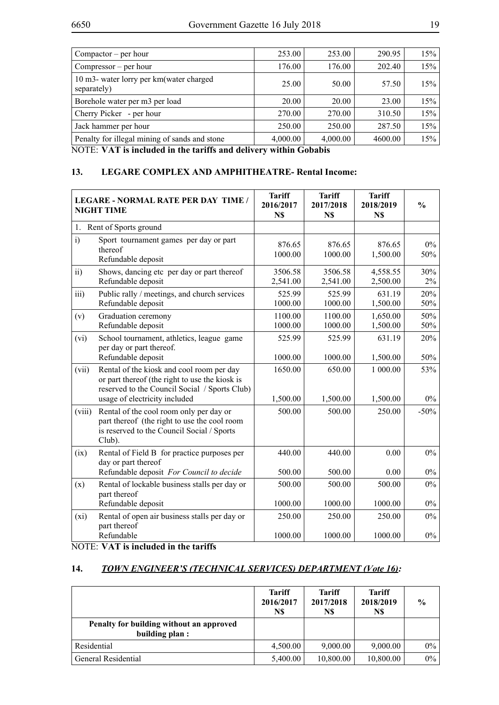| Compator – per hour                                     | 253.00                   | 253.00   | 290.95  | 15% |
|---------------------------------------------------------|--------------------------|----------|---------|-----|
| Compressor – per hour                                   | 176.00                   | 176.00   | 202.40  | 15% |
| 10 m3- water lorry per km (water charged<br>separately) | 25.00                    | 50.00    | 57.50   | 15% |
| Borehole water per m3 per load                          | 20.00                    | 20.00    | 23.00   | 15% |
| Cherry Picker - per hour                                | 270.00                   | 270.00   | 310.50  | 15% |
| Jack hammer per hour                                    | 250.00                   | 250.00   | 287.50  | 15% |
| Penalty for illegal mining of sands and stone           | 4,000.00                 | 4,000.00 | 4600.00 | 15% |
| $\mathbf{1}$                                            | $\cdots$ $\sim$ $\cdots$ |          |         |     |

NOTE: **VAT is included in the tariffs and delivery within Gobabis**

#### **13. LEGARE COMPLEX AND AMPHITHEATRE- Rental Income:**

|                   | <b>LEGARE - NORMAL RATE PER DAY TIME /</b><br><b>NIGHT TIME</b>                                                                                                               | <b>Tariff</b><br>2016/2017<br>N\$ | <b>Tariff</b><br>2017/2018<br>N\$ | <b>Tariff</b><br>2018/2019<br>N\$ | $\frac{0}{0}$ |
|-------------------|-------------------------------------------------------------------------------------------------------------------------------------------------------------------------------|-----------------------------------|-----------------------------------|-----------------------------------|---------------|
| 1.                | Rent of Sports ground                                                                                                                                                         |                                   |                                   |                                   |               |
| i)                | Sport tournament games per day or part<br>thereof<br>Refundable deposit                                                                                                       | 876.65<br>1000.00                 | 876.65<br>1000.00                 | 876.65<br>1,500.00                | $0\%$<br>50%  |
| $\overline{ii}$ ) | Shows, dancing etc per day or part thereof<br>Refundable deposit                                                                                                              | 3506.58<br>2,541.00               | 3506.58<br>2,541.00               | 4,558.55<br>2,500.00              | 30%<br>$2\%$  |
| iii)              | Public rally / meetings, and church services<br>Refundable deposit                                                                                                            | 525.99<br>1000.00                 | 525.99<br>1000.00                 | 631.19<br>1,500.00                | 20%<br>50%    |
| (v)               | Graduation ceremony<br>Refundable deposit                                                                                                                                     | 1100.00<br>1000.00                | 1100.00<br>1000.00                | 1,650.00<br>1,500.00              | 50%<br>50%    |
| (vi)              | School tournament, athletics, league game<br>per day or part thereof.                                                                                                         | 525.99                            | 525.99                            | 631.19                            | 20%           |
|                   | Refundable deposit                                                                                                                                                            | 1000.00                           | 1000.00                           | 1,500.00                          | 50%           |
| (vii)             | Rental of the kiosk and cool room per day<br>or part thereof (the right to use the kiosk is<br>reserved to the Council Social / Sports Club)<br>usage of electricity included | 1650.00<br>1,500.00               | 650.00<br>1,500.00                | 1 000.00<br>1,500.00              | 53%<br>$0\%$  |
| (viii)            | Rental of the cool room only per day or<br>part thereof (the right to use the cool room<br>is reserved to the Council Social / Sports<br>Club).                               | 500.00                            | 500.00                            | 250.00                            | $-50%$        |
| (ix)              | Rental of Field B for practice purposes per<br>day or part thereof                                                                                                            | 440.00                            | 440.00                            | 0.00                              | $0\%$         |
|                   | Refundable deposit For Council to decide                                                                                                                                      | 500.00                            | 500.00                            | 0.00                              | $0\%$         |
| (x)               | Rental of lockable business stalls per day or<br>part thereof                                                                                                                 | 500.00                            | 500.00                            | 500.00                            | $0\%$         |
|                   | Refundable deposit                                                                                                                                                            | 1000.00                           | 1000.00                           | 1000.00                           | $0\%$         |
| (xi)              | Rental of open air business stalls per day or<br>part thereof                                                                                                                 | 250.00                            | 250.00                            | 250.00                            | $0\%$         |
|                   | Refundable                                                                                                                                                                    | 1000.00                           | 1000.00                           | 1000.00                           | $0\%$         |

NOTE: **VAT is included in the tariffs**

## **14.** *TOWN ENGINEER'S (TECHNICAL SERVICES) DEPARTMENT (Vote 16):*

|                                                            | <b>Tariff</b><br>2016/2017<br>N\$ | <b>Tariff</b><br>2017/2018<br>N\$ | <b>Tariff</b><br>2018/2019<br>N\$ | $\frac{6}{9}$ |
|------------------------------------------------------------|-----------------------------------|-----------------------------------|-----------------------------------|---------------|
| Penalty for building without an approved<br>building plan: |                                   |                                   |                                   |               |
| Residential                                                | 4,500.00                          | 9,000.00                          | 9,000.00                          | $0\%$         |
| General Residential                                        | 5,400.00                          | 10,800.00                         | 10,800.00                         | $0\%$         |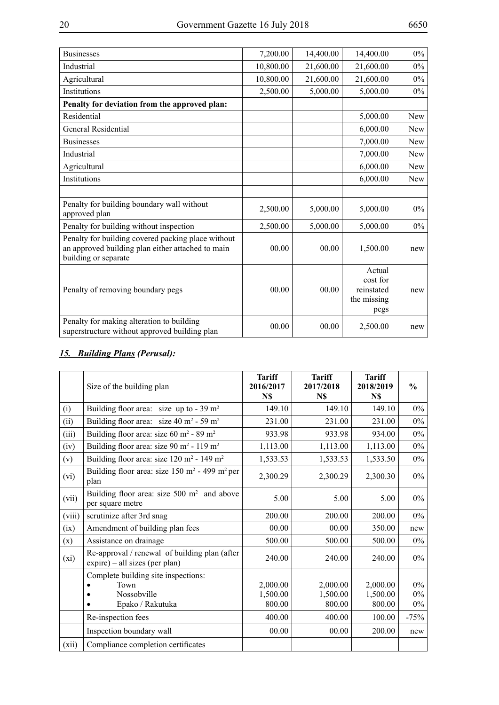| <b>Businesses</b>                                                                                                               | 7,200.00  | 14,400.00 | 14,400.00                                               | $0\%$      |
|---------------------------------------------------------------------------------------------------------------------------------|-----------|-----------|---------------------------------------------------------|------------|
| Industrial                                                                                                                      | 10,800.00 | 21,600.00 | 21,600.00                                               | $0\%$      |
| Agricultural                                                                                                                    | 10,800.00 | 21,600.00 | 21,600.00                                               | $0\%$      |
| Institutions                                                                                                                    | 2,500.00  | 5,000.00  | 5,000.00                                                | $0\%$      |
| Penalty for deviation from the approved plan:                                                                                   |           |           |                                                         |            |
| Residential                                                                                                                     |           |           | 5,000.00                                                | New        |
| General Residential                                                                                                             |           |           | 6,000.00                                                | <b>New</b> |
| <b>Businesses</b>                                                                                                               |           |           | 7,000.00                                                | New        |
| Industrial                                                                                                                      |           |           | 7,000.00                                                | New        |
| Agricultural                                                                                                                    |           |           | 6,000.00                                                | New        |
| Institutions                                                                                                                    |           |           | 6,000.00                                                | <b>New</b> |
|                                                                                                                                 |           |           |                                                         |            |
| Penalty for building boundary wall without<br>approved plan                                                                     | 2,500.00  | 5,000.00  | 5,000.00                                                | $0\%$      |
| Penalty for building without inspection                                                                                         | 2,500.00  | 5,000.00  | 5,000.00                                                | $0\%$      |
| Penalty for building covered packing place without<br>an approved building plan either attached to main<br>building or separate | 00.00     | 00.00     | 1,500.00                                                | new        |
| Penalty of removing boundary pegs                                                                                               | 00.00     | 00.00     | Actual<br>cost for<br>reinstated<br>the missing<br>pegs | new        |
| Penalty for making alteration to building<br>superstructure without approved building plan                                      | 00.00     | 00.00     | 2,500.00                                                | new        |

## *15. Building Plans (Perusal):*

|        | Size of the building plan                                                                   | <b>Tariff</b><br>2016/2017<br>N\$ | <b>Tariff</b><br>2017/2018<br>N\$ | <b>Tariff</b><br>2018/2019<br>N\$ | $\frac{0}{0}$           |
|--------|---------------------------------------------------------------------------------------------|-----------------------------------|-----------------------------------|-----------------------------------|-------------------------|
| (i)    | Building floor area: size up to - $39 \text{ m}^2$                                          | 149.10                            | 149.10                            | 149.10                            | $0\%$                   |
| (ii)   | Building floor area: size 40 m <sup>2</sup> - 59 m <sup>2</sup>                             | 231.00                            | 231.00                            | 231.00                            | $0\%$                   |
| (iii)  | Building floor area: size $60 \text{ m}^2$ - 89 m <sup>2</sup>                              | 933.98                            | 933.98                            | 934.00                            | $0\%$                   |
| (iv)   | Building floor area: size 90 m <sup>2</sup> - 119 m <sup>2</sup>                            | 1,113.00                          | 1,113.00                          | 1,113.00                          | $0\%$                   |
| (v)    | Building floor area: size 120 m <sup>2</sup> - 149 m <sup>2</sup>                           | 1,533.53                          | 1,533.53                          | 1,533.50                          | $0\%$                   |
| (vi)   | Building floor area: size $150 \text{ m}^2$ - 499 m <sup>2</sup> per<br>plan                | 2,300.29                          | 2,300.29                          | 2,300.30                          | $0\%$                   |
| (vii)  | Building floor area: size $500 \text{ m}^2$ and above<br>per square metre                   | 5.00                              | 5.00                              | 5.00                              | $0\%$                   |
| (viii) | scrutinize after 3rd snag                                                                   | 200.00                            | 200.00                            | 200.00                            | $0\%$                   |
| (ix)   | Amendment of building plan fees                                                             | 00.00                             | 00.00                             | 350.00                            | new                     |
| (x)    | Assistance on drainage                                                                      | 500.00                            | 500.00                            | 500.00                            | $0\%$                   |
| (xi)   | Re-approval / renewal of building plan (after<br>expire) – all sizes (per plan)             | 240.00                            | 240.00                            | 240.00                            | $0\%$                   |
|        | Complete building site inspections:<br>Town<br>Nossobville<br>$\bullet$<br>Epako / Rakutuka | 2,000.00<br>1,500.00<br>800.00    | 2,000.00<br>1,500.00<br>800.00    | 2,000.00<br>1,500.00<br>800.00    | $0\%$<br>$0\%$<br>$0\%$ |
|        | Re-inspection fees                                                                          | 400.00                            | 400.00                            | 100.00                            | $-75%$                  |
|        | Inspection boundary wall                                                                    | 00.00                             | 00.00                             | 200.00                            | new                     |
| (xii)  | Compliance completion certificates                                                          |                                   |                                   |                                   |                         |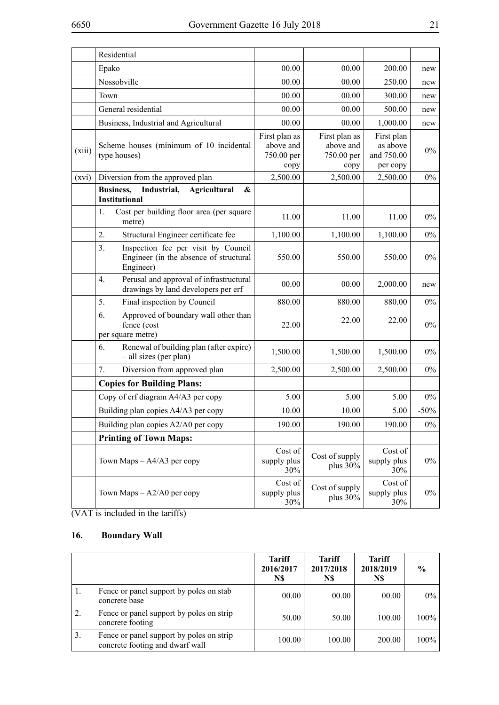|        | Residential                                                                                      |                                                  |                                                  |                                                  |         |
|--------|--------------------------------------------------------------------------------------------------|--------------------------------------------------|--------------------------------------------------|--------------------------------------------------|---------|
|        | Epako                                                                                            | 00.00                                            | 00.00                                            | 200.00                                           | new     |
|        | Nossobville                                                                                      | 00.00                                            | 00.00                                            | 250.00                                           | new     |
|        | Town                                                                                             | 00.00                                            | 00.00                                            | 300.00                                           | new     |
|        | General residential                                                                              | 00.00                                            | 00.00                                            | 500.00                                           | new     |
|        | Business, Industrial and Agricultural                                                            | 00.00                                            | 00.00                                            | 1,000.00                                         | new     |
| (xiii) | Scheme houses (minimum of 10 incidental<br>type houses)                                          | First plan as<br>above and<br>750.00 per<br>copy | First plan as<br>above and<br>750.00 per<br>copy | First plan<br>as above<br>and 750.00<br>per copy | $0\%$   |
| (xvi)  | Diversion from the approved plan                                                                 | 2,500.00                                         | 2,500.00                                         | 2,500.00                                         | $0\%$   |
|        | <b>Business,</b><br>Industrial,<br><b>Agricultural</b><br>&<br><b>Institutional</b>              |                                                  |                                                  |                                                  |         |
|        | Cost per building floor area (per square<br>1.<br>metre)                                         | 11.00                                            | 11.00                                            | 11.00                                            | $0\%$   |
|        | 2.<br>Structural Engineer certificate fee                                                        | 1,100.00                                         | 1,100.00                                         | 1,100.00                                         | $0\%$   |
|        | Inspection fee per visit by Council<br>3.<br>Engineer (in the absence of structural<br>Engineer) | 550.00                                           | 550.00                                           | 550.00                                           | $0\%$   |
|        | Perusal and approval of infrastructural<br>4.<br>drawings by land developers per erf             | 00.00                                            | 00.00                                            | 2,000.00                                         | new     |
|        | 5.<br>Final inspection by Council                                                                | 880.00                                           | 880.00                                           | 880.00                                           | $0\%$   |
|        | 6.<br>Approved of boundary wall other than<br>fence (cost<br>per square metre)                   | 22.00                                            | 22.00                                            | 22.00                                            | $0\%$   |
|        | Renewal of building plan (after expire)<br>6.<br>- all sizes (per plan)                          | 1,500.00                                         | 1,500.00                                         | 1,500.00                                         | $0\%$   |
|        | 7.<br>Diversion from approved plan                                                               | 2,500.00                                         | 2,500.00                                         | 2,500.00                                         | $0\%$   |
|        | <b>Copies for Building Plans:</b>                                                                |                                                  |                                                  |                                                  |         |
|        | Copy of erf diagram A4/A3 per copy                                                               | 5.00                                             | 5.00                                             | 5.00                                             | $0\%$   |
|        | Building plan copies A4/A3 per copy                                                              | 10.00                                            | 10.00                                            | 5.00                                             | $-50\%$ |
|        | Building plan copies A2/A0 per copy                                                              | 190.00                                           | 190.00                                           | 190.00                                           | $0\%$   |
|        | <b>Printing of Town Maps:</b>                                                                    |                                                  |                                                  |                                                  |         |
|        | Town Maps $-A4/A3$ per copy                                                                      | Cost of<br>supply plus<br>30%                    | Cost of supply<br>plus 30%                       | Cost of<br>supply plus<br>30%                    | $0\%$   |
|        | Town Maps $-A2/A0$ per copy                                                                      | Cost of<br>supply plus<br>30%                    | Cost of supply<br>plus 30%                       | Cost of<br>supply plus<br>30%                    | $0\%$   |

 $\frac{1}{VAT \text{ is included in the tariffs}}$ 

## **16. Boundary Wall**

|    |                                                                             | <b>Tariff</b><br>2016/2017<br>N\$ | <b>Tariff</b><br>2017/2018<br>N\$ | <b>Tariff</b><br>2018/2019<br>N\$ | $\frac{0}{0}$ |
|----|-----------------------------------------------------------------------------|-----------------------------------|-----------------------------------|-----------------------------------|---------------|
|    | Fence or panel support by poles on stab<br>concrete base                    | 00.00                             | 00.00                             | 00.00                             | $0\%$         |
| 2. | Fence or panel support by poles on strip<br>concrete footing                | 50.00                             | 50.00                             | 100.00                            | $100\%$       |
| 3. | Fence or panel support by poles on strip<br>concrete footing and dwarf wall | 100.00                            | 100.00                            | 200.00                            | $100\%$       |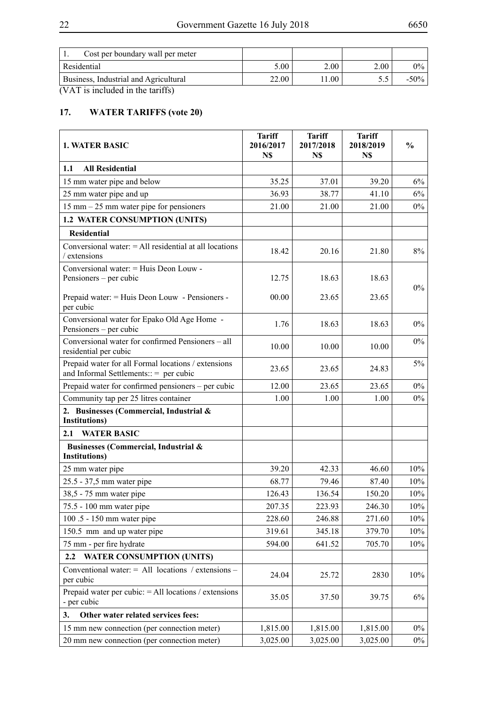| Cost per boundary wall per meter      |       |      |      |         |
|---------------------------------------|-------|------|------|---------|
| Residential                           | 5.00  | 2.00 | 2.00 | $0\%$   |
| Business, Industrial and Agricultural | 22.00 | .00  |      | $-50\%$ |

# **17. WATER TARIFFS (vote 20)**

| <b>1. WATER BASIC</b>                                                                           | <b>Tariff</b><br>2016/2017<br>N\$ | <b>Tariff</b><br>2017/2018<br>N\$ | <b>Tariff</b><br>2018/2019<br>N\$ | $\frac{0}{0}$ |
|-------------------------------------------------------------------------------------------------|-----------------------------------|-----------------------------------|-----------------------------------|---------------|
| 1.1<br><b>All Residential</b>                                                                   |                                   |                                   |                                   |               |
| 15 mm water pipe and below                                                                      | 35.25                             | 37.01                             | 39.20                             | 6%            |
| 25 mm water pipe and up                                                                         | 36.93                             | 38.77                             | 41.10                             | $6\%$         |
| $15$ mm $-25$ mm water pipe for pensioners                                                      | 21.00                             | 21.00                             | 21.00                             | $0\%$         |
| <b>1.2 WATER CONSUMPTION (UNITS)</b>                                                            |                                   |                                   |                                   |               |
| <b>Residential</b>                                                                              |                                   |                                   |                                   |               |
| Conversional water: $=$ All residential at all locations<br>/ extensions                        | 18.42                             | 20.16                             | 21.80                             | 8%            |
| Conversional water: = Huis Deon Louw -<br>Pensioners – per cubic                                | 12.75                             | 18.63                             | 18.63                             | $0\%$         |
| Prepaid water: = Huis Deon Louw - Pensioners -<br>per cubic                                     | 00.00                             | 23.65                             | 23.65                             |               |
| Conversional water for Epako Old Age Home -<br>Pensioners – per cubic                           | 1.76                              | 18.63                             | 18.63                             | $0\%$         |
| Conversional water for confirmed Pensioners - all<br>residential per cubic                      | 10.00                             | 10.00                             | 10.00                             | $0\%$         |
| Prepaid water for all Formal locations / extensions<br>and Informal Settlements:: $=$ per cubic | 23.65                             | 23.65                             | 24.83                             | $5\%$         |
| Prepaid water for confirmed pensioners - per cubic                                              | 12.00                             | 23.65                             | 23.65                             | $0\%$         |
| Community tap per 25 litres container                                                           | 1.00                              | 1.00                              | 1.00                              | $0\%$         |
| 2. Businesses (Commercial, Industrial &<br><b>Institutions</b> )                                |                                   |                                   |                                   |               |
| <b>WATER BASIC</b><br>2.1                                                                       |                                   |                                   |                                   |               |
| Businesses (Commercial, Industrial &<br><b>Institutions</b> )                                   |                                   |                                   |                                   |               |
| 25 mm water pipe                                                                                | 39.20                             | 42.33                             | 46.60                             | 10%           |
| 25.5 - 37,5 mm water pipe                                                                       | 68.77                             | 79.46                             | 87.40                             | 10%           |
| 38,5 - 75 mm water pipe                                                                         | 126.43                            | 136.54                            | 150.20                            | 10%           |
| 75.5 - 100 mm water pipe                                                                        | 207.35                            | 223.93                            | 246.30                            | $10\%$        |
| 100.5 - 150 mm water pipe                                                                       | 228.60                            | 246.88                            | 271.60                            | 10%           |
| 150.5 mm and up water pipe                                                                      | 319.61                            | 345.18                            | 379.70                            | 10%           |
| 75 mm - per fire hydrate                                                                        | 594.00                            | 641.52                            | 705.70                            | 10%           |
| <b>WATER CONSUMPTION (UNITS)</b><br>$2.2\phantom{0}$                                            |                                   |                                   |                                   |               |
| Conventional water: $=$ All locations / extensions –<br>per cubic                               | 24.04                             | 25.72                             | 2830                              | 10%           |
| Prepaid water per cubic: $=$ All locations / extensions<br>- per cubic                          | 35.05                             | 37.50                             | 39.75                             | 6%            |
| Other water related services fees:<br>3.                                                        |                                   |                                   |                                   |               |
| 15 mm new connection (per connection meter)                                                     | 1,815.00                          | 1,815.00                          | 1,815.00                          | $0\%$         |
| 20 mm new connection (per connection meter)                                                     | 3,025.00                          | 3,025.00                          | 3,025.00                          | $0\%$         |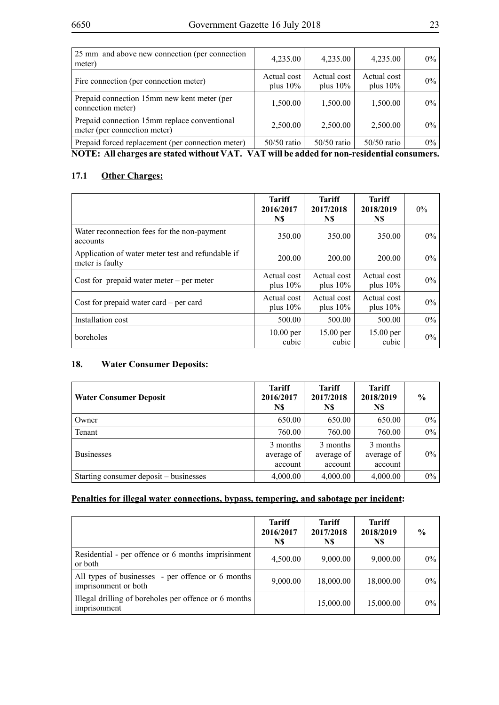| 25 mm and above new connection (per connection<br>meter)                     | 4,235.00                   | 4,235.00                   | 4,235.00                   | $0\%$ |
|------------------------------------------------------------------------------|----------------------------|----------------------------|----------------------------|-------|
| Fire connection (per connection meter)                                       | Actual cost<br>plus $10\%$ | Actual cost<br>plus $10\%$ | Actual cost<br>plus $10\%$ | 0%    |
| Prepaid connection 15mm new kent meter (per<br>connection meter)             | 1,500.00                   | 1,500.00                   | 1,500.00                   | $0\%$ |
| Prepaid connection 15mm replace conventional<br>meter (per connection meter) | 2,500.00                   | 2,500.00                   | 2,500.00                   | 0%    |
| Prepaid forced replacement (per connection meter)                            | $50/50$ ratio              | $50/50$ ratio              | $50/50$ ratio              | $0\%$ |

**NOTE: All charges are stated without VAT. VAT will be added for non-residential consumers.** 

#### **17.1 Other Charges:**

|                                                                      | <b>Tariff</b><br>2016/2017<br>N\$ | Tariff<br>2017/2018<br>N\$ | <b>Tariff</b><br>2018/2019<br>N\$ | $0\%$ |
|----------------------------------------------------------------------|-----------------------------------|----------------------------|-----------------------------------|-------|
| Water reconnection fees for the non-payment<br>accounts              | 350.00                            | 350.00                     | 350.00                            | $0\%$ |
| Application of water meter test and refundable if<br>meter is faulty | 200.00                            | 200.00                     | 200.00                            | $0\%$ |
| Cost for prepaid water meter $-$ per meter                           | Actual cost<br>plus $10\%$        | Actual cost<br>plus $10\%$ | Actual cost<br>plus $10\%$        | $0\%$ |
| Cost for prepaid water card $-$ per card                             | Actual cost<br>plus $10\%$        | Actual cost<br>plus $10\%$ | Actual cost<br>plus $10\%$        | $0\%$ |
| Installation cost                                                    | 500.00                            | 500.00                     | 500.00                            | $0\%$ |
| boreholes                                                            | $10.00$ per<br>cubic              | 15.00 per<br>cubic         | $15.00$ per<br>cubic              | $0\%$ |

## **18. Water Consumer Deposits:**

| <b>Water Consumer Deposit</b>          | <b>Tariff</b><br>2016/2017<br>N\$ | <b>Tariff</b><br>2017/2018<br>N\$ | Tariff<br>2018/2019<br>N\$        | $\frac{0}{0}$ |
|----------------------------------------|-----------------------------------|-----------------------------------|-----------------------------------|---------------|
| Owner                                  | 650.00                            | 650.00                            | 650.00                            | $0\%$         |
| Tenant                                 | 760.00                            | 760.00                            | 760.00                            | $0\%$         |
| <b>Businesses</b>                      | 3 months<br>average of<br>account | 3 months<br>average of<br>account | 3 months<br>average of<br>account | $0\%$         |
| Starting consumer deposit – businesses | 4,000.00                          | 4,000.00                          | 4,000.00                          | $0\%$         |

#### **Penalties for illegal water connections, bypass, tempering, and sabotage per incident:**

|                                                                           | <b>Tariff</b><br>2016/2017<br>N\$ | <b>Tariff</b><br>2017/2018<br>N\$ | Tariff<br>2018/2019<br>N\$ | $\frac{0}{0}$ |
|---------------------------------------------------------------------------|-----------------------------------|-----------------------------------|----------------------------|---------------|
| Residential - per offence or 6 months imprisinment<br>or both             | 4,500.00                          | 9,000.00                          | 9,000.00                   | $0\%$         |
| All types of businesses - per offence or 6 months<br>imprisonment or both | 9,000.00                          | 18,000.00                         | 18,000.00                  | $0\%$         |
| Illegal drilling of boreholes per offence or 6 months<br>imprisonment     |                                   | 15,000.00                         | 15,000.00                  | $0\%$         |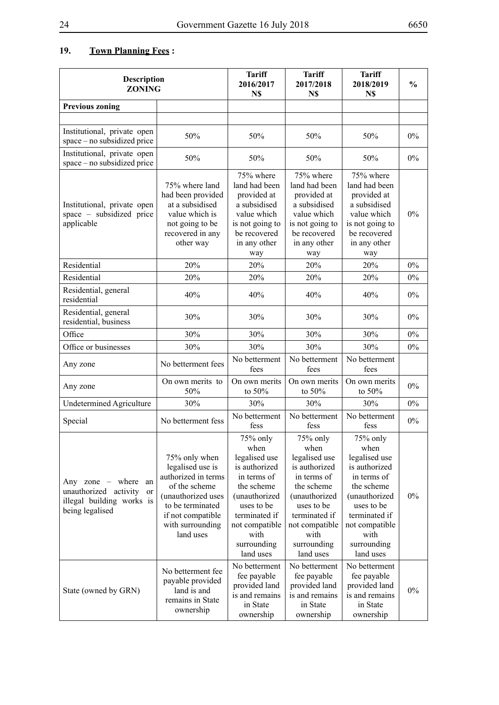# **19. Town Planning Fees :**

| <b>Description</b><br><b>ZONING</b>                                                                              |                                                                                                                                                                           | <b>Tariff</b><br>2016/2017<br>N\$                                                                                                                                                     | <b>Tariff</b><br>2017/2018<br>N\$                                                                                                                                                     | <b>Tariff</b><br>2018/2019<br>N\$                                                                                                                                                     | $\frac{0}{0}$ |
|------------------------------------------------------------------------------------------------------------------|---------------------------------------------------------------------------------------------------------------------------------------------------------------------------|---------------------------------------------------------------------------------------------------------------------------------------------------------------------------------------|---------------------------------------------------------------------------------------------------------------------------------------------------------------------------------------|---------------------------------------------------------------------------------------------------------------------------------------------------------------------------------------|---------------|
| <b>Previous zoning</b>                                                                                           |                                                                                                                                                                           |                                                                                                                                                                                       |                                                                                                                                                                                       |                                                                                                                                                                                       |               |
|                                                                                                                  |                                                                                                                                                                           |                                                                                                                                                                                       |                                                                                                                                                                                       |                                                                                                                                                                                       |               |
| Institutional, private open<br>space – no subsidized price                                                       | 50%                                                                                                                                                                       | 50%                                                                                                                                                                                   | 50%                                                                                                                                                                                   | 50%                                                                                                                                                                                   | $0\%$         |
| Institutional, private open<br>space – no subsidized price                                                       | 50%                                                                                                                                                                       | 50%                                                                                                                                                                                   | 50%                                                                                                                                                                                   | 50%                                                                                                                                                                                   | $0\%$         |
| Institutional, private open<br>space – subsidized price<br>applicable                                            | 75% where land<br>had been provided<br>at a subsidised<br>value which is<br>not going to be<br>recovered in any<br>other way                                              | 75% where<br>land had been<br>provided at<br>a subsidised<br>value which<br>is not going to<br>be recovered<br>in any other<br>way                                                    | 75% where<br>land had been<br>provided at<br>a subsidised<br>value which<br>is not going to<br>be recovered<br>in any other<br>way                                                    | 75% where<br>land had been<br>provided at<br>a subsidised<br>value which<br>is not going to<br>be recovered<br>in any other<br>way                                                    | $0\%$         |
| Residential                                                                                                      | 20%                                                                                                                                                                       | 20%                                                                                                                                                                                   | 20%                                                                                                                                                                                   | 20%                                                                                                                                                                                   | 0%            |
| Residential                                                                                                      | 20%                                                                                                                                                                       | 20%                                                                                                                                                                                   | 20%                                                                                                                                                                                   | 20%                                                                                                                                                                                   | $0\%$         |
| Residential, general<br>residential                                                                              | 40%                                                                                                                                                                       | 40%                                                                                                                                                                                   | 40%                                                                                                                                                                                   | 40%                                                                                                                                                                                   | $0\%$         |
| Residential, general<br>residential, business                                                                    | 30%                                                                                                                                                                       | 30%                                                                                                                                                                                   | 30%                                                                                                                                                                                   | 30%                                                                                                                                                                                   | $0\%$         |
| Office                                                                                                           | 30%                                                                                                                                                                       | 30%                                                                                                                                                                                   | 30%                                                                                                                                                                                   | 30%                                                                                                                                                                                   | $0\%$         |
| Office or businesses                                                                                             | 30%                                                                                                                                                                       | 30%                                                                                                                                                                                   | 30%                                                                                                                                                                                   | 30%                                                                                                                                                                                   | $0\%$         |
| Any zone                                                                                                         | No betterment fees                                                                                                                                                        | No betterment<br>fees                                                                                                                                                                 | No betterment<br>fees                                                                                                                                                                 | No betterment<br>fees                                                                                                                                                                 |               |
| Any zone                                                                                                         | On own merits to<br>50%                                                                                                                                                   | On own merits<br>to $50%$                                                                                                                                                             | On own merits<br>to 50%                                                                                                                                                               | On own merits<br>to $50%$                                                                                                                                                             | $0\%$         |
| <b>Undetermined Agriculture</b>                                                                                  | 30%                                                                                                                                                                       | 30%                                                                                                                                                                                   | 30%                                                                                                                                                                                   | 30%                                                                                                                                                                                   | 0%            |
| Special                                                                                                          | No betterment fess                                                                                                                                                        | No betterment<br>fess                                                                                                                                                                 | No betterment<br>fess                                                                                                                                                                 | No betterment<br>fess                                                                                                                                                                 | $0\%$         |
| Any zone – where<br>an<br>unauthorized activity<br><sub>or</sub><br>illegal building works is<br>being legalised | 75% only when<br>legalised use is<br>authorized in terms<br>of the scheme<br>(unauthorized uses<br>to be terminated<br>if not compatible<br>with surrounding<br>land uses | 75% only<br>when<br>legalised use<br>is authorized<br>in terms of<br>the scheme<br>(unauthorized<br>uses to be<br>terminated if<br>not compatible<br>with<br>surrounding<br>land uses | 75% only<br>when<br>legalised use<br>is authorized<br>in terms of<br>the scheme<br>(unauthorized<br>uses to be<br>terminated if<br>not compatible<br>with<br>surrounding<br>land uses | 75% only<br>when<br>legalised use<br>is authorized<br>in terms of<br>the scheme<br>(unauthorized<br>uses to be<br>terminated if<br>not compatible<br>with<br>surrounding<br>land uses | 0%            |
| State (owned by GRN)                                                                                             | No betterment fee<br>payable provided<br>land is and<br>remains in State<br>ownership                                                                                     | No betterment<br>fee payable<br>provided land<br>is and remains<br>in State<br>ownership                                                                                              | No betterment<br>fee payable<br>provided land<br>is and remains<br>in State<br>ownership                                                                                              | No betterment<br>fee payable<br>provided land<br>is and remains<br>in State<br>ownership                                                                                              | 0%            |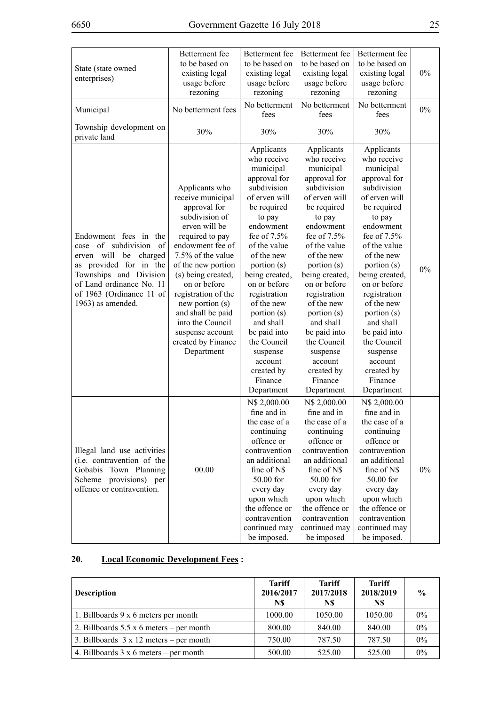| State (state owned<br>enterprises)                                                                                                                                                                                      | Betterment fee<br>to be based on<br>existing legal<br>usage before<br>rezoning                                                                                                                                                                                                                                                                            | Betterment fee<br>Betterment fee<br>to be based on<br>to be based on<br>existing legal<br>existing legal<br>usage before<br>usage before<br>rezoning<br>rezoning                                                                                                                                                                                                                  |                                                                                                                                                                                                                                                                                                                                                                                   | Betterment fee<br>to be based on<br>existing legal<br>usage before<br>rezoning                                                                                                                                                                                                                                                                                                    | $0\%$ |
|-------------------------------------------------------------------------------------------------------------------------------------------------------------------------------------------------------------------------|-----------------------------------------------------------------------------------------------------------------------------------------------------------------------------------------------------------------------------------------------------------------------------------------------------------------------------------------------------------|-----------------------------------------------------------------------------------------------------------------------------------------------------------------------------------------------------------------------------------------------------------------------------------------------------------------------------------------------------------------------------------|-----------------------------------------------------------------------------------------------------------------------------------------------------------------------------------------------------------------------------------------------------------------------------------------------------------------------------------------------------------------------------------|-----------------------------------------------------------------------------------------------------------------------------------------------------------------------------------------------------------------------------------------------------------------------------------------------------------------------------------------------------------------------------------|-------|
| Municipal                                                                                                                                                                                                               | No betterment fees                                                                                                                                                                                                                                                                                                                                        | No betterment<br>fees                                                                                                                                                                                                                                                                                                                                                             | No betterment<br>fees                                                                                                                                                                                                                                                                                                                                                             | No betterment<br>fees                                                                                                                                                                                                                                                                                                                                                             | $0\%$ |
| Township development on<br>private land                                                                                                                                                                                 | 30%                                                                                                                                                                                                                                                                                                                                                       | 30%                                                                                                                                                                                                                                                                                                                                                                               | 30%                                                                                                                                                                                                                                                                                                                                                                               | 30%                                                                                                                                                                                                                                                                                                                                                                               |       |
| Endowment fees in the<br>of subdivision<br>- of<br>case<br>charged<br>erven will<br>be<br>as provided for in the<br>Townships and Division<br>of Land ordinance No. 11<br>of 1963 (Ordinance 11 of<br>1963) as amended. | Applicants who<br>receive municipal<br>approval for<br>subdivision of<br>erven will be<br>required to pay<br>endowment fee of<br>7.5% of the value<br>of the new portion<br>(s) being created,<br>on or before<br>registration of the<br>new portion (s)<br>and shall be paid<br>into the Council<br>suspense account<br>created by Finance<br>Department | Applicants<br>who receive<br>municipal<br>approval for<br>subdivision<br>of erven will<br>be required<br>to pay<br>endowment<br>fee of 7.5%<br>of the value<br>of the new<br>portion (s)<br>being created,<br>on or before<br>registration<br>of the new<br>portion (s)<br>and shall<br>be paid into<br>the Council<br>suspense<br>account<br>created by<br>Finance<br>Department | Applicants<br>who receive<br>municipal<br>approval for<br>subdivision<br>of erven will<br>be required<br>to pay<br>endowment<br>fee of 7.5%<br>of the value<br>of the new<br>portion (s)<br>being created,<br>on or before<br>registration<br>of the new<br>portion (s)<br>and shall<br>be paid into<br>the Council<br>suspense<br>account<br>created by<br>Finance<br>Department | Applicants<br>who receive<br>municipal<br>approval for<br>subdivision<br>of erven will<br>be required<br>to pay<br>endowment<br>fee of 7.5%<br>of the value<br>of the new<br>portion (s)<br>being created,<br>on or before<br>registration<br>of the new<br>portion (s)<br>and shall<br>be paid into<br>the Council<br>suspense<br>account<br>created by<br>Finance<br>Department | $0\%$ |
| Illegal land use activities<br>(i.e. contravention of the<br>Gobabis Town Planning<br>Scheme provisions) per<br>offence or contravention.                                                                               | 00.00                                                                                                                                                                                                                                                                                                                                                     | N\$ 2,000.00<br>fine and in<br>the case of a<br>continuing<br>offence or<br>contravention<br>an additional<br>fine of N\$<br>50.00 for<br>every day<br>upon which<br>the offence or<br>contravention<br>continued may<br>be imposed.                                                                                                                                              | N\$ 2,000.00<br>fine and in<br>the case of a<br>continuing<br>offence or<br>contravention<br>an additional<br>fine of N\$<br>50.00 for<br>every day<br>upon which<br>the offence or<br>contravention<br>continued may<br>be imposed                                                                                                                                               | N\$ 2,000.00<br>fine and in<br>the case of a<br>continuing<br>offence or<br>contravention<br>an additional<br>fine of N\$<br>50.00 for<br>every day<br>upon which<br>the offence or<br>contravention<br>continued may<br>be imposed.                                                                                                                                              | 0%    |

## **20. Local Economic Development Fees :**

| <b>Description</b>                              | <b>Tariff</b><br>2016/2017<br>N\$ | <b>Tariff</b><br>2017/2018<br>N\$ | <b>Tariff</b><br>2018/2019<br>N\$ | $\frac{6}{6}$ |
|-------------------------------------------------|-----------------------------------|-----------------------------------|-----------------------------------|---------------|
| 1. Billboards 9 x 6 meters per month            | 1000.00                           | 1050.00                           | 1050.00                           | $0\%$         |
| 2. Billboards $5.5 \times 6$ meters – per month | 800.00                            | 840.00                            | 840.00                            | 0%            |
| 3. Billboards $3 \times 12$ meters – per month  | 750.00                            | 787.50                            | 787.50                            | $0\%$         |
| 4. Billboards $3 \times 6$ meters – per month   | 500.00                            | 525.00                            | 525.00                            | $0\%$         |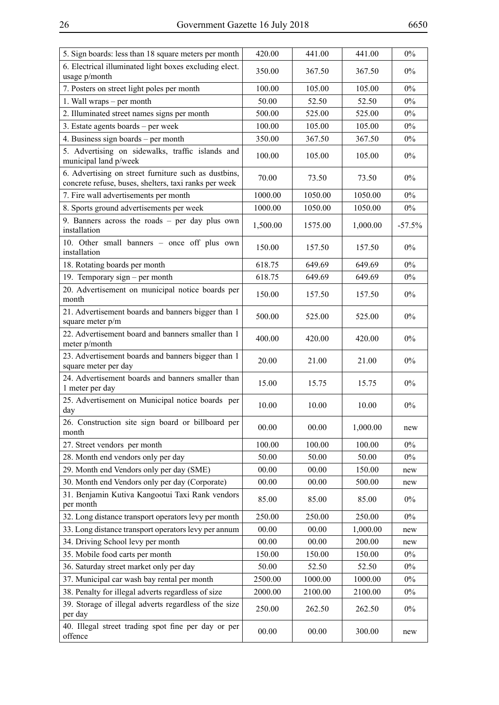| 5. Sign boards: less than 18 square meters per month                                                          | 420.00   | 441.00  | 441.00   | $0\%$    |
|---------------------------------------------------------------------------------------------------------------|----------|---------|----------|----------|
| 6. Electrical illuminated light boxes excluding elect.<br>usage p/month                                       | 350.00   | 367.50  | 367.50   | $0\%$    |
| 7. Posters on street light poles per month                                                                    | 100.00   | 105.00  | 105.00   | $0\%$    |
| 1. Wall wraps – per month                                                                                     | 50.00    | 52.50   | 52.50    | $0\%$    |
| 2. Illuminated street names signs per month                                                                   | 500.00   | 525.00  | 525.00   | $0\%$    |
| 3. Estate agents boards - per week                                                                            | 100.00   | 105.00  | 105.00   | $0\%$    |
| 4. Business sign boards – per month                                                                           | 350.00   | 367.50  | 367.50   | $0\%$    |
| 5. Advertising on sidewalks, traffic islands and<br>municipal land p/week                                     | 100.00   | 105.00  | 105.00   | $0\%$    |
| 6. Advertising on street furniture such as dustbins,<br>concrete refuse, buses, shelters, taxi ranks per week | 70.00    | 73.50   | 73.50    | $0\%$    |
| 7. Fire wall advertisements per month                                                                         | 1000.00  | 1050.00 | 1050.00  | $0\%$    |
| 8. Sports ground advertisements per week                                                                      | 1000.00  | 1050.00 | 1050.00  | $0\%$    |
| 9. Banners across the roads - per day plus own<br>installation                                                | 1,500.00 | 1575.00 | 1,000.00 | $-57.5%$ |
| 10. Other small banners - once off plus own<br>installation                                                   | 150.00   | 157.50  | 157.50   | $0\%$    |
| 18. Rotating boards per month                                                                                 | 618.75   | 649.69  | 649.69   | $0\%$    |
| 19. Temporary sign – per month                                                                                | 618.75   | 649.69  | 649.69   | $0\%$    |
| 20. Advertisement on municipal notice boards per<br>month                                                     | 150.00   | 157.50  | 157.50   | $0\%$    |
| 21. Advertisement boards and banners bigger than 1<br>square meter p/m                                        | 500.00   | 525.00  | 525.00   | $0\%$    |
| 22. Advertisement board and banners smaller than 1<br>meter p/month                                           | 400.00   | 420.00  | 420.00   | $0\%$    |
| 23. Advertisement boards and banners bigger than 1<br>square meter per day                                    | 20.00    | 21.00   | 21.00    | $0\%$    |
| 24. Advertisement boards and banners smaller than<br>1 meter per day                                          | 15.00    | 15.75   | 15.75    | $0\%$    |
| 25. Advertisement on Municipal notice boards per<br>day                                                       | 10.00    | 10.00   | 10.00    | $0\%$    |
| 26. Construction site sign board or billboard per<br>month                                                    | 00.00    | 00.00   | 1,000.00 | new      |
| 27. Street vendors per month                                                                                  | 100.00   | 100.00  | 100.00   | $0\%$    |
| 28. Month end vendors only per day                                                                            | 50.00    | 50.00   | 50.00    | $0\%$    |
| 29. Month end Vendors only per day (SME)                                                                      | 00.00    | 00.00   | 150.00   | new      |
| 30. Month end Vendors only per day (Corporate)                                                                | 00.00    | 00.00   | 500.00   | new      |
| 31. Benjamin Kutiva Kangootui Taxi Rank vendors<br>per month                                                  | 85.00    | 85.00   | 85.00    | $0\%$    |
| 32. Long distance transport operators levy per month                                                          | 250.00   | 250.00  | 250.00   | $0\%$    |
| 33. Long distance transport operators levy per annum                                                          | 00.00    | 00.00   | 1,000.00 | new      |
| 34. Driving School levy per month                                                                             | 00.00    | 00.00   | 200.00   | new      |
| 35. Mobile food carts per month                                                                               | 150.00   | 150.00  | 150.00   | $0\%$    |
| 36. Saturday street market only per day                                                                       | 50.00    | 52.50   | 52.50    | $0\%$    |
| 37. Municipal car wash bay rental per month                                                                   | 2500.00  | 1000.00 | 1000.00  | $0\%$    |
| 38. Penalty for illegal adverts regardless of size                                                            | 2000.00  | 2100.00 | 2100.00  | $0\%$    |
| 39. Storage of illegal adverts regardless of the size<br>per day                                              | 250.00   | 262.50  | 262.50   | $0\%$    |
| 40. Illegal street trading spot fine per day or per<br>offence                                                | 00.00    | 00.00   | 300.00   | new      |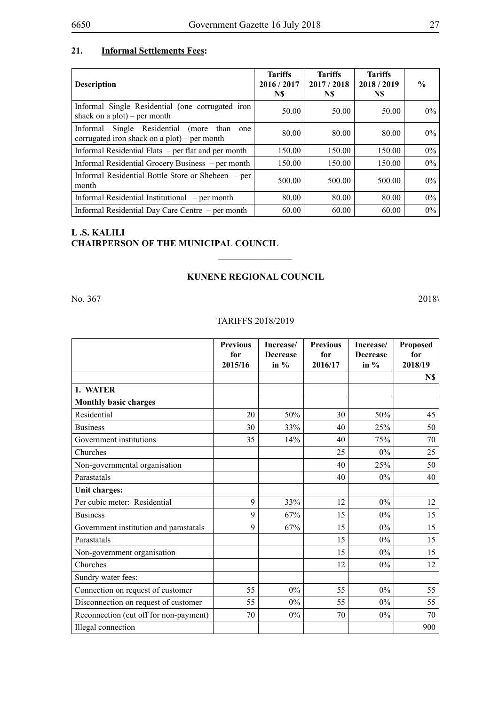#### **21. Informal Settlements Fees:**

| <b>Description</b>                                                                                     | <b>Tariffs</b><br>2016/2017<br>N\$ | <b>Tariffs</b><br>2017/2018<br>N\$ | <b>Tariffs</b><br>2018/2019<br>N\$ | $\frac{6}{9}$ |
|--------------------------------------------------------------------------------------------------------|------------------------------------|------------------------------------|------------------------------------|---------------|
| Informal Single Residential (one corrugated iron<br>shack on a $plot$ ) – per month                    | 50.00                              | 50.00                              | 50.00                              | $0\%$         |
| Single Residential (more<br>than<br>Informal<br>one<br>corrugated iron shack on a $plot$ ) – per month | 80.00                              | 80.00                              | 80.00                              | $0\%$         |
| Informal Residential Flats – per flat and per month                                                    | 150.00                             | 150.00                             | 150.00                             | $0\%$         |
| Informal Residential Grocery Business – per month                                                      | 150.00                             | 150.00                             | 150.00                             | $0\%$         |
| Informal Residential Bottle Store or Shebeen – per<br>month                                            | 500.00                             | 500.00                             | 500.00                             | $0\%$         |
| Informal Residential Institutional – per month                                                         | 80.00                              | 80.00                              | 80.00                              | $0\%$         |
| Informal Residential Day Care Centre – per month                                                       | 60.00                              | 60.00                              | 60.00                              | $0\%$         |

#### **L .S. Kalili CHAIRPERSON OF THE MUNICIPAL COUNCIL**

#### **KUNENE REGIONAL COUNCIL**

 $\frac{1}{2}$ 

No. 367 2018\ 2018

#### TARIFFS 2018/2019

|                                        | <b>Previous</b><br>for<br>2015/16 | Increase/<br><b>Decrease</b><br>in $%$ | <b>Previous</b><br>for<br>2016/17 | Increase/<br><b>Decrease</b><br>in $%$ | Proposed<br>for<br>2018/19 |
|----------------------------------------|-----------------------------------|----------------------------------------|-----------------------------------|----------------------------------------|----------------------------|
|                                        |                                   |                                        |                                   |                                        | N\$                        |
| 1. WATER                               |                                   |                                        |                                   |                                        |                            |
| <b>Monthly basic charges</b>           |                                   |                                        |                                   |                                        |                            |
| Residential                            | 20                                | 50%                                    | 30                                | 50%                                    | 45                         |
| <b>Business</b>                        | 30                                | 33%                                    | 40                                | 25%                                    | 50                         |
| Government institutions                | 35                                | 14%                                    | 40                                | 75%                                    | 70                         |
| Churches                               |                                   |                                        | 25                                | 0%                                     | 25                         |
| Non-governmental organisation          |                                   |                                        | 40                                | 25%                                    | 50                         |
| Parastatals                            |                                   |                                        | 40                                | 0%                                     | 40                         |
| Unit charges:                          |                                   |                                        |                                   |                                        |                            |
| Per cubic meter: Residential           | 9                                 | 33%                                    | 12                                | $0\%$                                  | 12                         |
| <b>Business</b>                        | 9                                 | 67%                                    | 15                                | 0%                                     | 15                         |
| Government institution and parastatals | 9                                 | 67%                                    | 15                                | $0\%$                                  | 15                         |
| Parastatals                            |                                   |                                        | 15                                | 0%                                     | 15                         |
| Non-government organisation            |                                   |                                        | 15                                | $0\%$                                  | 15                         |
| Churches                               |                                   |                                        | 12                                | 0%                                     | 12                         |
| Sundry water fees:                     |                                   |                                        |                                   |                                        |                            |
| Connection on request of customer      | 55                                | $0\%$                                  | 55                                | $0\%$                                  | 55                         |
| Disconnection on request of customer   | 55                                | 0%                                     | 55                                | 0%                                     | 55                         |
| Reconnection (cut off for non-payment) | 70                                | 0%                                     | 70                                | $0\%$                                  | 70                         |
| Illegal connection                     |                                   |                                        |                                   |                                        | 900                        |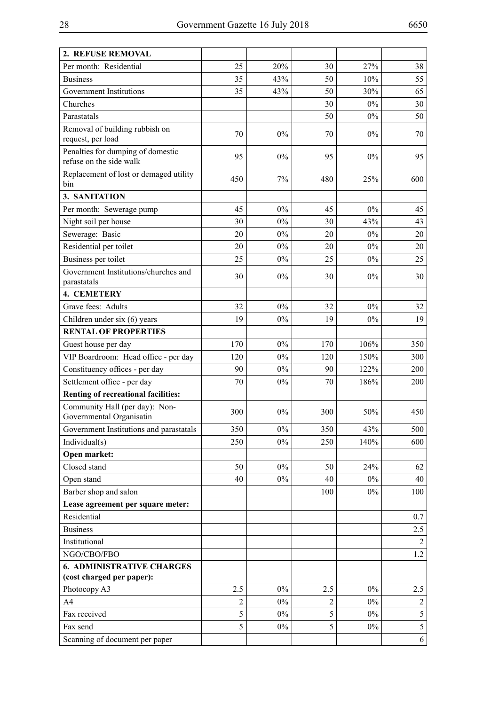| 2. REFUSE REMOVAL                                            |                |       |     |       |                |
|--------------------------------------------------------------|----------------|-------|-----|-------|----------------|
| Per month: Residential                                       | 25             | 20%   | 30  | 27%   | 38             |
| <b>Business</b>                                              | 35             | 43%   | 50  | 10%   | 55             |
| Government Institutions                                      | 35             | 43%   | 50  | 30%   | 65             |
| Churches                                                     |                |       | 30  | $0\%$ | 30             |
| Parastatals                                                  |                |       | 50  | $0\%$ | 50             |
| Removal of building rubbish on                               | 70             | $0\%$ | 70  | $0\%$ | 70             |
| request, per load                                            |                |       |     |       |                |
| Penalties for dumping of domestic<br>refuse on the side walk | 95             | $0\%$ | 95  | $0\%$ | 95             |
| Replacement of lost or demaged utility<br>bin                | 450            | 7%    | 480 | 25%   | 600            |
| 3. SANITATION                                                |                |       |     |       |                |
| Per month: Sewerage pump                                     | 45             | $0\%$ | 45  | $0\%$ | 45             |
| Night soil per house                                         | 30             | $0\%$ | 30  | 43%   | 43             |
| Sewerage: Basic                                              | 20             | $0\%$ | 20  | $0\%$ | 20             |
| Residential per toilet                                       | 20             | 0%    | 20  | $0\%$ | 20             |
| Business per toilet                                          | 25             | $0\%$ | 25  | $0\%$ | 25             |
| Government Institutions/churches and<br>parastatals          | 30             | $0\%$ | 30  | $0\%$ | 30             |
| <b>4. CEMETERY</b>                                           |                |       |     |       |                |
| Grave fees: Adults                                           | 32             | $0\%$ | 32  | 0%    | 32             |
| Children under six (6) years                                 | 19             | $0\%$ | 19  | $0\%$ | 19             |
| <b>RENTAL OF PROPERTIES</b>                                  |                |       |     |       |                |
| Guest house per day                                          | 170            | $0\%$ | 170 | 106%  | 350            |
| VIP Boardroom: Head office - per day                         | 120            | $0\%$ | 120 | 150%  | 300            |
| Constituency offices - per day                               | 90             | $0\%$ | 90  | 122%  | 200            |
| Settlement office - per day                                  | 70             | $0\%$ | 70  | 186%  | 200            |
| <b>Renting of recreational facilities:</b>                   |                |       |     |       |                |
| Community Hall (per day): Non-<br>Governmental Organisatin   | 300            | $0\%$ | 300 | 50%   | 450            |
| Government Institutions and parastatals                      | 350            | $0\%$ | 350 | 43%   | 500            |
| Individual(s)                                                | 250            | $0\%$ | 250 | 140%  | 600            |
| Open market:                                                 |                |       |     |       |                |
| Closed stand                                                 | 50             | $0\%$ | 50  | 24%   | 62             |
| Open stand                                                   | 40             | $0\%$ | 40  | $0\%$ | 40             |
| Barber shop and salon                                        |                |       | 100 | $0\%$ | 100            |
| Lease agreement per square meter:                            |                |       |     |       |                |
| Residential                                                  |                |       |     |       | 0.7            |
| <b>Business</b>                                              |                |       |     |       | 2.5            |
| Institutional                                                |                |       |     |       | 2              |
| NGO/CBO/FBO                                                  |                |       |     |       | 1.2            |
| <b>6. ADMINISTRATIVE CHARGES</b>                             |                |       |     |       |                |
| (cost charged per paper):                                    |                |       |     |       |                |
| Photocopy A3                                                 | 2.5            | $0\%$ | 2.5 | $0\%$ | 2.5            |
| A <sub>4</sub>                                               | $\overline{2}$ | $0\%$ | 2   | $0\%$ | $\overline{2}$ |
| Fax received                                                 | 5              | $0\%$ | 5   | $0\%$ | 5              |
| Fax send                                                     | 5              | $0\%$ | 5   | $0\%$ | $\mathfrak s$  |
| Scanning of document per paper                               |                |       |     |       | 6              |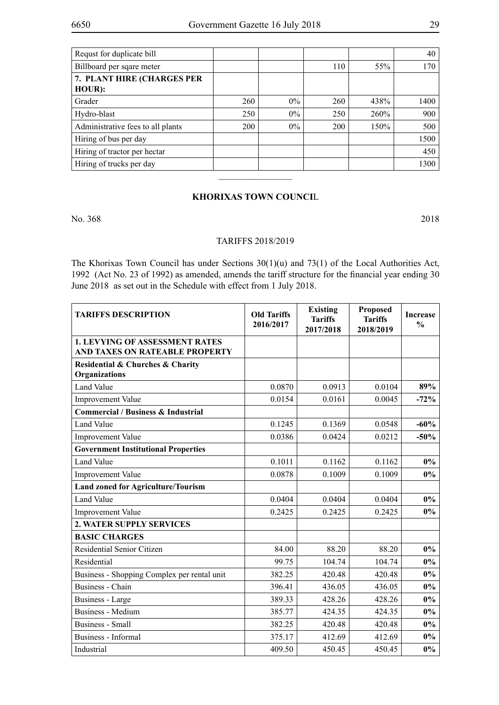| Requst for duplicate bill            |     |       |     |      | 40   |
|--------------------------------------|-----|-------|-----|------|------|
| Billboard per sqare meter            |     |       | 110 | 55%  | 170  |
| 7. PLANT HIRE (CHARGES PER<br>HOUR): |     |       |     |      |      |
| Grader                               | 260 | $0\%$ | 260 | 438% | 1400 |
| Hydro-blast                          | 250 | $0\%$ | 250 | 260% | 900  |
| Administrative fees to all plants    | 200 | $0\%$ | 200 | 150% | 500  |
| Hiring of bus per day                |     |       |     |      | 1500 |
| Hiring of tractor per hectar         |     |       |     |      | 450  |
| Hiring of trucks per day             |     |       |     |      | 1300 |

#### **KHORIXAS TOWN COUNCI**L

 $\overline{\phantom{a}}$  , where  $\overline{\phantom{a}}$ 

No. 368 2018

#### TARIFFS 2018/2019

The Khorixas Town Council has under Sections 30(1)(u) and 73(1) of the Local Authorities Act, 1992 (Act No. 23 of 1992) as amended, amends the tariff structure for the financial year ending 30 June 2018 as set out in the Schedule with effect from 1 July 2018.

| <b>TARIFFS DESCRIPTION</b>                                              | <b>Old Tariffs</b><br>2016/2017 | <b>Existing</b><br><b>Tariffs</b><br>2017/2018 | <b>Proposed</b><br><b>Tariffs</b><br>2018/2019 | <b>Increase</b><br>$\frac{0}{0}$ |
|-------------------------------------------------------------------------|---------------------------------|------------------------------------------------|------------------------------------------------|----------------------------------|
| <b>1. LEVYING OF ASSESSMENT RATES</b><br>AND TAXES ON RATEABLE PROPERTY |                                 |                                                |                                                |                                  |
| Residential & Churches & Charity<br>Organizations                       |                                 |                                                |                                                |                                  |
| <b>Land Value</b>                                                       | 0.0870                          | 0.0913                                         | 0.0104                                         | 89%                              |
| <b>Improvement Value</b>                                                | 0.0154                          | 0.0161                                         | 0.0045                                         | $-72%$                           |
| <b>Commercial / Business &amp; Industrial</b>                           |                                 |                                                |                                                |                                  |
| Land Value                                                              | 0.1245                          | 0.1369                                         | 0.0548                                         | $-60%$                           |
| <b>Improvement Value</b>                                                | 0.0386                          | 0.0424                                         | 0.0212                                         | $-50%$                           |
| <b>Government Institutional Properties</b>                              |                                 |                                                |                                                |                                  |
| <b>Land Value</b>                                                       | 0.1011                          | 0.1162                                         | 0.1162                                         | $0\%$                            |
| <b>Improvement Value</b>                                                | 0.0878                          | 0.1009                                         | 0.1009                                         | $0\%$                            |
| <b>Land zoned for Agriculture/Tourism</b>                               |                                 |                                                |                                                |                                  |
| <b>Land Value</b>                                                       | 0.0404                          | 0.0404                                         | 0.0404                                         | $0\%$                            |
| <b>Improvement Value</b>                                                | 0.2425                          | 0.2425                                         | 0.2425                                         | $0\%$                            |
| 2. WATER SUPPLY SERVICES                                                |                                 |                                                |                                                |                                  |
| <b>BASIC CHARGES</b>                                                    |                                 |                                                |                                                |                                  |
| Residential Senior Citizen                                              | 84.00                           | 88.20                                          | 88.20                                          | $0\%$                            |
| Residential                                                             | 99.75                           | 104.74                                         | 104.74                                         | $0\%$                            |
| Business - Shopping Complex per rental unit                             | 382.25                          | 420.48                                         | 420.48                                         | $0\%$                            |
| Business - Chain                                                        | 396.41                          | 436.05                                         | 436.05                                         | $0\%$                            |
| Business - Large                                                        | 389.33                          | 428.26                                         | 428.26                                         | $0\%$                            |
| <b>Business - Medium</b>                                                | 385.77                          | 424.35                                         | 424.35                                         | $0\%$                            |
| <b>Business</b> - Small                                                 | 382.25                          | 420.48                                         | 420.48                                         | $0\%$                            |
| Business - Informal                                                     | 375.17                          | 412.69                                         | 412.69                                         | $0\%$                            |
| Industrial                                                              | 409.50                          | 450.45                                         | 450.45                                         | $0\%$                            |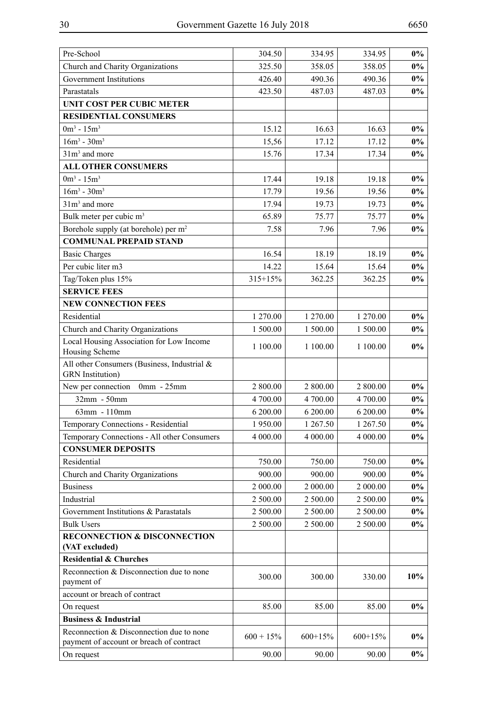| Pre-School                                                                           | 304.50       | 334.95    | 334.95    | $0\%$  |
|--------------------------------------------------------------------------------------|--------------|-----------|-----------|--------|
| Church and Charity Organizations                                                     | 325.50       | 358.05    | 358.05    | $0\%$  |
| <b>Government Institutions</b>                                                       | 426.40       | 490.36    | 490.36    | $0\%$  |
| Parastatals                                                                          | 423.50       | 487.03    | 487.03    | $0\%$  |
| <b>UNIT COST PER CUBIC METER</b>                                                     |              |           |           |        |
| <b>RESIDENTIAL CONSUMERS</b>                                                         |              |           |           |        |
| $0m^3 - 15m^3$                                                                       | 15.12        | 16.63     | 16.63     | $0\%$  |
| $16m^3 - 30m^3$                                                                      | 15,56        | 17.12     | 17.12     | $0\%$  |
| $31m3$ and more                                                                      | 15.76        | 17.34     | 17.34     | $0\%$  |
| <b>ALL OTHER CONSUMERS</b>                                                           |              |           |           |        |
| $0m^3 - 15m^3$                                                                       | 17.44        | 19.18     | 19.18     | $0\%$  |
| $16m^3 - 30m^3$                                                                      | 17.79        | 19.56     | 19.56     | $0\%$  |
| $31m3$ and more                                                                      | 17.94        | 19.73     | 19.73     | $0\%$  |
| Bulk meter per cubic m <sup>3</sup>                                                  | 65.89        | 75.77     | 75.77     | $0\%$  |
| Borehole supply (at borehole) per m <sup>2</sup>                                     | 7.58         | 7.96      | 7.96      | $0\%$  |
| <b>COMMUNAL PREPAID STAND</b>                                                        |              |           |           |        |
| <b>Basic Charges</b>                                                                 | 16.54        | 18.19     | 18.19     | $0\%$  |
| Per cubic liter m3                                                                   | 14.22        | 15.64     | 15.64     | $0\%$  |
| Tag/Token plus 15%                                                                   | 315+15%      | 362.25    | 362.25    | $0\%$  |
| <b>SERVICE FEES</b>                                                                  |              |           |           |        |
| <b>NEW CONNECTION FEES</b>                                                           |              |           |           |        |
| Residential                                                                          | 1 270.00     | 1 270.00  | 1 270.00  | $0\%$  |
| Church and Charity Organizations                                                     | 1 500.00     | 1 500.00  | 1 500.00  | $0\%$  |
| Local Housing Association for Low Income                                             |              |           |           |        |
| Housing Scheme                                                                       | 1 100.00     | 1 100.00  | 1100.00   | $0\%$  |
| All other Consumers (Business, Industrial &<br><b>GRN</b> Institution)               |              |           |           |        |
| New per connection 0mm - 25mm                                                        | 2 800.00     | 2 800.00  | 2 800.00  | $0\%$  |
| 32mm - 50mm                                                                          | 4 700.00     | 4 700.00  | 4 700.00  | $0\%$  |
| 63mm - 110mm                                                                         | 6 200.00     | 6 200.00  | 6 200.00  | $0\%$  |
| Temporary Connections - Residential                                                  | 1950.00      | 1 267.50  | 1 267.50  | $0\%$  |
| Temporary Connections - All other Consumers                                          | 4 000.00     | 4 000.00  | 4 000.00  | $0\%$  |
| <b>CONSUMER DEPOSITS</b>                                                             |              |           |           |        |
| Residential                                                                          | 750.00       | 750.00    | 750.00    | $0\%$  |
| Church and Charity Organizations                                                     | 900.00       | 900.00    | 900.00    | $0\%$  |
| <b>Business</b>                                                                      | 2 000.00     | 2 000.00  | 2 000.00  | $0\%$  |
| Industrial                                                                           | 2 500.00     | 2 500.00  | 2 500.00  | $0\%$  |
| Government Institutions & Parastatals                                                | 2 500.00     | 2 500.00  | 2 500.00  | $0\%$  |
| <b>Bulk Users</b>                                                                    | 2 500.00     | 2 500.00  | 2 500.00  | $0\%$  |
| <b>RECONNECTION &amp; DISCONNECTION</b>                                              |              |           |           |        |
| (VAT excluded)                                                                       |              |           |           |        |
| <b>Residential &amp; Churches</b>                                                    |              |           |           |        |
| Reconnection & Disconnection due to none<br>payment of                               | 300.00       | 300.00    | 330.00    | $10\%$ |
| account or breach of contract                                                        |              |           |           |        |
| On request                                                                           | 85.00        | 85.00     | 85.00     | $0\%$  |
| <b>Business &amp; Industrial</b>                                                     |              |           |           |        |
| Reconnection & Disconnection due to none<br>payment of account or breach of contract | $600 + 15\%$ | $600+15%$ | $600+15%$ | $0\%$  |
| On request                                                                           | 90.00        | 90.00     | 90.00     | $0\%$  |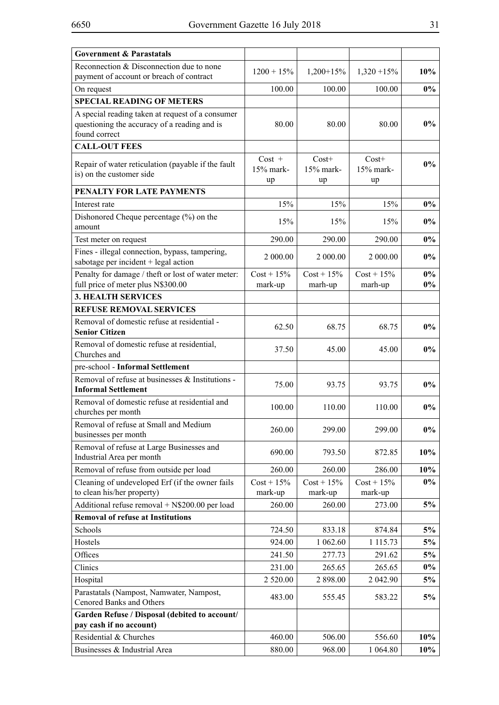| <b>Government &amp; Parastatals</b>                                                                               |                               |                              |                              |                |
|-------------------------------------------------------------------------------------------------------------------|-------------------------------|------------------------------|------------------------------|----------------|
| Reconnection & Disconnection due to none<br>payment of account or breach of contract                              | $1200 + 15\%$                 | $1,200+15%$                  | $1,320 + 15\%$               | 10%            |
| On request                                                                                                        | 100.00                        | 100.00                       | 100.00                       | $0\%$          |
| <b>SPECIAL READING OF METERS</b>                                                                                  |                               |                              |                              |                |
| A special reading taken at request of a consumer<br>questioning the accuracy of a reading and is<br>found correct | 80.00                         | 80.00                        | 80.00                        | $0\%$          |
| <b>CALL-OUT FEES</b>                                                                                              |                               |                              |                              |                |
| Repair of water reticulation (payable if the fault<br>is) on the customer side                                    | $Cost +$<br>$15%$ mark-<br>up | $Cost+$<br>$15%$ mark-<br>up | $Cost+$<br>$15%$ mark-<br>up | $0\%$          |
| PENALTY FOR LATE PAYMENTS                                                                                         |                               |                              |                              |                |
| Interest rate                                                                                                     | 15%                           | 15%                          | 15%                          | $0\%$          |
| Dishonored Cheque percentage (%) on the<br>amount                                                                 | 15%                           | 15%                          | 15%                          | $0\%$          |
| Test meter on request                                                                                             | 290.00                        | 290.00                       | 290.00                       | $0\%$          |
| Fines - illegal connection, bypass, tampering,<br>sabotage per incident + legal action                            | 2 000.00                      | 2000.00                      | 2 000.00                     | $0\%$          |
| Penalty for damage / theft or lost of water meter:<br>full price of meter plus N\$300.00                          | $Cost + 15\%$<br>mark-up      | $Cost + 15\%$<br>marh-up     | $Cost + 15\%$<br>marh-up     | $0\%$<br>$0\%$ |
| <b>3. HEALTH SERVICES</b>                                                                                         |                               |                              |                              |                |
| <b>REFUSE REMOVAL SERVICES</b>                                                                                    |                               |                              |                              |                |
| Removal of domestic refuse at residential -<br><b>Senior Citizen</b>                                              | 62.50                         | 68.75                        | 68.75                        | $0\%$          |
| Removal of domestic refuse at residential,<br>Churches and                                                        | 37.50                         | 45.00                        | 45.00                        | $0\%$          |
| pre-school - Informal Settlement                                                                                  |                               |                              |                              |                |
| Removal of refuse at businesses & Institutions -<br><b>Informal Settlement</b>                                    | 75.00                         | 93.75                        | 93.75                        | $0\%$          |
| Removal of domestic refuse at residential and<br>churches per month                                               | 100.00                        | 110.00                       | 110.00                       | $0\%$          |
| Removal of refuse at Small and Medium<br>businesses per month                                                     | 260.00                        | 299.00                       | 299.00                       | $0\%$          |
| Removal of refuse at Large Businesses and<br>Industrial Area per month                                            | 690.00                        | 793.50                       | 872.85                       | $10\%$         |
| Removal of refuse from outside per load                                                                           | 260.00                        | 260.00                       | 286.00                       | 10%            |
| Cleaning of undeveloped Erf (if the owner fails<br>to clean his/her property)                                     | $Cost + 15\%$<br>mark-up      | $Cost + 15\%$<br>mark-up     | $Cost + 15\%$<br>mark-up     | $0\%$          |
| Additional refuse removal + N\$200.00 per load                                                                    | 260.00                        | 260.00                       | 273.00                       | 5%             |
| <b>Removal of refuse at Institutions</b>                                                                          |                               |                              |                              |                |
| Schools                                                                                                           | 724.50                        | 833.18                       | 874.84                       | 5%             |
| Hostels                                                                                                           | 924.00                        | 1 062.60                     | 1 115.73                     | 5%             |
| Offices                                                                                                           | 241.50                        | 277.73                       | 291.62                       | 5%             |
| Clinics                                                                                                           | 231.00                        | 265.65                       | 265.65                       | $0\%$          |
| Hospital                                                                                                          | 2 5 2 0.00                    | 2 898.00                     | 2 042.90                     | 5%             |
| Parastatals (Nampost, Namwater, Nampost,<br><b>Cenored Banks and Others</b>                                       | 483.00                        | 555.45                       | 583.22                       | 5%             |
| Garden Refuse / Disposal (debited to account/<br>pay cash if no account)                                          |                               |                              |                              |                |
| Residential & Churches                                                                                            | 460.00                        | 506.00                       | 556.60                       | 10%            |
| Businesses & Industrial Area                                                                                      | 880.00                        | 968.00                       | 1 0 64.80                    | 10%            |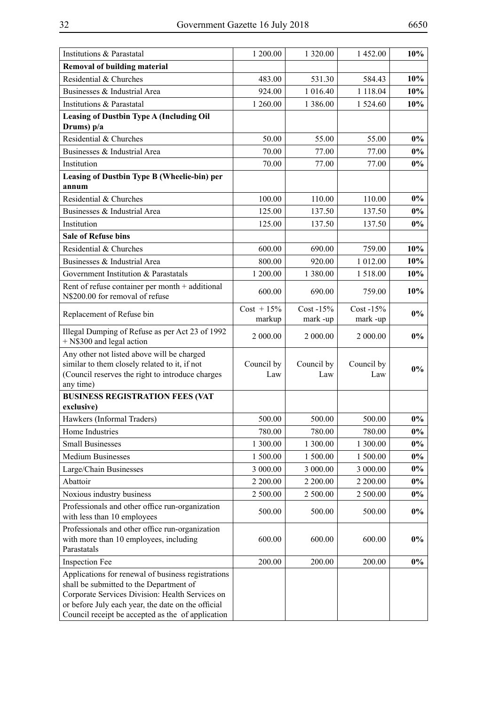| Institutions & Parastatal                                                                                                                                                                                                                                   | 1 200.00                | 1 3 2 0 .00               | 1452.00                   | 10%            |
|-------------------------------------------------------------------------------------------------------------------------------------------------------------------------------------------------------------------------------------------------------------|-------------------------|---------------------------|---------------------------|----------------|
| <b>Removal of building material</b>                                                                                                                                                                                                                         |                         |                           |                           |                |
| Residential & Churches                                                                                                                                                                                                                                      | 483.00                  | 531.30                    | 584.43                    | 10%            |
| Businesses & Industrial Area                                                                                                                                                                                                                                | 924.00                  | 1 016.40                  | 1 118.04                  | 10%            |
| Institutions & Parastatal                                                                                                                                                                                                                                   | 1 260.00                | 1 3 8 6 0 0               | 1 524.60                  | 10%            |
| <b>Leasing of Dustbin Type A (Including Oil</b>                                                                                                                                                                                                             |                         |                           |                           |                |
| Drums) $p/a$                                                                                                                                                                                                                                                |                         |                           |                           |                |
| Residential & Churches                                                                                                                                                                                                                                      | 50.00                   | 55.00                     | 55.00                     | $0\%$          |
| Businesses & Industrial Area                                                                                                                                                                                                                                | 70.00                   | 77.00                     | 77.00                     | $0\%$          |
| Institution                                                                                                                                                                                                                                                 | 70.00                   | 77.00                     | 77.00                     | $0\%$          |
| Leasing of Dustbin Type B (Wheelie-bin) per<br>annum                                                                                                                                                                                                        |                         |                           |                           |                |
| Residential & Churches                                                                                                                                                                                                                                      | 100.00                  | 110.00                    | 110.00                    | $0\%$          |
| Businesses & Industrial Area                                                                                                                                                                                                                                | 125.00                  | 137.50                    | 137.50                    | $0\%$          |
| Institution                                                                                                                                                                                                                                                 | 125.00                  | 137.50                    | 137.50                    | $0\%$          |
| <b>Sale of Refuse bins</b>                                                                                                                                                                                                                                  |                         |                           |                           |                |
| Residential & Churches                                                                                                                                                                                                                                      | 600.00                  | 690.00                    | 759.00                    | 10%            |
| Businesses & Industrial Area                                                                                                                                                                                                                                | 800.00                  | 920.00                    | 1 012.00                  | 10%            |
| Government Institution & Parastatals                                                                                                                                                                                                                        | 1 200.00                | 1 380.00                  | 1518.00                   | 10%            |
| Rent of refuse container per month + additional                                                                                                                                                                                                             | 600.00                  | 690.00                    | 759.00                    | 10%            |
| N\$200.00 for removal of refuse                                                                                                                                                                                                                             |                         |                           |                           |                |
| Replacement of Refuse bin                                                                                                                                                                                                                                   | $Cost + 15\%$<br>markup | $Cost - 15\%$<br>mark -up | $Cost - 15\%$<br>mark -up | $0\%$          |
| Illegal Dumping of Refuse as per Act 23 of 1992<br>+ N\$300 and legal action                                                                                                                                                                                | 2 000.00                | 2 000.00                  | 2 000.00                  | $0\%$          |
| Any other not listed above will be charged<br>similar to them closely related to it, if not<br>(Council reserves the right to introduce charges<br>any time)                                                                                                | Council by<br>Law       | Council by<br>Law         | Council by<br>Law         | $0\%$          |
| <b>BUSINESS REGISTRATION FEES (VAT</b>                                                                                                                                                                                                                      |                         |                           |                           |                |
| exclusive)                                                                                                                                                                                                                                                  |                         |                           |                           |                |
| Hawkers (Informal Traders)                                                                                                                                                                                                                                  | 500.00                  | 500.00                    | 500.00                    | $0\%$          |
| Home Industries                                                                                                                                                                                                                                             | 780.00                  | 780.00                    | 780.00                    | $0\%$          |
| <b>Small Businesses</b>                                                                                                                                                                                                                                     | 1 300.00                | 1 300.00                  | 1 300.00                  | $0\%$<br>$0\%$ |
| <b>Medium Businesses</b>                                                                                                                                                                                                                                    | 1 500.00<br>3 000.00    | 1 500.00<br>3 000.00      | 1 500.00<br>3 000.00      | $0\%$          |
| Large/Chain Businesses<br>Abattoir                                                                                                                                                                                                                          | 2 200.00                | 2 200.00                  | 2 200.00                  | $0\%$          |
| Noxious industry business                                                                                                                                                                                                                                   | 2 500.00                | 2 500.00                  | 2 500.00                  | $0\%$          |
| Professionals and other office run-organization                                                                                                                                                                                                             |                         |                           |                           |                |
| with less than 10 employees                                                                                                                                                                                                                                 | 500.00                  | 500.00                    | 500.00                    | $0\%$          |
| Professionals and other office run-organization<br>with more than 10 employees, including<br>Parastatals                                                                                                                                                    | 600.00                  | 600.00                    | 600.00                    | $0\%$          |
| <b>Inspection Fee</b>                                                                                                                                                                                                                                       | 200.00                  | 200.00                    | 200.00                    | $0\%$          |
| Applications for renewal of business registrations<br>shall be submitted to the Department of<br>Corporate Services Division: Health Services on<br>or before July each year, the date on the official<br>Council receipt be accepted as the of application |                         |                           |                           |                |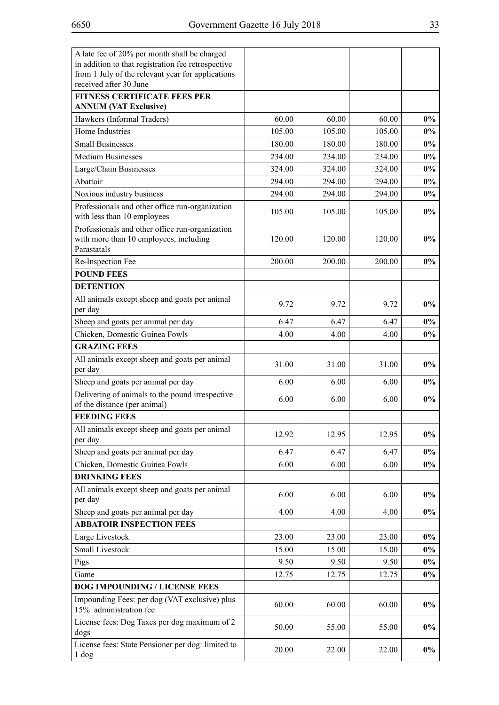| A late fee of 20% per month shall be charged                                                             |        |        |        |       |
|----------------------------------------------------------------------------------------------------------|--------|--------|--------|-------|
| in addition to that registration fee retrospective                                                       |        |        |        |       |
| from 1 July of the relevant year for applications                                                        |        |        |        |       |
| received after 30 June                                                                                   |        |        |        |       |
| <b>FITNESS CERTIFICATE FEES PER</b><br><b>ANNUM (VAT Exclusive)</b>                                      |        |        |        |       |
| Hawkers (Informal Traders)                                                                               | 60.00  | 60.00  | 60.00  | $0\%$ |
| Home Industries                                                                                          |        |        |        |       |
|                                                                                                          | 105.00 | 105.00 | 105.00 | $0\%$ |
| <b>Small Businesses</b>                                                                                  | 180.00 | 180.00 | 180.00 | $0\%$ |
| <b>Medium Businesses</b>                                                                                 | 234.00 | 234.00 | 234.00 | $0\%$ |
| Large/Chain Businesses                                                                                   | 324.00 | 324.00 | 324.00 | $0\%$ |
| Abattoir                                                                                                 | 294.00 | 294.00 | 294.00 | $0\%$ |
| Noxious industry business                                                                                | 294.00 | 294.00 | 294.00 | $0\%$ |
| Professionals and other office run-organization<br>with less than 10 employees                           | 105.00 | 105.00 | 105.00 | $0\%$ |
| Professionals and other office run-organization<br>with more than 10 employees, including<br>Parastatals | 120.00 | 120.00 | 120.00 | $0\%$ |
| Re-Inspection Fee                                                                                        | 200.00 | 200.00 | 200.00 | $0\%$ |
| <b>POUND FEES</b>                                                                                        |        |        |        |       |
| <b>DETENTION</b>                                                                                         |        |        |        |       |
| All animals except sheep and goats per animal<br>per day                                                 | 9.72   | 9.72   | 9.72   | $0\%$ |
| Sheep and goats per animal per day                                                                       | 6.47   | 6.47   | 6.47   | $0\%$ |
| Chicken, Domestic Guinea Fowls                                                                           | 4.00   | 4.00   | 4.00   | $0\%$ |
| <b>GRAZING FEES</b>                                                                                      |        |        |        |       |
| All animals except sheep and goats per animal                                                            |        |        |        |       |
| per day                                                                                                  | 31.00  | 31.00  | 31.00  | $0\%$ |
| Sheep and goats per animal per day                                                                       | 6.00   | 6.00   | 6.00   | $0\%$ |
| Delivering of animals to the pound irrespective                                                          |        |        |        |       |
| of the distance (per animal)                                                                             | 6.00   | 6.00   | 6.00   | $0\%$ |
| <b>FEEDING FEES</b>                                                                                      |        |        |        |       |
| All animals except sheep and goats per animal<br>per day                                                 | 12.92  | 12.95  | 12.95  | $0\%$ |
| Sheep and goats per animal per day                                                                       | 6.47   | 6.47   | 6.47   | $0\%$ |
| Chicken, Domestic Guinea Fowls                                                                           | 6.00   | 6.00   | 6.00   | $0\%$ |
| <b>DRINKING FEES</b>                                                                                     |        |        |        |       |
| All animals except sheep and goats per animal<br>per day                                                 | 6.00   | 6.00   | 6.00   | $0\%$ |
| Sheep and goats per animal per day                                                                       | 4.00   | 4.00   | 4.00   | $0\%$ |
| <b>ABBATOIR INSPECTION FEES</b>                                                                          |        |        |        |       |
| Large Livestock                                                                                          | 23.00  | 23.00  | 23.00  | $0\%$ |
| <b>Small Livestock</b>                                                                                   | 15.00  | 15.00  | 15.00  | $0\%$ |
| Pigs                                                                                                     | 9.50   | 9.50   | 9.50   | $0\%$ |
| Game                                                                                                     | 12.75  | 12.75  | 12.75  | $0\%$ |
| DOG IMPOUNDING / LICENSE FEES                                                                            |        |        |        |       |
| Impounding Fees: per dog (VAT exclusive) plus                                                            |        |        |        |       |
| 15% administration fee                                                                                   | 60.00  | 60.00  | 60.00  | $0\%$ |
| License fees: Dog Taxes per dog maximum of 2<br>dogs                                                     | 50.00  | 55.00  | 55.00  | $0\%$ |
| License fees: State Pensioner per dog: limited to<br>1 dog                                               | 20.00  | 22.00  | 22.00  | $0\%$ |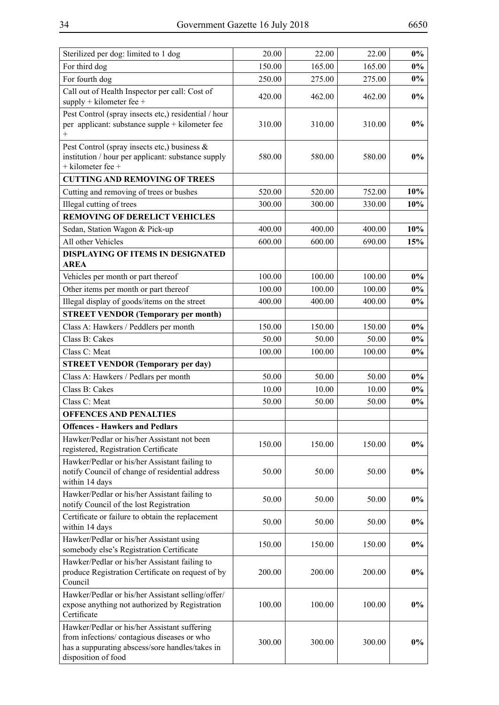| For third dog                                                                                                                                                         | 150.00 | 165.00 | 165.00 | $0\%$ |
|-----------------------------------------------------------------------------------------------------------------------------------------------------------------------|--------|--------|--------|-------|
| For fourth dog                                                                                                                                                        | 250.00 | 275.00 | 275.00 | $0\%$ |
| Call out of Health Inspector per call: Cost of<br>$supply + kilometer fee +$                                                                                          | 420.00 | 462.00 | 462.00 | $0\%$ |
| Pest Control (spray insects etc,) residential / hour<br>per applicant: substance supple + kilometer fee<br>$^{+}$                                                     | 310.00 | 310.00 | 310.00 | $0\%$ |
| Pest Control (spray insects etc,) business &<br>institution / hour per applicant: substance supply<br>$+$ kilometer fee $+$                                           | 580.00 | 580.00 | 580.00 | $0\%$ |
| <b>CUTTING AND REMOVING OF TREES</b>                                                                                                                                  |        |        |        |       |
| Cutting and removing of trees or bushes                                                                                                                               | 520.00 | 520.00 | 752.00 | 10%   |
| Illegal cutting of trees                                                                                                                                              | 300.00 | 300.00 | 330.00 | 10%   |
| <b>REMOVING OF DERELICT VEHICLES</b>                                                                                                                                  |        |        |        |       |
| Sedan, Station Wagon & Pick-up                                                                                                                                        | 400.00 | 400.00 | 400.00 | 10%   |
| All other Vehicles                                                                                                                                                    | 600.00 | 600.00 | 690.00 | 15%   |
| <b>DISPLAYING OF ITEMS IN DESIGNATED</b>                                                                                                                              |        |        |        |       |
| <b>AREA</b>                                                                                                                                                           |        |        |        |       |
| Vehicles per month or part thereof                                                                                                                                    | 100.00 | 100.00 | 100.00 | $0\%$ |
| Other items per month or part thereof                                                                                                                                 | 100.00 | 100.00 | 100.00 | $0\%$ |
| Illegal display of goods/items on the street                                                                                                                          | 400.00 | 400.00 | 400.00 | $0\%$ |
| <b>STREET VENDOR (Temporary per month)</b>                                                                                                                            |        |        |        |       |
| Class A: Hawkers / Peddlers per month                                                                                                                                 | 150.00 | 150.00 | 150.00 | $0\%$ |
| Class B: Cakes                                                                                                                                                        | 50.00  | 50.00  | 50.00  | $0\%$ |
| Class C: Meat                                                                                                                                                         | 100.00 | 100.00 | 100.00 | $0\%$ |
| <b>STREET VENDOR (Temporary per day)</b>                                                                                                                              |        |        |        |       |
| Class A: Hawkers / Pedlars per month                                                                                                                                  | 50.00  | 50.00  | 50.00  | $0\%$ |
| Class B: Cakes                                                                                                                                                        | 10.00  | 10.00  | 10.00  | $0\%$ |
| Class C: Meat                                                                                                                                                         | 50.00  | 50.00  | 50.00  | $0\%$ |
| <b>OFFENCES AND PENALTIES</b>                                                                                                                                         |        |        |        |       |
| <b>Offences - Hawkers and Pedlars</b>                                                                                                                                 |        |        |        |       |
| Hawker/Pedlar or his/her Assistant not been<br>registered, Registration Certificate                                                                                   | 150.00 | 150.00 | 150.00 | $0\%$ |
| Hawker/Pedlar or his/her Assistant failing to<br>notify Council of change of residential address<br>within 14 days                                                    | 50.00  | 50.00  | 50.00  | $0\%$ |
| Hawker/Pedlar or his/her Assistant failing to<br>notify Council of the lost Registration                                                                              | 50.00  | 50.00  | 50.00  | $0\%$ |
| Certificate or failure to obtain the replacement<br>within 14 days                                                                                                    | 50.00  | 50.00  | 50.00  | $0\%$ |
| Hawker/Pedlar or his/her Assistant using<br>somebody else's Registration Certificate                                                                                  | 150.00 | 150.00 | 150.00 | $0\%$ |
| Hawker/Pedlar or his/her Assistant failing to<br>produce Registration Certificate on request of by<br>Council                                                         | 200.00 | 200.00 | 200.00 | $0\%$ |
| Hawker/Pedlar or his/her Assistant selling/offer/<br>expose anything not authorized by Registration<br>Certificate                                                    | 100.00 | 100.00 | 100.00 | $0\%$ |
| Hawker/Pedlar or his/her Assistant suffering<br>from infections/ contagious diseases or who<br>has a suppurating abscess/sore handles/takes in<br>disposition of food | 300.00 | 300.00 | 300.00 | $0\%$ |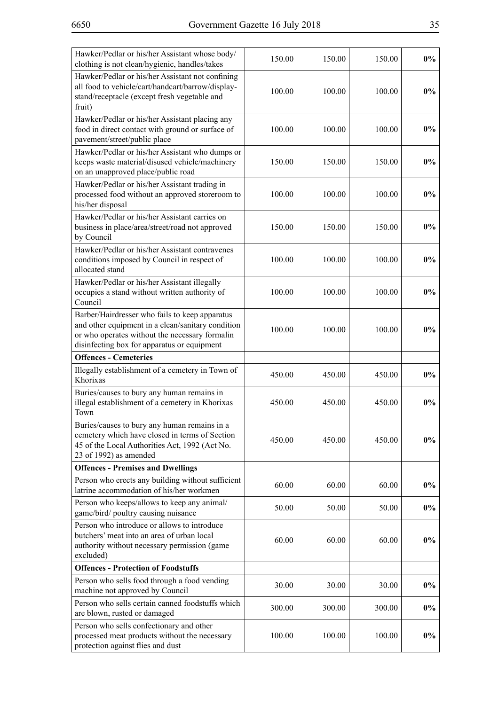| Hawker/Pedlar or his/her Assistant whose body/<br>clothing is not clean/hygienic, handles/takes                                                                                                      | 150.00 | 150.00 | 150.00 | $0\%$ |
|------------------------------------------------------------------------------------------------------------------------------------------------------------------------------------------------------|--------|--------|--------|-------|
| Hawker/Pedlar or his/her Assistant not confining<br>all food to vehicle/cart/handcart/barrow/display-<br>stand/receptacle (except fresh vegetable and<br>fruit)                                      | 100.00 | 100.00 | 100.00 | $0\%$ |
| Hawker/Pedlar or his/her Assistant placing any<br>food in direct contact with ground or surface of<br>pavement/street/public place                                                                   | 100.00 | 100.00 | 100.00 | $0\%$ |
| Hawker/Pedlar or his/her Assistant who dumps or<br>keeps waste material/disused vehicle/machinery<br>on an unapproved place/public road                                                              | 150.00 | 150.00 | 150.00 | $0\%$ |
| Hawker/Pedlar or his/her Assistant trading in<br>processed food without an approved storeroom to<br>his/her disposal                                                                                 | 100.00 | 100.00 | 100.00 | $0\%$ |
| Hawker/Pedlar or his/her Assistant carries on<br>business in place/area/street/road not approved<br>by Council                                                                                       | 150.00 | 150.00 | 150.00 | $0\%$ |
| Hawker/Pedlar or his/her Assistant contravenes<br>conditions imposed by Council in respect of<br>allocated stand                                                                                     | 100.00 | 100.00 | 100.00 | $0\%$ |
| Hawker/Pedlar or his/her Assistant illegally<br>occupies a stand without written authority of<br>Council                                                                                             | 100.00 | 100.00 | 100.00 | $0\%$ |
| Barber/Hairdresser who fails to keep apparatus<br>and other equipment in a clean/sanitary condition<br>or who operates without the necessary formalin<br>disinfecting box for apparatus or equipment | 100.00 | 100.00 | 100.00 | $0\%$ |
| <b>Offences - Cemeteries</b>                                                                                                                                                                         |        |        |        |       |
| Illegally establishment of a cemetery in Town of<br>Khorixas                                                                                                                                         | 450.00 | 450.00 | 450.00 | $0\%$ |
| Buries/causes to bury any human remains in<br>illegal establishment of a cemetery in Khorixas<br>Town                                                                                                | 450.00 | 450.00 | 450.00 | $0\%$ |
| Buries/causes to bury any human remains in a<br>cemetery which have closed in terms of Section<br>45 of the Local Authorities Act, 1992 (Act No.<br>23 of 1992) as amended                           | 450.00 | 450.00 | 450.00 | $0\%$ |
| <b>Offences - Premises and Dwellings</b>                                                                                                                                                             |        |        |        |       |
| Person who erects any building without sufficient<br>latrine accommodation of his/her workmen                                                                                                        | 60.00  | 60.00  | 60.00  | $0\%$ |
| Person who keeps/allows to keep any animal/<br>game/bird/ poultry causing nuisance                                                                                                                   | 50.00  | 50.00  | 50.00  | $0\%$ |
| Person who introduce or allows to introduce<br>butchers' meat into an area of urban local<br>authority without necessary permission (game<br>excluded)                                               | 60.00  | 60.00  | 60.00  | $0\%$ |
| <b>Offences - Protection of Foodstuffs</b>                                                                                                                                                           |        |        |        |       |
| Person who sells food through a food vending<br>machine not approved by Council                                                                                                                      | 30.00  | 30.00  | 30.00  | $0\%$ |
| Person who sells certain canned foodstuffs which<br>are blown, rusted or damaged                                                                                                                     | 300.00 | 300.00 | 300.00 | $0\%$ |
| Person who sells confectionary and other<br>processed meat products without the necessary<br>protection against flies and dust                                                                       | 100.00 | 100.00 | 100.00 | $0\%$ |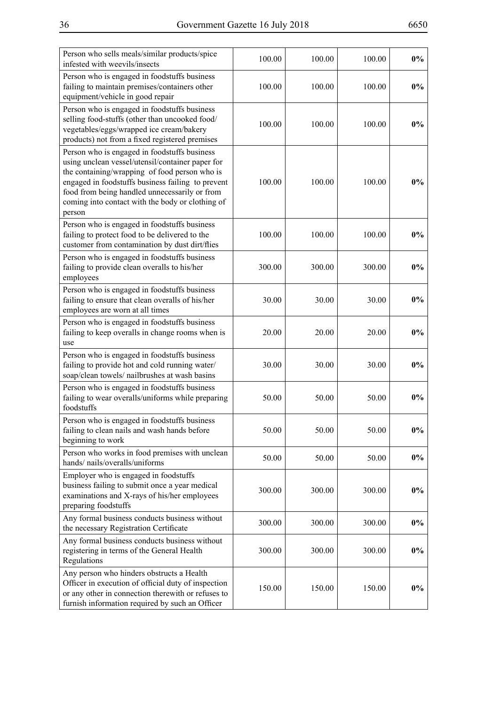| Person who sells meals/similar products/spice                                                                                                                                                                                                                                                                         |        |        |        |       |
|-----------------------------------------------------------------------------------------------------------------------------------------------------------------------------------------------------------------------------------------------------------------------------------------------------------------------|--------|--------|--------|-------|
| infested with weevils/insects                                                                                                                                                                                                                                                                                         | 100.00 | 100.00 | 100.00 | $0\%$ |
| Person who is engaged in foodstuffs business<br>failing to maintain premises/containers other<br>equipment/vehicle in good repair                                                                                                                                                                                     | 100.00 | 100.00 | 100.00 | $0\%$ |
| Person who is engaged in foodstuffs business<br>selling food-stuffs (other than uncooked food/<br>vegetables/eggs/wrapped ice cream/bakery<br>products) not from a fixed registered premises                                                                                                                          | 100.00 | 100.00 | 100.00 | $0\%$ |
| Person who is engaged in foodstuffs business<br>using unclean vessel/utensil/container paper for<br>the containing/wrapping of food person who is<br>engaged in foodstuffs business failing to prevent<br>food from being handled unnecessarily or from<br>coming into contact with the body or clothing of<br>person | 100.00 | 100.00 | 100.00 | $0\%$ |
| Person who is engaged in foodstuffs business<br>failing to protect food to be delivered to the<br>customer from contamination by dust dirt/flies                                                                                                                                                                      | 100.00 | 100.00 | 100.00 | $0\%$ |
| Person who is engaged in foodstuffs business<br>failing to provide clean overalls to his/her<br>employees                                                                                                                                                                                                             | 300.00 | 300.00 | 300.00 | $0\%$ |
| Person who is engaged in foodstuffs business<br>failing to ensure that clean overalls of his/her<br>employees are worn at all times                                                                                                                                                                                   | 30.00  | 30.00  | 30.00  | $0\%$ |
| Person who is engaged in foodstuffs business<br>failing to keep overalls in change rooms when is<br>use                                                                                                                                                                                                               | 20.00  | 20.00  | 20.00  | $0\%$ |
| Person who is engaged in foodstuffs business<br>failing to provide hot and cold running water/<br>soap/clean towels/ nailbrushes at wash basins                                                                                                                                                                       | 30.00  | 30.00  | 30.00  | $0\%$ |
| Person who is engaged in foodstuffs business<br>failing to wear overalls/uniforms while preparing<br>foodstuffs                                                                                                                                                                                                       | 50.00  | 50.00  | 50.00  | $0\%$ |
| Person who is engaged in foodstuffs business<br>failing to clean nails and wash hands before<br>beginning to work                                                                                                                                                                                                     | 50.00  | 50.00  | 50.00  | $0\%$ |
| Person who works in food premises with unclean<br>hands/nails/overalls/uniforms                                                                                                                                                                                                                                       | 50.00  | 50.00  | 50.00  | $0\%$ |
| Employer who is engaged in foodstuffs<br>business failing to submit once a year medical<br>examinations and X-rays of his/her employees<br>preparing foodstuffs                                                                                                                                                       | 300.00 | 300.00 | 300.00 | $0\%$ |
| Any formal business conducts business without<br>the necessary Registration Certificate                                                                                                                                                                                                                               | 300.00 | 300.00 | 300.00 | $0\%$ |
| Any formal business conducts business without<br>registering in terms of the General Health<br>Regulations                                                                                                                                                                                                            | 300.00 | 300.00 | 300.00 | $0\%$ |
| Any person who hinders obstructs a Health<br>Officer in execution of official duty of inspection<br>or any other in connection therewith or refuses to<br>furnish information required by such an Officer                                                                                                             | 150.00 | 150.00 | 150.00 | $0\%$ |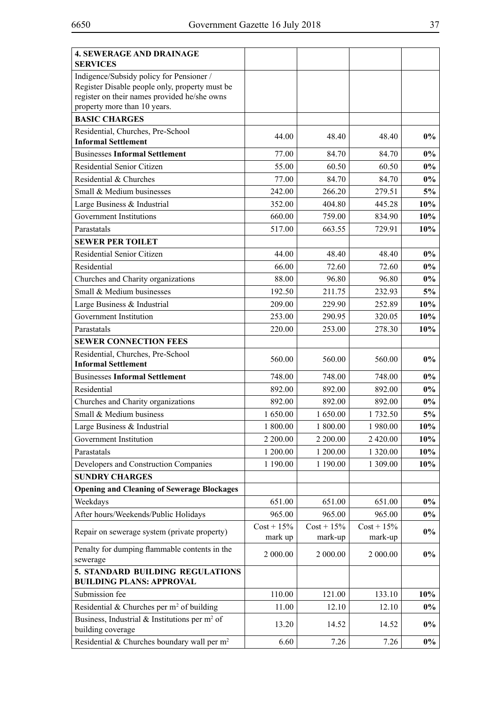| <b>4. SEWERAGE AND DRAINAGE</b><br><b>SERVICES</b>                                                                                         |                          |                          |                          |        |
|--------------------------------------------------------------------------------------------------------------------------------------------|--------------------------|--------------------------|--------------------------|--------|
| Indigence/Subsidy policy for Pensioner /<br>Register Disable people only, property must be<br>register on their names provided he/she owns |                          |                          |                          |        |
| property more than 10 years.                                                                                                               |                          |                          |                          |        |
| <b>BASIC CHARGES</b>                                                                                                                       |                          |                          |                          |        |
| Residential, Churches, Pre-School<br><b>Informal Settlement</b>                                                                            | 44.00                    | 48.40                    | 48.40                    | $0\%$  |
| <b>Businesses Informal Settlement</b>                                                                                                      | 77.00                    | 84.70                    | 84.70                    | $0\%$  |
| Residential Senior Citizen                                                                                                                 | 55.00                    | 60.50                    | 60.50                    | $0\%$  |
| Residential & Churches                                                                                                                     | 77.00                    | 84.70                    | 84.70                    | $0\%$  |
| Small & Medium businesses                                                                                                                  | 242.00                   | 266.20                   | 279.51                   | 5%     |
| Large Business & Industrial                                                                                                                | 352.00                   | 404.80                   | 445.28                   | 10%    |
| Government Institutions                                                                                                                    | 660.00                   | 759.00                   | 834.90                   | 10%    |
| Parastatals                                                                                                                                | 517.00                   | 663.55                   | 729.91                   | 10%    |
| <b>SEWER PER TOILET</b>                                                                                                                    |                          |                          |                          |        |
| Residential Senior Citizen                                                                                                                 | 44.00                    | 48.40                    | 48.40                    | $0\%$  |
| Residential                                                                                                                                | 66.00                    | 72.60                    | 72.60                    | $0\%$  |
| Churches and Charity organizations                                                                                                         | 88.00                    | 96.80                    | 96.80                    | $0\%$  |
| Small & Medium businesses                                                                                                                  | 192.50                   | 211.75                   | 232.93                   | 5%     |
| Large Business & Industrial                                                                                                                | 209.00                   | 229.90                   | 252.89                   | 10%    |
| Government Institution                                                                                                                     | 253.00                   | 290.95                   | 320.05                   | $10\%$ |
| Parastatals                                                                                                                                | 220.00                   | 253.00                   | 278.30                   | 10%    |
| <b>SEWER CONNECTION FEES</b>                                                                                                               |                          |                          |                          |        |
| Residential, Churches, Pre-School<br><b>Informal Settlement</b>                                                                            | 560.00                   | 560.00                   | 560.00                   | $0\%$  |
| <b>Businesses Informal Settlement</b>                                                                                                      | 748.00                   | 748.00                   | 748.00                   | $0\%$  |
| Residential                                                                                                                                | 892.00                   | 892.00                   | 892.00                   | $0\%$  |
| Churches and Charity organizations                                                                                                         | 892.00                   | 892.00                   | 892.00                   | $0\%$  |
| Small & Medium business                                                                                                                    | 1 650.00                 | 1 650.00                 | 1732.50                  | 5%     |
| Large Business & Industrial                                                                                                                | 1 800.00                 | 1 800.00                 | 1 980.00                 | 10%    |
| Government Institution                                                                                                                     | 2 200.00                 | 2 200.00                 | 2 420.00                 | 10%    |
| Parastatals                                                                                                                                | 1 200.00                 | 1 200.00                 | 1 320.00                 | 10%    |
| Developers and Construction Companies                                                                                                      | 1 190.00                 | 1 190.00                 | 1 309.00                 | 10%    |
| <b>SUNDRY CHARGES</b>                                                                                                                      |                          |                          |                          |        |
| <b>Opening and Cleaning of Sewerage Blockages</b>                                                                                          |                          |                          |                          |        |
| Weekdays                                                                                                                                   | 651.00                   | 651.00                   | 651.00                   | $0\%$  |
| After hours/Weekends/Public Holidays                                                                                                       | 965.00                   | 965.00                   | 965.00                   | $0\%$  |
| Repair on sewerage system (private property)                                                                                               | $Cost + 15\%$<br>mark up | $Cost + 15\%$<br>mark-up | $Cost + 15\%$<br>mark-up | $0\%$  |
| Penalty for dumping flammable contents in the<br>sewerage                                                                                  | 2 000.00                 | 2 000.00                 | 2 000.00                 | $0\%$  |
| 5. STANDARD BUILDING REGULATIONS<br><b>BUILDING PLANS: APPROVAL</b>                                                                        |                          |                          |                          |        |
| Submission fee                                                                                                                             | 110.00                   | 121.00                   | 133.10                   | 10%    |
| Residential & Churches per $m2$ of building                                                                                                | 11.00                    | 12.10                    | 12.10                    | $0\%$  |
| Business, Industrial & Institutions per $m^2$ of<br>building coverage                                                                      | 13.20                    | 14.52                    | 14.52                    | $0\%$  |
| Residential & Churches boundary wall per m <sup>2</sup>                                                                                    | 6.60                     | 7.26                     | 7.26                     | $0\%$  |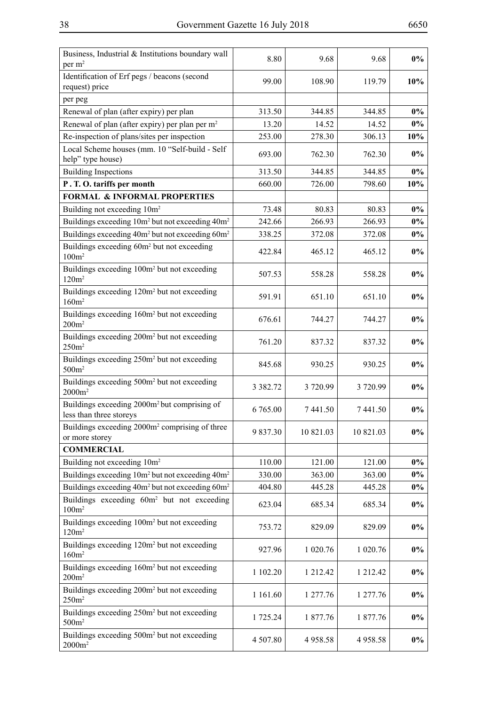| Identification of Erf pegs / beacons (second<br>10%<br>99.00<br>108.90<br>119.79<br>request) price<br>per peg<br>$0\%$<br>Renewal of plan (after expiry) per plan<br>313.50<br>344.85<br>344.85<br>Renewal of plan (after expiry) per plan per m <sup>2</sup><br>13.20<br>14.52<br>14.52<br>$0\%$<br>Re-inspection of plans/sites per inspection<br>253.00<br>278.30<br>306.13<br>10%<br>Local Scheme houses (mm. 10 "Self-build - Self<br>693.00<br>762.30<br>762.30<br>$0\%$<br>help" type house)<br><b>Building Inspections</b><br>313.50<br>344.85<br>344.85<br>$0\%$<br>10%<br>P.T.O. tariffs per month<br>660.00<br>726.00<br>798.60<br><b>FORMAL &amp; INFORMAL PROPERTIES</b><br>$0\%$<br>Building not exceeding 10m <sup>2</sup><br>80.83<br>80.83<br>73.48<br>Buildings exceeding 10m <sup>2</sup> but not exceeding 40m <sup>2</sup><br>242.66<br>266.93<br>266.93<br>$0\%$<br>Buildings exceeding 40m <sup>2</sup> but not exceeding 60m <sup>2</sup><br>338.25<br>372.08<br>372.08<br>$0\%$<br>Buildings exceeding 60m <sup>2</sup> but not exceeding<br>465.12<br>$0\%$<br>422.84<br>465.12<br>100m <sup>2</sup><br>Buildings exceeding 100m <sup>2</sup> but not exceeding<br>$0\%$<br>507.53<br>558.28<br>558.28<br>120m <sup>2</sup><br>Buildings exceeding 120m <sup>2</sup> but not exceeding<br>591.91<br>651.10<br>651.10<br>$0\%$<br>160m <sup>2</sup><br>Buildings exceeding 160m <sup>2</sup> but not exceeding<br>$0\%$<br>676.61<br>744.27<br>744.27<br>200m <sup>2</sup><br>Buildings exceeding 200m <sup>2</sup> but not exceeding<br>$0\%$<br>761.20<br>837.32<br>837.32<br>250m <sup>2</sup><br>Buildings exceeding 250m <sup>2</sup> but not exceeding<br>$0\%$<br>845.68<br>930.25<br>930.25<br>500m <sup>2</sup><br>Buildings exceeding 500m <sup>2</sup> but not exceeding<br>$0\%$<br>3 3 8 2 . 7 2<br>3720.99<br>3720.99<br>$2000m^2$<br>Buildings exceeding 2000m <sup>2</sup> but comprising of<br>6 765.00<br>7441.50<br>7441.50<br>$0\%$<br>less than three storeys<br>Buildings exceeding 2000m <sup>2</sup> comprising of three<br>9837.30<br>10 821.03<br>10 821.03<br>$0\%$<br>or more storey<br><b>COMMERCIAL</b><br>Building not exceeding 10m <sup>2</sup><br>$0\%$<br>110.00<br>121.00<br>121.00<br>Buildings exceeding 10m <sup>2</sup> but not exceeding 40m <sup>2</sup><br>330.00<br>363.00<br>$0\%$<br>363.00<br>Buildings exceeding 40m <sup>2</sup> but not exceeding 60m <sup>2</sup><br>404.80<br>445.28<br>445.28<br>$0\%$<br>Buildings exceeding 60m <sup>2</sup> but not exceeding<br>623.04<br>685.34<br>685.34<br>$0\%$<br>100m <sup>2</sup><br>Buildings exceeding 100m <sup>2</sup> but not exceeding<br>829.09<br>$0\%$<br>753.72<br>829.09<br>120m <sup>2</sup><br>Buildings exceeding 120m <sup>2</sup> but not exceeding<br>927.96<br>$0\%$<br>1 020.76<br>1 020.76<br>160m <sup>2</sup><br>Buildings exceeding 160m <sup>2</sup> but not exceeding<br>$0\%$<br>1 102.20<br>1 212.42<br>1 212.42<br>200m <sup>2</sup><br>Buildings exceeding 200m <sup>2</sup> but not exceeding<br>$0\%$<br>1 161.60<br>1 277.76<br>1 277.76<br>250m <sup>2</sup><br>Buildings exceeding 250m <sup>2</sup> but not exceeding<br>1877.76<br>$0\%$<br>1 725.24<br>1 877.76<br>500m <sup>2</sup><br>Buildings exceeding 500m <sup>2</sup> but not exceeding<br>4 507.80<br>$0\%$<br>4958.58<br>4958.58<br>$2000m^2$ | Business, Industrial & Institutions boundary wall<br>per $m2$ | 8.80 | 9.68 | 9.68 | $0\%$ |
|-----------------------------------------------------------------------------------------------------------------------------------------------------------------------------------------------------------------------------------------------------------------------------------------------------------------------------------------------------------------------------------------------------------------------------------------------------------------------------------------------------------------------------------------------------------------------------------------------------------------------------------------------------------------------------------------------------------------------------------------------------------------------------------------------------------------------------------------------------------------------------------------------------------------------------------------------------------------------------------------------------------------------------------------------------------------------------------------------------------------------------------------------------------------------------------------------------------------------------------------------------------------------------------------------------------------------------------------------------------------------------------------------------------------------------------------------------------------------------------------------------------------------------------------------------------------------------------------------------------------------------------------------------------------------------------------------------------------------------------------------------------------------------------------------------------------------------------------------------------------------------------------------------------------------------------------------------------------------------------------------------------------------------------------------------------------------------------------------------------------------------------------------------------------------------------------------------------------------------------------------------------------------------------------------------------------------------------------------------------------------------------------------------------------------------------------------------------------------------------------------------------------------------------------------------------------------------------------------------------------------------------------------------------------------------------------------------------------------------------------------------------------------------------------------------------------------------------------------------------------------------------------------------------------------------------------------------------------------------------------------------------------------------------------------------------------------------------------------------------------------------------------------------------------------------------------------------------------------------------------------------------------------------------------------------------------------------------------------------------------------|---------------------------------------------------------------|------|------|------|-------|
|                                                                                                                                                                                                                                                                                                                                                                                                                                                                                                                                                                                                                                                                                                                                                                                                                                                                                                                                                                                                                                                                                                                                                                                                                                                                                                                                                                                                                                                                                                                                                                                                                                                                                                                                                                                                                                                                                                                                                                                                                                                                                                                                                                                                                                                                                                                                                                                                                                                                                                                                                                                                                                                                                                                                                                                                                                                                                                                                                                                                                                                                                                                                                                                                                                                                                                                                                                       |                                                               |      |      |      |       |
|                                                                                                                                                                                                                                                                                                                                                                                                                                                                                                                                                                                                                                                                                                                                                                                                                                                                                                                                                                                                                                                                                                                                                                                                                                                                                                                                                                                                                                                                                                                                                                                                                                                                                                                                                                                                                                                                                                                                                                                                                                                                                                                                                                                                                                                                                                                                                                                                                                                                                                                                                                                                                                                                                                                                                                                                                                                                                                                                                                                                                                                                                                                                                                                                                                                                                                                                                                       |                                                               |      |      |      |       |
|                                                                                                                                                                                                                                                                                                                                                                                                                                                                                                                                                                                                                                                                                                                                                                                                                                                                                                                                                                                                                                                                                                                                                                                                                                                                                                                                                                                                                                                                                                                                                                                                                                                                                                                                                                                                                                                                                                                                                                                                                                                                                                                                                                                                                                                                                                                                                                                                                                                                                                                                                                                                                                                                                                                                                                                                                                                                                                                                                                                                                                                                                                                                                                                                                                                                                                                                                                       |                                                               |      |      |      |       |
|                                                                                                                                                                                                                                                                                                                                                                                                                                                                                                                                                                                                                                                                                                                                                                                                                                                                                                                                                                                                                                                                                                                                                                                                                                                                                                                                                                                                                                                                                                                                                                                                                                                                                                                                                                                                                                                                                                                                                                                                                                                                                                                                                                                                                                                                                                                                                                                                                                                                                                                                                                                                                                                                                                                                                                                                                                                                                                                                                                                                                                                                                                                                                                                                                                                                                                                                                                       |                                                               |      |      |      |       |
|                                                                                                                                                                                                                                                                                                                                                                                                                                                                                                                                                                                                                                                                                                                                                                                                                                                                                                                                                                                                                                                                                                                                                                                                                                                                                                                                                                                                                                                                                                                                                                                                                                                                                                                                                                                                                                                                                                                                                                                                                                                                                                                                                                                                                                                                                                                                                                                                                                                                                                                                                                                                                                                                                                                                                                                                                                                                                                                                                                                                                                                                                                                                                                                                                                                                                                                                                                       |                                                               |      |      |      |       |
|                                                                                                                                                                                                                                                                                                                                                                                                                                                                                                                                                                                                                                                                                                                                                                                                                                                                                                                                                                                                                                                                                                                                                                                                                                                                                                                                                                                                                                                                                                                                                                                                                                                                                                                                                                                                                                                                                                                                                                                                                                                                                                                                                                                                                                                                                                                                                                                                                                                                                                                                                                                                                                                                                                                                                                                                                                                                                                                                                                                                                                                                                                                                                                                                                                                                                                                                                                       |                                                               |      |      |      |       |
|                                                                                                                                                                                                                                                                                                                                                                                                                                                                                                                                                                                                                                                                                                                                                                                                                                                                                                                                                                                                                                                                                                                                                                                                                                                                                                                                                                                                                                                                                                                                                                                                                                                                                                                                                                                                                                                                                                                                                                                                                                                                                                                                                                                                                                                                                                                                                                                                                                                                                                                                                                                                                                                                                                                                                                                                                                                                                                                                                                                                                                                                                                                                                                                                                                                                                                                                                                       |                                                               |      |      |      |       |
|                                                                                                                                                                                                                                                                                                                                                                                                                                                                                                                                                                                                                                                                                                                                                                                                                                                                                                                                                                                                                                                                                                                                                                                                                                                                                                                                                                                                                                                                                                                                                                                                                                                                                                                                                                                                                                                                                                                                                                                                                                                                                                                                                                                                                                                                                                                                                                                                                                                                                                                                                                                                                                                                                                                                                                                                                                                                                                                                                                                                                                                                                                                                                                                                                                                                                                                                                                       |                                                               |      |      |      |       |
|                                                                                                                                                                                                                                                                                                                                                                                                                                                                                                                                                                                                                                                                                                                                                                                                                                                                                                                                                                                                                                                                                                                                                                                                                                                                                                                                                                                                                                                                                                                                                                                                                                                                                                                                                                                                                                                                                                                                                                                                                                                                                                                                                                                                                                                                                                                                                                                                                                                                                                                                                                                                                                                                                                                                                                                                                                                                                                                                                                                                                                                                                                                                                                                                                                                                                                                                                                       |                                                               |      |      |      |       |
|                                                                                                                                                                                                                                                                                                                                                                                                                                                                                                                                                                                                                                                                                                                                                                                                                                                                                                                                                                                                                                                                                                                                                                                                                                                                                                                                                                                                                                                                                                                                                                                                                                                                                                                                                                                                                                                                                                                                                                                                                                                                                                                                                                                                                                                                                                                                                                                                                                                                                                                                                                                                                                                                                                                                                                                                                                                                                                                                                                                                                                                                                                                                                                                                                                                                                                                                                                       |                                                               |      |      |      |       |
|                                                                                                                                                                                                                                                                                                                                                                                                                                                                                                                                                                                                                                                                                                                                                                                                                                                                                                                                                                                                                                                                                                                                                                                                                                                                                                                                                                                                                                                                                                                                                                                                                                                                                                                                                                                                                                                                                                                                                                                                                                                                                                                                                                                                                                                                                                                                                                                                                                                                                                                                                                                                                                                                                                                                                                                                                                                                                                                                                                                                                                                                                                                                                                                                                                                                                                                                                                       |                                                               |      |      |      |       |
|                                                                                                                                                                                                                                                                                                                                                                                                                                                                                                                                                                                                                                                                                                                                                                                                                                                                                                                                                                                                                                                                                                                                                                                                                                                                                                                                                                                                                                                                                                                                                                                                                                                                                                                                                                                                                                                                                                                                                                                                                                                                                                                                                                                                                                                                                                                                                                                                                                                                                                                                                                                                                                                                                                                                                                                                                                                                                                                                                                                                                                                                                                                                                                                                                                                                                                                                                                       |                                                               |      |      |      |       |
|                                                                                                                                                                                                                                                                                                                                                                                                                                                                                                                                                                                                                                                                                                                                                                                                                                                                                                                                                                                                                                                                                                                                                                                                                                                                                                                                                                                                                                                                                                                                                                                                                                                                                                                                                                                                                                                                                                                                                                                                                                                                                                                                                                                                                                                                                                                                                                                                                                                                                                                                                                                                                                                                                                                                                                                                                                                                                                                                                                                                                                                                                                                                                                                                                                                                                                                                                                       |                                                               |      |      |      |       |
|                                                                                                                                                                                                                                                                                                                                                                                                                                                                                                                                                                                                                                                                                                                                                                                                                                                                                                                                                                                                                                                                                                                                                                                                                                                                                                                                                                                                                                                                                                                                                                                                                                                                                                                                                                                                                                                                                                                                                                                                                                                                                                                                                                                                                                                                                                                                                                                                                                                                                                                                                                                                                                                                                                                                                                                                                                                                                                                                                                                                                                                                                                                                                                                                                                                                                                                                                                       |                                                               |      |      |      |       |
|                                                                                                                                                                                                                                                                                                                                                                                                                                                                                                                                                                                                                                                                                                                                                                                                                                                                                                                                                                                                                                                                                                                                                                                                                                                                                                                                                                                                                                                                                                                                                                                                                                                                                                                                                                                                                                                                                                                                                                                                                                                                                                                                                                                                                                                                                                                                                                                                                                                                                                                                                                                                                                                                                                                                                                                                                                                                                                                                                                                                                                                                                                                                                                                                                                                                                                                                                                       |                                                               |      |      |      |       |
|                                                                                                                                                                                                                                                                                                                                                                                                                                                                                                                                                                                                                                                                                                                                                                                                                                                                                                                                                                                                                                                                                                                                                                                                                                                                                                                                                                                                                                                                                                                                                                                                                                                                                                                                                                                                                                                                                                                                                                                                                                                                                                                                                                                                                                                                                                                                                                                                                                                                                                                                                                                                                                                                                                                                                                                                                                                                                                                                                                                                                                                                                                                                                                                                                                                                                                                                                                       |                                                               |      |      |      |       |
|                                                                                                                                                                                                                                                                                                                                                                                                                                                                                                                                                                                                                                                                                                                                                                                                                                                                                                                                                                                                                                                                                                                                                                                                                                                                                                                                                                                                                                                                                                                                                                                                                                                                                                                                                                                                                                                                                                                                                                                                                                                                                                                                                                                                                                                                                                                                                                                                                                                                                                                                                                                                                                                                                                                                                                                                                                                                                                                                                                                                                                                                                                                                                                                                                                                                                                                                                                       |                                                               |      |      |      |       |
|                                                                                                                                                                                                                                                                                                                                                                                                                                                                                                                                                                                                                                                                                                                                                                                                                                                                                                                                                                                                                                                                                                                                                                                                                                                                                                                                                                                                                                                                                                                                                                                                                                                                                                                                                                                                                                                                                                                                                                                                                                                                                                                                                                                                                                                                                                                                                                                                                                                                                                                                                                                                                                                                                                                                                                                                                                                                                                                                                                                                                                                                                                                                                                                                                                                                                                                                                                       |                                                               |      |      |      |       |
|                                                                                                                                                                                                                                                                                                                                                                                                                                                                                                                                                                                                                                                                                                                                                                                                                                                                                                                                                                                                                                                                                                                                                                                                                                                                                                                                                                                                                                                                                                                                                                                                                                                                                                                                                                                                                                                                                                                                                                                                                                                                                                                                                                                                                                                                                                                                                                                                                                                                                                                                                                                                                                                                                                                                                                                                                                                                                                                                                                                                                                                                                                                                                                                                                                                                                                                                                                       |                                                               |      |      |      |       |
|                                                                                                                                                                                                                                                                                                                                                                                                                                                                                                                                                                                                                                                                                                                                                                                                                                                                                                                                                                                                                                                                                                                                                                                                                                                                                                                                                                                                                                                                                                                                                                                                                                                                                                                                                                                                                                                                                                                                                                                                                                                                                                                                                                                                                                                                                                                                                                                                                                                                                                                                                                                                                                                                                                                                                                                                                                                                                                                                                                                                                                                                                                                                                                                                                                                                                                                                                                       |                                                               |      |      |      |       |
|                                                                                                                                                                                                                                                                                                                                                                                                                                                                                                                                                                                                                                                                                                                                                                                                                                                                                                                                                                                                                                                                                                                                                                                                                                                                                                                                                                                                                                                                                                                                                                                                                                                                                                                                                                                                                                                                                                                                                                                                                                                                                                                                                                                                                                                                                                                                                                                                                                                                                                                                                                                                                                                                                                                                                                                                                                                                                                                                                                                                                                                                                                                                                                                                                                                                                                                                                                       |                                                               |      |      |      |       |
|                                                                                                                                                                                                                                                                                                                                                                                                                                                                                                                                                                                                                                                                                                                                                                                                                                                                                                                                                                                                                                                                                                                                                                                                                                                                                                                                                                                                                                                                                                                                                                                                                                                                                                                                                                                                                                                                                                                                                                                                                                                                                                                                                                                                                                                                                                                                                                                                                                                                                                                                                                                                                                                                                                                                                                                                                                                                                                                                                                                                                                                                                                                                                                                                                                                                                                                                                                       |                                                               |      |      |      |       |
|                                                                                                                                                                                                                                                                                                                                                                                                                                                                                                                                                                                                                                                                                                                                                                                                                                                                                                                                                                                                                                                                                                                                                                                                                                                                                                                                                                                                                                                                                                                                                                                                                                                                                                                                                                                                                                                                                                                                                                                                                                                                                                                                                                                                                                                                                                                                                                                                                                                                                                                                                                                                                                                                                                                                                                                                                                                                                                                                                                                                                                                                                                                                                                                                                                                                                                                                                                       |                                                               |      |      |      |       |
|                                                                                                                                                                                                                                                                                                                                                                                                                                                                                                                                                                                                                                                                                                                                                                                                                                                                                                                                                                                                                                                                                                                                                                                                                                                                                                                                                                                                                                                                                                                                                                                                                                                                                                                                                                                                                                                                                                                                                                                                                                                                                                                                                                                                                                                                                                                                                                                                                                                                                                                                                                                                                                                                                                                                                                                                                                                                                                                                                                                                                                                                                                                                                                                                                                                                                                                                                                       |                                                               |      |      |      |       |
|                                                                                                                                                                                                                                                                                                                                                                                                                                                                                                                                                                                                                                                                                                                                                                                                                                                                                                                                                                                                                                                                                                                                                                                                                                                                                                                                                                                                                                                                                                                                                                                                                                                                                                                                                                                                                                                                                                                                                                                                                                                                                                                                                                                                                                                                                                                                                                                                                                                                                                                                                                                                                                                                                                                                                                                                                                                                                                                                                                                                                                                                                                                                                                                                                                                                                                                                                                       |                                                               |      |      |      |       |
|                                                                                                                                                                                                                                                                                                                                                                                                                                                                                                                                                                                                                                                                                                                                                                                                                                                                                                                                                                                                                                                                                                                                                                                                                                                                                                                                                                                                                                                                                                                                                                                                                                                                                                                                                                                                                                                                                                                                                                                                                                                                                                                                                                                                                                                                                                                                                                                                                                                                                                                                                                                                                                                                                                                                                                                                                                                                                                                                                                                                                                                                                                                                                                                                                                                                                                                                                                       |                                                               |      |      |      |       |
|                                                                                                                                                                                                                                                                                                                                                                                                                                                                                                                                                                                                                                                                                                                                                                                                                                                                                                                                                                                                                                                                                                                                                                                                                                                                                                                                                                                                                                                                                                                                                                                                                                                                                                                                                                                                                                                                                                                                                                                                                                                                                                                                                                                                                                                                                                                                                                                                                                                                                                                                                                                                                                                                                                                                                                                                                                                                                                                                                                                                                                                                                                                                                                                                                                                                                                                                                                       |                                                               |      |      |      |       |
|                                                                                                                                                                                                                                                                                                                                                                                                                                                                                                                                                                                                                                                                                                                                                                                                                                                                                                                                                                                                                                                                                                                                                                                                                                                                                                                                                                                                                                                                                                                                                                                                                                                                                                                                                                                                                                                                                                                                                                                                                                                                                                                                                                                                                                                                                                                                                                                                                                                                                                                                                                                                                                                                                                                                                                                                                                                                                                                                                                                                                                                                                                                                                                                                                                                                                                                                                                       |                                                               |      |      |      |       |
|                                                                                                                                                                                                                                                                                                                                                                                                                                                                                                                                                                                                                                                                                                                                                                                                                                                                                                                                                                                                                                                                                                                                                                                                                                                                                                                                                                                                                                                                                                                                                                                                                                                                                                                                                                                                                                                                                                                                                                                                                                                                                                                                                                                                                                                                                                                                                                                                                                                                                                                                                                                                                                                                                                                                                                                                                                                                                                                                                                                                                                                                                                                                                                                                                                                                                                                                                                       |                                                               |      |      |      |       |
|                                                                                                                                                                                                                                                                                                                                                                                                                                                                                                                                                                                                                                                                                                                                                                                                                                                                                                                                                                                                                                                                                                                                                                                                                                                                                                                                                                                                                                                                                                                                                                                                                                                                                                                                                                                                                                                                                                                                                                                                                                                                                                                                                                                                                                                                                                                                                                                                                                                                                                                                                                                                                                                                                                                                                                                                                                                                                                                                                                                                                                                                                                                                                                                                                                                                                                                                                                       |                                                               |      |      |      |       |
|                                                                                                                                                                                                                                                                                                                                                                                                                                                                                                                                                                                                                                                                                                                                                                                                                                                                                                                                                                                                                                                                                                                                                                                                                                                                                                                                                                                                                                                                                                                                                                                                                                                                                                                                                                                                                                                                                                                                                                                                                                                                                                                                                                                                                                                                                                                                                                                                                                                                                                                                                                                                                                                                                                                                                                                                                                                                                                                                                                                                                                                                                                                                                                                                                                                                                                                                                                       |                                                               |      |      |      |       |
|                                                                                                                                                                                                                                                                                                                                                                                                                                                                                                                                                                                                                                                                                                                                                                                                                                                                                                                                                                                                                                                                                                                                                                                                                                                                                                                                                                                                                                                                                                                                                                                                                                                                                                                                                                                                                                                                                                                                                                                                                                                                                                                                                                                                                                                                                                                                                                                                                                                                                                                                                                                                                                                                                                                                                                                                                                                                                                                                                                                                                                                                                                                                                                                                                                                                                                                                                                       |                                                               |      |      |      |       |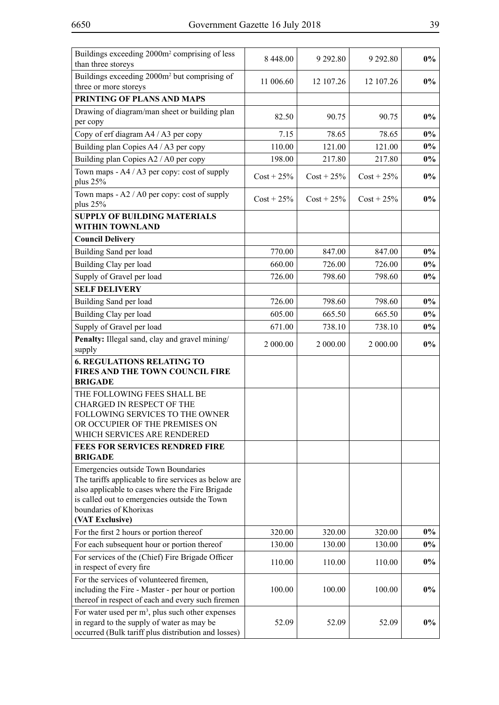| Buildings exceeding 2000m <sup>2</sup> comprising of less<br>than three storeys                                                                          | 8 448.00         | 9 29 2.80        | 9 29 2.80        | $0\%$          |
|----------------------------------------------------------------------------------------------------------------------------------------------------------|------------------|------------------|------------------|----------------|
| Buildings exceeding 2000m <sup>2</sup> but comprising of<br>three or more storeys                                                                        | 11 006.60        | 12 107.26        | 12 107.26        | $0\%$          |
| PRINTING OF PLANS AND MAPS                                                                                                                               |                  |                  |                  |                |
| Drawing of diagram/man sheet or building plan<br>per copy                                                                                                | 82.50            | 90.75            | 90.75            | $0\%$          |
| Copy of erf diagram A4 / A3 per copy                                                                                                                     | 7.15             | 78.65            | 78.65            | $0\%$          |
| Building plan Copies A4 / A3 per copy                                                                                                                    | 110.00           | 121.00           | 121.00           | $0\%$          |
| Building plan Copies A2 / A0 per copy                                                                                                                    | 198.00           | 217.80           | 217.80           | $0\%$          |
| Town maps - A4 / A3 per copy: cost of supply<br>plus 25%                                                                                                 | $Cost + 25\%$    | $Cost + 25\%$    | $Cost + 25\%$    | $0\%$          |
| Town maps - A2 / A0 per copy: cost of supply<br>plus 25%                                                                                                 | $Cost + 25\%$    | $Cost + 25\%$    | $Cost + 25\%$    | $0\%$          |
| <b>SUPPLY OF BUILDING MATERIALS</b>                                                                                                                      |                  |                  |                  |                |
| <b>WITHIN TOWNLAND</b>                                                                                                                                   |                  |                  |                  |                |
| <b>Council Delivery</b>                                                                                                                                  |                  |                  |                  |                |
| Building Sand per load                                                                                                                                   | 770.00           | 847.00           | 847.00           | $0\%$<br>$0\%$ |
| Building Clay per load<br>Supply of Gravel per load                                                                                                      | 660.00<br>726.00 | 726.00<br>798.60 | 726.00<br>798.60 | $0\%$          |
| <b>SELF DELIVERY</b>                                                                                                                                     |                  |                  |                  |                |
| Building Sand per load                                                                                                                                   | 726.00           | 798.60           | 798.60           | $0\%$          |
| Building Clay per load                                                                                                                                   | 605.00           | 665.50           | 665.50           | $0\%$          |
| Supply of Gravel per load                                                                                                                                | 671.00           | 738.10           | 738.10           | $0\%$          |
| Penalty: Illegal sand, clay and gravel mining/                                                                                                           |                  |                  |                  |                |
| supply                                                                                                                                                   | 2 000.00         | 2 000.00         | 2 000.00         | $0\%$          |
| <b>6. REGULATIONS RELATING TO</b><br>FIRES AND THE TOWN COUNCIL FIRE<br><b>BRIGADE</b>                                                                   |                  |                  |                  |                |
| THE FOLLOWING FEES SHALL BE                                                                                                                              |                  |                  |                  |                |
| <b>CHARGED IN RESPECT OF THE</b>                                                                                                                         |                  |                  |                  |                |
| FOLLOWING SERVICES TO THE OWNER<br>OR OCCUPIER OF THE PREMISES ON                                                                                        |                  |                  |                  |                |
| WHICH SERVICES ARE RENDERED                                                                                                                              |                  |                  |                  |                |
| <b>FEES FOR SERVICES RENDRED FIRE</b><br><b>BRIGADE</b>                                                                                                  |                  |                  |                  |                |
| Emergencies outside Town Boundaries                                                                                                                      |                  |                  |                  |                |
| The tariffs applicable to fire services as below are                                                                                                     |                  |                  |                  |                |
| also applicable to cases where the Fire Brigade<br>is called out to emergencies outside the Town                                                         |                  |                  |                  |                |
| boundaries of Khorixas                                                                                                                                   |                  |                  |                  |                |
| (VAT Exclusive)                                                                                                                                          |                  |                  |                  |                |
| For the first 2 hours or portion thereof                                                                                                                 | 320.00           | 320.00           | 320.00           | $0\%$          |
| For each subsequent hour or portion thereof                                                                                                              | 130.00           | 130.00           | 130.00           | $0\%$          |
| For services of the (Chief) Fire Brigade Officer<br>in respect of every fire                                                                             | 110.00           | 110.00           | 110.00           | $0\%$          |
| For the services of volunteered firemen,                                                                                                                 |                  |                  |                  | $0\%$          |
| including the Fire - Master - per hour or portion<br>thereof in respect of each and every such firemen                                                   | 100.00           | 100.00           | 100.00           |                |
| For water used per $m^3$ , plus such other expenses<br>in regard to the supply of water as may be<br>occurred (Bulk tariff plus distribution and losses) | 52.09            | 52.09            | 52.09            | $0\%$          |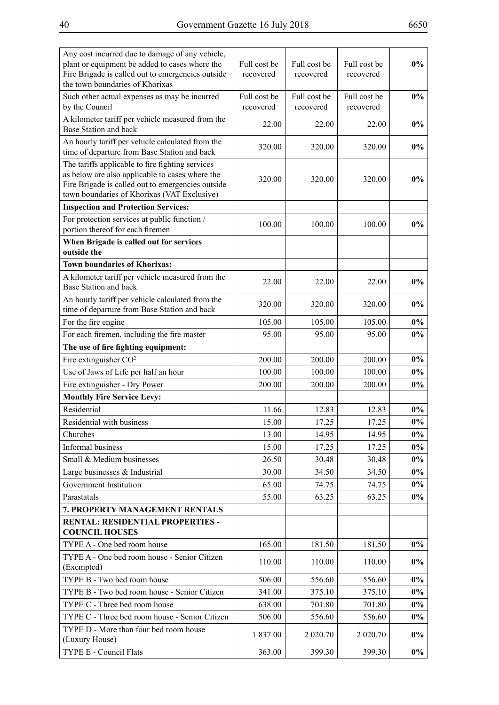| Any cost incurred due to damage of any vehicle,<br>plant or equipment be added to cases where the<br>Fire Brigade is called out to emergencies outside<br>the town boundaries of Khorixas               | Full cost be<br>recovered | Full cost be<br>recovered | Full cost be<br>recovered | $0\%$ |
|---------------------------------------------------------------------------------------------------------------------------------------------------------------------------------------------------------|---------------------------|---------------------------|---------------------------|-------|
| Such other actual expenses as may be incurred<br>by the Council                                                                                                                                         | Full cost be<br>recovered | Full cost be<br>recovered | Full cost be<br>recovered | 0%    |
| A kilometer tariff per vehicle measured from the<br>Base Station and back                                                                                                                               | 22.00                     | 22.00                     | 22.00                     | $0\%$ |
| An hourly tariff per vehicle calculated from the<br>time of departure from Base Station and back                                                                                                        | 320.00                    | 320.00                    | 320.00                    | $0\%$ |
| The tariffs applicable to fire fighting services<br>as below are also applicable to cases where the<br>Fire Brigade is called out to emergencies outside<br>town boundaries of Khorixas (VAT Exclusive) | 320.00                    | 320.00                    | 320.00                    | $0\%$ |
| <b>Inspection and Protection Services:</b>                                                                                                                                                              |                           |                           |                           |       |
| For protection services at public function /<br>portion thereof for each firemen                                                                                                                        | 100.00                    | 100.00                    | 100.00                    | $0\%$ |
| When Brigade is called out for services<br>outside the                                                                                                                                                  |                           |                           |                           |       |
| <b>Town boundaries of Khorixas:</b>                                                                                                                                                                     |                           |                           |                           |       |
| A kilometer tariff per vehicle measured from the<br>Base Station and back                                                                                                                               | 22.00                     | 22.00                     | 22.00                     | $0\%$ |
| An hourly tariff per vehicle calculated from the<br>time of departure from Base Station and back                                                                                                        | 320.00                    | 320.00                    | 320.00                    | $0\%$ |
| For the fire engine                                                                                                                                                                                     | 105.00                    | 105.00                    | 105.00                    | $0\%$ |
| For each firemen, including the fire master                                                                                                                                                             | 95.00                     | 95.00                     | 95.00                     | $0\%$ |
| The use of fire fighting equipment:                                                                                                                                                                     |                           |                           |                           |       |
| Fire extinguisher CO <sup>2</sup>                                                                                                                                                                       | 200.00                    | 200.00                    | 200.00                    | $0\%$ |
| Use of Jaws of Life per half an hour                                                                                                                                                                    | 100.00                    | 100.00                    | 100.00                    | $0\%$ |
| Fire extinguisher - Dry Power                                                                                                                                                                           | 200.00                    | 200.00                    | 200.00                    | $0\%$ |
| <b>Monthly Fire Service Levy:</b>                                                                                                                                                                       |                           |                           |                           |       |
| Residential                                                                                                                                                                                             | 11.66                     | 12.83                     | 12.83                     | $0\%$ |
| Residential with business                                                                                                                                                                               | 15.00                     | 17.25                     | 17.25                     | $0\%$ |
| Churches                                                                                                                                                                                                | 13.00                     | 14.95                     | 14.95                     | $0\%$ |
| Informal business                                                                                                                                                                                       | 15.00                     | 17.25                     | 17.25                     | $0\%$ |
| Small & Medium businesses                                                                                                                                                                               | 26.50                     | 30.48                     | 30.48                     | $0\%$ |
| Large businesses & Industrial                                                                                                                                                                           | 30.00                     | 34.50                     | 34.50                     | $0\%$ |
| Government Institution                                                                                                                                                                                  | 65.00                     | 74.75                     | 74.75                     | $0\%$ |
| Parastatals                                                                                                                                                                                             | 55.00                     | 63.25                     | 63.25                     | $0\%$ |
| 7. PROPERTY MANAGEMENT RENTALS                                                                                                                                                                          |                           |                           |                           |       |
| RENTAL: RESIDENTIAL PROPERTIES -<br><b>COUNCIL HOUSES</b>                                                                                                                                               |                           |                           |                           |       |
| TYPE A - One bed room house                                                                                                                                                                             | 165.00                    | 181.50                    | 181.50                    | $0\%$ |
| TYPE A - One bed room house - Senior Citizen<br>(Exempted)                                                                                                                                              | 110.00                    | 110.00                    | 110.00                    | $0\%$ |
| TYPE B - Two bed room house                                                                                                                                                                             | 506.00                    | 556.60                    | 556.60                    | $0\%$ |
| TYPE B - Two bed room house - Senior Citizen                                                                                                                                                            | 341.00                    | 375.10                    | 375.10                    | $0\%$ |
| TYPE C - Three bed room house                                                                                                                                                                           | 638.00                    | 701.80                    | 701.80                    | $0\%$ |
| TYPE C - Three bed room house - Senior Citizen                                                                                                                                                          | 506.00                    | 556.60                    | 556.60                    | $0\%$ |
| TYPE D - More than four bed room house<br>(Luxury House)                                                                                                                                                | 1837.00                   | 2 020.70                  | 2 0 2 0 .70               | $0\%$ |
| TYPE E - Council Flats                                                                                                                                                                                  | 363.00                    | 399.30                    | 399.30                    | $0\%$ |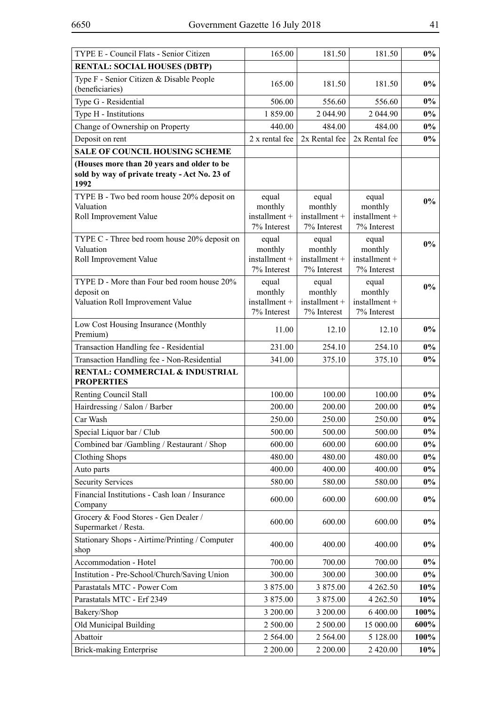| TYPE E - Council Flats - Senior Citizen                                                                                                           | 165.00                                           | 181.50                                           | 181.50                                           | $0\%$  |
|---------------------------------------------------------------------------------------------------------------------------------------------------|--------------------------------------------------|--------------------------------------------------|--------------------------------------------------|--------|
| <b>RENTAL: SOCIAL HOUSES (DBTP)</b>                                                                                                               |                                                  |                                                  |                                                  |        |
| Type F - Senior Citizen & Disable People<br>(beneficiaries)                                                                                       | 165.00                                           | 181.50                                           | 181.50                                           | $0\%$  |
| Type G - Residential                                                                                                                              | 506.00                                           | 556.60                                           | 556.60                                           | $0\%$  |
| Type H - Institutions                                                                                                                             | 1859.00                                          | 2 044.90                                         | 2 044.90                                         | $0\%$  |
| Change of Ownership on Property                                                                                                                   | 440.00                                           | 484.00                                           | 484.00                                           | $0\%$  |
| Deposit on rent                                                                                                                                   | 2 x rental fee                                   | 2x Rental fee                                    | 2x Rental fee                                    | $0\%$  |
| <b>SALE OF COUNCIL HOUSING SCHEME</b>                                                                                                             |                                                  |                                                  |                                                  |        |
| (Houses more than 20 years and older to be<br>sold by way of private treaty - Act No. 23 of<br>1992<br>TYPE B - Two bed room house 20% deposit on | equal                                            | equal                                            | equal                                            |        |
| Valuation<br>Roll Improvement Value                                                                                                               | monthly<br>installment +<br>7% Interest          | monthly<br>installment +<br>7% Interest          | monthly<br>installment +<br>7% Interest          | $0\%$  |
| TYPE C - Three bed room house 20% deposit on<br>Valuation<br>Roll Improvement Value                                                               | equal<br>monthly<br>installment +<br>7% Interest | equal<br>monthly<br>installment +<br>7% Interest | equal<br>monthly<br>installment +<br>7% Interest | $0\%$  |
| TYPE D - More than Four bed room house 20%<br>deposit on<br>Valuation Roll Improvement Value                                                      | equal<br>monthly<br>installment +<br>7% Interest | equal<br>monthly<br>installment +<br>7% Interest | equal<br>monthly<br>installment +<br>7% Interest | $0\%$  |
| Low Cost Housing Insurance (Monthly<br>Premium)                                                                                                   | 11.00                                            | 12.10                                            | 12.10                                            | $0\%$  |
| Transaction Handling fee - Residential                                                                                                            | 231.00                                           | 254.10                                           | 254.10                                           | $0\%$  |
| Transaction Handling fee - Non-Residential                                                                                                        | 341.00                                           | 375.10                                           | 375.10                                           | $0\%$  |
| RENTAL: COMMERCIAL & INDUSTRIAL<br><b>PROPERTIES</b>                                                                                              |                                                  |                                                  |                                                  |        |
| Renting Council Stall                                                                                                                             | 100.00                                           | 100.00                                           | 100.00                                           | $0\%$  |
| Hairdressing / Salon / Barber                                                                                                                     | 200.00                                           | 200.00                                           | 200.00                                           | $0\%$  |
| Car Wash                                                                                                                                          | 250.00                                           | 250.00                                           | 250.00                                           | $0\%$  |
| Special Liquor bar / Club                                                                                                                         | 500.00                                           | 500.00                                           | 500.00                                           | $0\%$  |
| Combined bar /Gambling / Restaurant / Shop                                                                                                        | 600.00                                           | 600.00                                           | 600.00                                           | $0\%$  |
| <b>Clothing Shops</b>                                                                                                                             | 480.00                                           | 480.00                                           | 480.00                                           | $0\%$  |
| Auto parts                                                                                                                                        | 400.00                                           | 400.00                                           | 400.00                                           | $0\%$  |
| <b>Security Services</b>                                                                                                                          | 580.00                                           | 580.00                                           | 580.00                                           | $0\%$  |
| Financial Institutions - Cash loan / Insurance<br>Company                                                                                         | 600.00                                           | 600.00                                           | 600.00                                           | $0\%$  |
| Grocery & Food Stores - Gen Dealer /<br>Supermarket / Resta.                                                                                      | 600.00                                           | 600.00                                           | 600.00                                           | $0\%$  |
| Stationary Shops - Airtime/Printing / Computer<br>shop                                                                                            | 400.00                                           | 400.00                                           | 400.00                                           | $0\%$  |
| Accommodation - Hotel                                                                                                                             | 700.00                                           | 700.00                                           | 700.00                                           | $0\%$  |
| Institution - Pre-School/Church/Saving Union                                                                                                      | 300.00                                           | 300.00                                           | 300.00                                           | $0\%$  |
| Parastatals MTC - Power Com                                                                                                                       | 3 875.00                                         | 3 875.00                                         | 4 2 6 2 . 5 0                                    | 10%    |
| Parastatals MTC - Erf 2349                                                                                                                        | 3 875.00                                         | 3 875.00                                         | 4 2 6 2 . 5 0                                    | $10\%$ |
| Bakery/Shop                                                                                                                                       | 3 200.00                                         | 3 200.00                                         | 6 400.00                                         | 100%   |
| Old Municipal Building                                                                                                                            | 2 500.00                                         | 2 500.00                                         | 15 000.00                                        | 600%   |
| Abattoir                                                                                                                                          | 2 5 6 4 .00                                      | 2 5 64.00                                        | 5 128.00                                         | 100%   |
| <b>Brick-making Enterprise</b>                                                                                                                    | 2 200.00                                         | 2 200.00                                         | 2 4 2 0 . 0 0                                    | 10%    |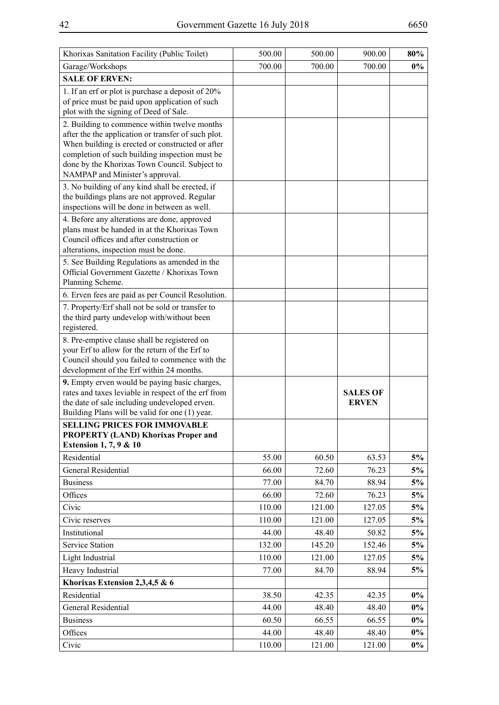| Khorixas Sanitation Facility (Public Toilet)                                                                                                                                                                                                                                                  | 500.00 | 500.00 | 900.00                          | 80%   |
|-----------------------------------------------------------------------------------------------------------------------------------------------------------------------------------------------------------------------------------------------------------------------------------------------|--------|--------|---------------------------------|-------|
| Garage/Workshops                                                                                                                                                                                                                                                                              | 700.00 | 700.00 | 700.00                          | $0\%$ |
| <b>SALE OF ERVEN:</b>                                                                                                                                                                                                                                                                         |        |        |                                 |       |
| 1. If an erf or plot is purchase a deposit of 20%<br>of price must be paid upon application of such<br>plot with the signing of Deed of Sale.                                                                                                                                                 |        |        |                                 |       |
| 2. Building to commence within twelve months<br>after the the application or transfer of such plot.<br>When building is erected or constructed or after<br>completion of such building inspection must be<br>done by the Khorixas Town Council. Subject to<br>NAMPAP and Minister's approval. |        |        |                                 |       |
| 3. No building of any kind shall be erected, if<br>the buildings plans are not approved. Regular<br>inspections will be done in between as well.                                                                                                                                              |        |        |                                 |       |
| 4. Before any alterations are done, approved<br>plans must be handed in at the Khorixas Town<br>Council offices and after construction or<br>alterations, inspection must be done.                                                                                                            |        |        |                                 |       |
| 5. See Building Regulations as amended in the<br>Official Government Gazette / Khorixas Town<br>Planning Scheme.                                                                                                                                                                              |        |        |                                 |       |
| 6. Erven fees are paid as per Council Resolution.                                                                                                                                                                                                                                             |        |        |                                 |       |
| 7. Property/Erf shall not be sold or transfer to<br>the third party undevelop with/without been<br>registered.                                                                                                                                                                                |        |        |                                 |       |
| 8. Pre-emptive clause shall be registered on<br>your Erf to allow for the return of the Erf to<br>Council should you failed to commence with the                                                                                                                                              |        |        |                                 |       |
| development of the Erf within 24 months.                                                                                                                                                                                                                                                      |        |        |                                 |       |
| 9. Empty erven would be paying basic charges,<br>rates and taxes leviable in respect of the erf from<br>the date of sale including undeveloped erven.<br>Building Plans will be valid for one (1) year.                                                                                       |        |        | <b>SALES OF</b><br><b>ERVEN</b> |       |
| SELLING PRICES FOR IMMOVABLE                                                                                                                                                                                                                                                                  |        |        |                                 |       |
| <b>PROPERTY (LAND) Khorixas Proper and</b><br><b>Extension 1, 7, 9 &amp; 10</b>                                                                                                                                                                                                               |        |        |                                 |       |
| Residential                                                                                                                                                                                                                                                                                   | 55.00  | 60.50  | 63.53                           | 5%    |
| General Residential                                                                                                                                                                                                                                                                           | 66.00  | 72.60  | 76.23                           | 5%    |
| <b>Business</b>                                                                                                                                                                                                                                                                               | 77.00  | 84.70  | 88.94                           | 5%    |
| Offices                                                                                                                                                                                                                                                                                       | 66.00  | 72.60  | 76.23                           | 5%    |
| Civic                                                                                                                                                                                                                                                                                         | 110.00 | 121.00 | 127.05                          | 5%    |
| Civic reserves                                                                                                                                                                                                                                                                                | 110.00 | 121.00 | 127.05                          | 5%    |
| Institutional                                                                                                                                                                                                                                                                                 | 44.00  | 48.40  | 50.82                           | 5%    |
| <b>Service Station</b>                                                                                                                                                                                                                                                                        | 132.00 | 145.20 | 152.46                          | 5%    |
| Light Industrial                                                                                                                                                                                                                                                                              | 110.00 | 121.00 | 127.05                          | 5%    |
| Heavy Industrial                                                                                                                                                                                                                                                                              | 77.00  | 84.70  | 88.94                           | 5%    |
| Khorixas Extension 2,3,4,5 & 6                                                                                                                                                                                                                                                                |        |        |                                 |       |
| Residential                                                                                                                                                                                                                                                                                   | 38.50  | 42.35  | 42.35                           | $0\%$ |
| General Residential                                                                                                                                                                                                                                                                           | 44.00  | 48.40  | 48.40                           | $0\%$ |
| <b>Business</b>                                                                                                                                                                                                                                                                               | 60.50  | 66.55  | 66.55                           | $0\%$ |
| Offices                                                                                                                                                                                                                                                                                       | 44.00  | 48.40  | 48.40                           | $0\%$ |
| Civic                                                                                                                                                                                                                                                                                         | 110.00 | 121.00 | 121.00                          | $0\%$ |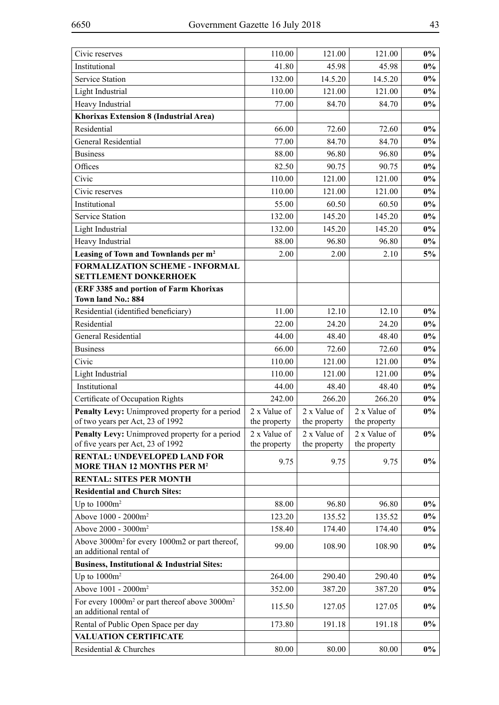| Civic reserves                                                                                   | 110.00                       | 121.00                       | 121.00                       | $0\%$ |
|--------------------------------------------------------------------------------------------------|------------------------------|------------------------------|------------------------------|-------|
| Institutional                                                                                    | 41.80                        | 45.98                        | 45.98                        | $0\%$ |
| <b>Service Station</b>                                                                           | 132.00                       | 14.5.20                      | 14.5.20                      | $0\%$ |
| Light Industrial                                                                                 | 110.00                       | 121.00                       | 121.00                       | $0\%$ |
| Heavy Industrial                                                                                 | 77.00                        | 84.70                        | 84.70                        | $0\%$ |
| Khorixas Extension 8 (Industrial Area)                                                           |                              |                              |                              |       |
| Residential                                                                                      | 66.00                        | 72.60                        | 72.60                        | $0\%$ |
| <b>General Residential</b>                                                                       | 77.00                        | 84.70                        | 84.70                        | $0\%$ |
| <b>Business</b>                                                                                  | 88.00                        | 96.80                        | 96.80                        | $0\%$ |
| Offices                                                                                          | 82.50                        | 90.75                        | 90.75                        | $0\%$ |
| Civic                                                                                            | 110.00                       | 121.00                       | 121.00                       | $0\%$ |
| Civic reserves                                                                                   | 110.00                       | 121.00                       | 121.00                       | $0\%$ |
| Institutional                                                                                    | 55.00                        | 60.50                        | 60.50                        | $0\%$ |
| <b>Service Station</b>                                                                           | 132.00                       | 145.20                       | 145.20                       | $0\%$ |
| Light Industrial                                                                                 | 132.00                       | 145.20                       | 145.20                       | $0\%$ |
| Heavy Industrial                                                                                 | 88.00                        | 96.80                        | 96.80                        | $0\%$ |
| Leasing of Town and Townlands per m <sup>2</sup>                                                 | 2.00                         | 2.00                         | 2.10                         | 5%    |
| <b>FORMALIZATION SCHEME - INFORMAL</b><br><b>SETTLEMENT DONKERHOEK</b>                           |                              |                              |                              |       |
| (ERF 3385 and portion of Farm Khorixas<br>Town land No.: 884                                     |                              |                              |                              |       |
| Residential (identified beneficiary)                                                             | 11.00                        | 12.10                        | 12.10                        | $0\%$ |
| Residential                                                                                      | 22.00                        | 24.20                        | 24.20                        | $0\%$ |
| General Residential                                                                              | 44.00                        | 48.40                        | 48.40                        | $0\%$ |
| <b>Business</b>                                                                                  | 66.00                        | 72.60                        | 72.60                        | $0\%$ |
| Civic                                                                                            | 110.00                       | 121.00                       | 121.00                       | $0\%$ |
| Light Industrial                                                                                 | 110.00                       | 121.00                       | 121.00                       | $0\%$ |
| Institutional                                                                                    | 44.00                        | 48.40                        | 48.40                        | $0\%$ |
| Certificate of Occupation Rights                                                                 | 242.00                       | 266.20                       | 266.20                       | $0\%$ |
| Penalty Levy: Unimproved property for a period<br>of two years per Act, 23 of 1992               | 2 x Value of<br>the property | 2 x Value of<br>the property | 2 x Value of<br>the property | $0\%$ |
| Penalty Levy: Unimproved property for a period<br>of five years per Act, 23 of 1992              | 2 x Value of<br>the property | 2 x Value of<br>the property | 2 x Value of<br>the property | $0\%$ |
| <b>RENTAL: UNDEVELOPED LAND FOR</b><br><b>MORE THAN 12 MONTHS PER M<sup>2</sup></b>              | 9.75                         | 9.75                         | 9.75                         | $0\%$ |
| <b>RENTAL: SITES PER MONTH</b>                                                                   |                              |                              |                              |       |
| <b>Residential and Church Sites:</b>                                                             |                              |                              |                              |       |
| Up to $1000m^2$                                                                                  | 88.00                        | 96.80                        | 96.80                        | $0\%$ |
| Above 1000 - 2000m <sup>2</sup>                                                                  | 123.20                       | 135.52                       | 135.52                       | $0\%$ |
| Above 2000 - 3000m <sup>2</sup>                                                                  | 158.40                       | 174.40                       | 174.40                       | $0\%$ |
| Above 3000m <sup>2</sup> for every 1000m2 or part thereof,<br>an additional rental of            | 99.00                        | 108.90                       | 108.90                       | $0\%$ |
| Business, Institutional & Industrial Sites:                                                      |                              |                              |                              |       |
| Up to $1000m^2$                                                                                  | 264.00                       | 290.40                       | 290.40                       | $0\%$ |
| Above 1001 - 2000m <sup>2</sup>                                                                  | 352.00                       | 387.20                       | 387.20                       | $0\%$ |
| For every 1000m <sup>2</sup> or part thereof above 3000m <sup>2</sup><br>an additional rental of | 115.50                       | 127.05                       | 127.05                       | $0\%$ |
| Rental of Public Open Space per day                                                              | 173.80                       | 191.18                       | 191.18                       | $0\%$ |
| <b>VALUATION CERTIFICATE</b>                                                                     |                              |                              |                              |       |
| Residential & Churches                                                                           | 80.00                        | 80.00                        | 80.00                        | $0\%$ |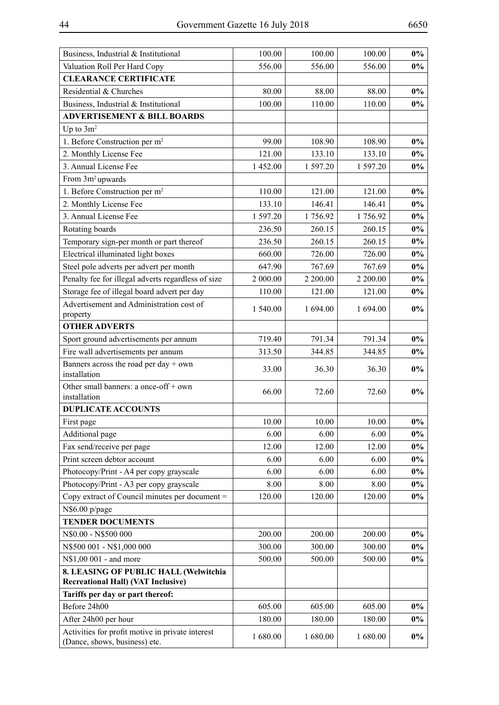| Business, Industrial & Institutional                                               | 100.00   | 100.00   | 100.00   | $0\%$ |
|------------------------------------------------------------------------------------|----------|----------|----------|-------|
| Valuation Roll Per Hard Copy                                                       | 556.00   | 556.00   | 556.00   | $0\%$ |
| <b>CLEARANCE CERTIFICATE</b>                                                       |          |          |          |       |
| Residential & Churches                                                             | 80.00    | 88.00    | 88.00    | $0\%$ |
| Business, Industrial & Institutional                                               | 100.00   | 110.00   | 110.00   | $0\%$ |
| <b>ADVERTISEMENT &amp; BILL BOARDS</b>                                             |          |          |          |       |
| Up to $3m^2$                                                                       |          |          |          |       |
| 1. Before Construction per m <sup>2</sup>                                          | 99.00    | 108.90   | 108.90   | $0\%$ |
| 2. Monthly License Fee                                                             | 121.00   | 133.10   | 133.10   | $0\%$ |
| 3. Annual License Fee                                                              | 1452.00  | 1 597.20 | 1 597.20 | $0\%$ |
| From 3m <sup>2</sup> upwards                                                       |          |          |          |       |
| 1. Before Construction per m <sup>2</sup>                                          | 110.00   | 121.00   | 121.00   | $0\%$ |
| 2. Monthly License Fee                                                             | 133.10   | 146.41   | 146.41   | $0\%$ |
| 3. Annual License Fee                                                              | 1 597.20 | 1756.92  | 1756.92  | $0\%$ |
| Rotating boards                                                                    | 236.50   | 260.15   | 260.15   | $0\%$ |
| Temporary sign-per month or part thereof                                           | 236.50   | 260.15   | 260.15   | $0\%$ |
| Electrical illuminated light boxes                                                 | 660.00   | 726.00   | 726.00   | $0\%$ |
| Steel pole adverts per advert per month                                            | 647.90   | 767.69   | 767.69   | $0\%$ |
| Penalty fee for illegal adverts regardless of size                                 | 2 000.00 | 2 200.00 | 2 200.00 | $0\%$ |
| Storage fee of illegal board advert per day                                        | 110.00   | 121.00   | 121.00   | $0\%$ |
| Advertisement and Administration cost of                                           | 1 540.00 | 1 694.00 | 1 694.00 | $0\%$ |
| property                                                                           |          |          |          |       |
| <b>OTHER ADVERTS</b>                                                               |          |          |          |       |
| Sport ground advertisements per annum                                              | 719.40   | 791.34   | 791.34   | $0\%$ |
| Fire wall advertisements per annum                                                 | 313.50   | 344.85   | 344.85   | $0\%$ |
| Banners across the road per day $+$ own<br>installation                            | 33.00    | 36.30    | 36.30    | $0\%$ |
| Other small banners: a once-off + own<br>installation                              | 66.00    | 72.60    | 72.60    | $0\%$ |
| <b>DUPLICATE ACCOUNTS</b>                                                          |          |          |          |       |
| First page                                                                         | 10.00    | 10.00    | 10.00    | $0\%$ |
| Additional page                                                                    | 6.00     | 6.00     | 6.00     | $0\%$ |
| Fax send/receive per page                                                          | 12.00    | 12.00    | 12.00    | $0\%$ |
| Print screen debtor account                                                        | 6.00     | 6.00     | 6.00     | $0\%$ |
| Photocopy/Print - A4 per copy grayscale                                            | 6.00     | 6.00     | 6.00     | $0\%$ |
| Photocopy/Print - A3 per copy grayscale                                            | 8.00     | 8.00     | 8.00     | $0\%$ |
| Copy extract of Council minutes per document =                                     | 120.00   | 120.00   | 120.00   | $0\%$ |
| N\$6.00 p/page                                                                     |          |          |          |       |
| <b>TENDER DOCUMENTS</b>                                                            |          |          |          |       |
| N\$0.00 - N\$500 000                                                               | 200.00   | 200.00   | 200.00   | $0\%$ |
| N\$500 001 - N\$1,000 000                                                          | 300.00   | 300.00   | 300.00   | $0\%$ |
| N\$1,00 001 - and more                                                             | 500.00   | 500.00   | 500.00   | $0\%$ |
| 8. LEASING OF PUBLIC HALL (Welwitchia<br><b>Recreational Hall) (VAT Inclusive)</b> |          |          |          |       |
| Tariffs per day or part thereof:                                                   |          |          |          |       |
| Before 24h00                                                                       | 605.00   | 605.00   | 605.00   | $0\%$ |
| After 24h00 per hour                                                               | 180.00   | 180.00   | 180.00   | $0\%$ |
| Activities for profit motive in private interest<br>(Dance, shows, business) etc.  | 1 680.00 | 1680.00  | 1680.00  | $0\%$ |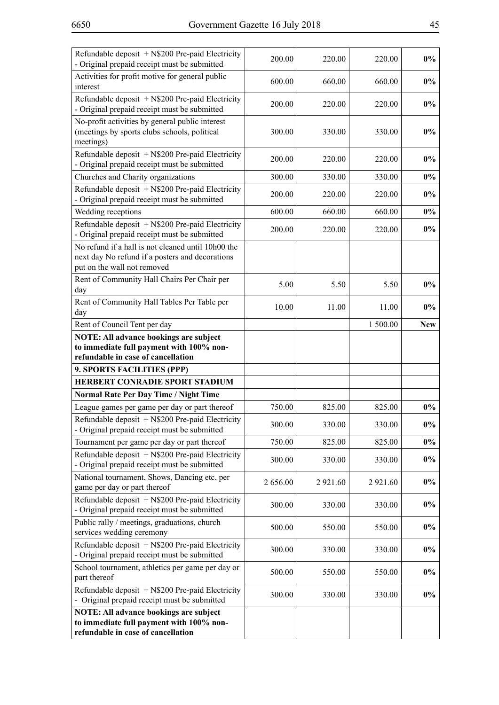| Refundable deposit $+$ N\$200 Pre-paid Electricity<br>- Original prepaid receipt must be submitted                                                            | 200.00   | 220.00      | 220.00      | $0\%$      |
|---------------------------------------------------------------------------------------------------------------------------------------------------------------|----------|-------------|-------------|------------|
| Activities for profit motive for general public<br>interest                                                                                                   | 600.00   | 660.00      | 660.00      | $0\%$      |
| Refundable deposit + N\$200 Pre-paid Electricity<br>- Original prepaid receipt must be submitted                                                              | 200.00   | 220.00      | 220.00      | $0\%$      |
| No-profit activities by general public interest<br>(meetings by sports clubs schools, political<br>meetings)                                                  | 300.00   | 330.00      | 330.00      | $0\%$      |
| Refundable deposit + N\$200 Pre-paid Electricity<br>- Original prepaid receipt must be submitted                                                              | 200.00   | 220.00      | 220.00      | $0\%$      |
| Churches and Charity organizations                                                                                                                            | 300.00   | 330.00      | 330.00      | $0\%$      |
| Refundable deposit + N\$200 Pre-paid Electricity<br>- Original prepaid receipt must be submitted                                                              | 200.00   | 220.00      | 220.00      | $0\%$      |
| Wedding receptions                                                                                                                                            | 600.00   | 660.00      | 660.00      | $0\%$      |
| Refundable deposit + N\$200 Pre-paid Electricity<br>- Original prepaid receipt must be submitted                                                              | 200.00   | 220.00      | 220.00      | $0\%$      |
| No refund if a hall is not cleaned until 10h00 the<br>next day No refund if a posters and decorations<br>put on the wall not removed                          |          |             |             |            |
| Rent of Community Hall Chairs Per Chair per<br>day                                                                                                            | 5.00     | 5.50        | 5.50        | $0\%$      |
| Rent of Community Hall Tables Per Table per<br>day                                                                                                            | 10.00    | 11.00       | 11.00       | $0\%$      |
| Rent of Council Tent per day                                                                                                                                  |          |             | 1 500.00    | <b>New</b> |
| <b>NOTE: All advance bookings are subject</b><br>to immediate full payment with 100% non-<br>refundable in case of cancellation<br>9. SPORTS FACILITIES (PPP) |          |             |             |            |
| HERBERT CONRADIE SPORT STADIUM                                                                                                                                |          |             |             |            |
| <b>Normal Rate Per Day Time / Night Time</b>                                                                                                                  |          |             |             |            |
| League games per game per day or part thereof                                                                                                                 | 750.00   | 825.00      | 825.00      | $0\%$      |
| Refundable deposit + N\$200 Pre-paid Electricity<br>- Original prepaid receipt must be submitted                                                              | 300.00   | 330.00      | 330.00      | $0\%$      |
| Tournament per game per day or part thereof                                                                                                                   | 750.00   | 825.00      | 825.00      | $0\%$      |
| Refundable deposit + N\$200 Pre-paid Electricity<br>- Original prepaid receipt must be submitted                                                              | 300.00   | 330.00      | 330.00      | $0\%$      |
| National tournament, Shows, Dancing etc, per<br>game per day or part thereof                                                                                  | 2 656.00 | 2 9 2 1 .60 | 2 9 2 1 .60 | $0\%$      |
| Refundable deposit $+$ N\$200 Pre-paid Electricity<br>- Original prepaid receipt must be submitted                                                            | 300.00   | 330.00      | 330.00      | $0\%$      |
| Public rally / meetings, graduations, church<br>services wedding ceremony                                                                                     | 500.00   | 550.00      | 550.00      | $0\%$      |
| Refundable deposit + N\$200 Pre-paid Electricity<br>- Original prepaid receipt must be submitted                                                              | 300.00   | 330.00      | 330.00      | $0\%$      |
| School tournament, athletics per game per day or<br>part thereof                                                                                              | 500.00   | 550.00      | 550.00      | $0\%$      |
| Refundable deposit + N\$200 Pre-paid Electricity<br>- Original prepaid receipt must be submitted                                                              | 300.00   | 330.00      | 330.00      | $0\%$      |
| <b>NOTE: All advance bookings are subject</b>                                                                                                                 |          |             |             |            |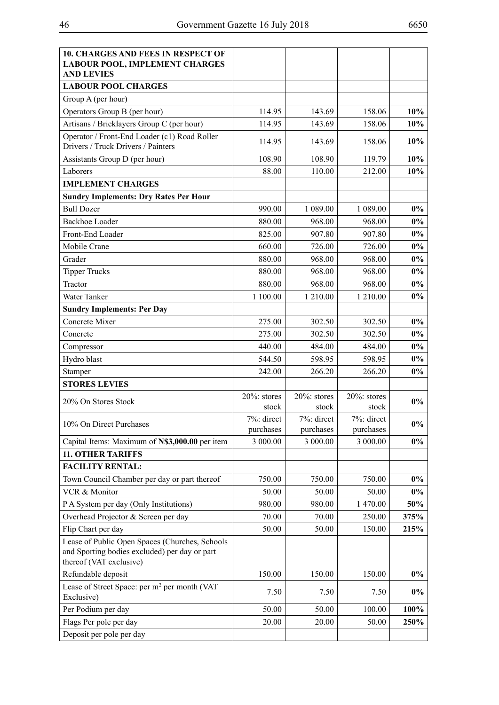| <b>10. CHARGES AND FEES IN RESPECT OF</b><br><b>LABOUR POOL, IMPLEMENT CHARGES</b><br><b>AND LEVIES</b>                    |                          |                          |                          |        |
|----------------------------------------------------------------------------------------------------------------------------|--------------------------|--------------------------|--------------------------|--------|
| <b>LABOUR POOL CHARGES</b>                                                                                                 |                          |                          |                          |        |
| Group A (per hour)                                                                                                         |                          |                          |                          |        |
| Operators Group B (per hour)                                                                                               | 114.95                   | 143.69                   | 158.06                   | $10\%$ |
| Artisans / Bricklayers Group C (per hour)                                                                                  | 114.95                   | 143.69                   | 158.06                   | 10%    |
| Operator / Front-End Loader (c1) Road Roller<br>Drivers / Truck Drivers / Painters                                         | 114.95                   | 143.69                   | 158.06                   | 10%    |
| Assistants Group D (per hour)                                                                                              | 108.90                   | 108.90                   | 119.79                   | 10%    |
| Laborers                                                                                                                   | 88.00                    | 110.00                   | 212.00                   | 10%    |
| <b>IMPLEMENT CHARGES</b>                                                                                                   |                          |                          |                          |        |
| <b>Sundry Implements: Dry Rates Per Hour</b>                                                                               |                          |                          |                          |        |
| <b>Bull Dozer</b>                                                                                                          | 990.00                   | 1 089.00                 | 1 089.00                 | $0\%$  |
| <b>Backhoe Loader</b>                                                                                                      | 880.00                   | 968.00                   | 968.00                   | $0\%$  |
| Front-End Loader                                                                                                           | 825.00                   | 907.80                   | 907.80                   | $0\%$  |
| Mobile Crane                                                                                                               | 660.00                   | 726.00                   | 726.00                   | $0\%$  |
| Grader                                                                                                                     | 880.00                   | 968.00                   | 968.00                   | $0\%$  |
| <b>Tipper Trucks</b>                                                                                                       | 880.00                   | 968.00                   | 968.00                   | $0\%$  |
| Tractor                                                                                                                    | 880.00                   | 968.00                   | 968.00                   | $0\%$  |
| Water Tanker                                                                                                               | 1 100.00                 | 1 210.00                 | 1 210.00                 | $0\%$  |
| <b>Sundry Implements: Per Day</b>                                                                                          |                          |                          |                          |        |
| Concrete Mixer                                                                                                             | 275.00                   | 302.50                   | 302.50                   | $0\%$  |
| Concrete                                                                                                                   | 275.00                   | 302.50                   | 302.50                   | $0\%$  |
| Compressor                                                                                                                 | 440.00                   | 484.00                   | 484.00                   | $0\%$  |
| Hydro blast                                                                                                                | 544.50                   | 598.95                   | 598.95                   | $0\%$  |
| Stamper                                                                                                                    | 242.00                   | 266.20                   | 266.20                   | $0\%$  |
| <b>STORES LEVIES</b>                                                                                                       |                          |                          |                          |        |
| 20% On Stores Stock                                                                                                        | $20\%$ : stores<br>stock | $20\%$ : stores<br>stock | $20\%$ : stores<br>stock | $0\%$  |
| 10% On Direct Purchases                                                                                                    | 7%: direct<br>purchases  | 7%: direct<br>purchases  | 7%: direct<br>purchases  | $0\%$  |
| Capital Items: Maximum of N\$3,000.00 per item                                                                             | 3 000.00                 | 3 000.00                 | 3 000.00                 | $0\%$  |
| <b>11. OTHER TARIFFS</b>                                                                                                   |                          |                          |                          |        |
| <b>FACILITY RENTAL:</b>                                                                                                    |                          |                          |                          |        |
| Town Council Chamber per day or part thereof                                                                               | 750.00                   | 750.00                   | 750.00                   | $0\%$  |
| VCR & Monitor                                                                                                              | 50.00                    | 50.00                    | 50.00                    | $0\%$  |
| P A System per day (Only Institutions)                                                                                     | 980.00                   | 980.00                   | 1 470.00                 | 50%    |
| Overhead Projector & Screen per day                                                                                        | 70.00                    | 70.00                    | 250.00                   | 375%   |
| Flip Chart per day                                                                                                         | 50.00                    | 50.00                    | 150.00                   | 215%   |
| Lease of Public Open Spaces (Churches, Schools<br>and Sporting bodies excluded) per day or part<br>thereof (VAT exclusive) |                          |                          |                          |        |
| Refundable deposit                                                                                                         | 150.00                   | 150.00                   | 150.00                   | $0\%$  |
| Lease of Street Space: per m <sup>2</sup> per month (VAT<br>Exclusive)                                                     | 7.50                     | 7.50                     | 7.50                     | $0\%$  |
| Per Podium per day                                                                                                         | 50.00                    | 50.00                    | 100.00                   | 100%   |
| Flags Per pole per day                                                                                                     | 20.00                    | 20.00                    | 50.00                    | 250%   |
| Deposit per pole per day                                                                                                   |                          |                          |                          |        |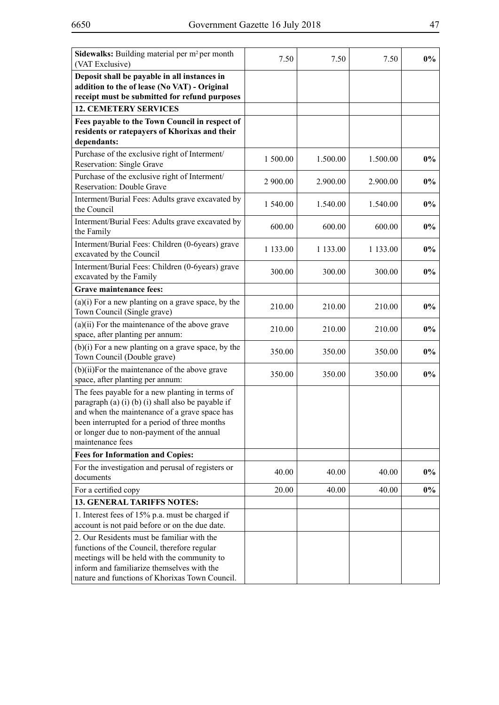| <b>Sidewalks:</b> Building material per m <sup>2</sup> per month<br>(VAT Exclusive)                                                                                                                                                                                       | 7.50     | 7.50     | 7.50     | $0\%$ |
|---------------------------------------------------------------------------------------------------------------------------------------------------------------------------------------------------------------------------------------------------------------------------|----------|----------|----------|-------|
| Deposit shall be payable in all instances in<br>addition to the of lease (No VAT) - Original<br>receipt must be submitted for refund purposes                                                                                                                             |          |          |          |       |
| <b>12. CEMETERY SERVICES</b>                                                                                                                                                                                                                                              |          |          |          |       |
| Fees payable to the Town Council in respect of                                                                                                                                                                                                                            |          |          |          |       |
| residents or ratepayers of Khorixas and their<br>dependants:                                                                                                                                                                                                              |          |          |          |       |
| Purchase of the exclusive right of Interment/                                                                                                                                                                                                                             |          |          |          |       |
| Reservation: Single Grave                                                                                                                                                                                                                                                 | 1 500.00 | 1.500.00 | 1.500.00 | $0\%$ |
| Purchase of the exclusive right of Interment/<br>Reservation: Double Grave                                                                                                                                                                                                | 2 900.00 | 2.900.00 | 2.900.00 | $0\%$ |
| Interment/Burial Fees: Adults grave excavated by<br>the Council                                                                                                                                                                                                           | 1 540.00 | 1.540.00 | 1.540.00 | $0\%$ |
| Interment/Burial Fees: Adults grave excavated by<br>the Family                                                                                                                                                                                                            | 600.00   | 600.00   | 600.00   | $0\%$ |
| Interment/Burial Fees: Children (0-6years) grave<br>excavated by the Council                                                                                                                                                                                              | 1 133.00 | 1 133.00 | 1 133.00 | $0\%$ |
| Interment/Burial Fees: Children (0-6years) grave<br>excavated by the Family                                                                                                                                                                                               | 300.00   | 300.00   | 300.00   | $0\%$ |
| <b>Grave maintenance fees:</b>                                                                                                                                                                                                                                            |          |          |          |       |
| $(a)(i)$ For a new planting on a grave space, by the<br>Town Council (Single grave)                                                                                                                                                                                       | 210.00   | 210.00   | 210.00   | $0\%$ |
| $(a)(ii)$ For the maintenance of the above grave<br>space, after planting per annum:                                                                                                                                                                                      | 210.00   | 210.00   | 210.00   | $0\%$ |
| $(b)(i)$ For a new planting on a grave space, by the<br>Town Council (Double grave)                                                                                                                                                                                       | 350.00   | 350.00   | 350.00   | $0\%$ |
| $(b)(ii)$ For the maintenance of the above grave<br>space, after planting per annum:                                                                                                                                                                                      | 350.00   | 350.00   | 350.00   | $0\%$ |
| The fees payable for a new planting in terms of<br>paragraph (a) (i) (b) (i) shall also be payable if<br>and when the maintenance of a grave space has<br>been interrupted for a period of three months<br>or longer due to non-payment of the annual<br>maintenance fees |          |          |          |       |
| <b>Fees for Information and Copies:</b>                                                                                                                                                                                                                                   |          |          |          |       |
| For the investigation and perusal of registers or<br>documents                                                                                                                                                                                                            | 40.00    | 40.00    | 40.00    | $0\%$ |
| For a certified copy                                                                                                                                                                                                                                                      | 20.00    | 40.00    | 40.00    | $0\%$ |
| <b>13. GENERAL TARIFFS NOTES:</b>                                                                                                                                                                                                                                         |          |          |          |       |
| 1. Interest fees of 15% p.a. must be charged if<br>account is not paid before or on the due date.                                                                                                                                                                         |          |          |          |       |
| 2. Our Residents must be familiar with the<br>functions of the Council, therefore regular<br>meetings will be held with the community to<br>inform and familiarize themselves with the<br>nature and functions of Khorixas Town Council.                                  |          |          |          |       |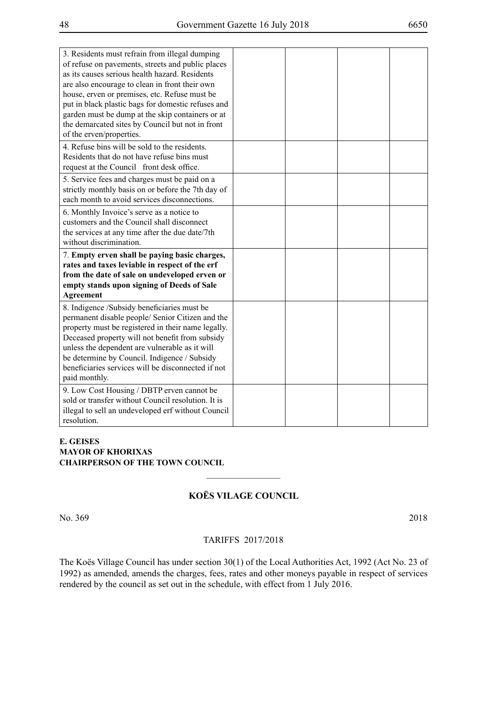| 3. Residents must refrain from illegal dumping     |  |  |
|----------------------------------------------------|--|--|
| of refuse on pavements, streets and public places  |  |  |
| as its causes serious health hazard. Residents     |  |  |
| are also encourage to clean in front their own     |  |  |
| house, erven or premises, etc. Refuse must be      |  |  |
| put in black plastic bags for domestic refuses and |  |  |
| garden must be dump at the skip containers or at   |  |  |
| the demarcated sites by Council but not in front   |  |  |
| of the erven/properties.                           |  |  |
| 4. Refuse bins will be sold to the residents.      |  |  |
| Residents that do not have refuse bins must        |  |  |
| request at the Council front desk office.          |  |  |
| 5. Service fees and charges must be paid on a      |  |  |
| strictly monthly basis on or before the 7th day of |  |  |
| each month to avoid services disconnections.       |  |  |
| 6. Monthly Invoice's serve as a notice to          |  |  |
| customers and the Council shall disconnect         |  |  |
| the services at any time after the due date/7th    |  |  |
| without discrimination.                            |  |  |
| 7. Empty erven shall be paying basic charges,      |  |  |
| rates and taxes leviable in respect of the erf     |  |  |
| from the date of sale on undeveloped erven or      |  |  |
| empty stands upon signing of Deeds of Sale         |  |  |
| <b>Agreement</b>                                   |  |  |
| 8. Indigence /Subsidy beneficiaries must be        |  |  |
| permanent disable people/ Senior Citizen and the   |  |  |
| property must be registered in their name legally. |  |  |
| Deceased property will not benefit from subsidy    |  |  |
| unless the dependent are vulnerable as it will     |  |  |
| be determine by Council. Indigence / Subsidy       |  |  |
| beneficiaries services will be disconnected if not |  |  |
| paid monthly.                                      |  |  |
| 9. Low Cost Housing / DBTP erven cannot be         |  |  |
| sold or transfer without Council resolution. It is |  |  |
| illegal to sell an undeveloped erf without Council |  |  |
| resolution.                                        |  |  |

#### **E. GEISES MAYOR OF KHORIXAS CHAIRPERSON OF THE TOWN COUNCIL**

# **KOËS VILAGE COUNCIL**

 $\frac{1}{2}$ 

No. 369 2018

#### TARIFFS 2017/2018

The Koës Village Council has under section 30(1) of the Local Authorities Act, 1992 (Act No. 23 of 1992) as amended, amends the charges, fees, rates and other moneys payable in respect of services rendered by the council as set out in the schedule, with effect from 1 July 2016.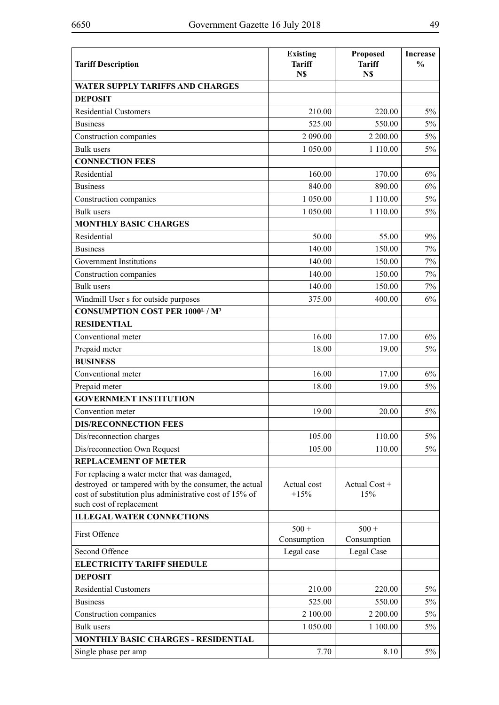| <b>Tariff Description</b>                                                                                                                                                                      | <b>Existing</b><br><b>Tariff</b><br>N\$ | Proposed<br><b>Tariff</b><br>N\$ | <b>Increase</b><br>$\frac{0}{0}$ |
|------------------------------------------------------------------------------------------------------------------------------------------------------------------------------------------------|-----------------------------------------|----------------------------------|----------------------------------|
| <b>WATER SUPPLY TARIFFS AND CHARGES</b>                                                                                                                                                        |                                         |                                  |                                  |
| <b>DEPOSIT</b>                                                                                                                                                                                 |                                         |                                  |                                  |
| <b>Residential Customers</b>                                                                                                                                                                   | 210.00                                  | 220.00                           | $5\%$                            |
| <b>Business</b>                                                                                                                                                                                | 525.00                                  | 550.00                           | $5\%$                            |
| Construction companies                                                                                                                                                                         | 2 090.00                                | 2 200.00                         | $5\%$                            |
| <b>Bulk</b> users                                                                                                                                                                              | 1 050.00                                | 1 110.00                         | 5%                               |
| <b>CONNECTION FEES</b>                                                                                                                                                                         |                                         |                                  |                                  |
| Residential                                                                                                                                                                                    | 160.00                                  | 170.00                           | 6%                               |
| <b>Business</b>                                                                                                                                                                                | 840.00                                  | 890.00                           | 6%                               |
| Construction companies                                                                                                                                                                         | 1 050.00                                | 1 110.00                         | $5\%$                            |
| <b>Bulk</b> users                                                                                                                                                                              | 1 050.00                                | 1 110.00                         | $5\%$                            |
| <b>MONTHLY BASIC CHARGES</b>                                                                                                                                                                   |                                         |                                  |                                  |
| Residential                                                                                                                                                                                    | 50.00                                   | 55.00                            | 9%                               |
| <b>Business</b>                                                                                                                                                                                | 140.00                                  | 150.00                           | $7\%$                            |
| Government Institutions                                                                                                                                                                        | 140.00                                  | 150.00                           | 7%                               |
| Construction companies                                                                                                                                                                         | 140.00                                  | 150.00                           | 7%                               |
| <b>Bulk</b> users                                                                                                                                                                              | 140.00                                  | 150.00                           | $7\%$                            |
| Windmill User s for outside purposes                                                                                                                                                           | 375.00                                  | 400.00                           | 6%                               |
| <b>CONSUMPTION COST PER 1000L / M<sup>3</sup></b>                                                                                                                                              |                                         |                                  |                                  |
| <b>RESIDENTIAL</b>                                                                                                                                                                             |                                         |                                  |                                  |
| Conventional meter                                                                                                                                                                             | 16.00                                   | 17.00                            | $6\%$                            |
| Prepaid meter                                                                                                                                                                                  | 18.00                                   | 19.00                            | 5%                               |
| <b>BUSINESS</b>                                                                                                                                                                                |                                         |                                  |                                  |
| Conventional meter                                                                                                                                                                             | 16.00                                   | 17.00                            | 6%                               |
| Prepaid meter                                                                                                                                                                                  | 18.00                                   | 19.00                            | 5%                               |
| <b>GOVERNMENT INSTITUTION</b>                                                                                                                                                                  |                                         |                                  |                                  |
| Convention meter                                                                                                                                                                               | 19.00                                   | 20.00                            | $5\%$                            |
| <b>DIS/RECONNECTION FEES</b>                                                                                                                                                                   |                                         |                                  |                                  |
| Dis/reconnection charges                                                                                                                                                                       | 105.00                                  | 110.00                           | $5\%$                            |
| Dis/reconnection Own Request                                                                                                                                                                   | 105.00                                  | 110.00                           | $5\%$                            |
| <b>REPLACEMENT OF METER</b>                                                                                                                                                                    |                                         |                                  |                                  |
| For replacing a water meter that was damaged,<br>destroyed or tampered with by the consumer, the actual<br>cost of substitution plus administrative cost of 15% of<br>such cost of replacement | Actual cost<br>$+15%$                   | Actual Cost +<br>15%             |                                  |
| <b>ILLEGAL WATER CONNECTIONS</b>                                                                                                                                                               |                                         |                                  |                                  |
| First Offence                                                                                                                                                                                  | $500 +$                                 | $500 +$                          |                                  |
|                                                                                                                                                                                                | Consumption                             | Consumption                      |                                  |
| Second Offence                                                                                                                                                                                 | Legal case                              | Legal Case                       |                                  |
| <b>ELECTRICITY TARIFF SHEDULE</b>                                                                                                                                                              |                                         |                                  |                                  |
| <b>DEPOSIT</b>                                                                                                                                                                                 |                                         |                                  |                                  |
| <b>Residential Customers</b>                                                                                                                                                                   | 210.00                                  | 220.00                           | $5\%$                            |
| <b>Business</b>                                                                                                                                                                                | 525.00                                  | 550.00                           | $5\%$                            |
| Construction companies                                                                                                                                                                         | 2 100.00                                | 2 200.00                         | $5\%$                            |
| <b>Bulk</b> users                                                                                                                                                                              | 1 050.00                                | 1 100.00                         | $5\%$                            |
| <b>MONTHLY BASIC CHARGES - RESIDENTIAL</b>                                                                                                                                                     |                                         |                                  |                                  |
| Single phase per amp                                                                                                                                                                           | 7.70                                    | 8.10                             | $5\%$                            |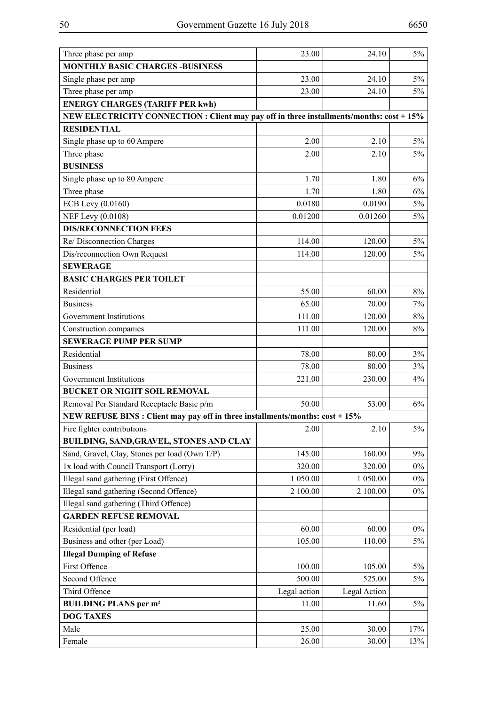| Three phase per amp                                                                      | 23.00        | 24.10        | 5%    |
|------------------------------------------------------------------------------------------|--------------|--------------|-------|
| <b>MONTHLY BASIC CHARGES -BUSINESS</b>                                                   |              |              |       |
| Single phase per amp                                                                     | 23.00        | 24.10        | $5\%$ |
| Three phase per amp                                                                      | 23.00        | 24.10        | $5\%$ |
| <b>ENERGY CHARGES (TARIFF PER kwh)</b>                                                   |              |              |       |
| NEW ELECTRICITY CONNECTION : Client may pay off in three installments/months: cost + 15% |              |              |       |
| <b>RESIDENTIAL</b>                                                                       |              |              |       |
| Single phase up to 60 Ampere                                                             | 2.00         | 2.10         | $5\%$ |
| Three phase                                                                              | 2.00         | 2.10         | 5%    |
| <b>BUSINESS</b>                                                                          |              |              |       |
| Single phase up to 80 Ampere                                                             | 1.70         | 1.80         | $6\%$ |
| Three phase                                                                              | 1.70         | 1.80         | $6\%$ |
| ECB Levy (0.0160)                                                                        | 0.0180       | 0.0190       | 5%    |
| NEF Levy (0.0108)                                                                        | 0.01200      | 0.01260      | $5\%$ |
| <b>DIS/RECONNECTION FEES</b>                                                             |              |              |       |
| Re/ Disconnection Charges                                                                | 114.00       | 120.00       | $5\%$ |
| Dis/reconnection Own Request                                                             | 114.00       | 120.00       | 5%    |
| <b>SEWERAGE</b>                                                                          |              |              |       |
| <b>BASIC CHARGES PER TOILET</b>                                                          |              |              |       |
| Residential                                                                              | 55.00        | 60.00        | 8%    |
| <b>Business</b>                                                                          | 65.00        | 70.00        | 7%    |
| Government Institutions                                                                  | 111.00       | 120.00       | 8%    |
| Construction companies                                                                   | 111.00       | 120.00       | 8%    |
| <b>SEWERAGE PUMP PER SUMP</b>                                                            |              |              |       |
| Residential                                                                              | 78.00        | 80.00        | $3\%$ |
| <b>Business</b>                                                                          | 78.00        | 80.00        | $3\%$ |
| Government Institutions                                                                  | 221.00       | 230.00       | 4%    |
| <b>BUCKET OR NIGHT SOIL REMOVAL</b>                                                      |              |              |       |
| Removal Per Standard Receptacle Basic p/m                                                | 50.00        | 53.00        | 6%    |
| NEW REFUSE BINS : Client may pay off in three installments/months: cost + 15%            |              |              |       |
| Fire fighter contributions                                                               | 2.00         | 2.10         | 5%    |
| BUILDING, SAND, GRAVEL, STONES AND CLAY                                                  |              |              |       |
| Sand, Gravel, Clay, Stones per load (Own T/P)                                            | 145.00       | 160.00       | 9%    |
| 1x load with Council Transport (Lorry)                                                   | 320.00       | 320.00       | $0\%$ |
| Illegal sand gathering (First Offence)                                                   | 1 050.00     | 1 050.00     | $0\%$ |
| Illegal sand gathering (Second Offence)                                                  | 2 100.00     | 2 100.00     | $0\%$ |
| Illegal sand gathering (Third Offence)                                                   |              |              |       |
| <b>GARDEN REFUSE REMOVAL</b>                                                             |              |              |       |
| Residential (per load)                                                                   | 60.00        | 60.00        | $0\%$ |
| Business and other (per Load)                                                            | 105.00       | 110.00       | 5%    |
| <b>Illegal Dumping of Refuse</b>                                                         |              |              |       |
| First Offence                                                                            | 100.00       | 105.00       | 5%    |
| Second Offence                                                                           | 500.00       | 525.00       | 5%    |
| Third Offence                                                                            | Legal action | Legal Action |       |
| <b>BUILDING PLANS per m<sup>2</sup></b>                                                  | 11.00        | 11.60        | 5%    |
| <b>DOG TAXES</b>                                                                         |              |              |       |
| Male                                                                                     | 25.00        | 30.00        | 17%   |
| Female                                                                                   | 26.00        | 30.00        | 13%   |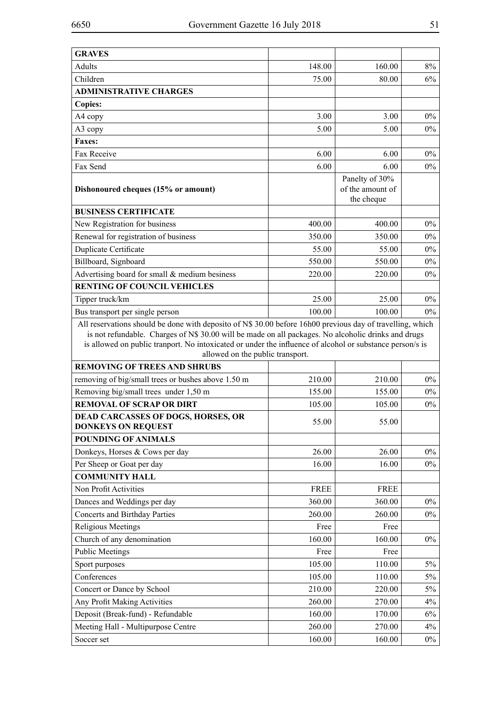| <b>GRAVES</b>                                                                                                                                                                                                                                                                                                                                                    |             |                                                  |       |
|------------------------------------------------------------------------------------------------------------------------------------------------------------------------------------------------------------------------------------------------------------------------------------------------------------------------------------------------------------------|-------------|--------------------------------------------------|-------|
| Adults                                                                                                                                                                                                                                                                                                                                                           | 148.00      | 160.00                                           | 8%    |
| Children                                                                                                                                                                                                                                                                                                                                                         | 75.00       | 80.00                                            | 6%    |
| <b>ADMINISTRATIVE CHARGES</b>                                                                                                                                                                                                                                                                                                                                    |             |                                                  |       |
| <b>Copies:</b>                                                                                                                                                                                                                                                                                                                                                   |             |                                                  |       |
| A4 copy                                                                                                                                                                                                                                                                                                                                                          | 3.00        | 3.00                                             | $0\%$ |
| A3 copy                                                                                                                                                                                                                                                                                                                                                          | 5.00        | 5.00                                             | $0\%$ |
| <b>Faxes:</b>                                                                                                                                                                                                                                                                                                                                                    |             |                                                  |       |
| Fax Receive                                                                                                                                                                                                                                                                                                                                                      | 6.00        | 6.00                                             | $0\%$ |
| Fax Send                                                                                                                                                                                                                                                                                                                                                         | 6.00        | 6.00                                             | $0\%$ |
| Dishonoured cheques (15% or amount)                                                                                                                                                                                                                                                                                                                              |             | Panelty of 30%<br>of the amount of<br>the cheque |       |
| <b>BUSINESS CERTIFICATE</b>                                                                                                                                                                                                                                                                                                                                      |             |                                                  |       |
| New Registration for business                                                                                                                                                                                                                                                                                                                                    | 400.00      | 400.00                                           | $0\%$ |
| Renewal for registration of business                                                                                                                                                                                                                                                                                                                             | 350.00      | 350.00                                           | $0\%$ |
| Duplicate Certificate                                                                                                                                                                                                                                                                                                                                            | 55.00       | 55.00                                            | $0\%$ |
| Billboard, Signboard                                                                                                                                                                                                                                                                                                                                             | 550.00      | 550.00                                           | $0\%$ |
| Advertising board for small & medium besiness                                                                                                                                                                                                                                                                                                                    | 220.00      | 220.00                                           | $0\%$ |
| <b>RENTING OF COUNCIL VEHICLES</b>                                                                                                                                                                                                                                                                                                                               |             |                                                  |       |
| Tipper truck/km                                                                                                                                                                                                                                                                                                                                                  | 25.00       | 25.00                                            | $0\%$ |
| Bus transport per single person                                                                                                                                                                                                                                                                                                                                  | 100.00      | 100.00                                           | $0\%$ |
| All reservations should be done with deposito of N\$ 30.00 before 16h00 previous day of travelling, which<br>is not refundable. Charges of N\$ 30.00 will be made on all packages. No alcoholic drinks and drugs<br>is allowed on public tranport. No intoxicated or under the influence of alcohol or substance person/s is<br>allowed on the public transport. |             |                                                  |       |
| <b>REMOVING OF TREES AND SHRUBS</b>                                                                                                                                                                                                                                                                                                                              |             |                                                  |       |
| removing of big/small trees or bushes above 1.50 m                                                                                                                                                                                                                                                                                                               | 210.00      | 210.00                                           | $0\%$ |
| Removing big/small trees under 1,50 m                                                                                                                                                                                                                                                                                                                            | 155.00      | 155.00                                           | $0\%$ |
| <b>REMOVAL OF SCRAP OR DIRT</b>                                                                                                                                                                                                                                                                                                                                  | 105.00      | 105.00                                           | $0\%$ |
| <b>DEAD CARCASSES OF DOGS, HORSES, OR</b><br><b>DONKEYS ON REQUEST</b>                                                                                                                                                                                                                                                                                           | 55.00       | 55.00                                            |       |
| <b>POUNDING OF ANIMALS</b>                                                                                                                                                                                                                                                                                                                                       |             |                                                  |       |
| Donkeys, Horses & Cows per day                                                                                                                                                                                                                                                                                                                                   | 26.00       | 26.00                                            | $0\%$ |
| Per Sheep or Goat per day                                                                                                                                                                                                                                                                                                                                        | 16.00       | 16.00                                            | $0\%$ |
| <b>COMMUNITY HALL</b>                                                                                                                                                                                                                                                                                                                                            |             |                                                  |       |
| Non Profit Activities                                                                                                                                                                                                                                                                                                                                            | <b>FREE</b> | FREE                                             |       |
| Dances and Weddings per day                                                                                                                                                                                                                                                                                                                                      | 360.00      | 360.00                                           | $0\%$ |
| <b>Concerts and Birthday Parties</b>                                                                                                                                                                                                                                                                                                                             | 260.00      | 260.00                                           | $0\%$ |
| <b>Religious Meetings</b>                                                                                                                                                                                                                                                                                                                                        | Free        | Free                                             |       |
| Church of any denomination                                                                                                                                                                                                                                                                                                                                       | 160.00      | 160.00                                           | $0\%$ |
| <b>Public Meetings</b>                                                                                                                                                                                                                                                                                                                                           | Free        | Free                                             |       |
| Sport purposes                                                                                                                                                                                                                                                                                                                                                   | 105.00      | 110.00                                           | $5\%$ |
| Conferences                                                                                                                                                                                                                                                                                                                                                      | 105.00      | 110.00                                           | $5\%$ |
| Concert or Dance by School                                                                                                                                                                                                                                                                                                                                       | 210.00      | 220.00                                           | $5\%$ |
| Any Profit Making Activities                                                                                                                                                                                                                                                                                                                                     | 260.00      | 270.00                                           | 4%    |
| Deposit (Break-fund) - Refundable                                                                                                                                                                                                                                                                                                                                | 160.00      | 170.00                                           | $6\%$ |
| Meeting Hall - Multipurpose Centre                                                                                                                                                                                                                                                                                                                               | 260.00      | 270.00                                           | 4%    |
| Soccer set                                                                                                                                                                                                                                                                                                                                                       | 160.00      | 160.00                                           | $0\%$ |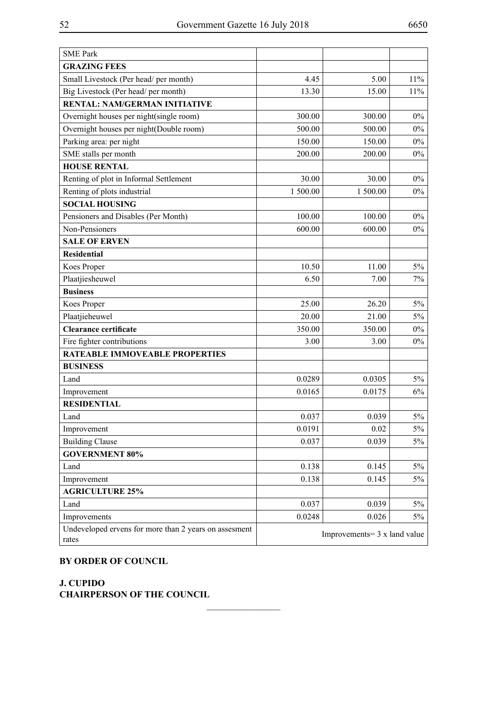| <b>SME Park</b>                                                |                                      |          |       |
|----------------------------------------------------------------|--------------------------------------|----------|-------|
| <b>GRAZING FEES</b>                                            |                                      |          |       |
| Small Livestock (Per head/ per month)                          | 4.45                                 | 5.00     | 11%   |
| Big Livestock (Per head/ per month)                            | 13.30                                | 15.00    | 11%   |
| <b>RENTAL: NAM/GERMAN INITIATIVE</b>                           |                                      |          |       |
| Overnight houses per night(single room)                        | 300.00                               | 300.00   | $0\%$ |
| Overnight houses per night(Double room)                        | 500.00                               | 500.00   | $0\%$ |
| Parking area: per night                                        | 150.00                               | 150.00   | $0\%$ |
| SME stalls per month                                           | 200.00                               | 200.00   | $0\%$ |
| <b>HOUSE RENTAL</b>                                            |                                      |          |       |
| Renting of plot in Informal Settlement                         | 30.00                                | 30.00    | $0\%$ |
| Renting of plots industrial                                    | 1 500.00                             | 1 500.00 | $0\%$ |
| <b>SOCIAL HOUSING</b>                                          |                                      |          |       |
| Pensioners and Disables (Per Month)                            | 100.00                               | 100.00   | $0\%$ |
| Non-Pensioners                                                 | 600.00                               | 600.00   | $0\%$ |
| <b>SALE OF ERVEN</b>                                           |                                      |          |       |
| <b>Residential</b>                                             |                                      |          |       |
| Koes Proper                                                    | 10.50                                | 11.00    | $5\%$ |
| Plaatjiesheuwel                                                | 6.50                                 | 7.00     | 7%    |
| <b>Business</b>                                                |                                      |          |       |
| Koes Proper                                                    | 25.00                                | 26.20    | $5\%$ |
| Plaatjieheuwel                                                 | 20.00                                | 21.00    | $5\%$ |
| <b>Clearance certificate</b>                                   | 350.00                               | 350.00   | $0\%$ |
| Fire fighter contributions                                     | 3.00                                 | 3.00     | $0\%$ |
| <b>RATEABLE IMMOVEABLE PROPERTIES</b>                          |                                      |          |       |
| <b>BUSINESS</b>                                                |                                      |          |       |
| Land                                                           | 0.0289                               | 0.0305   | $5\%$ |
| Improvement                                                    | 0.0165                               | 0.0175   | 6%    |
| <b>RESIDENTIAL</b>                                             |                                      |          |       |
| Land                                                           | 0.037                                | 0.039    | $5\%$ |
| Improvement                                                    | 0.0191                               | 0.02     | $5\%$ |
| <b>Building Clause</b>                                         | 0.037                                | 0.039    | $5\%$ |
| <b>GOVERNMENT 80%</b>                                          |                                      |          |       |
| Land                                                           | 0.138                                | 0.145    | $5\%$ |
| Improvement                                                    | 0.138                                | 0.145    | 5%    |
| <b>AGRICULTURE 25%</b>                                         |                                      |          |       |
| Land                                                           | 0.037                                | 0.039    | $5\%$ |
| Improvements                                                   | 0.0248                               | 0.026    | 5%    |
| Undeveloped ervens for more than 2 years on assesment<br>rates | Improvements = $3 \times$ land value |          |       |

 $\frac{1}{2}$ 

# **BY ORDER OF COUNCIL**

**J. Cupido Chairperson of the Council**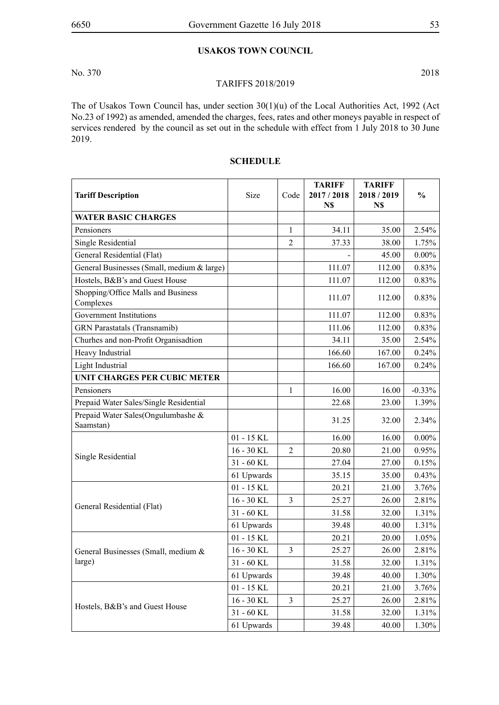# **USAKOS TOWN COUNCIL**

No. 370 2018

#### TARIFFS 2018/2019

The of Usakos Town Council has, under section 30(1)(u) of the Local Authorities Act, 1992 (Act No.23 of 1992) as amended, amended the charges, fees, rates and other moneys payable in respect of services rendered by the council as set out in the schedule with effect from 1 July 2018 to 30 June 2019.

| <b>Tariff Description</b>                       | Size         | Code           | <b>TARIFF</b><br>2017 / 2018<br>N\$ | <b>TARIFF</b><br>2018/2019<br>N\$ | $\frac{0}{0}$ |
|-------------------------------------------------|--------------|----------------|-------------------------------------|-----------------------------------|---------------|
| <b>WATER BASIC CHARGES</b>                      |              |                |                                     |                                   |               |
| Pensioners                                      |              | $\mathbf{1}$   | 34.11                               | 35.00                             | 2.54%         |
| Single Residential                              |              | $\overline{2}$ | 37.33                               | 38.00                             | 1.75%         |
| General Residential (Flat)                      |              |                |                                     | 45.00                             | $0.00\%$      |
| General Businesses (Small, medium & large)      |              |                | 111.07                              | 112.00                            | 0.83%         |
| Hostels, B&B's and Guest House                  |              |                | 111.07                              | 112.00                            | 0.83%         |
| Shopping/Office Malls and Business<br>Complexes |              |                | 111.07                              | 112.00                            | 0.83%         |
| <b>Government Institutions</b>                  |              |                | 111.07                              | 112.00                            | 0.83%         |
| GRN Parastatals (Transnamib)                    |              |                | 111.06                              | 112.00                            | 0.83%         |
| Churhes and non-Profit Organisadtion            |              |                | 34.11                               | 35.00                             | 2.54%         |
| Heavy Industrial                                |              |                | 166.60                              | 167.00                            | 0.24%         |
| Light Industrial                                |              |                | 166.60                              | 167.00                            | 0.24%         |
| UNIT CHARGES PER CUBIC METER                    |              |                |                                     |                                   |               |
| Pensioners                                      |              | 1              | 16.00                               | 16.00                             | $-0.33%$      |
| Prepaid Water Sales/Single Residential          |              |                | 22.68                               | 23.00                             | 1.39%         |
| Prepaid Water Sales(Ongulumbashe &<br>Saamstan) |              |                | 31.25                               | 32.00                             | 2.34%         |
|                                                 | $01 - 15$ KL |                | 16.00                               | 16.00                             | $0.00\%$      |
|                                                 | $16 - 30$ KL | $\mathfrak{2}$ | 20.80                               | 21.00                             | 0.95%         |
| Single Residential                              | 31 - 60 KL   |                | 27.04                               | 27.00                             | 0.15%         |
|                                                 | 61 Upwards   |                | 35.15                               | 35.00                             | $0.43\%$      |
|                                                 | $01 - 15$ KL |                | 20.21                               | 21.00                             | 3.76%         |
|                                                 | 16 - 30 KL   | 3              | 25.27                               | 26.00                             | 2.81%         |
| General Residential (Flat)                      | 31 - 60 KL   |                | 31.58                               | 32.00                             | 1.31%         |
|                                                 | 61 Upwards   |                | 39.48                               | 40.00                             | 1.31%         |
|                                                 | $01 - 15$ KL |                | 20.21                               | 20.00                             | 1.05%         |
| General Businesses (Small, medium &             | 16 - 30 KL   | 3              | 25.27                               | 26.00                             | 2.81%         |
| large)                                          | 31 - 60 KL   |                | 31.58                               | 32.00                             | 1.31%         |
|                                                 | 61 Upwards   |                | 39.48                               | 40.00                             | 1.30%         |
|                                                 | $01 - 15$ KL |                | 20.21                               | 21.00                             | 3.76%         |
| Hostels, B&B's and Guest House                  | 16 - 30 KL   | $\mathfrak{Z}$ | 25.27                               | 26.00                             | 2.81%         |
|                                                 | 31 - 60 KL   |                | 31.58                               | 32.00                             | 1.31%         |
|                                                 | 61 Upwards   |                | 39.48                               | 40.00                             | 1.30%         |

# **SCHEDULE**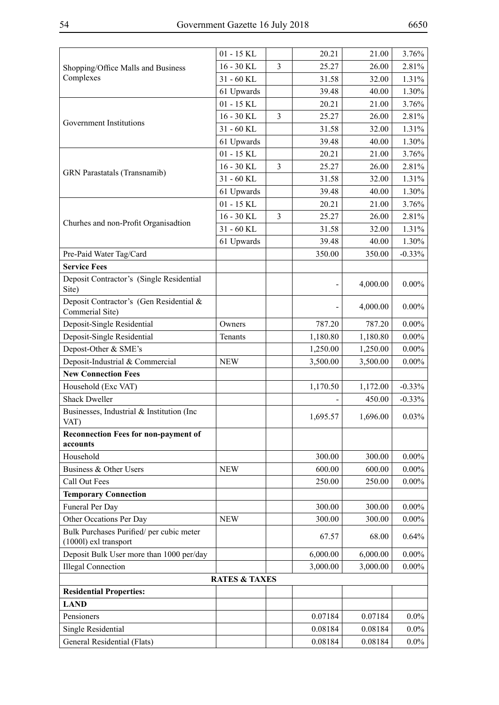|                                                                   | $01 - 15$ KL             |   | 20.21    | 21.00    | 3.76%    |
|-------------------------------------------------------------------|--------------------------|---|----------|----------|----------|
| Shopping/Office Malls and Business                                | 16 - 30 KL               | 3 | 25.27    | 26.00    | 2.81%    |
| Complexes                                                         | 31 - 60 KL               |   | 31.58    | 32.00    | 1.31%    |
|                                                                   | 61 Upwards               |   | 39.48    | 40.00    | 1.30%    |
|                                                                   | $01 - 15$ KL             |   | 20.21    | 21.00    | 3.76%    |
|                                                                   | 16 - 30 KL               | 3 | 25.27    | 26.00    | 2.81%    |
| Government Institutions                                           | 31 - 60 KL               |   | 31.58    | 32.00    | 1.31%    |
|                                                                   | 61 Upwards               |   | 39.48    | 40.00    | 1.30%    |
|                                                                   | $01 - 15$ KL             |   | 20.21    | 21.00    | 3.76%    |
|                                                                   | 16 - 30 KL               | 3 | 25.27    | 26.00    | 2.81%    |
| <b>GRN</b> Parastatals (Transnamib)                               | 31 - 60 KL               |   | 31.58    | 32.00    | 1.31%    |
|                                                                   | 61 Upwards               |   | 39.48    | 40.00    | 1.30%    |
|                                                                   | $01 - 15$ KL             |   | 20.21    | 21.00    | 3.76%    |
|                                                                   | 16 - 30 KL               | 3 | 25.27    | 26.00    | 2.81%    |
| Churhes and non-Profit Organisadtion                              | 31 - 60 KL               |   | 31.58    | 32.00    | 1.31%    |
|                                                                   | 61 Upwards               |   | 39.48    | 40.00    | 1.30%    |
| Pre-Paid Water Tag/Card                                           |                          |   | 350.00   | 350.00   | $-0.33%$ |
| <b>Service Fees</b>                                               |                          |   |          |          |          |
| Deposit Contractor's (Single Residential<br>Site)                 |                          |   |          | 4,000.00 | $0.00\%$ |
| Deposit Contractor's (Gen Residential &<br>Commerial Site)        |                          |   |          | 4,000.00 | $0.00\%$ |
| Deposit-Single Residential                                        | Owners                   |   | 787.20   | 787.20   | $0.00\%$ |
| Deposit-Single Residential                                        | Tenants                  |   | 1,180.80 | 1,180.80 | $0.00\%$ |
| Depost-Other & SME's                                              |                          |   | 1,250.00 | 1,250.00 | $0.00\%$ |
| Deposit-Industrial & Commercial                                   | <b>NEW</b>               |   | 3,500.00 | 3,500.00 | $0.00\%$ |
| <b>New Connection Fees</b>                                        |                          |   |          |          |          |
| Household (Exc VAT)                                               |                          |   | 1,170.50 | 1,172.00 | $-0.33%$ |
| <b>Shack Dweller</b>                                              |                          |   |          | 450.00   | $-0.33%$ |
| Businesses, Industrial & Institution (Inc.<br>VAT)                |                          |   | 1,695.57 | 1,696.00 | $0.03\%$ |
| <b>Reconnection Fees for non-payment of</b><br>accounts           |                          |   |          |          |          |
| Household                                                         |                          |   | 300.00   | 300.00   | $0.00\%$ |
| Business & Other Users                                            | <b>NEW</b>               |   | 600.00   | 600.00   | $0.00\%$ |
| Call Out Fees                                                     |                          |   | 250.00   | 250.00   | $0.00\%$ |
| <b>Temporary Connection</b>                                       |                          |   |          |          |          |
| Funeral Per Day                                                   |                          |   | 300.00   | 300.00   | $0.00\%$ |
| Other Occations Per Day                                           | <b>NEW</b>               |   | 300.00   | 300.00   | $0.00\%$ |
| Bulk Purchases Purified/ per cubic meter<br>(1000l) exl transport |                          |   | 67.57    | 68.00    | 0.64%    |
| Deposit Bulk User more than 1000 per/day                          |                          |   | 6,000.00 | 6,000.00 | $0.00\%$ |
| <b>Illegal Connection</b>                                         |                          |   | 3,000.00 | 3,000.00 | $0.00\%$ |
|                                                                   | <b>RATES &amp; TAXES</b> |   |          |          |          |
| <b>Residential Properties:</b>                                    |                          |   |          |          |          |
| <b>LAND</b>                                                       |                          |   |          |          |          |
| Pensioners                                                        |                          |   | 0.07184  | 0.07184  | $0.0\%$  |
| Single Residential                                                |                          |   | 0.08184  | 0.08184  | $0.0\%$  |
| General Residential (Flats)                                       |                          |   | 0.08184  | 0.08184  | $0.0\%$  |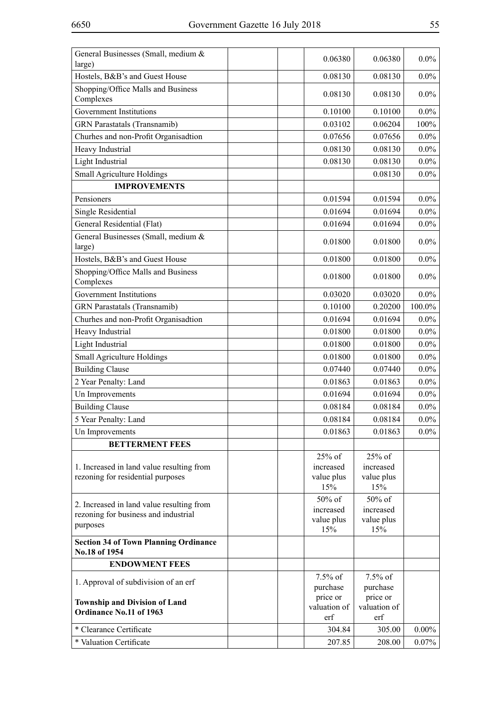| General Businesses (Small, medium &<br>large)                 | 0.06380             | 0.06380             | $0.0\%$  |
|---------------------------------------------------------------|---------------------|---------------------|----------|
| Hostels, B&B's and Guest House                                | 0.08130             | 0.08130             | $0.0\%$  |
| Shopping/Office Malls and Business<br>Complexes               | 0.08130             | 0.08130             | $0.0\%$  |
| Government Institutions                                       | 0.10100             | 0.10100             | $0.0\%$  |
| <b>GRN</b> Parastatals (Transnamib)                           | 0.03102             | 0.06204             | 100%     |
| Churhes and non-Profit Organisadtion                          | 0.07656             | 0.07656             | $0.0\%$  |
| Heavy Industrial                                              | 0.08130             | 0.08130             | $0.0\%$  |
| Light Industrial                                              | 0.08130             | 0.08130             | $0.0\%$  |
| Small Agriculture Holdings                                    |                     | 0.08130             | $0.0\%$  |
| <b>IMPROVEMENTS</b>                                           |                     |                     |          |
| Pensioners                                                    | 0.01594             | 0.01594             | $0.0\%$  |
| Single Residential                                            | 0.01694             | 0.01694             | $0.0\%$  |
| General Residential (Flat)                                    | 0.01694             | 0.01694             | $0.0\%$  |
| General Businesses (Small, medium &                           | 0.01800             | 0.01800             | $0.0\%$  |
| large)                                                        |                     |                     |          |
| Hostels, B&B's and Guest House                                | 0.01800             | 0.01800             | $0.0\%$  |
| Shopping/Office Malls and Business<br>Complexes               | 0.01800             | 0.01800             | $0.0\%$  |
| <b>Government Institutions</b>                                | 0.03020             | 0.03020             | $0.0\%$  |
| <b>GRN</b> Parastatals (Transnamib)                           | 0.10100             | 0.20200             | 100.0%   |
| Churhes and non-Profit Organisadtion                          | 0.01694             | 0.01694             | $0.0\%$  |
| Heavy Industrial                                              | 0.01800             | 0.01800             | $0.0\%$  |
| Light Industrial                                              | 0.01800             | 0.01800             | $0.0\%$  |
| Small Agriculture Holdings                                    | 0.01800             | 0.01800             | $0.0\%$  |
| <b>Building Clause</b>                                        | 0.07440             | 0.07440             | $0.0\%$  |
| 2 Year Penalty: Land                                          | 0.01863             | 0.01863             | $0.0\%$  |
| Un Improvements                                               | 0.01694             | 0.01694             | $0.0\%$  |
| <b>Building Clause</b>                                        | 0.08184             | 0.08184             | $0.0\%$  |
| 5 Year Penalty: Land                                          | 0.08184             | 0.08184             | $0.0\%$  |
| Un Improvements                                               | 0.01863             | 0.01863             | $0.0\%$  |
| <b>BETTERMENT FEES</b>                                        |                     |                     |          |
|                                                               | 25% of              | 25% of              |          |
| 1. Increased in land value resulting from                     | increased           | increased           |          |
| rezoning for residential purposes                             | value plus          | value plus          |          |
|                                                               | 15%                 | 15%                 |          |
| 2. Increased in land value resulting from                     | 50% of<br>increased | 50% of<br>increased |          |
| rezoning for business and industrial                          | value plus          | value plus          |          |
| purposes                                                      | 15%                 | 15%                 |          |
| <b>Section 34 of Town Planning Ordinance</b><br>No.18 of 1954 |                     |                     |          |
| <b>ENDOWMENT FEES</b>                                         |                     |                     |          |
|                                                               | $7.5\%$ of          | $7.5\%$ of          |          |
| 1. Approval of subdivision of an erf                          | purchase            | purchase            |          |
| <b>Township and Division of Land</b>                          | price or            | price or            |          |
| Ordinance No.11 of 1963                                       | valuation of<br>erf | valuation of<br>erf |          |
| * Clearance Certificate                                       | 304.84              | 305.00              | $0.00\%$ |
| * Valuation Certificate                                       |                     |                     |          |
|                                                               | 207.85              | 208.00              | $0.07\%$ |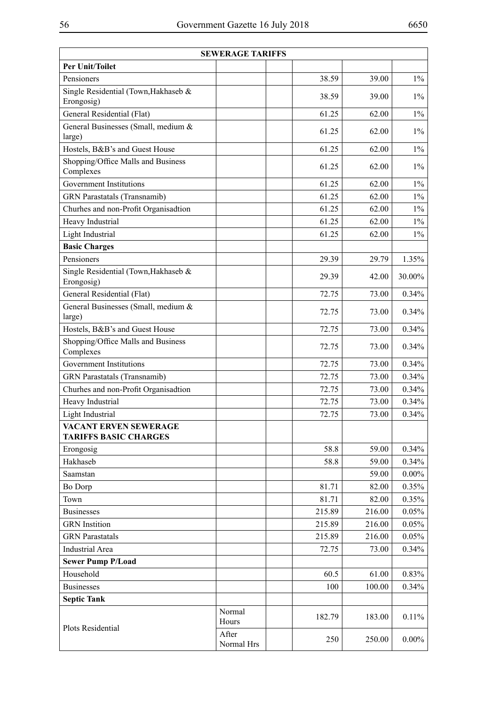| <b>SEWERAGE TARIFFS</b>                               |                     |        |        |          |  |
|-------------------------------------------------------|---------------------|--------|--------|----------|--|
| <b>Per Unit/Toilet</b>                                |                     |        |        |          |  |
| Pensioners                                            |                     | 38.59  | 39.00  | $1\%$    |  |
| Single Residential (Town, Hakhaseb &<br>Erongosig)    |                     | 38.59  | 39.00  | $1\%$    |  |
| General Residential (Flat)                            |                     | 61.25  | 62.00  | $1\%$    |  |
| General Businesses (Small, medium &<br>large)         |                     | 61.25  | 62.00  | $1\%$    |  |
| Hostels, B&B's and Guest House                        |                     | 61.25  | 62.00  | $1\%$    |  |
| Shopping/Office Malls and Business<br>Complexes       |                     | 61.25  | 62.00  | $1\%$    |  |
| <b>Government Institutions</b>                        |                     | 61.25  | 62.00  | $1\%$    |  |
| <b>GRN</b> Parastatals (Transnamib)                   |                     | 61.25  | 62.00  | $1\%$    |  |
| Churhes and non-Profit Organisadtion                  |                     | 61.25  | 62.00  | $1\%$    |  |
| Heavy Industrial                                      |                     | 61.25  | 62.00  | $1\%$    |  |
| Light Industrial                                      |                     | 61.25  | 62.00  | $1\%$    |  |
| <b>Basic Charges</b>                                  |                     |        |        |          |  |
| Pensioners                                            |                     | 29.39  | 29.79  | 1.35%    |  |
| Single Residential (Town, Hakhaseb &<br>Erongosig)    |                     | 29.39  | 42.00  | 30.00%   |  |
| General Residential (Flat)                            |                     | 72.75  | 73.00  | 0.34%    |  |
| General Businesses (Small, medium &<br>large)         |                     | 72.75  | 73.00  | 0.34%    |  |
| Hostels, B&B's and Guest House                        |                     | 72.75  | 73.00  | 0.34%    |  |
| Shopping/Office Malls and Business<br>Complexes       |                     | 72.75  | 73.00  | 0.34%    |  |
| <b>Government Institutions</b>                        |                     | 72.75  | 73.00  | 0.34%    |  |
| <b>GRN</b> Parastatals (Transnamib)                   |                     | 72.75  | 73.00  | 0.34%    |  |
| Churhes and non-Profit Organisadtion                  |                     | 72.75  | 73.00  | 0.34%    |  |
| Heavy Industrial                                      |                     | 72.75  | 73.00  | 0.34%    |  |
| Light Industrial                                      |                     | 72.75  | 73.00  | 0.34%    |  |
| VACANT ERVEN SEWERAGE<br><b>TARIFFS BASIC CHARGES</b> |                     |        |        |          |  |
| Erongosig                                             |                     | 58.8   | 59.00  | 0.34%    |  |
| Hakhaseb                                              |                     | 58.8   | 59.00  | 0.34%    |  |
| Saamstan                                              |                     |        | 59.00  | $0.00\%$ |  |
| <b>Bo Dorp</b>                                        |                     | 81.71  | 82.00  | 0.35%    |  |
| Town                                                  |                     | 81.71  | 82.00  | 0.35%    |  |
| <b>Businesses</b>                                     |                     | 215.89 | 216.00 | 0.05%    |  |
| <b>GRN</b> Instition                                  |                     | 215.89 | 216.00 | 0.05%    |  |
| <b>GRN</b> Parastatals                                |                     | 215.89 | 216.00 | 0.05%    |  |
| <b>Industrial Area</b>                                |                     | 72.75  | 73.00  | 0.34%    |  |
| <b>Sewer Pump P/Load</b>                              |                     |        |        |          |  |
| Household                                             |                     | 60.5   | 61.00  | 0.83%    |  |
| <b>Businesses</b>                                     |                     | 100    | 100.00 | 0.34%    |  |
| <b>Septic Tank</b>                                    |                     |        |        |          |  |
| Plots Residential                                     | Normal<br>Hours     | 182.79 | 183.00 | 0.11%    |  |
|                                                       | After<br>Normal Hrs | 250    | 250.00 | $0.00\%$ |  |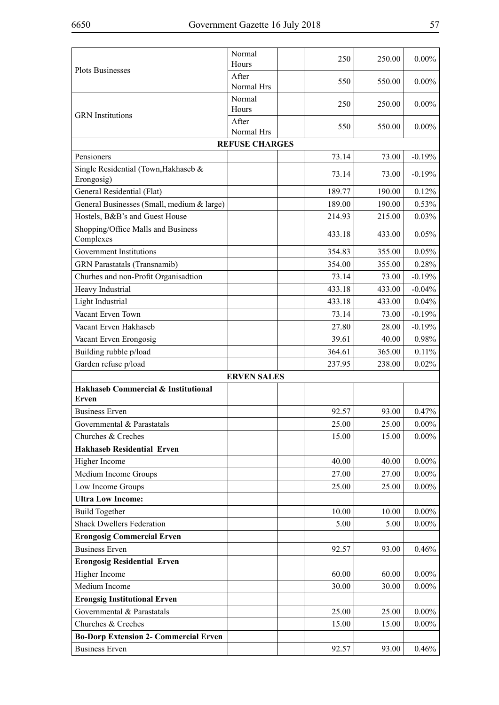|                                                    | Normal<br>Hours       | 250    | 250.00 | $0.00\%$ |
|----------------------------------------------------|-----------------------|--------|--------|----------|
| <b>Plots Businesses</b>                            | After<br>Normal Hrs   | 550    | 550.00 | $0.00\%$ |
|                                                    | Normal<br>Hours       | 250    | 250.00 | $0.00\%$ |
| <b>GRN</b> Institutions                            | After<br>Normal Hrs   | 550    | 550.00 | $0.00\%$ |
|                                                    | <b>REFUSE CHARGES</b> |        |        |          |
| Pensioners                                         |                       | 73.14  | 73.00  | $-0.19%$ |
| Single Residential (Town, Hakhaseb &<br>Erongosig) |                       | 73.14  | 73.00  | $-0.19%$ |
| General Residential (Flat)                         |                       | 189.77 | 190.00 | 0.12%    |
| General Businesses (Small, medium & large)         |                       | 189.00 | 190.00 | 0.53%    |
| Hostels, B&B's and Guest House                     |                       | 214.93 | 215.00 | 0.03%    |
| Shopping/Office Malls and Business<br>Complexes    |                       | 433.18 | 433.00 | 0.05%    |
| Government Institutions                            |                       | 354.83 | 355.00 | 0.05%    |
| <b>GRN</b> Parastatals (Transnamib)                |                       | 354.00 | 355.00 | 0.28%    |
| Churhes and non-Profit Organisadtion               |                       | 73.14  | 73.00  | $-0.19%$ |
| Heavy Industrial                                   |                       | 433.18 | 433.00 | $-0.04%$ |
| Light Industrial                                   |                       | 433.18 | 433.00 | 0.04%    |
| Vacant Erven Town                                  |                       | 73.14  | 73.00  | $-0.19%$ |
| Vacant Erven Hakhaseb                              |                       | 27.80  | 28.00  | $-0.19%$ |
| Vacant Erven Erongosig                             |                       | 39.61  | 40.00  | 0.98%    |
| Building rubble p/load                             |                       | 364.61 | 365.00 | 0.11%    |
| Garden refuse p/load                               |                       | 237.95 | 238.00 | 0.02%    |
|                                                    | <b>ERVEN SALES</b>    |        |        |          |
| Hakhaseb Commercial & Institutional<br>Erven       |                       |        |        |          |
| <b>Business Erven</b>                              |                       | 92.57  | 93.00  | 0.47%    |
| Governmental & Parastatals                         |                       | 25.00  | 25.00  | $0.00\%$ |
| Churches & Creches                                 |                       | 15.00  | 15.00  | $0.00\%$ |
| <b>Hakhaseb Residential Erven</b>                  |                       |        |        |          |
| Higher Income                                      |                       | 40.00  | 40.00  | $0.00\%$ |
| Medium Income Groups                               |                       | 27.00  | 27.00  | $0.00\%$ |
| Low Income Groups                                  |                       | 25.00  | 25.00  | $0.00\%$ |
| <b>Ultra Low Income:</b>                           |                       |        |        |          |
| <b>Build Together</b>                              |                       | 10.00  | 10.00  | $0.00\%$ |
| <b>Shack Dwellers Federation</b>                   |                       | 5.00   | 5.00   | $0.00\%$ |
| <b>Erongosig Commercial Erven</b>                  |                       |        |        |          |
| <b>Business Erven</b>                              |                       | 92.57  | 93.00  | 0.46%    |
| <b>Erongosig Residential Erven</b>                 |                       |        |        |          |
| Higher Income                                      |                       | 60.00  | 60.00  | $0.00\%$ |
| Medium Income                                      |                       | 30.00  | 30.00  | $0.00\%$ |
| <b>Erongsig Institutional Erven</b>                |                       |        |        |          |
| Governmental & Parastatals                         |                       | 25.00  | 25.00  | $0.00\%$ |
| Churches & Creches                                 |                       | 15.00  | 15.00  | $0.00\%$ |
| <b>Bo-Dorp Extension 2- Commercial Erven</b>       |                       |        |        |          |
| <b>Business Erven</b>                              |                       | 92.57  | 93.00  | $0.46\%$ |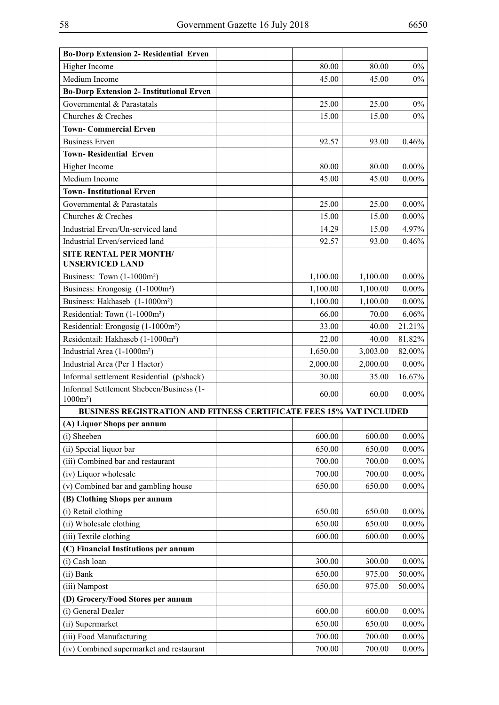| <b>Bo-Dorp Extension 2- Residential Erven</b>                              |          |          |          |
|----------------------------------------------------------------------------|----------|----------|----------|
| Higher Income                                                              | 80.00    | 80.00    | $0\%$    |
| Medium Income                                                              | 45.00    | 45.00    | $0\%$    |
| <b>Bo-Dorp Extension 2- Institutional Erven</b>                            |          |          |          |
| Governmental & Parastatals                                                 | 25.00    | 25.00    | $0\%$    |
| Churches & Creches                                                         | 15.00    | 15.00    | $0\%$    |
| <b>Town- Commercial Erven</b>                                              |          |          |          |
| <b>Business Erven</b>                                                      | 92.57    | 93.00    | 0.46%    |
| <b>Town-Residential Erven</b>                                              |          |          |          |
| Higher Income                                                              | 80.00    | 80.00    | $0.00\%$ |
| Medium Income                                                              | 45.00    | 45.00    | $0.00\%$ |
| <b>Town-Institutional Erven</b>                                            |          |          |          |
| Governmental & Parastatals                                                 | 25.00    | 25.00    | $0.00\%$ |
| Churches & Creches                                                         | 15.00    | 15.00    | $0.00\%$ |
| Industrial Erven/Un-serviced land                                          | 14.29    | 15.00    | 4.97%    |
| Industrial Erven/serviced land                                             | 92.57    | 93.00    | 0.46%    |
| <b>SITE RENTAL PER MONTH/</b>                                              |          |          |          |
| <b>UNSERVICED LAND</b>                                                     |          |          |          |
| Business: Town (1-1000m <sup>2</sup> )                                     | 1,100.00 | 1,100.00 | $0.00\%$ |
| Business: Erongosig (1-1000m <sup>2</sup> )                                | 1,100.00 | 1,100.00 | $0.00\%$ |
| Business: Hakhaseb (1-1000m <sup>2</sup> )                                 | 1,100.00 | 1,100.00 | $0.00\%$ |
| Residential: Town (1-1000m <sup>2</sup> )                                  | 66.00    | 70.00    | 6.06%    |
| Residential: Erongosig (1-1000m <sup>2</sup> )                             | 33.00    | 40.00    | 21.21%   |
| Residentail: Hakhaseb (1-1000m <sup>2</sup> )                              | 22.00    | 40.00    | 81.82%   |
| Industrial Area (1-1000m <sup>2</sup> )                                    | 1,650.00 | 3,003.00 | 82.00%   |
| Industrial Area (Per 1 Hactor)                                             | 2,000.00 | 2,000.00 | $0.00\%$ |
| Informal settlement Residential (p/shack)                                  | 30.00    | 35.00    | 16.67%   |
| Informal Settlement Shebeen/Business (1-<br>$1000m^2$ )                    | 60.00    | 60.00    | $0.00\%$ |
| <b>BUSINESS REGISTRATION AND FITNESS CERTIFICATE FEES 15% VAT INCLUDED</b> |          |          |          |
| (A) Liquor Shops per annum                                                 |          |          |          |
| (i) Sheeben                                                                | 600.00   | 600.00   | $0.00\%$ |
| (ii) Special liquor bar                                                    | 650.00   | 650.00   | $0.00\%$ |
| (iii) Combined bar and restaurant                                          | 700.00   | 700.00   | $0.00\%$ |
| (iv) Liquor wholesale                                                      | 700.00   | 700.00   | $0.00\%$ |
| (v) Combined bar and gambling house                                        | 650.00   | 650.00   | $0.00\%$ |
| (B) Clothing Shops per annum                                               |          |          |          |
| (i) Retail clothing                                                        | 650.00   | 650.00   | $0.00\%$ |
| (ii) Wholesale clothing                                                    | 650.00   | 650.00   | $0.00\%$ |
| (iii) Textile clothing                                                     | 600.00   | 600.00   | $0.00\%$ |
| (C) Financial Institutions per annum                                       |          |          |          |
| (i) Cash loan                                                              | 300.00   | 300.00   | $0.00\%$ |
| (ii) Bank                                                                  | 650.00   | 975.00   | 50.00%   |
| (iii) Nampost                                                              | 650.00   | 975.00   | 50.00%   |
| (D) Grocery/Food Stores per annum                                          |          |          |          |
| (i) General Dealer                                                         | 600.00   | 600.00   | $0.00\%$ |
| (ii) Supermarket                                                           | 650.00   | 650.00   | $0.00\%$ |
| (iii) Food Manufacturing                                                   | 700.00   | 700.00   | $0.00\%$ |
| (iv) Combined supermarket and restaurant                                   | 700.00   | 700.00   | $0.00\%$ |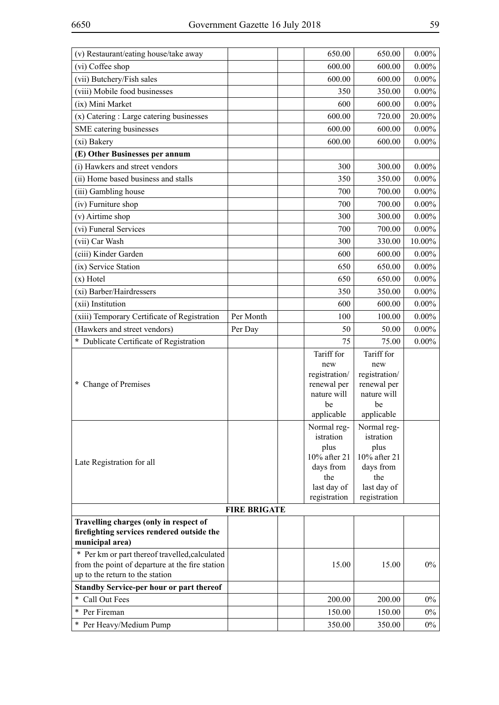| (v) Restaurant/eating house/take away                                                |                     | 650.00                     | 650.00                     | $0.00\%$ |
|--------------------------------------------------------------------------------------|---------------------|----------------------------|----------------------------|----------|
| (vi) Coffee shop                                                                     |                     | 600.00                     | 600.00                     | $0.00\%$ |
| (vii) Butchery/Fish sales                                                            |                     | 600.00                     | 600.00                     | $0.00\%$ |
| (viii) Mobile food businesses                                                        |                     | 350                        | 350.00                     | $0.00\%$ |
| (ix) Mini Market                                                                     |                     | 600                        | 600.00                     | $0.00\%$ |
| (x) Catering : Large catering businesses                                             |                     | 600.00                     | 720.00                     | 20.00%   |
| SME catering businesses                                                              |                     | 600.00                     | 600.00                     | $0.00\%$ |
| (xi) Bakery                                                                          |                     | 600.00                     | 600.00                     | $0.00\%$ |
| (E) Other Businesses per annum                                                       |                     |                            |                            |          |
| (i) Hawkers and street vendors                                                       |                     | 300                        | 300.00                     | $0.00\%$ |
| (ii) Home based business and stalls                                                  |                     | 350                        | 350.00                     | $0.00\%$ |
| (iii) Gambling house                                                                 |                     | 700                        | 700.00                     | $0.00\%$ |
| (iv) Furniture shop                                                                  |                     | 700                        | 700.00                     | $0.00\%$ |
| (v) Airtime shop                                                                     |                     | 300                        | 300.00                     | $0.00\%$ |
| (vi) Funeral Services                                                                |                     | 700                        | 700.00                     | $0.00\%$ |
| (vii) Car Wash                                                                       |                     | 300                        | 330.00                     | 10.00%   |
| (ciii) Kinder Garden                                                                 |                     | 600                        | 600.00                     | $0.00\%$ |
| (ix) Service Station                                                                 |                     | 650                        | 650.00                     | $0.00\%$ |
| $(x)$ Hotel                                                                          |                     | 650                        | 650.00                     | $0.00\%$ |
| (xi) Barber/Hairdressers                                                             |                     | 350                        | 350.00                     | $0.00\%$ |
| (xii) Institution                                                                    |                     | 600                        | 600.00                     | $0.00\%$ |
| (xiii) Temporary Certificate of Registration                                         | Per Month           | 100                        | 100.00                     | $0.00\%$ |
| (Hawkers and street vendors)                                                         | Per Day             | 50                         | 50.00                      | $0.00\%$ |
| * Dublicate Certificate of Registration                                              |                     | 75                         | 75.00                      | $0.00\%$ |
|                                                                                      |                     | Tariff for                 | Tariff for                 |          |
|                                                                                      |                     | new                        | new                        |          |
|                                                                                      |                     | registration/              | registration/              |          |
| * Change of Premises                                                                 |                     | renewal per<br>nature will | renewal per<br>nature will |          |
|                                                                                      |                     | be                         | be                         |          |
|                                                                                      |                     | applicable                 | applicable                 |          |
|                                                                                      |                     | Normal reg-                | Normal reg-                |          |
|                                                                                      |                     | istration                  | istration                  |          |
|                                                                                      |                     | plus<br>10% after 21       | plus<br>10% after 21       |          |
| Late Registration for all                                                            |                     | days from                  | days from                  |          |
|                                                                                      |                     | the                        | the                        |          |
|                                                                                      |                     | last day of                | last day of                |          |
|                                                                                      |                     | registration               | registration               |          |
|                                                                                      | <b>FIRE BRIGATE</b> |                            |                            |          |
| Travelling charges (only in respect of<br>firefighting services rendered outside the |                     |                            |                            |          |
| municipal area)                                                                      |                     |                            |                            |          |
| * Per km or part thereof travelled, calculated                                       |                     |                            |                            |          |
| from the point of departure at the fire station                                      |                     | 15.00                      | 15.00                      | $0\%$    |
| up to the return to the station                                                      |                     |                            |                            |          |
| Standby Service-per hour or part thereof                                             |                     |                            |                            |          |
| Call Out Fees<br>$\ast$                                                              |                     | 200.00                     | 200.00                     | $0\%$    |
| Per Fireman<br>$\ast$                                                                |                     | 150.00                     | 150.00                     | $0\%$    |
| * Per Heavy/Medium Pump                                                              |                     | 350.00                     | 350.00                     | $0\%$    |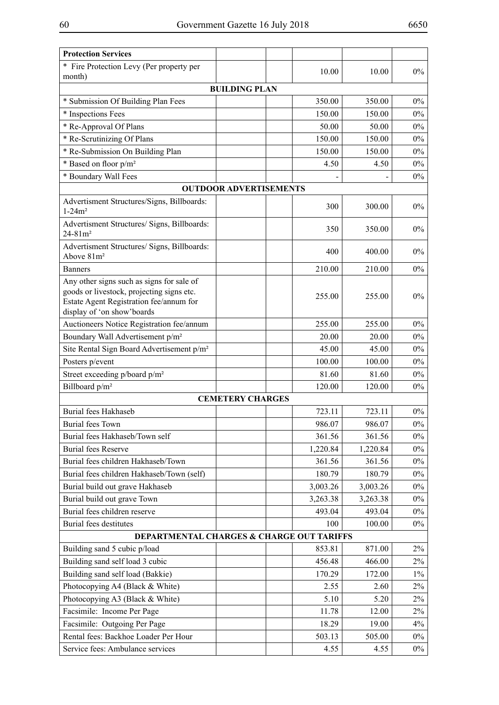| <b>Protection Services</b>                                                                                                                                      |          |          |       |
|-----------------------------------------------------------------------------------------------------------------------------------------------------------------|----------|----------|-------|
| * Fire Protection Levy (Per property per                                                                                                                        | 10.00    | 10.00    | $0\%$ |
| month)                                                                                                                                                          |          |          |       |
| <b>BUILDING PLAN</b>                                                                                                                                            |          |          |       |
| * Submission Of Building Plan Fees                                                                                                                              | 350.00   | 350.00   | $0\%$ |
| * Inspections Fees                                                                                                                                              | 150.00   | 150.00   | $0\%$ |
| * Re-Approval Of Plans                                                                                                                                          | 50.00    | 50.00    | $0\%$ |
| * Re-Scrutinizing Of Plans                                                                                                                                      | 150.00   | 150.00   | $0\%$ |
| * Re-Submission On Building Plan                                                                                                                                | 150.00   | 150.00   | $0\%$ |
| * Based on floor $p/m^2$                                                                                                                                        | 4.50     | 4.50     | 0%    |
| * Boundary Wall Fees                                                                                                                                            |          |          | 0%    |
| <b>OUTDOOR ADVERTISEMENTS</b>                                                                                                                                   |          |          |       |
| Advertisment Structures/Signs, Billboards:<br>$1 - 24m^2$                                                                                                       | 300      | 300.00   | $0\%$ |
| Advertisment Structures/ Signs, Billboards:<br>$24 - 81m^2$                                                                                                     | 350      | 350.00   | $0\%$ |
| Advertisment Structures/ Signs, Billboards:<br>Above 81m <sup>2</sup>                                                                                           | 400      | 400.00   | $0\%$ |
| <b>Banners</b>                                                                                                                                                  | 210.00   | 210.00   | $0\%$ |
| Any other signs such as signs for sale of<br>goods or livestock, projecting signs etc.<br>Estate Agent Registration fee/annum for<br>display of 'on show'boards | 255.00   | 255.00   | $0\%$ |
| Auctioneers Notice Registration fee/annum                                                                                                                       | 255.00   | 255.00   | $0\%$ |
| Boundary Wall Advertisement p/m <sup>2</sup>                                                                                                                    | 20.00    | 20.00    | $0\%$ |
| Site Rental Sign Board Advertisement p/m <sup>2</sup>                                                                                                           | 45.00    | 45.00    | $0\%$ |
| Posters p/event                                                                                                                                                 | 100.00   | 100.00   | $0\%$ |
| Street exceeding p/board p/m <sup>2</sup>                                                                                                                       | 81.60    | 81.60    | $0\%$ |
| Billboard p/m <sup>2</sup>                                                                                                                                      | 120.00   | 120.00   | $0\%$ |
| <b>CEMETERY CHARGES</b>                                                                                                                                         |          |          |       |
| <b>Burial fees Hakhaseb</b>                                                                                                                                     | 723.11   | 723.11   | $0\%$ |
| <b>Burial fees Town</b>                                                                                                                                         | 986.07   | 986.07   | $0\%$ |
| Burial fees Hakhaseb/Town self                                                                                                                                  | 361.56   | 361.56   | $0\%$ |
| <b>Burial fees Reserve</b>                                                                                                                                      | 1,220.84 | 1,220.84 | $0\%$ |
| Burial fees children Hakhaseb/Town                                                                                                                              | 361.56   | 361.56   | $0\%$ |
| Burial fees children Hakhaseb/Town (self)                                                                                                                       | 180.79   | 180.79   | $0\%$ |
| Burial build out grave Hakhaseb                                                                                                                                 | 3,003.26 | 3,003.26 | $0\%$ |
| Burial build out grave Town                                                                                                                                     | 3,263.38 | 3,263.38 | $0\%$ |
| Burial fees children reserve                                                                                                                                    | 493.04   | 493.04   | $0\%$ |
| <b>Burial fees destitutes</b>                                                                                                                                   | 100      | 100.00   | $0\%$ |
| DEPARTMENTAL CHARGES & CHARGE OUT TARIFFS                                                                                                                       |          |          |       |
| Building sand 5 cubic p/load                                                                                                                                    | 853.81   | 871.00   | 2%    |
| Building sand self load 3 cubic                                                                                                                                 | 456.48   | 466.00   | $2\%$ |
| Building sand self load (Bakkie)                                                                                                                                | 170.29   | 172.00   | $1\%$ |
| Photocopying A4 (Black & White)                                                                                                                                 | 2.55     | 2.60     | $2\%$ |
| Photocopying A3 (Black & White)                                                                                                                                 | 5.10     | 5.20     | 2%    |
| Facsimile: Income Per Page                                                                                                                                      | 11.78    | 12.00    | $2\%$ |
| Facsimile: Outgoing Per Page                                                                                                                                    | 18.29    | 19.00    | 4%    |
| Rental fees: Backhoe Loader Per Hour                                                                                                                            | 503.13   | 505.00   | $0\%$ |
| Service fees: Ambulance services                                                                                                                                | 4.55     | 4.55     | $0\%$ |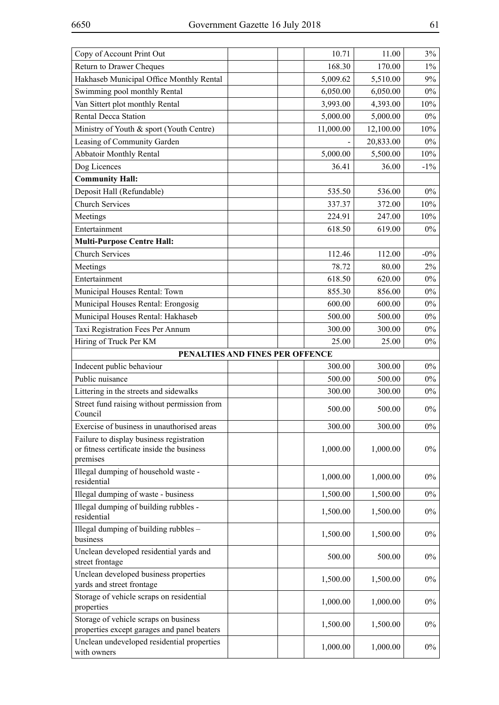| Copy of Account Print Out                                                                          |                                 | 10.71     | 11.00     | $3\%$  |
|----------------------------------------------------------------------------------------------------|---------------------------------|-----------|-----------|--------|
| <b>Return to Drawer Cheques</b>                                                                    |                                 | 168.30    | 170.00    | $1\%$  |
| Hakhaseb Municipal Office Monthly Rental                                                           |                                 | 5,009.62  | 5,510.00  | 9%     |
| Swimming pool monthly Rental                                                                       |                                 | 6,050.00  | 6,050.00  | $0\%$  |
| Van Sittert plot monthly Rental                                                                    |                                 | 3,993.00  | 4,393.00  | 10%    |
| <b>Rental Decca Station</b>                                                                        |                                 | 5,000.00  | 5,000.00  | $0\%$  |
| Ministry of Youth & sport (Youth Centre)                                                           |                                 | 11,000.00 | 12,100.00 | 10%    |
| Leasing of Community Garden                                                                        |                                 |           | 20,833.00 | $0\%$  |
| <b>Abbatoir Monthly Rental</b>                                                                     |                                 | 5,000.00  | 5,500.00  | 10%    |
| Dog Licences                                                                                       |                                 | 36.41     | 36.00     | $-1\%$ |
| <b>Community Hall:</b>                                                                             |                                 |           |           |        |
| Deposit Hall (Refundable)                                                                          |                                 | 535.50    | 536.00    | $0\%$  |
| <b>Church Services</b>                                                                             |                                 | 337.37    | 372.00    | 10%    |
| Meetings                                                                                           |                                 | 224.91    | 247.00    | 10%    |
| Entertainment                                                                                      |                                 | 618.50    | 619.00    | $0\%$  |
| <b>Multi-Purpose Centre Hall:</b>                                                                  |                                 |           |           |        |
| <b>Church Services</b>                                                                             |                                 | 112.46    | 112.00    | $-0\%$ |
| Meetings                                                                                           |                                 | 78.72     | 80.00     | 2%     |
| Entertainment                                                                                      |                                 | 618.50    | 620.00    | $0\%$  |
| Municipal Houses Rental: Town                                                                      |                                 | 855.30    | 856.00    | $0\%$  |
| Municipal Houses Rental: Erongosig                                                                 |                                 | 600.00    | 600.00    | $0\%$  |
| Municipal Houses Rental: Hakhaseb                                                                  |                                 | 500.00    | 500.00    | $0\%$  |
| Taxi Registration Fees Per Annum                                                                   |                                 | 300.00    | 300.00    | $0\%$  |
| Hiring of Truck Per KM                                                                             |                                 | 25.00     | 25.00     | $0\%$  |
|                                                                                                    | PENALTIES AND FINES PER OFFENCE |           |           |        |
| Indecent public behaviour                                                                          |                                 | 300.00    | 300.00    | $0\%$  |
| Public nuisance                                                                                    |                                 | 500.00    | 500.00    | $0\%$  |
| Littering in the streets and sidewalks                                                             |                                 | 300.00    | 300.00    | $0\%$  |
| Street fund raising without permission from<br>Council                                             |                                 | 500.00    | 500.00    | $0\%$  |
| Exercise of business in unauthorised areas                                                         |                                 | 300.00    | 300.00    | $0\%$  |
| Failure to display business registration<br>or fitness certificate inside the business<br>premises |                                 | 1,000.00  | 1,000.00  | $0\%$  |
| Illegal dumping of household waste -<br>residential                                                |                                 | 1,000.00  | 1,000.00  | $0\%$  |
| Illegal dumping of waste - business                                                                |                                 | 1,500.00  | 1,500.00  | $0\%$  |
| Illegal dumping of building rubbles -<br>residential                                               |                                 | 1,500.00  | 1,500.00  | $0\%$  |
| Illegal dumping of building rubbles -<br>business                                                  |                                 | 1,500.00  | 1,500.00  | $0\%$  |
| Unclean developed residential yards and<br>street frontage                                         |                                 | 500.00    | 500.00    | $0\%$  |
| Unclean developed business properties<br>yards and street frontage                                 |                                 | 1,500.00  | 1,500.00  | $0\%$  |
| Storage of vehicle scraps on residential<br>properties                                             |                                 | 1,000.00  | 1,000.00  | $0\%$  |
| Storage of vehicle scraps on business<br>properties except garages and panel beaters               |                                 | 1,500.00  | 1,500.00  | $0\%$  |
| Unclean undeveloped residential properties<br>with owners                                          |                                 | 1,000.00  | 1,000.00  | $0\%$  |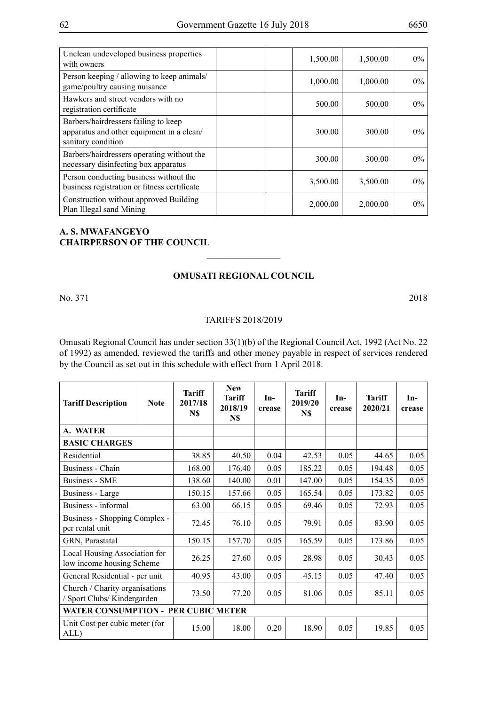| Unclean undeveloped business properties<br>with owners                                                  | 1,500.00 | 1,500.00 | $0\%$ |
|---------------------------------------------------------------------------------------------------------|----------|----------|-------|
| Person keeping / allowing to keep animals/<br>game/poultry causing nuisance                             | 1,000.00 | 1,000.00 | $0\%$ |
| Hawkers and street vendors with no<br>registration certificate                                          | 500.00   | 500.00   | $0\%$ |
| Barbers/hairdressers failing to keep<br>apparatus and other equipment in a clean/<br>sanitary condition | 300.00   | 300.00   | $0\%$ |
| Barbers/hairdressers operating without the<br>necessary disinfecting box apparatus                      | 300.00   | 300.00   | $0\%$ |
| Person conducting business without the<br>business registration or fitness certificate                  | 3,500.00 | 3,500.00 | $0\%$ |
| Construction without approved Building<br>Plan Illegal sand Mining                                      | 2,000.00 | 2,000.00 | $0\%$ |

# **A. S. MWAFANGEYO CHAIRPERSON OF THE COUNCIL**

### **Omusati Regional Council**

 $\frac{1}{2}$ 

No. 371 2018

#### TARIFFS 2018/2019

Omusati Regional Council has under section 33(1)(b) of the Regional Council Act, 1992 (Act No. 22 of 1992) as amended, reviewed the tariffs and other money payable in respect of services rendered by the Council as set out in this schedule with effect from 1 April 2018.

| <b>Tariff Description</b>                                     | <b>Note</b> | <b>Tariff</b><br>2017/18<br>N\$ | <b>New</b><br><b>Tariff</b><br>2018/19<br>N\$ | $In-$<br>crease | <b>Tariff</b><br>2019/20<br>N\$ | In-<br>crease | <b>Tariff</b><br>2020/21 | $In-$<br>crease |
|---------------------------------------------------------------|-------------|---------------------------------|-----------------------------------------------|-----------------|---------------------------------|---------------|--------------------------|-----------------|
| A. WATER                                                      |             |                                 |                                               |                 |                                 |               |                          |                 |
| <b>BASIC CHARGES</b>                                          |             |                                 |                                               |                 |                                 |               |                          |                 |
| Residential                                                   |             | 38.85                           | 40.50                                         | 0.04            | 42.53                           | 0.05          | 44.65                    | 0.05            |
| Business - Chain                                              |             | 168.00                          | 176.40                                        | 0.05            | 185.22                          | 0.05          | 194.48                   | 0.05            |
| <b>Business - SME</b>                                         |             | 138.60                          | 140.00                                        | 0.01            | 147.00                          | 0.05          | 154.35                   | 0.05            |
| Business - Large                                              |             | 150.15                          | 157.66                                        | 0.05            | 165.54                          | 0.05          | 173.82                   | 0.05            |
| Business - informal                                           |             | 63.00                           | 66.15                                         | 0.05            | 69.46                           | 0.05          | 72.93                    | 0.05            |
| Business - Shopping Complex -<br>per rental unit              |             | 72.45                           | 76.10                                         | 0.05            | 79.91                           | 0.05          | 83.90                    | 0.05            |
| GRN, Parastatal                                               |             | 150.15                          | 157.70                                        | 0.05            | 165.59                          | 0.05          | 173.86                   | 0.05            |
| Local Housing Association for<br>low income housing Scheme    |             | 26.25                           | 27.60                                         | 0.05            | 28.98                           | 0.05          | 30.43                    | 0.05            |
| General Residential - per unit                                |             | 40.95                           | 43.00                                         | 0.05            | 45.15                           | 0.05          | 47.40                    | 0.05            |
| Church / Charity organisations<br>/ Sport Clubs/ Kindergarden |             | 73.50                           | 77.20                                         | 0.05            | 81.06                           | 0.05          | 85.11                    | 0.05            |
| <b>WATER CONSUMPTION - PER CUBIC METER</b>                    |             |                                 |                                               |                 |                                 |               |                          |                 |
| Unit Cost per cubic meter (for<br>ALL)                        |             | 15.00                           | 18.00                                         | 0.20            | 18.90                           | 0.05          | 19.85                    | 0.05            |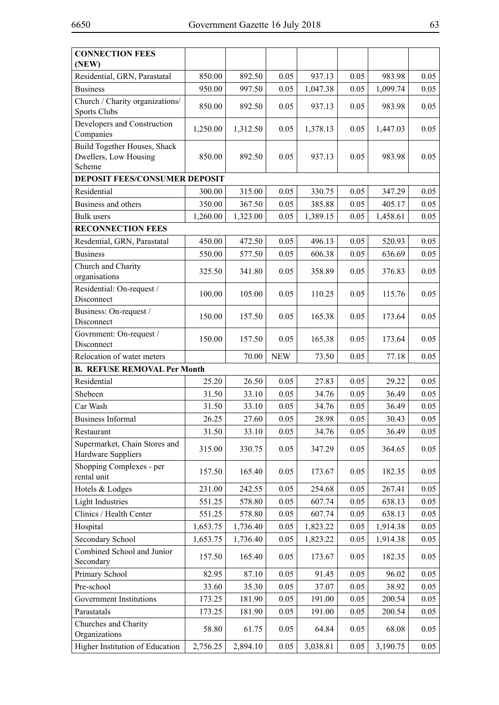| <b>CONNECTION FEES</b><br>(NEW)                                 |          |          |            |          |      |          |      |
|-----------------------------------------------------------------|----------|----------|------------|----------|------|----------|------|
| Residential, GRN, Parastatal                                    | 850.00   | 892.50   | 0.05       | 937.13   | 0.05 | 983.98   | 0.05 |
| <b>Business</b>                                                 | 950.00   | 997.50   | 0.05       | 1,047.38 | 0.05 | 1,099.74 | 0.05 |
| Church / Charity organizations/<br><b>Sports Clubs</b>          | 850.00   | 892.50   | 0.05       | 937.13   | 0.05 | 983.98   | 0.05 |
| Developers and Construction<br>Companies                        | 1,250.00 | 1,312.50 | 0.05       | 1,378.13 | 0.05 | 1,447.03 | 0.05 |
| Build Together Houses, Shack<br>Dwellers, Low Housing<br>Scheme | 850.00   | 892.50   | 0.05       | 937.13   | 0.05 | 983.98   | 0.05 |
| <b>DEPOSIT FEES/CONSUMER DEPOSIT</b>                            |          |          |            |          |      |          |      |
| Residential                                                     | 300.00   | 315.00   | 0.05       | 330.75   | 0.05 | 347.29   | 0.05 |
| Business and others                                             | 350.00   | 367.50   | 0.05       | 385.88   | 0.05 | 405.17   | 0.05 |
| <b>Bulk</b> users                                               | 1,260.00 | 1,323.00 | 0.05       | 1,389.15 | 0.05 | 1,458.61 | 0.05 |
| <b>RECONNECTION FEES</b>                                        |          |          |            |          |      |          |      |
| Resdential, GRN, Parastatal                                     | 450.00   | 472.50   | 0.05       | 496.13   | 0.05 | 520.93   | 0.05 |
| <b>Business</b>                                                 | 550.00   | 577.50   | 0.05       | 606.38   | 0.05 | 636.69   | 0.05 |
| Church and Charity<br>organisations                             | 325.50   | 341.80   | 0.05       | 358.89   | 0.05 | 376.83   | 0.05 |
| Residential: On-request /<br>Disconnect                         | 100.00   | 105.00   | 0.05       | 110.25   | 0.05 | 115.76   | 0.05 |
| Business: On-request /<br>Disconnect                            | 150.00   | 157.50   | 0.05       | 165.38   | 0.05 | 173.64   | 0.05 |
| Govrnment: On-request /<br>Disconnect                           | 150.00   | 157.50   | 0.05       | 165.38   | 0.05 | 173.64   | 0.05 |
| Relocation of water meters                                      |          | 70.00    | <b>NEW</b> | 73.50    | 0.05 | 77.18    | 0.05 |
| <b>B. REFUSE REMOVAL Per Month</b>                              |          |          |            |          |      |          |      |
| Residential                                                     | 25.20    | 26.50    | 0.05       | 27.83    | 0.05 | 29.22    | 0.05 |
| Shebeen                                                         | 31.50    | 33.10    | 0.05       | 34.76    | 0.05 | 36.49    | 0.05 |
| Car Wash                                                        | 31.50    | 33.10    | 0.05       | 34.76    | 0.05 | 36.49    | 0.05 |
| <b>Business Informal</b>                                        | 26.25    | 27.60    | 0.05       | 28.98    | 0.05 | 30.43    | 0.05 |
| Restaurant                                                      | 31.50    | 33.10    | 0.05       | 34.76    | 0.05 | 36.49    | 0.05 |
| Supermarket, Chain Stores and<br>Hardware Suppliers             | 315.00   | 330.75   | 0.05       | 347.29   | 0.05 | 364.65   | 0.05 |
| Shopping Complexes - per<br>rental unit                         | 157.50   | 165.40   | 0.05       | 173.67   | 0.05 | 182.35   | 0.05 |
| Hotels & Lodges                                                 | 231.00   | 242.55   | 0.05       | 254.68   | 0.05 | 267.41   | 0.05 |
| <b>Light Industries</b>                                         | 551.25   | 578.80   | 0.05       | 607.74   | 0.05 | 638.13   | 0.05 |
| Clinics / Health Center                                         | 551.25   | 578.80   | 0.05       | 607.74   | 0.05 | 638.13   | 0.05 |
| Hospital                                                        | 1,653.75 | 1,736.40 | 0.05       | 1,823.22 | 0.05 | 1,914.38 | 0.05 |
| Secondary School                                                | 1,653.75 | 1,736.40 | 0.05       | 1,823.22 | 0.05 | 1,914.38 | 0.05 |
| Combined School and Junior<br>Secondary                         | 157.50   | 165.40   | 0.05       | 173.67   | 0.05 | 182.35   | 0.05 |
| Primary School                                                  | 82.95    | 87.10    | 0.05       | 91.45    | 0.05 | 96.02    | 0.05 |
| Pre-school                                                      | 33.60    | 35.30    | 0.05       | 37.07    | 0.05 | 38.92    | 0.05 |
| Government Institutions                                         | 173.25   | 181.90   | 0.05       | 191.00   | 0.05 | 200.54   | 0.05 |
| Parastatals                                                     | 173.25   | 181.90   | 0.05       | 191.00   | 0.05 | 200.54   | 0.05 |
| Churches and Charity<br>Organizations                           | 58.80    | 61.75    | 0.05       | 64.84    | 0.05 | 68.08    | 0.05 |
| Higher Institution of Education                                 | 2,756.25 | 2,894.10 | 0.05       | 3,038.81 | 0.05 | 3,190.75 | 0.05 |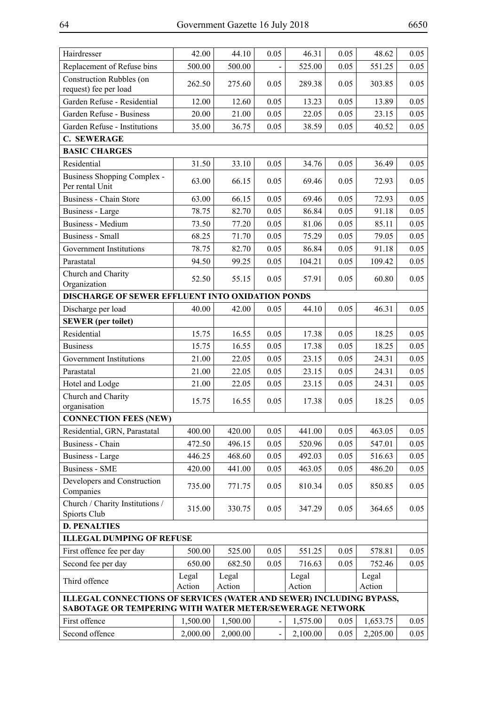| Hairdresser                                                                                                                    | 42.00           | 44.10           | 0.05                         | 46.31           | 0.05 | 48.62           | 0.05 |
|--------------------------------------------------------------------------------------------------------------------------------|-----------------|-----------------|------------------------------|-----------------|------|-----------------|------|
| Replacement of Refuse bins                                                                                                     | 500.00          | 500.00          |                              | 525.00          | 0.05 | 551.25          | 0.05 |
| <b>Construction Rubbles (on</b><br>request) fee per load                                                                       | 262.50          | 275.60          | 0.05                         | 289.38          | 0.05 | 303.85          | 0.05 |
| Garden Refuse - Residential                                                                                                    | 12.00           | 12.60           | 0.05                         | 13.23           | 0.05 | 13.89           | 0.05 |
| Garden Refuse - Business                                                                                                       | 20.00           | 21.00           | 0.05                         | 22.05           | 0.05 | 23.15           | 0.05 |
| Garden Refuse - Institutions                                                                                                   | 35.00           | 36.75           | 0.05                         | 38.59           | 0.05 | 40.52           | 0.05 |
| <b>C. SEWERAGE</b>                                                                                                             |                 |                 |                              |                 |      |                 |      |
| <b>BASIC CHARGES</b>                                                                                                           |                 |                 |                              |                 |      |                 |      |
| Residential                                                                                                                    | 31.50           | 33.10           | 0.05                         | 34.76           | 0.05 | 36.49           | 0.05 |
| Business Shopping Complex -<br>Per rental Unit                                                                                 | 63.00           | 66.15           | 0.05                         | 69.46           | 0.05 | 72.93           | 0.05 |
| Business - Chain Store                                                                                                         | 63.00           | 66.15           | 0.05                         | 69.46           | 0.05 | 72.93           | 0.05 |
| Business - Large                                                                                                               | 78.75           | 82.70           | 0.05                         | 86.84           | 0.05 | 91.18           | 0.05 |
| <b>Business - Medium</b>                                                                                                       | 73.50           | 77.20           | 0.05                         | 81.06           | 0.05 | 85.11           | 0.05 |
| <b>Business - Small</b>                                                                                                        | 68.25           | 71.70           | 0.05                         | 75.29           | 0.05 | 79.05           | 0.05 |
| Government Institutions                                                                                                        | 78.75           | 82.70           | 0.05                         | 86.84           | 0.05 | 91.18           | 0.05 |
| Parastatal                                                                                                                     | 94.50           | 99.25           | 0.05                         | 104.21          | 0.05 | 109.42          | 0.05 |
| Church and Charity<br>Organization                                                                                             | 52.50           | 55.15           | 0.05                         | 57.91           | 0.05 | 60.80           | 0.05 |
| DISCHARGE OF SEWER EFFLUENT INTO OXIDATION PONDS                                                                               |                 |                 |                              |                 |      |                 |      |
| Discharge per load                                                                                                             | 40.00           | 42.00           | 0.05                         | 44.10           | 0.05 | 46.31           | 0.05 |
| <b>SEWER</b> (per toilet)                                                                                                      |                 |                 |                              |                 |      |                 |      |
| Residential                                                                                                                    | 15.75           | 16.55           | 0.05                         | 17.38           | 0.05 | 18.25           | 0.05 |
| <b>Business</b>                                                                                                                | 15.75           | 16.55           | 0.05                         | 17.38           | 0.05 | 18.25           | 0.05 |
| Government Institutions                                                                                                        | 21.00           | 22.05           | 0.05                         | 23.15           | 0.05 | 24.31           | 0.05 |
| Parastatal                                                                                                                     | 21.00           | 22.05           | 0.05                         | 23.15           | 0.05 | 24.31           | 0.05 |
| Hotel and Lodge                                                                                                                | 21.00           | 22.05           | 0.05                         | 23.15           | 0.05 | 24.31           | 0.05 |
| Church and Charity<br>organisation                                                                                             | 15.75           | 16.55           | 0.05                         | 17.38           | 0.05 | 18.25           | 0.05 |
| <b>CONNECTION FEES (NEW)</b>                                                                                                   |                 |                 |                              |                 |      |                 |      |
| Residential, GRN, Parastatal                                                                                                   | 400.00          | 420.00          | 0.05                         | 441.00          | 0.05 | 463.05          | 0.05 |
| <b>Business - Chain</b>                                                                                                        | 472.50          | 496.15          | 0.05                         | 520.96          | 0.05 | 547.01          | 0.05 |
| Business - Large                                                                                                               | 446.25          | 468.60          | 0.05                         | 492.03          | 0.05 | 516.63          | 0.05 |
| <b>Business - SME</b>                                                                                                          | 420.00          | 441.00          | 0.05                         | 463.05          | 0.05 | 486.20          | 0.05 |
| Developers and Construction<br>Companies                                                                                       | 735.00          | 771.75          | 0.05                         | 810.34          | 0.05 | 850.85          | 0.05 |
| Church / Charity Institutions /<br>Spiorts Club                                                                                | 315.00          | 330.75          | 0.05                         | 347.29          | 0.05 | 364.65          | 0.05 |
| <b>D. PENALTIES</b>                                                                                                            |                 |                 |                              |                 |      |                 |      |
| <b>ILLEGAL DUMPING OF REFUSE</b>                                                                                               |                 |                 |                              |                 |      |                 |      |
| First offence fee per day                                                                                                      | 500.00          | 525.00          | 0.05                         | 551.25          | 0.05 | 578.81          | 0.05 |
| Second fee per day                                                                                                             | 650.00          | 682.50          | 0.05                         | 716.63          | 0.05 | 752.46          | 0.05 |
| Third offence                                                                                                                  | Legal<br>Action | Legal<br>Action |                              | Legal<br>Action |      | Legal<br>Action |      |
| ILLEGAL CONNECTIONS OF SERVICES (WATER AND SEWER) INCLUDING BYPASS,<br>SABOTAGE OR TEMPERING WITH WATER METER/SEWERAGE NETWORK |                 |                 |                              |                 |      |                 |      |
| First offence                                                                                                                  | 1,500.00        | 1,500.00        | $\qquad \qquad \blacksquare$ | 1,575.00        | 0.05 | 1,653.75        | 0.05 |
| Second offence                                                                                                                 | 2,000.00        | 2,000.00        |                              | 2,100.00        | 0.05 | 2,205.00        | 0.05 |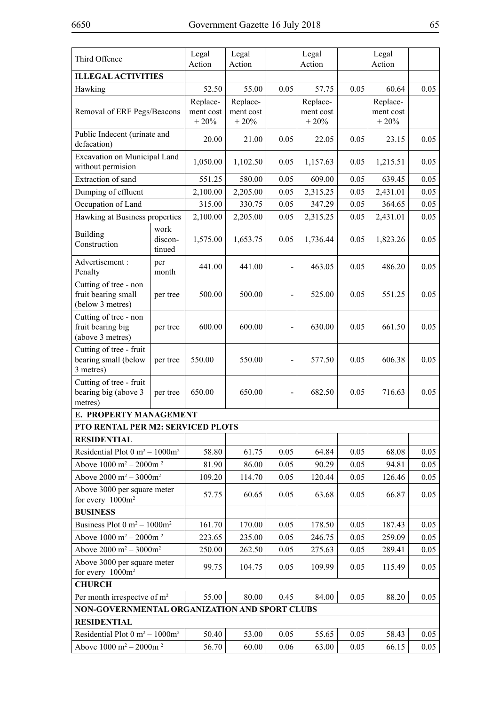| Third Offence                                                    |                           | Legal                 | Legal                 |      | Legal                 |      | Legal                 |      |
|------------------------------------------------------------------|---------------------------|-----------------------|-----------------------|------|-----------------------|------|-----------------------|------|
|                                                                  |                           | Action                | Action                |      | Action                |      | Action                |      |
| <b>ILLEGAL ACTIVITIES</b>                                        |                           |                       |                       |      |                       |      |                       |      |
| Hawking                                                          |                           | 52.50                 | 55.00                 | 0.05 | 57.75                 | 0.05 | 60.64                 | 0.05 |
| Removal of ERF Pegs/Beacons                                      |                           | Replace-<br>ment cost | Replace-<br>ment cost |      | Replace-<br>ment cost |      | Replace-<br>ment cost |      |
|                                                                  |                           | $+20%$                | $+20%$                |      | $+20%$                |      | $+20%$                |      |
| Public Indecent (urinate and<br>defacation)                      |                           | 20.00                 | 21.00                 | 0.05 | 22.05                 | 0.05 | 23.15                 | 0.05 |
| Excavation on Municipal Land<br>without permision                |                           | 1,050.00              | 1,102.50              | 0.05 | 1,157.63              | 0.05 | 1,215.51              | 0.05 |
| Extraction of sand                                               |                           | 551.25                | 580.00                | 0.05 | 609.00                | 0.05 | 639.45                | 0.05 |
| Dumping of effluent                                              |                           | 2,100.00              | 2,205.00              | 0.05 | 2,315.25              | 0.05 | 2,431.01              | 0.05 |
| Occupation of Land                                               |                           | 315.00                | 330.75                | 0.05 | 347.29                | 0.05 | 364.65                | 0.05 |
| Hawking at Business properties                                   |                           | 2,100.00              | 2,205.00              | 0.05 | 2,315.25              | 0.05 | 2,431.01              | 0.05 |
| <b>Building</b><br>Construction                                  | work<br>discon-<br>tinued | 1,575.00              | 1,653.75              | 0.05 | 1,736.44              | 0.05 | 1,823.26              | 0.05 |
| Advertisement:<br>Penalty                                        | per<br>month              | 441.00                | 441.00                |      | 463.05                | 0.05 | 486.20                | 0.05 |
| Cutting of tree - non<br>fruit bearing small<br>(below 3 metres) | per tree                  | 500.00                | 500.00                |      | 525.00                | 0.05 | 551.25                | 0.05 |
| Cutting of tree - non<br>fruit bearing big<br>(above 3 metres)   | per tree                  | 600.00                | 600.00                |      | 630.00                | 0.05 | 661.50                | 0.05 |
| Cutting of tree - fruit<br>bearing small (below<br>3 metres)     | per tree                  | 550.00                | 550.00                |      | 577.50                | 0.05 | 606.38                | 0.05 |
| Cutting of tree - fruit<br>bearing big (above 3<br>metres)       | per tree                  | 650.00                | 650.00                |      | 682.50                | 0.05 | 716.63                | 0.05 |
| E. PROPERTY MANAGEMENT                                           |                           |                       |                       |      |                       |      |                       |      |
| PTO RENTAL PER M2: SERVICED PLOTS                                |                           |                       |                       |      |                       |      |                       |      |
| <b>RESIDENTIAL</b>                                               |                           |                       |                       |      |                       |      |                       |      |
| Residential Plot $0 \text{ m}^2 - 1000 \text{ m}^2$              |                           | 58.80                 | 61.75                 | 0.05 | 64.84                 | 0.05 | 68.08                 | 0.05 |
| Above $1000 \text{ m}^2 - 2000 \text{m}^2$                       |                           | 81.90                 | 86.00                 | 0.05 | 90.29                 | 0.05 | 94.81                 | 0.05 |
| Above $2000 \text{ m}^2 - 3000 \text{ m}^2$                      |                           | 109.20                | 114.70                | 0.05 | 120.44                | 0.05 | 126.46                | 0.05 |
| Above 3000 per square meter<br>for every $1000m^2$               |                           | 57.75                 | 60.65                 | 0.05 | 63.68                 | 0.05 | 66.87                 | 0.05 |
| <b>BUSINESS</b>                                                  |                           |                       |                       |      |                       |      |                       |      |
| Business Plot $0 \text{ m}^2 - 1000 \text{m}^2$                  |                           | 161.70                | 170.00                | 0.05 | 178.50                | 0.05 | 187.43                | 0.05 |
| Above $1000 \text{ m}^2 - 2000 \text{m}^2$                       |                           | 223.65                | 235.00                | 0.05 | 246.75                | 0.05 | 259.09                | 0.05 |
| Above $2000 \text{ m}^2 - 3000 \text{m}^2$                       |                           | 250.00                | 262.50                | 0.05 | 275.63                | 0.05 | 289.41                | 0.05 |
| Above 3000 per square meter<br>for every $1000m^2$               |                           | 99.75                 | 104.75                | 0.05 | 109.99                | 0.05 | 115.49                | 0.05 |
| <b>CHURCH</b>                                                    |                           |                       |                       |      |                       |      |                       |      |
| Per month irrespectve of m <sup>2</sup>                          |                           | 55.00                 | 80.00                 | 0.45 | 84.00                 | 0.05 | 88.20                 | 0.05 |
| NON-GOVERNMENTAL ORGANIZATION AND SPORT CLUBS                    |                           |                       |                       |      |                       |      |                       |      |
| <b>RESIDENTIAL</b>                                               |                           |                       |                       |      |                       |      |                       |      |
| Residential Plot $0 \text{ m}^2 - 1000 \text{ m}^2$              |                           | 50.40                 | 53.00                 | 0.05 | 55.65                 | 0.05 | 58.43                 | 0.05 |
| Above $1000 \text{ m}^2 - 2000 \text{m}^2$                       |                           | 56.70                 | 60.00                 | 0.06 | 63.00                 | 0.05 | 66.15                 | 0.05 |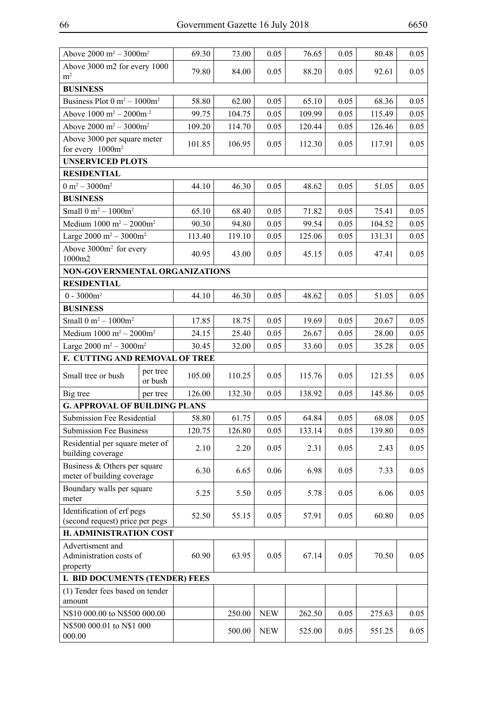| ۰, |
|----|
|----|

| Above 2000 m <sup>2</sup> - 3000m <sup>2</sup>               |          | 69.30  | 73.00  | 0.05       | 76.65  | 0.05 | 80.48  | 0.05         |
|--------------------------------------------------------------|----------|--------|--------|------------|--------|------|--------|--------------|
| Above 3000 m2 for every 1000                                 |          | 79.80  | 84.00  | 0.05       | 88.20  | 0.05 | 92.61  | 0.05         |
| m <sup>2</sup>                                               |          |        |        |            |        |      |        |              |
| <b>BUSINESS</b>                                              |          |        |        |            |        |      |        |              |
| Business Plot $0 \text{ m}^2 - 1000 \text{m}^2$              |          | 58.80  | 62.00  | 0.05       | 65.10  | 0.05 | 68.36  | 0.05         |
| Above $1000 \text{ m}^2 - 2000 \text{m}^2$                   |          | 99.75  | 104.75 | 0.05       | 109.99 | 0.05 | 115.49 | 0.05         |
| Above $2000 \text{ m}^2 - 3000 \text{m}^2$                   |          | 109.20 | 114.70 | 0.05       | 120.44 | 0.05 | 126.46 | 0.05         |
| Above 3000 per square meter                                  |          | 101.85 | 106.95 | 0.05       | 112.30 | 0.05 | 117.91 | 0.05         |
| for every $1000m^2$                                          |          |        |        |            |        |      |        |              |
| <b>UNSERVICED PLOTS</b>                                      |          |        |        |            |        |      |        |              |
| <b>RESIDENTIAL</b>                                           |          |        |        |            |        |      |        |              |
| $0 m^2 - 3000 m^2$                                           |          | 44.10  | 46.30  | 0.05       | 48.62  | 0.05 | 51.05  | 0.05         |
| <b>BUSINESS</b>                                              |          |        |        |            |        |      |        |              |
| Small $0 m^2 - 1000 m^2$                                     |          | 65.10  | 68.40  | 0.05       | 71.82  | 0.05 | 75.41  | 0.05         |
| Medium $1000 \text{ m}^2 - 2000 \text{m}^2$                  |          | 90.30  | 94.80  | 0.05       | 99.54  | 0.05 | 104.52 | 0.05         |
| Large $2000 \text{ m}^2 - 3000 \text{m}^2$                   |          | 113.40 | 119.10 | 0.05       | 125.06 | 0.05 | 131.31 | 0.05         |
| Above 3000m <sup>2</sup> for every<br>1000m2                 |          | 40.95  | 43.00  | 0.05       | 45.15  | 0.05 | 47.41  | 0.05         |
| NON-GOVERNMENTAL ORGANIZATIONS                               |          |        |        |            |        |      |        |              |
| <b>RESIDENTIAL</b>                                           |          |        |        |            |        |      |        |              |
| $0 - 3000m^2$                                                |          | 44.10  | 46.30  | 0.05       | 48.62  | 0.05 | 51.05  | 0.05         |
| <b>BUSINESS</b>                                              |          |        |        |            |        |      |        |              |
| Small $0 m^2 - 1000 m^2$                                     |          | 17.85  | 18.75  | 0.05       | 19.69  | 0.05 | 20.67  | 0.05         |
| Medium $1000 \text{ m}^2 - 2000 \text{m}^2$                  |          | 24.15  | 25.40  | 0.05       | 26.67  | 0.05 | 28.00  | 0.05         |
| Large $2000 \text{ m}^2 - 3000 \text{m}^2$                   |          | 30.45  | 32.00  | 0.05       | 33.60  | 0.05 | 35.28  | 0.05         |
| F. CUTTING AND REMOVAL OF TREE                               |          |        |        |            |        |      |        |              |
|                                                              | per tree | 105.00 | 110.25 | 0.05       | 115.76 | 0.05 | 121.55 |              |
| Small tree or bush                                           | or bush  | 126.00 |        | 0.05       | 138.92 | 0.05 | 145.86 | 0.05<br>0.05 |
| Big tree                                                     | per tree |        | 132.30 |            |        |      |        |              |
| <b>G. APPROVAL OF BUILDING PLANS</b>                         |          |        |        |            | 64.84  |      |        |              |
| Submission Fee Residential                                   |          | 58.80  | 61.75  | 0.05       |        | 0.05 | 68.08  | 0.05         |
| Submission Fee Business                                      |          | 120.75 | 126.80 | 0.05       | 133.14 | 0.05 | 139.80 | 0.05         |
| Residential per square meter of<br>building coverage         |          | 2.10   | 2.20   | 0.05       | 2.31   | 0.05 | 2.43   | 0.05         |
| Business $&$ Others per square<br>meter of building coverage |          | 6.30   | 6.65   | 0.06       | 6.98   | 0.05 | 7.33   | 0.05         |
| Boundary walls per square<br>meter                           |          | 5.25   | 5.50   | 0.05       | 5.78   | 0.05 | 6.06   | 0.05         |
| Identification of erf pegs                                   |          |        |        |            |        |      |        |              |
| (second request) price per pegs                              |          | 52.50  | 55.15  | 0.05       | 57.91  | 0.05 | 60.80  | 0.05         |
| H. ADMINISTRATION COST                                       |          |        |        |            |        |      |        |              |
| Advertisment and                                             |          |        |        |            |        |      |        |              |
| Administration costs of                                      |          | 60.90  | 63.95  | 0.05       | 67.14  | 0.05 | 70.50  | 0.05         |
| property                                                     |          |        |        |            |        |      |        |              |
| I. BID DOCUMENTS (TENDER) FEES                               |          |        |        |            |        |      |        |              |
| (1) Tender fees based on tender<br>amount                    |          |        |        |            |        |      |        |              |
| N\$10 000.00 to N\$500 000.00                                |          |        | 250.00 | <b>NEW</b> | 262.50 | 0.05 | 275.63 | 0.05         |
| N\$500 000.01 to N\$1 000                                    |          |        |        |            |        |      |        |              |
| 000.00                                                       |          |        | 500.00 | <b>NEW</b> | 525.00 | 0.05 | 551.25 | 0.05         |
|                                                              |          |        |        |            |        |      |        |              |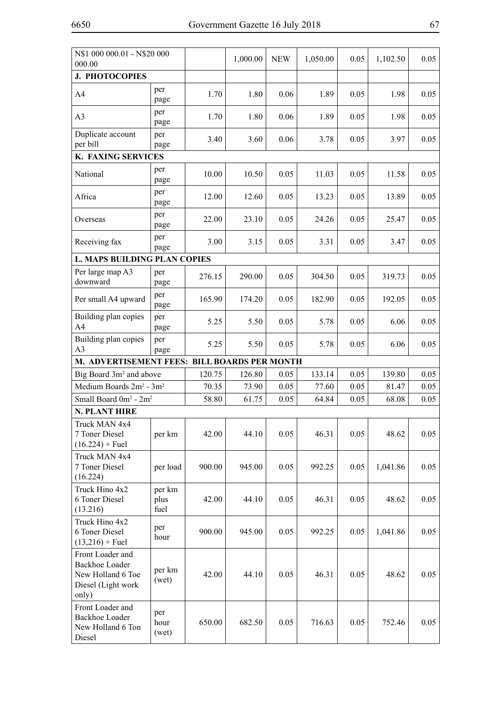| N\$1 000 000.01 - N\$20 000<br>000.00                                                         |                        |        | 1,000.00 | <b>NEW</b> | 1,050.00 | 0.05 | 1,102.50 | 0.05 |  |
|-----------------------------------------------------------------------------------------------|------------------------|--------|----------|------------|----------|------|----------|------|--|
| <b>J. PHOTOCOPIES</b>                                                                         |                        |        |          |            |          |      |          |      |  |
| A4                                                                                            | per<br>page            | 1.70   | 1.80     | 0.06       | 1.89     | 0.05 | 1.98     | 0.05 |  |
| A <sub>3</sub>                                                                                | per<br>page            | 1.70   | 1.80     | 0.06       | 1.89     | 0.05 | 1.98     | 0.05 |  |
| Duplicate account<br>per bill                                                                 | per<br>page            | 3.40   | 3.60     | 0.06       | 3.78     | 0.05 | 3.97     | 0.05 |  |
| K. FAXING SERVICES                                                                            |                        |        |          |            |          |      |          |      |  |
| National                                                                                      | per<br>page            | 10.00  | 10.50    | 0.05       | 11.03    | 0.05 | 11.58    | 0.05 |  |
| Africa                                                                                        | per<br>page            | 12.00  | 12.60    | 0.05       | 13.23    | 0.05 | 13.89    | 0.05 |  |
| Overseas                                                                                      | per<br>page            | 22.00  | 23.10    | 0.05       | 24.26    | 0.05 | 25.47    | 0.05 |  |
| Receiving fax                                                                                 | per<br>page            | 3.00   | 3.15     | 0.05       | 3.31     | 0.05 | 3.47     | 0.05 |  |
| <b>L. MAPS BUILDING PLAN COPIES</b>                                                           |                        |        |          |            |          |      |          |      |  |
| Per large map A3<br>downward                                                                  | per<br>page            | 276.15 | 290.00   | 0.05       | 304.50   | 0.05 | 319.73   | 0.05 |  |
| Per small A4 upward                                                                           | per<br>page            | 165.90 | 174.20   | 0.05       | 182.90   | 0.05 | 192.05   | 0.05 |  |
| Building plan copies<br>A4                                                                    | per<br>page            | 5.25   | 5.50     | 0.05       | 5.78     | 0.05 | 6.06     | 0.05 |  |
| Building plan copies<br>A <sub>3</sub>                                                        | per<br>page            | 5.25   | 5.50     | 0.05       | 5.78     | 0.05 | 6.06     | 0.05 |  |
| M. ADVERTISEMENT FEES: BILL BOARDS PER MONTH                                                  |                        |        |          |            |          |      |          |      |  |
| Big Board 3m <sup>2</sup> and above                                                           |                        | 120.75 | 126.80   | 0.05       | 133.14   | 0.05 | 139.80   | 0.05 |  |
| Medium Boards 2m <sup>2</sup> - 3m <sup>2</sup>                                               |                        | 70.35  | 73.90    | 0.05       | 77.60    | 0.05 | 81.47    | 0.05 |  |
| Small Board 0m <sup>2</sup> - 2m <sup>2</sup>                                                 |                        | 58.80  | 61.75    | 0.05       | 64.84    | 0.05 | 68.08    | 0.05 |  |
| N. PLANT HIRE                                                                                 |                        |        |          |            |          |      |          |      |  |
| Truck MAN 4x4<br>7 Toner Diesel<br>$(16.224) +$ Fuel                                          | per km                 | 42.00  | 44.10    | 0.05       | 46.31    | 0.05 | 48.62    | 0.05 |  |
| Truck MAN 4x4<br>7 Toner Diesel<br>(16.224)                                                   | per load               | 900.00 | 945.00   | 0.05       | 992.25   | 0.05 | 1,041.86 | 0.05 |  |
| Truck Hino 4x2<br>6 Toner Diesel<br>(13.216)                                                  | per km<br>plus<br>fuel | 42.00  | 44.10    | 0.05       | 46.31    | 0.05 | 48.62    | 0.05 |  |
| Truck Hino 4x2<br>6 Toner Diesel<br>$(13,216)$ + Fuel                                         | per<br>hour            | 900.00 | 945.00   | 0.05       | 992.25   | 0.05 | 1,041.86 | 0.05 |  |
| Front Loader and<br><b>Backhoe Loader</b><br>New Holland 6 Toe<br>Diesel (Light work<br>only) | per km<br>(wet)        | 42.00  | 44.10    | 0.05       | 46.31    | 0.05 | 48.62    | 0.05 |  |
| Front Loader and<br><b>Backhoe Loader</b><br>New Holland 6 Ton<br>Diesel                      | per<br>hour<br>(wet)   | 650.00 | 682.50   | 0.05       | 716.63   | 0.05 | 752.46   | 0.05 |  |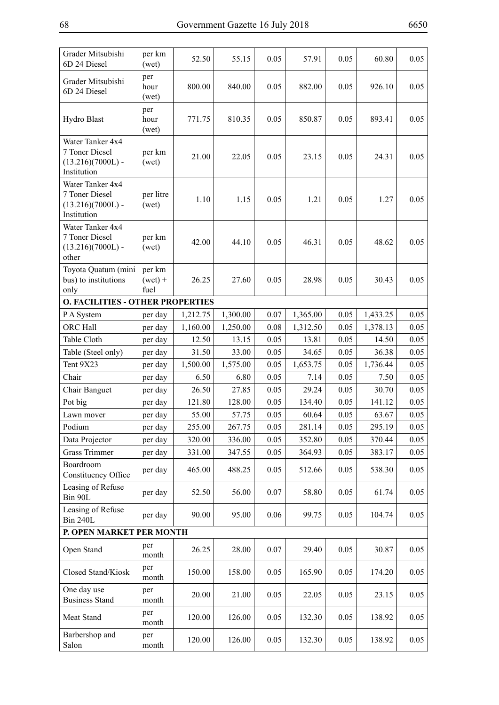| Grader Mitsubishi<br>6D 24 Diesel                                        | per km<br>(wet)             | 52.50           | 55.15           | 0.05         | 57.91           | 0.05         | 60.80           | 0.05         |  |  |  |
|--------------------------------------------------------------------------|-----------------------------|-----------------|-----------------|--------------|-----------------|--------------|-----------------|--------------|--|--|--|
| Grader Mitsubishi<br>6D 24 Diesel                                        | per<br>hour<br>(wet)        | 800.00          | 840.00          | 0.05         | 882.00          | 0.05         | 926.10          | 0.05         |  |  |  |
| Hydro Blast                                                              | per<br>hour<br>(wet)        | 771.75          | 810.35          | 0.05         | 850.87          | 0.05         | 893.41          | 0.05         |  |  |  |
| Water Tanker 4x4<br>7 Toner Diesel<br>$(13.216)(7000L)$ -<br>Institution | per km<br>(wet)             | 21.00           | 22.05           | 0.05         | 23.15           | 0.05         | 24.31           | 0.05         |  |  |  |
| Water Tanker 4x4<br>7 Toner Diesel<br>$(13.216)(7000L)$ -<br>Institution | per litre<br>(wet)          | 1.10            | 1.15            | 0.05         | 1.21            | 0.05         | 1.27            | 0.05         |  |  |  |
| Water Tanker 4x4<br>7 Toner Diesel<br>$(13.216)(7000L)$ -<br>other       | per km<br>(wet)             | 42.00           | 44.10           | 0.05         | 46.31           | 0.05         | 48.62           | 0.05         |  |  |  |
| Toyota Quatum (mini<br>bus) to institutions<br>only                      | per km<br>$(wet) +$<br>fuel | 26.25           | 27.60           | 0.05         | 28.98           | 0.05         | 30.43           | 0.05         |  |  |  |
| <b>O. FACILITIES - OTHER PROPERTIES</b>                                  |                             |                 |                 |              |                 |              |                 |              |  |  |  |
| P A System                                                               | per day                     | 1,212.75        | 1,300.00        | 0.07         | 1,365.00        | 0.05         | 1,433.25        | 0.05         |  |  |  |
| ORC Hall                                                                 | per day                     | 1,160.00        | 1,250.00        | 0.08         | 1,312.50        | 0.05         | 1,378.13        | 0.05         |  |  |  |
| Table Cloth                                                              | per day                     | 12.50           | 13.15           | 0.05         | 13.81           | 0.05         | 14.50           | 0.05         |  |  |  |
| Table (Steel only)                                                       | per day                     | 31.50           | 33.00           | 0.05         | 34.65           | 0.05         | 36.38           | 0.05         |  |  |  |
| Tent 9X23                                                                | per day                     | 1,500.00        | 1,575.00        | 0.05         | 1,653.75        | 0.05         | 1,736.44        | 0.05         |  |  |  |
| Chair                                                                    | per day                     | 6.50            | 6.80            | 0.05         | 7.14            | 0.05         | 7.50            | 0.05         |  |  |  |
| Chair Banguet                                                            | per day                     | 26.50           | 27.85           | 0.05         | 29.24           | 0.05         | 30.70           | 0.05         |  |  |  |
| Pot big                                                                  | per day                     | 121.80          | 128.00          | 0.05         | 134.40          | 0.05         | 141.12          | 0.05         |  |  |  |
| Lawn mover<br>Podium                                                     | per day<br>per day          | 55.00<br>255.00 | 57.75<br>267.75 | 0.05<br>0.05 | 60.64<br>281.14 | 0.05<br>0.05 | 63.67<br>295.19 | 0.05<br>0.05 |  |  |  |
| Data Projector                                                           | per day                     | 320.00          | 336.00          | 0.05         | 352.80          | 0.05         | 370.44          | 0.05         |  |  |  |
| <b>Grass Trimmer</b>                                                     | per day                     | 331.00          | 347.55          | 0.05         | 364.93          | 0.05         | 383.17          | 0.05         |  |  |  |
| Boardroom<br>Constituency Office                                         | per day                     | 465.00          | 488.25          | 0.05         | 512.66          | 0.05         | 538.30          | 0.05         |  |  |  |
| Leasing of Refuse<br>Bin 90L                                             | per day                     | 52.50           | 56.00           | 0.07         | 58.80           | 0.05         | 61.74           | 0.05         |  |  |  |
| Leasing of Refuse<br><b>Bin 240L</b>                                     | per day                     | 90.00           | 95.00           | 0.06         | 99.75           | 0.05         | 104.74          | 0.05         |  |  |  |
| P. OPEN MARKET PER MONTH                                                 |                             |                 |                 |              |                 |              |                 |              |  |  |  |
| Open Stand                                                               | per<br>month                | 26.25           | 28.00           | 0.07         | 29.40           | 0.05         | 30.87           | 0.05         |  |  |  |
| Closed Stand/Kiosk                                                       | per<br>month                | 150.00          | 158.00          | 0.05         | 165.90          | 0.05         | 174.20          | 0.05         |  |  |  |
| One day use<br><b>Business Stand</b>                                     | per<br>month                | 20.00           | 21.00           | 0.05         | 22.05           | 0.05         | 23.15           | 0.05         |  |  |  |
| Meat Stand                                                               | per<br>month                | 120.00          | 126.00          | 0.05         | 132.30          | 0.05         | 138.92          | 0.05         |  |  |  |
| Barbershop and<br>Salon                                                  | per<br>month                | 120.00          | 126.00          | 0.05         | 132.30          | 0.05         | 138.92          | 0.05         |  |  |  |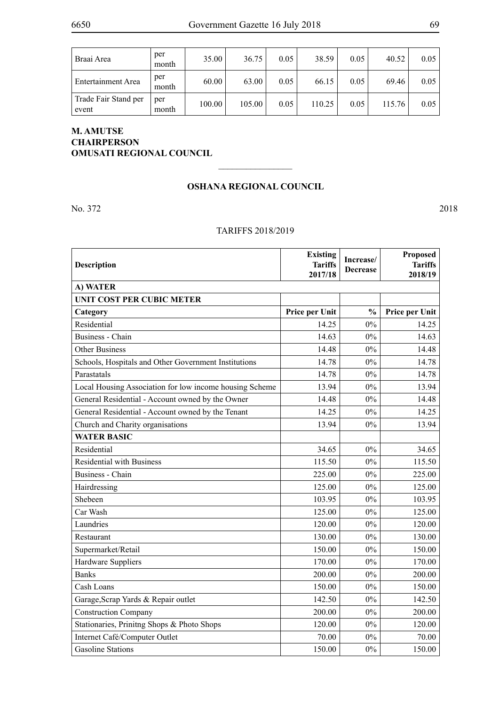| Braai Area                    | per<br>month | 35.00  | 36.75  | 0.05 | 38.59  | 0.05 | 40.52  | 0.05 |
|-------------------------------|--------------|--------|--------|------|--------|------|--------|------|
| Entertainment Area            | per<br>month | 60.00  | 63.00  | 0.05 | 66.15  | 0.05 | 69.46  | 0.05 |
| Trade Fair Stand per<br>event | per<br>month | 100.00 | 105.00 | 0.05 | 110.25 | 0.05 | 115.76 | 0.05 |

## **M. AMUTSE CHAIRPERSON OMUSATI REGIONAL COUNCIL**

#### **OSHANA REGIONAL COUNCIL**

 $\frac{1}{2}$ 

No. 372 2018

### TARIFFS 2018/2019

| <b>Description</b>                                      | <b>Existing</b><br><b>Tariffs</b><br>2017/18 | Increase/<br><b>Decrease</b> | Proposed<br><b>Tariffs</b><br>2018/19 |
|---------------------------------------------------------|----------------------------------------------|------------------------------|---------------------------------------|
| A) WATER                                                |                                              |                              |                                       |
| UNIT COST PER CUBIC METER                               |                                              |                              |                                       |
| Category                                                | Price per Unit                               | $\frac{0}{0}$                | Price per Unit                        |
| Residential                                             | 14.25                                        | $0\%$                        | 14.25                                 |
| <b>Business - Chain</b>                                 | 14.63                                        | $0\%$                        | 14.63                                 |
| <b>Other Business</b>                                   | 14.48                                        | 0%                           | 14.48                                 |
| Schools, Hospitals and Other Government Institutions    | 14.78                                        | 0%                           | 14.78                                 |
| Parastatals                                             | 14.78                                        | $0\%$                        | 14.78                                 |
| Local Housing Association for low income housing Scheme | 13.94                                        | 0%                           | 13.94                                 |
| General Residential - Account owned by the Owner        | 14.48                                        | $0\%$                        | 14.48                                 |
| General Residential - Account owned by the Tenant       | 14.25                                        | 0%                           | 14.25                                 |
| Church and Charity organisations                        | 13.94                                        | $0\%$                        | 13.94                                 |
| <b>WATER BASIC</b>                                      |                                              |                              |                                       |
| Residential                                             | 34.65                                        | $0\%$                        | 34.65                                 |
| <b>Residential with Business</b>                        | 115.50                                       | $0\%$                        | 115.50                                |
| <b>Business - Chain</b>                                 | 225.00                                       | 0%                           | 225.00                                |
| Hairdressing                                            | 125.00                                       | $0\%$                        | 125.00                                |
| Shebeen                                                 | 103.95                                       | $0\%$                        | 103.95                                |
| Car Wash                                                | 125.00                                       | 0%                           | 125.00                                |
| Laundries                                               | 120.00                                       | $0\%$                        | 120.00                                |
| Restaurant                                              | 130.00                                       | 0%                           | 130.00                                |
| Supermarket/Retail                                      | 150.00                                       | 0%                           | 150.00                                |
| Hardware Suppliers                                      | 170.00                                       | $0\%$                        | 170.00                                |
| <b>Banks</b>                                            | 200.00                                       | 0%                           | 200.00                                |
| Cash Loans                                              | 150.00                                       | $0\%$                        | 150.00                                |
| Garage, Scrap Yards & Repair outlet                     | 142.50                                       | 0%                           | 142.50                                |
| <b>Construction Company</b>                             | 200.00                                       | $0\%$                        | 200.00                                |
| Stationaries, Prinitng Shops & Photo Shops              | 120.00                                       | $0\%$                        | 120.00                                |
| Internet Café/Computer Outlet                           | 70.00                                        | $0\%$                        | 70.00                                 |
| <b>Gasoline Stations</b>                                | 150.00                                       | $0\%$                        | 150.00                                |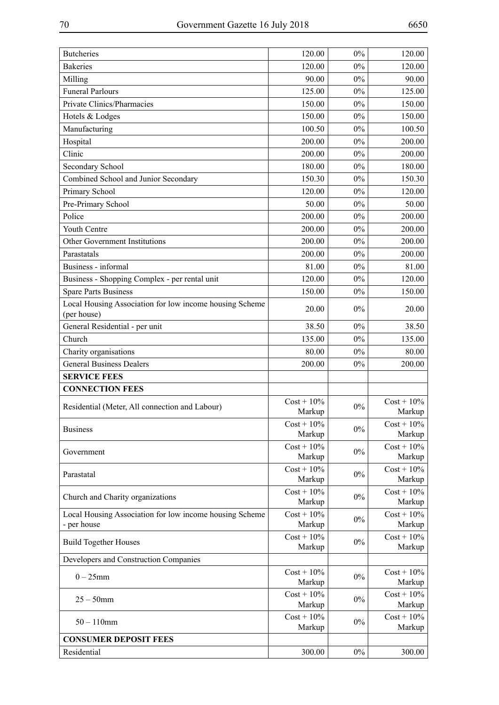| <b>Bakeries</b><br>120.00<br>0%<br>120.00<br>$0\%$<br>Milling<br>90.00<br>90.00<br><b>Funeral Parlours</b><br>$0\%$<br>125.00<br>125.00<br>Private Clinics/Pharmacies<br>$0\%$<br>150.00<br>150.00<br>Hotels & Lodges<br>150.00<br>0%<br>150.00<br>$0\%$<br>Manufacturing<br>100.50<br>100.50<br>Hospital<br>200.00<br>$0\%$<br>200.00<br>Clinic<br>200.00<br>0%<br>200.00<br>Secondary School<br>180.00<br>$0\%$<br>180.00<br>Combined School and Junior Secondary<br>150.30<br>$0\%$<br>150.30<br>Primary School<br>0%<br>120.00<br>120.00<br>Pre-Primary School<br>0%<br>50.00<br>50.00<br>Police<br>200.00<br>200.00<br>$0\%$<br>Youth Centre<br>200.00<br>$0\%$<br>200.00<br>Other Government Institutions<br>200.00<br>0%<br>200.00<br>0%<br>Parastatals<br>200.00<br>200.00<br>Business - informal<br>81.00<br>0%<br>81.00<br>$0\%$<br>120.00<br>Business - Shopping Complex - per rental unit<br>120.00<br><b>Spare Parts Business</b><br>150.00<br>$0\%$<br>150.00<br>Local Housing Association for low income housing Scheme<br>$0\%$<br>20.00<br>20.00<br>(per house)<br>General Residential - per unit<br>38.50<br>0%<br>38.50<br>Church<br>0%<br>135.00<br>135.00<br>$0\%$<br>Charity organisations<br>80.00<br>80.00<br><b>General Business Dealers</b><br>$0\%$<br>200.00<br>200.00<br><b>SERVICE FEES</b><br><b>CONNECTION FEES</b><br>$Cost + 10\%$<br>$Cost + 10\%$<br>$0\%$<br>Residential (Meter, All connection and Labour)<br>Markup<br>Markup<br>$Cost + 10\%$<br>$Cost + 10\%$<br>$0\%$<br><b>Business</b><br>Markup<br>Markup<br>$Cost + 10\%$<br>$Cost + 10\%$<br>$0\%$<br>Government<br>Markup<br>Markup<br>$Cost + 10\%$<br>$Cost + 10\%$<br>$0\%$<br>Parastatal<br>Markup<br>Markup<br>$Cost + 10\%$<br>$Cost + 10\%$<br>$0\%$<br>Church and Charity organizations<br>Markup<br>Markup<br>Local Housing Association for low income housing Scheme<br>$Cost + 10\%$<br>$Cost + 10\%$<br>$0\%$<br>Markup<br>- per house<br>Markup<br>$Cost + 10\%$<br>$Cost + 10\%$<br>$0\%$<br><b>Build Together Houses</b><br>Markup<br>Markup<br>Developers and Construction Companies<br>$Cost + 10\%$<br>$Cost + 10\%$<br>$0-25$ mm<br>$0\%$<br>Markup<br>Markup<br>$Cost + 10\%$<br>$Cost + 10\%$<br>$25 - 50$ mm<br>$0\%$<br>Markup<br>Markup<br>$Cost + 10\%$<br>$Cost + 10\%$<br>$50 - 110$ mm<br>$0\%$<br>Markup<br>Markup<br><b>CONSUMER DEPOSIT FEES</b><br>Residential<br>300.00<br>$0\%$<br>300.00 | <b>Butcheries</b> | 120.00 | 0% | 120.00 |
|-----------------------------------------------------------------------------------------------------------------------------------------------------------------------------------------------------------------------------------------------------------------------------------------------------------------------------------------------------------------------------------------------------------------------------------------------------------------------------------------------------------------------------------------------------------------------------------------------------------------------------------------------------------------------------------------------------------------------------------------------------------------------------------------------------------------------------------------------------------------------------------------------------------------------------------------------------------------------------------------------------------------------------------------------------------------------------------------------------------------------------------------------------------------------------------------------------------------------------------------------------------------------------------------------------------------------------------------------------------------------------------------------------------------------------------------------------------------------------------------------------------------------------------------------------------------------------------------------------------------------------------------------------------------------------------------------------------------------------------------------------------------------------------------------------------------------------------------------------------------------------------------------------------------------------------------------------------------------------------------------------------------------------------------------------------------------------------------------------------------------------------------------------------------------------------------------------------------------------------------------------------------------------------------------------------------------------------------------------------------------------------------------------------------------------|-------------------|--------|----|--------|
|                                                                                                                                                                                                                                                                                                                                                                                                                                                                                                                                                                                                                                                                                                                                                                                                                                                                                                                                                                                                                                                                                                                                                                                                                                                                                                                                                                                                                                                                                                                                                                                                                                                                                                                                                                                                                                                                                                                                                                                                                                                                                                                                                                                                                                                                                                                                                                                                                             |                   |        |    |        |
|                                                                                                                                                                                                                                                                                                                                                                                                                                                                                                                                                                                                                                                                                                                                                                                                                                                                                                                                                                                                                                                                                                                                                                                                                                                                                                                                                                                                                                                                                                                                                                                                                                                                                                                                                                                                                                                                                                                                                                                                                                                                                                                                                                                                                                                                                                                                                                                                                             |                   |        |    |        |
|                                                                                                                                                                                                                                                                                                                                                                                                                                                                                                                                                                                                                                                                                                                                                                                                                                                                                                                                                                                                                                                                                                                                                                                                                                                                                                                                                                                                                                                                                                                                                                                                                                                                                                                                                                                                                                                                                                                                                                                                                                                                                                                                                                                                                                                                                                                                                                                                                             |                   |        |    |        |
|                                                                                                                                                                                                                                                                                                                                                                                                                                                                                                                                                                                                                                                                                                                                                                                                                                                                                                                                                                                                                                                                                                                                                                                                                                                                                                                                                                                                                                                                                                                                                                                                                                                                                                                                                                                                                                                                                                                                                                                                                                                                                                                                                                                                                                                                                                                                                                                                                             |                   |        |    |        |
|                                                                                                                                                                                                                                                                                                                                                                                                                                                                                                                                                                                                                                                                                                                                                                                                                                                                                                                                                                                                                                                                                                                                                                                                                                                                                                                                                                                                                                                                                                                                                                                                                                                                                                                                                                                                                                                                                                                                                                                                                                                                                                                                                                                                                                                                                                                                                                                                                             |                   |        |    |        |
|                                                                                                                                                                                                                                                                                                                                                                                                                                                                                                                                                                                                                                                                                                                                                                                                                                                                                                                                                                                                                                                                                                                                                                                                                                                                                                                                                                                                                                                                                                                                                                                                                                                                                                                                                                                                                                                                                                                                                                                                                                                                                                                                                                                                                                                                                                                                                                                                                             |                   |        |    |        |
|                                                                                                                                                                                                                                                                                                                                                                                                                                                                                                                                                                                                                                                                                                                                                                                                                                                                                                                                                                                                                                                                                                                                                                                                                                                                                                                                                                                                                                                                                                                                                                                                                                                                                                                                                                                                                                                                                                                                                                                                                                                                                                                                                                                                                                                                                                                                                                                                                             |                   |        |    |        |
|                                                                                                                                                                                                                                                                                                                                                                                                                                                                                                                                                                                                                                                                                                                                                                                                                                                                                                                                                                                                                                                                                                                                                                                                                                                                                                                                                                                                                                                                                                                                                                                                                                                                                                                                                                                                                                                                                                                                                                                                                                                                                                                                                                                                                                                                                                                                                                                                                             |                   |        |    |        |
|                                                                                                                                                                                                                                                                                                                                                                                                                                                                                                                                                                                                                                                                                                                                                                                                                                                                                                                                                                                                                                                                                                                                                                                                                                                                                                                                                                                                                                                                                                                                                                                                                                                                                                                                                                                                                                                                                                                                                                                                                                                                                                                                                                                                                                                                                                                                                                                                                             |                   |        |    |        |
|                                                                                                                                                                                                                                                                                                                                                                                                                                                                                                                                                                                                                                                                                                                                                                                                                                                                                                                                                                                                                                                                                                                                                                                                                                                                                                                                                                                                                                                                                                                                                                                                                                                                                                                                                                                                                                                                                                                                                                                                                                                                                                                                                                                                                                                                                                                                                                                                                             |                   |        |    |        |
|                                                                                                                                                                                                                                                                                                                                                                                                                                                                                                                                                                                                                                                                                                                                                                                                                                                                                                                                                                                                                                                                                                                                                                                                                                                                                                                                                                                                                                                                                                                                                                                                                                                                                                                                                                                                                                                                                                                                                                                                                                                                                                                                                                                                                                                                                                                                                                                                                             |                   |        |    |        |
|                                                                                                                                                                                                                                                                                                                                                                                                                                                                                                                                                                                                                                                                                                                                                                                                                                                                                                                                                                                                                                                                                                                                                                                                                                                                                                                                                                                                                                                                                                                                                                                                                                                                                                                                                                                                                                                                                                                                                                                                                                                                                                                                                                                                                                                                                                                                                                                                                             |                   |        |    |        |
|                                                                                                                                                                                                                                                                                                                                                                                                                                                                                                                                                                                                                                                                                                                                                                                                                                                                                                                                                                                                                                                                                                                                                                                                                                                                                                                                                                                                                                                                                                                                                                                                                                                                                                                                                                                                                                                                                                                                                                                                                                                                                                                                                                                                                                                                                                                                                                                                                             |                   |        |    |        |
|                                                                                                                                                                                                                                                                                                                                                                                                                                                                                                                                                                                                                                                                                                                                                                                                                                                                                                                                                                                                                                                                                                                                                                                                                                                                                                                                                                                                                                                                                                                                                                                                                                                                                                                                                                                                                                                                                                                                                                                                                                                                                                                                                                                                                                                                                                                                                                                                                             |                   |        |    |        |
|                                                                                                                                                                                                                                                                                                                                                                                                                                                                                                                                                                                                                                                                                                                                                                                                                                                                                                                                                                                                                                                                                                                                                                                                                                                                                                                                                                                                                                                                                                                                                                                                                                                                                                                                                                                                                                                                                                                                                                                                                                                                                                                                                                                                                                                                                                                                                                                                                             |                   |        |    |        |
|                                                                                                                                                                                                                                                                                                                                                                                                                                                                                                                                                                                                                                                                                                                                                                                                                                                                                                                                                                                                                                                                                                                                                                                                                                                                                                                                                                                                                                                                                                                                                                                                                                                                                                                                                                                                                                                                                                                                                                                                                                                                                                                                                                                                                                                                                                                                                                                                                             |                   |        |    |        |
|                                                                                                                                                                                                                                                                                                                                                                                                                                                                                                                                                                                                                                                                                                                                                                                                                                                                                                                                                                                                                                                                                                                                                                                                                                                                                                                                                                                                                                                                                                                                                                                                                                                                                                                                                                                                                                                                                                                                                                                                                                                                                                                                                                                                                                                                                                                                                                                                                             |                   |        |    |        |
|                                                                                                                                                                                                                                                                                                                                                                                                                                                                                                                                                                                                                                                                                                                                                                                                                                                                                                                                                                                                                                                                                                                                                                                                                                                                                                                                                                                                                                                                                                                                                                                                                                                                                                                                                                                                                                                                                                                                                                                                                                                                                                                                                                                                                                                                                                                                                                                                                             |                   |        |    |        |
|                                                                                                                                                                                                                                                                                                                                                                                                                                                                                                                                                                                                                                                                                                                                                                                                                                                                                                                                                                                                                                                                                                                                                                                                                                                                                                                                                                                                                                                                                                                                                                                                                                                                                                                                                                                                                                                                                                                                                                                                                                                                                                                                                                                                                                                                                                                                                                                                                             |                   |        |    |        |
|                                                                                                                                                                                                                                                                                                                                                                                                                                                                                                                                                                                                                                                                                                                                                                                                                                                                                                                                                                                                                                                                                                                                                                                                                                                                                                                                                                                                                                                                                                                                                                                                                                                                                                                                                                                                                                                                                                                                                                                                                                                                                                                                                                                                                                                                                                                                                                                                                             |                   |        |    |        |
|                                                                                                                                                                                                                                                                                                                                                                                                                                                                                                                                                                                                                                                                                                                                                                                                                                                                                                                                                                                                                                                                                                                                                                                                                                                                                                                                                                                                                                                                                                                                                                                                                                                                                                                                                                                                                                                                                                                                                                                                                                                                                                                                                                                                                                                                                                                                                                                                                             |                   |        |    |        |
|                                                                                                                                                                                                                                                                                                                                                                                                                                                                                                                                                                                                                                                                                                                                                                                                                                                                                                                                                                                                                                                                                                                                                                                                                                                                                                                                                                                                                                                                                                                                                                                                                                                                                                                                                                                                                                                                                                                                                                                                                                                                                                                                                                                                                                                                                                                                                                                                                             |                   |        |    |        |
|                                                                                                                                                                                                                                                                                                                                                                                                                                                                                                                                                                                                                                                                                                                                                                                                                                                                                                                                                                                                                                                                                                                                                                                                                                                                                                                                                                                                                                                                                                                                                                                                                                                                                                                                                                                                                                                                                                                                                                                                                                                                                                                                                                                                                                                                                                                                                                                                                             |                   |        |    |        |
|                                                                                                                                                                                                                                                                                                                                                                                                                                                                                                                                                                                                                                                                                                                                                                                                                                                                                                                                                                                                                                                                                                                                                                                                                                                                                                                                                                                                                                                                                                                                                                                                                                                                                                                                                                                                                                                                                                                                                                                                                                                                                                                                                                                                                                                                                                                                                                                                                             |                   |        |    |        |
|                                                                                                                                                                                                                                                                                                                                                                                                                                                                                                                                                                                                                                                                                                                                                                                                                                                                                                                                                                                                                                                                                                                                                                                                                                                                                                                                                                                                                                                                                                                                                                                                                                                                                                                                                                                                                                                                                                                                                                                                                                                                                                                                                                                                                                                                                                                                                                                                                             |                   |        |    |        |
|                                                                                                                                                                                                                                                                                                                                                                                                                                                                                                                                                                                                                                                                                                                                                                                                                                                                                                                                                                                                                                                                                                                                                                                                                                                                                                                                                                                                                                                                                                                                                                                                                                                                                                                                                                                                                                                                                                                                                                                                                                                                                                                                                                                                                                                                                                                                                                                                                             |                   |        |    |        |
|                                                                                                                                                                                                                                                                                                                                                                                                                                                                                                                                                                                                                                                                                                                                                                                                                                                                                                                                                                                                                                                                                                                                                                                                                                                                                                                                                                                                                                                                                                                                                                                                                                                                                                                                                                                                                                                                                                                                                                                                                                                                                                                                                                                                                                                                                                                                                                                                                             |                   |        |    |        |
|                                                                                                                                                                                                                                                                                                                                                                                                                                                                                                                                                                                                                                                                                                                                                                                                                                                                                                                                                                                                                                                                                                                                                                                                                                                                                                                                                                                                                                                                                                                                                                                                                                                                                                                                                                                                                                                                                                                                                                                                                                                                                                                                                                                                                                                                                                                                                                                                                             |                   |        |    |        |
|                                                                                                                                                                                                                                                                                                                                                                                                                                                                                                                                                                                                                                                                                                                                                                                                                                                                                                                                                                                                                                                                                                                                                                                                                                                                                                                                                                                                                                                                                                                                                                                                                                                                                                                                                                                                                                                                                                                                                                                                                                                                                                                                                                                                                                                                                                                                                                                                                             |                   |        |    |        |
|                                                                                                                                                                                                                                                                                                                                                                                                                                                                                                                                                                                                                                                                                                                                                                                                                                                                                                                                                                                                                                                                                                                                                                                                                                                                                                                                                                                                                                                                                                                                                                                                                                                                                                                                                                                                                                                                                                                                                                                                                                                                                                                                                                                                                                                                                                                                                                                                                             |                   |        |    |        |
|                                                                                                                                                                                                                                                                                                                                                                                                                                                                                                                                                                                                                                                                                                                                                                                                                                                                                                                                                                                                                                                                                                                                                                                                                                                                                                                                                                                                                                                                                                                                                                                                                                                                                                                                                                                                                                                                                                                                                                                                                                                                                                                                                                                                                                                                                                                                                                                                                             |                   |        |    |        |
|                                                                                                                                                                                                                                                                                                                                                                                                                                                                                                                                                                                                                                                                                                                                                                                                                                                                                                                                                                                                                                                                                                                                                                                                                                                                                                                                                                                                                                                                                                                                                                                                                                                                                                                                                                                                                                                                                                                                                                                                                                                                                                                                                                                                                                                                                                                                                                                                                             |                   |        |    |        |
|                                                                                                                                                                                                                                                                                                                                                                                                                                                                                                                                                                                                                                                                                                                                                                                                                                                                                                                                                                                                                                                                                                                                                                                                                                                                                                                                                                                                                                                                                                                                                                                                                                                                                                                                                                                                                                                                                                                                                                                                                                                                                                                                                                                                                                                                                                                                                                                                                             |                   |        |    |        |
|                                                                                                                                                                                                                                                                                                                                                                                                                                                                                                                                                                                                                                                                                                                                                                                                                                                                                                                                                                                                                                                                                                                                                                                                                                                                                                                                                                                                                                                                                                                                                                                                                                                                                                                                                                                                                                                                                                                                                                                                                                                                                                                                                                                                                                                                                                                                                                                                                             |                   |        |    |        |
|                                                                                                                                                                                                                                                                                                                                                                                                                                                                                                                                                                                                                                                                                                                                                                                                                                                                                                                                                                                                                                                                                                                                                                                                                                                                                                                                                                                                                                                                                                                                                                                                                                                                                                                                                                                                                                                                                                                                                                                                                                                                                                                                                                                                                                                                                                                                                                                                                             |                   |        |    |        |
|                                                                                                                                                                                                                                                                                                                                                                                                                                                                                                                                                                                                                                                                                                                                                                                                                                                                                                                                                                                                                                                                                                                                                                                                                                                                                                                                                                                                                                                                                                                                                                                                                                                                                                                                                                                                                                                                                                                                                                                                                                                                                                                                                                                                                                                                                                                                                                                                                             |                   |        |    |        |
|                                                                                                                                                                                                                                                                                                                                                                                                                                                                                                                                                                                                                                                                                                                                                                                                                                                                                                                                                                                                                                                                                                                                                                                                                                                                                                                                                                                                                                                                                                                                                                                                                                                                                                                                                                                                                                                                                                                                                                                                                                                                                                                                                                                                                                                                                                                                                                                                                             |                   |        |    |        |
|                                                                                                                                                                                                                                                                                                                                                                                                                                                                                                                                                                                                                                                                                                                                                                                                                                                                                                                                                                                                                                                                                                                                                                                                                                                                                                                                                                                                                                                                                                                                                                                                                                                                                                                                                                                                                                                                                                                                                                                                                                                                                                                                                                                                                                                                                                                                                                                                                             |                   |        |    |        |
|                                                                                                                                                                                                                                                                                                                                                                                                                                                                                                                                                                                                                                                                                                                                                                                                                                                                                                                                                                                                                                                                                                                                                                                                                                                                                                                                                                                                                                                                                                                                                                                                                                                                                                                                                                                                                                                                                                                                                                                                                                                                                                                                                                                                                                                                                                                                                                                                                             |                   |        |    |        |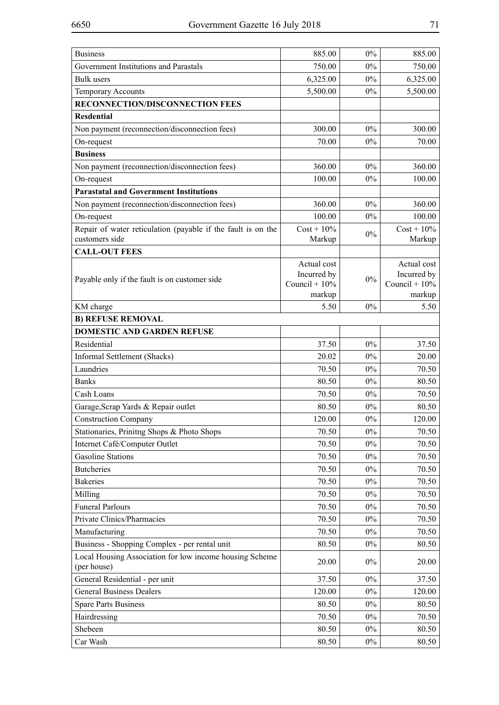| <b>Business</b>                                                        | 885.00                     | $0\%$ | 885.00                     |
|------------------------------------------------------------------------|----------------------------|-------|----------------------------|
| Government Institutions and Parastals                                  | 750.00                     | $0\%$ | 750.00                     |
| <b>Bulk</b> users                                                      | 6,325.00                   | $0\%$ | 6,325.00                   |
| <b>Temporary Accounts</b>                                              | 5,500.00                   | $0\%$ | 5,500.00                   |
| RECONNECTION/DISCONNECTION FEES                                        |                            |       |                            |
| <b>Resdential</b>                                                      |                            |       |                            |
| Non payment (reconnection/disconnection fees)                          | 300.00                     | $0\%$ | 300.00                     |
| On-request                                                             | 70.00                      | $0\%$ | 70.00                      |
| <b>Business</b>                                                        |                            |       |                            |
| Non payment (reconnection/disconnection fees)                          | 360.00                     | $0\%$ | 360.00                     |
| On-request                                                             | 100.00                     | $0\%$ | 100.00                     |
| <b>Parastatal and Government Institutions</b>                          |                            |       |                            |
| Non payment (reconnection/disconnection fees)                          | 360.00                     | $0\%$ | 360.00                     |
| On-request                                                             | 100.00                     | $0\%$ | 100.00                     |
| Repair of water reticulation (payable if the fault is on the           | $Cost + 10\%$              | $0\%$ | $Cost + 10\%$              |
| customers side                                                         | Markup                     |       | Markup                     |
| <b>CALL-OUT FEES</b>                                                   |                            |       |                            |
|                                                                        | Actual cost<br>Incurred by |       | Actual cost<br>Incurred by |
| Payable only if the fault is on customer side                          | Council + $10\%$           | $0\%$ | Council + $10\%$           |
|                                                                        | markup                     |       | markup                     |
| KM charge                                                              | 5.50                       | $0\%$ | 5.50                       |
| <b>B) REFUSE REMOVAL</b>                                               |                            |       |                            |
| DOMESTIC AND GARDEN REFUSE                                             |                            |       |                            |
| Residential                                                            | 37.50                      | $0\%$ | 37.50                      |
| Informal Settlement (Shacks)                                           | 20.02                      | $0\%$ | 20.00                      |
| Laundries                                                              | 70.50                      | $0\%$ | 70.50                      |
| <b>Banks</b>                                                           | 80.50                      | $0\%$ | 80.50                      |
| Cash Loans                                                             | 70.50                      | $0\%$ | 70.50                      |
| Garage, Scrap Yards & Repair outlet                                    | 80.50                      | $0\%$ | 80.50                      |
| <b>Construction Company</b>                                            | 120.00                     | $0\%$ | 120.00                     |
| Stationaries, Prinitng Shops & Photo Shops                             | 70.50                      | $0\%$ | 70.50                      |
| Internet Café/Computer Outlet                                          | 70.50                      | $0\%$ | 70.50                      |
| <b>Gasoline Stations</b>                                               | 70.50                      | $0\%$ | 70.50                      |
| <b>Butcheries</b>                                                      | 70.50                      | $0\%$ | 70.50                      |
| <b>Bakeries</b>                                                        | 70.50                      | $0\%$ | 70.50                      |
| Milling                                                                | 70.50                      | $0\%$ | 70.50                      |
| <b>Funeral Parlours</b>                                                | 70.50                      | $0\%$ | 70.50                      |
| Private Clinics/Pharmacies                                             | 70.50                      | $0\%$ | 70.50                      |
| Manufacturing                                                          | 70.50                      | $0\%$ | 70.50                      |
| Business - Shopping Complex - per rental unit                          | 80.50                      | $0\%$ | 80.50                      |
| Local Housing Association for low income housing Scheme<br>(per house) | 20.00                      | $0\%$ | 20.00                      |
| General Residential - per unit                                         | 37.50                      | $0\%$ | 37.50                      |
| <b>General Business Dealers</b>                                        | 120.00                     | $0\%$ | 120.00                     |
| <b>Spare Parts Business</b>                                            | 80.50                      | $0\%$ | 80.50                      |
| Hairdressing                                                           | 70.50                      | $0\%$ | 70.50                      |
| Shebeen                                                                | 80.50                      | $0\%$ | 80.50                      |
| Car Wash                                                               | 80.50                      | $0\%$ | 80.50                      |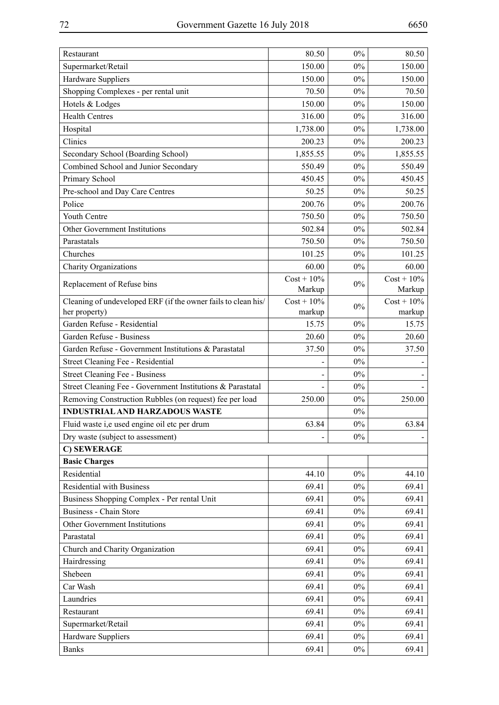| Restaurant                                                    | 80.50         | 0%    | 80.50         |
|---------------------------------------------------------------|---------------|-------|---------------|
| Supermarket/Retail                                            | 150.00        | $0\%$ | 150.00        |
| Hardware Suppliers                                            | 150.00        | $0\%$ | 150.00        |
| Shopping Complexes - per rental unit                          | 70.50         | $0\%$ | 70.50         |
| Hotels & Lodges                                               | 150.00        | $0\%$ | 150.00        |
| <b>Health Centres</b>                                         | 316.00        | $0\%$ | 316.00        |
| Hospital                                                      | 1,738.00      | $0\%$ | 1,738.00      |
| Clinics                                                       | 200.23        | $0\%$ | 200.23        |
| Secondary School (Boarding School)                            | 1,855.55      | $0\%$ | 1,855.55      |
| Combined School and Junior Secondary                          | 550.49        | $0\%$ | 550.49        |
| Primary School                                                | 450.45        | $0\%$ | 450.45        |
| Pre-school and Day Care Centres                               | 50.25         | $0\%$ | 50.25         |
| Police                                                        | 200.76        | $0\%$ | 200.76        |
| Youth Centre                                                  | 750.50        | $0\%$ | 750.50        |
| Other Government Institutions                                 | 502.84        | $0\%$ | 502.84        |
| Parastatals                                                   | 750.50        | $0\%$ | 750.50        |
| Churches                                                      | 101.25        | $0\%$ | 101.25        |
| <b>Charity Organizations</b>                                  | 60.00         | $0\%$ | 60.00         |
| Replacement of Refuse bins                                    | $Cost + 10\%$ | $0\%$ | $Cost + 10\%$ |
|                                                               | Markup        |       | Markup        |
| Cleaning of undeveloped ERF (if the owner fails to clean his/ | $Cost + 10\%$ | $0\%$ | $Cost + 10\%$ |
| her property)                                                 | markup        |       | markup        |
| Garden Refuse - Residential                                   | 15.75         | $0\%$ | 15.75         |
| Garden Refuse - Business                                      | 20.60         | $0\%$ | 20.60         |
| Garden Refuse - Government Institutions & Parastatal          | 37.50         | $0\%$ | 37.50         |
| Street Cleaning Fee - Residential                             |               | $0\%$ |               |
| Street Cleaning Fee - Business                                |               | $0\%$ |               |
| Street Cleaning Fee - Government Institutions & Parastatal    |               | $0\%$ |               |
| Removing Construction Rubbles (on request) fee per load       | 250.00        | $0\%$ | 250.00        |
| <b>INDUSTRIAL AND HARZADOUS WASTE</b>                         |               | $0\%$ |               |
| Fluid waste i,e used engine oil etc per drum                  | 63.84         | $0\%$ | 63.84         |
| Dry waste (subject to assessment)                             |               | $0\%$ |               |
| C) SEWERAGE                                                   |               |       |               |
| <b>Basic Charges</b>                                          |               |       |               |
| Residential                                                   | 44.10         | $0\%$ | 44.10         |
| <b>Residential with Business</b>                              | 69.41         | $0\%$ | 69.41         |
| Business Shopping Complex - Per rental Unit                   | 69.41         | $0\%$ | 69.41         |
| <b>Business - Chain Store</b>                                 | 69.41         | $0\%$ | 69.41         |
| Other Government Institutions                                 | 69.41         | $0\%$ | 69.41         |
| Parastatal                                                    | 69.41         | $0\%$ | 69.41         |
| Church and Charity Organization                               | 69.41         | $0\%$ | 69.41         |
| Hairdressing                                                  | 69.41         | $0\%$ | 69.41         |
| Shebeen                                                       | 69.41         | $0\%$ | 69.41         |
| Car Wash                                                      | 69.41         | $0\%$ | 69.41         |
| Laundries                                                     | 69.41         | $0\%$ | 69.41         |
| Restaurant                                                    | 69.41         | $0\%$ | 69.41         |
| Supermarket/Retail                                            | 69.41         | $0\%$ | 69.41         |
| Hardware Suppliers                                            | 69.41         | $0\%$ | 69.41         |
| <b>Banks</b>                                                  | 69.41         | $0\%$ | 69.41         |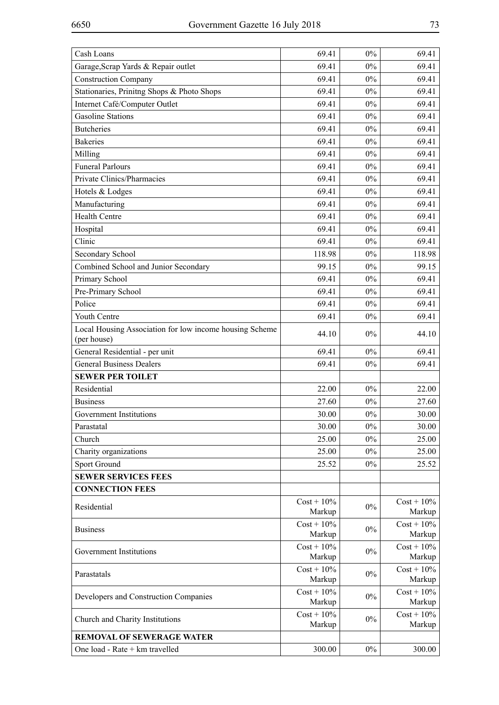| Cash Loans                                                             | 69.41                   | $0\%$ | 69.41                   |
|------------------------------------------------------------------------|-------------------------|-------|-------------------------|
| Garage, Scrap Yards & Repair outlet                                    | 69.41                   | $0\%$ | 69.41                   |
| <b>Construction Company</b>                                            | 69.41                   | $0\%$ | 69.41                   |
| Stationaries, Prinitng Shops & Photo Shops                             | 69.41                   | $0\%$ | 69.41                   |
| Internet Café/Computer Outlet                                          | 69.41                   | $0\%$ | 69.41                   |
| <b>Gasoline Stations</b>                                               | 69.41                   | $0\%$ | 69.41                   |
| <b>Butcheries</b>                                                      | 69.41                   | $0\%$ | 69.41                   |
| <b>Bakeries</b>                                                        | 69.41                   | $0\%$ | 69.41                   |
| Milling                                                                | 69.41                   | $0\%$ | 69.41                   |
| <b>Funeral Parlours</b>                                                | 69.41                   | $0\%$ | 69.41                   |
| Private Clinics/Pharmacies                                             | 69.41                   | $0\%$ | 69.41                   |
| Hotels & Lodges                                                        | 69.41                   | $0\%$ | 69.41                   |
| Manufacturing                                                          | 69.41                   | $0\%$ | 69.41                   |
| <b>Health Centre</b>                                                   | 69.41                   | $0\%$ | 69.41                   |
| Hospital                                                               | 69.41                   | $0\%$ | 69.41                   |
| Clinic                                                                 | 69.41                   | $0\%$ | 69.41                   |
| Secondary School                                                       | 118.98                  | $0\%$ | 118.98                  |
| Combined School and Junior Secondary                                   | 99.15                   | $0\%$ | 99.15                   |
| Primary School                                                         | 69.41                   | $0\%$ | 69.41                   |
| Pre-Primary School                                                     | 69.41                   | 0%    | 69.41                   |
| Police                                                                 | 69.41                   | $0\%$ | 69.41                   |
| Youth Centre                                                           | 69.41                   | $0\%$ | 69.41                   |
| Local Housing Association for low income housing Scheme<br>(per house) | 44.10                   | $0\%$ | 44.10                   |
| General Residential - per unit                                         | 69.41                   | $0\%$ | 69.41                   |
| <b>General Business Dealers</b>                                        | 69.41                   | $0\%$ | 69.41                   |
| <b>SEWER PER TOILET</b>                                                |                         |       |                         |
| Residential                                                            | 22.00                   | $0\%$ | 22.00                   |
| <b>Business</b>                                                        | 27.60                   | $0\%$ | 27.60                   |
| Government Institutions                                                | 30.00                   | $0\%$ | 30.00                   |
| Parastatal                                                             | 30.00                   | $0\%$ | 30.00                   |
| Church                                                                 | 25.00                   | 0%    | 25.00                   |
| Charity organizations                                                  | 25.00                   | $0\%$ | 25.00                   |
| Sport Ground                                                           | 25.52                   | $0\%$ | 25.52                   |
| <b>SEWER SERVICES FEES</b>                                             |                         |       |                         |
| <b>CONNECTION FEES</b>                                                 |                         |       |                         |
| Residential                                                            | $Cost + 10\%$<br>Markup | $0\%$ | $Cost + 10\%$<br>Markup |
| <b>Business</b>                                                        | $Cost + 10\%$<br>Markup | $0\%$ | $Cost + 10\%$<br>Markup |
| Government Institutions                                                | $Cost + 10\%$<br>Markup | $0\%$ | $Cost + 10\%$<br>Markup |
| Parastatals                                                            | $Cost + 10\%$<br>Markup | $0\%$ | $Cost + 10\%$<br>Markup |
| Developers and Construction Companies                                  | $Cost + 10\%$<br>Markup | $0\%$ | $Cost + 10\%$<br>Markup |
| Church and Charity Institutions                                        | $Cost + 10\%$<br>Markup | $0\%$ | $Cost + 10\%$<br>Markup |
| <b>REMOVAL OF SEWERAGE WATER</b>                                       |                         |       |                         |
| One load - Rate + km travelled                                         | 300.00                  | $0\%$ | 300.00                  |
|                                                                        |                         |       |                         |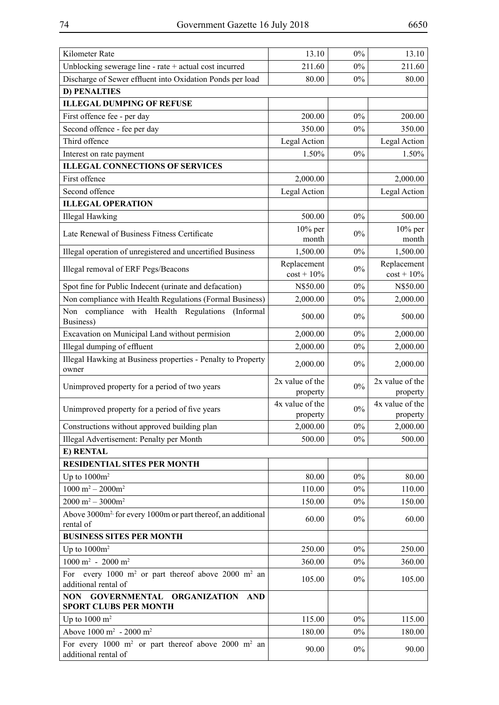| Kilometer Rate                                                                                        | 13.10                       | $0\%$ | 13.10                       |
|-------------------------------------------------------------------------------------------------------|-----------------------------|-------|-----------------------------|
| Unblocking sewerage line - rate + actual cost incurred                                                | 211.60                      | $0\%$ | 211.60                      |
| Discharge of Sewer effluent into Oxidation Ponds per load                                             | 80.00                       | $0\%$ | 80.00                       |
| <b>D) PENALTIES</b>                                                                                   |                             |       |                             |
| <b>ILLEGAL DUMPING OF REFUSE</b>                                                                      |                             |       |                             |
| First offence fee - per day                                                                           | 200.00                      | 0%    | 200.00                      |
| Second offence - fee per day                                                                          | 350.00                      | 0%    | 350.00                      |
| Third offence                                                                                         | Legal Action                |       | Legal Action                |
| Interest on rate payment                                                                              | 1.50%                       | 0%    | 1.50%                       |
| <b>ILLEGAL CONNECTIONS OF SERVICES</b>                                                                |                             |       |                             |
| First offence                                                                                         | 2,000.00                    |       | 2,000.00                    |
| Second offence                                                                                        | Legal Action                |       | Legal Action                |
| <b>ILLEGAL OPERATION</b>                                                                              |                             |       |                             |
| <b>Illegal Hawking</b>                                                                                | 500.00                      | 0%    | 500.00                      |
|                                                                                                       | $10\%$ per                  |       | $10\%$ per                  |
| Late Renewal of Business Fitness Certificate                                                          | month                       | $0\%$ | month                       |
| Illegal operation of unregistered and uncertified Business                                            | 1,500.00                    | 0%    | 1,500.00                    |
| Illegal removal of ERF Pegs/Beacons                                                                   | Replacement                 | $0\%$ | Replacement                 |
|                                                                                                       | $cost + 10\%$               |       | $cost + 10\%$               |
| Spot fine for Public Indecent (urinate and defacation)                                                | N\$50.00                    | 0%    | N\$50.00                    |
| Non compliance with Health Regulations (Formal Business)                                              | 2,000.00                    | $0\%$ | 2,000.00                    |
| Non compliance with Health Regulations<br>(Informal<br>Business)                                      | 500.00                      | 0%    | 500.00                      |
| Excavation on Municipal Land without permision                                                        | 2,000.00                    | 0%    | 2,000.00                    |
| Illegal dumping of effluent                                                                           | 2,000.00                    | $0\%$ | 2,000.00                    |
| Illegal Hawking at Business properties - Penalty to Property<br>owner                                 | 2,000.00                    | $0\%$ | 2,000.00                    |
| Unimproved property for a period of two years                                                         | 2x value of the             | $0\%$ | 2x value of the             |
|                                                                                                       | property                    |       | property                    |
| Unimproved property for a period of five years                                                        | 4x value of the<br>property | $0\%$ | 4x value of the<br>property |
| Constructions without approved building plan                                                          | 2,000.00                    | $0\%$ | 2,000.00                    |
| Illegal Advertisement: Penalty per Month                                                              | 500.00                      | $0\%$ | 500.00                      |
| E) RENTAL                                                                                             |                             |       |                             |
| <b>RESIDENTIAL SITES PER MONTH</b>                                                                    |                             |       |                             |
| Up to $1000m^2$                                                                                       | 80.00                       | $0\%$ | 80.00                       |
| $1000 \text{ m}^2 - 2000 \text{m}^2$                                                                  | 110.00                      | $0\%$ | 110.00                      |
| $2000 \text{ m}^2 - 3000 \text{ m}^2$                                                                 | 150.00                      | $0\%$ | 150.00                      |
| Above 3000m <sup>2</sup> for every 1000m or part thereof, an additional<br>rental of                  | 60.00                       | $0\%$ | 60.00                       |
| <b>BUSINESS SITES PER MONTH</b>                                                                       |                             |       |                             |
| Up to $1000m^2$                                                                                       | 250.00                      | $0\%$ | 250.00                      |
| $1000 \text{ m}^2$ - 2000 m <sup>2</sup>                                                              |                             | $0\%$ |                             |
|                                                                                                       | 360.00                      |       | 360.00                      |
| every 1000 m <sup>2</sup> or part thereof above 2000 m <sup>2</sup> an<br>For<br>additional rental of | 105.00                      | $0\%$ | 105.00                      |
| <b>GOVERNMENTAL</b><br><b>ORGANIZATION</b><br>NON .<br><b>AND</b><br><b>SPORT CLUBS PER MONTH</b>     |                             |       |                             |
| Up to $1000 \text{ m}^2$                                                                              | 115.00                      | $0\%$ | 115.00                      |
| Above $1000 \text{ m}^2$ - 2000 m <sup>2</sup>                                                        | 180.00                      | $0\%$ | 180.00                      |
| For every 1000 $m^2$ or part thereof above 2000 $m^2$ an<br>additional rental of                      | 90.00                       | $0\%$ | 90.00                       |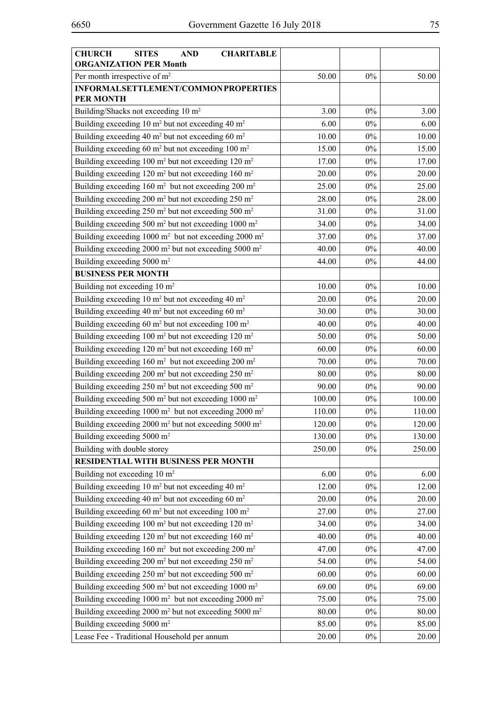| <b>CHURCH</b><br><b>SITES</b><br><b>AND</b><br><b>CHARITABLE</b><br><b>ORGANIZATION PER Month</b> |        |       |        |
|---------------------------------------------------------------------------------------------------|--------|-------|--------|
| Per month irrespective of m <sup>2</sup>                                                          | 50.00  | $0\%$ | 50.00  |
| INFORMALSETTLEMENT/COMMON PROPERTIES<br><b>PER MONTH</b>                                          |        |       |        |
| Building/Shacks not exceeding 10 m <sup>2</sup>                                                   | 3.00   | $0\%$ | 3.00   |
| Building exceeding 10 m <sup>2</sup> but not exceeding 40 m <sup>2</sup>                          | 6.00   | $0\%$ | 6.00   |
| Building exceeding 40 m <sup>2</sup> but not exceeding 60 m <sup>2</sup>                          | 10.00  | $0\%$ | 10.00  |
| Building exceeding 60 m <sup>2</sup> but not exceeding 100 m <sup>2</sup>                         | 15.00  | $0\%$ | 15.00  |
| Building exceeding 100 $m^2$ but not exceeding 120 $m^2$                                          | 17.00  | $0\%$ | 17.00  |
| Building exceeding 120 m <sup>2</sup> but not exceeding 160 m <sup>2</sup>                        | 20.00  | $0\%$ | 20.00  |
| Building exceeding $160 \text{ m}^2$ but not exceeding $200 \text{ m}^2$                          | 25.00  | $0\%$ | 25.00  |
| Building exceeding 200 m <sup>2</sup> but not exceeding 250 m <sup>2</sup>                        | 28.00  | $0\%$ | 28.00  |
| Building exceeding 250 m <sup>2</sup> but not exceeding 500 m <sup>2</sup>                        | 31.00  | $0\%$ | 31.00  |
| Building exceeding 500 m <sup>2</sup> but not exceeding 1000 m <sup>2</sup>                       | 34.00  | $0\%$ | 34.00  |
| Building exceeding 1000 m <sup>2</sup> but not exceeding 2000 m <sup>2</sup>                      | 37.00  | $0\%$ | 37.00  |
| Building exceeding 2000 m <sup>2</sup> but not exceeding 5000 m <sup>2</sup>                      | 40.00  | $0\%$ | 40.00  |
| Building exceeding 5000 m <sup>2</sup>                                                            | 44.00  | $0\%$ | 44.00  |
| <b>BUSINESS PER MONTH</b>                                                                         |        |       |        |
| Building not exceeding 10 m <sup>2</sup>                                                          | 10.00  | $0\%$ | 10.00  |
| Building exceeding 10 m <sup>2</sup> but not exceeding 40 m <sup>2</sup>                          | 20.00  | $0\%$ | 20.00  |
| Building exceeding 40 m <sup>2</sup> but not exceeding 60 m <sup>2</sup>                          | 30.00  | $0\%$ | 30.00  |
| Building exceeding 60 m <sup>2</sup> but not exceeding 100 m <sup>2</sup>                         | 40.00  | $0\%$ | 40.00  |
| Building exceeding 100 m <sup>2</sup> but not exceeding 120 m <sup>2</sup>                        | 50.00  | $0\%$ | 50.00  |
| Building exceeding 120 m <sup>2</sup> but not exceeding 160 m <sup>2</sup>                        | 60.00  | $0\%$ | 60.00  |
| Building exceeding $160 \text{ m}^2$ but not exceeding $200 \text{ m}^2$                          | 70.00  | $0\%$ | 70.00  |
| Building exceeding 200 m <sup>2</sup> but not exceeding 250 m <sup>2</sup>                        | 80.00  | $0\%$ | 80.00  |
| Building exceeding 250 m <sup>2</sup> but not exceeding 500 m <sup>2</sup>                        | 90.00  | $0\%$ | 90.00  |
| Building exceeding 500 m <sup>2</sup> but not exceeding 1000 m <sup>2</sup>                       | 100.00 | $0\%$ | 100.00 |
| Building exceeding 1000 m <sup>2</sup> but not exceeding 2000 m <sup>2</sup>                      | 110.00 | $0\%$ | 110.00 |
| Building exceeding 2000 $m2$ but not exceeding 5000 $m2$                                          | 120.00 | $0\%$ | 120.00 |
| Building exceeding 5000 m <sup>2</sup>                                                            | 130.00 | $0\%$ | 130.00 |
| Building with double storey                                                                       | 250.00 | $0\%$ | 250.00 |
| RESIDENTIAL WITH BUSINESS PER MONTH                                                               |        |       |        |
| Building not exceeding $10 \text{ m}^2$                                                           | 6.00   | $0\%$ | 6.00   |
| Building exceeding 10 m <sup>2</sup> but not exceeding 40 m <sup>2</sup>                          | 12.00  | $0\%$ | 12.00  |
| Building exceeding 40 m <sup>2</sup> but not exceeding 60 m <sup>2</sup>                          | 20.00  | $0\%$ | 20.00  |
| Building exceeding 60 m <sup>2</sup> but not exceeding 100 m <sup>2</sup>                         | 27.00  | $0\%$ | 27.00  |
| Building exceeding 100 m <sup>2</sup> but not exceeding 120 m <sup>2</sup>                        | 34.00  | $0\%$ | 34.00  |
| Building exceeding 120 m <sup>2</sup> but not exceeding 160 m <sup>2</sup>                        | 40.00  | $0\%$ | 40.00  |
| Building exceeding 160 m <sup>2</sup> but not exceeding 200 m <sup>2</sup>                        | 47.00  | $0\%$ | 47.00  |
| Building exceeding 200 m <sup>2</sup> but not exceeding 250 m <sup>2</sup>                        | 54.00  | $0\%$ | 54.00  |
| Building exceeding 250 m <sup>2</sup> but not exceeding 500 m <sup>2</sup>                        | 60.00  | $0\%$ | 60.00  |
| Building exceeding 500 m <sup>2</sup> but not exceeding 1000 m <sup>2</sup>                       | 69.00  | $0\%$ | 69.00  |
| Building exceeding 1000 m <sup>2</sup> but not exceeding 2000 m <sup>2</sup>                      | 75.00  | $0\%$ | 75.00  |
| Building exceeding 2000 m <sup>2</sup> but not exceeding 5000 m <sup>2</sup>                      | 80.00  | $0\%$ | 80.00  |
| Building exceeding 5000 m <sup>2</sup>                                                            | 85.00  | $0\%$ | 85.00  |
| Lease Fee - Traditional Household per annum                                                       | 20.00  | $0\%$ | 20.00  |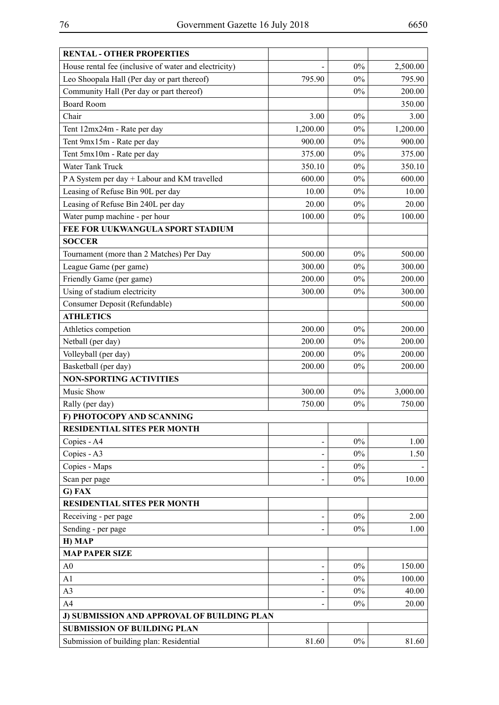| <b>RENTAL - OTHER PROPERTIES</b>                      |          |       |          |
|-------------------------------------------------------|----------|-------|----------|
| House rental fee (inclusive of water and electricity) |          | 0%    | 2,500.00 |
| Leo Shoopala Hall (Per day or part thereof)           | 795.90   | $0\%$ | 795.90   |
| Community Hall (Per day or part thereof)              |          | $0\%$ | 200.00   |
| <b>Board Room</b>                                     |          |       | 350.00   |
| Chair                                                 | 3.00     | $0\%$ | 3.00     |
| Tent 12mx24m - Rate per day                           | 1,200.00 | $0\%$ | 1,200.00 |
| Tent 9mx15m - Rate per day                            | 900.00   | $0\%$ | 900.00   |
| Tent 5mx10m - Rate per day                            | 375.00   | 0%    | 375.00   |
| Water Tank Truck                                      | 350.10   | $0\%$ | 350.10   |
| P A System per day + Labour and KM travelled          | 600.00   | $0\%$ | 600.00   |
| Leasing of Refuse Bin 90L per day                     | 10.00    | $0\%$ | 10.00    |
| Leasing of Refuse Bin 240L per day                    | 20.00    | $0\%$ | 20.00    |
| Water pump machine - per hour                         | 100.00   | $0\%$ | 100.00   |
| FEE FOR UUKWANGULA SPORT STADIUM                      |          |       |          |
| <b>SOCCER</b>                                         |          |       |          |
| Tournament (more than 2 Matches) Per Day              | 500.00   | $0\%$ | 500.00   |
| League Game (per game)                                | 300.00   | $0\%$ | 300.00   |
| Friendly Game (per game)                              | 200.00   | $0\%$ | 200.00   |
| Using of stadium electricity                          | 300.00   | $0\%$ | 300.00   |
| Consumer Deposit (Refundable)                         |          |       | 500.00   |
| <b>ATHLETICS</b>                                      |          |       |          |
| Athletics competion                                   | 200.00   | $0\%$ | 200.00   |
| Netball (per day)                                     | 200.00   | $0\%$ | 200.00   |
| Volleyball (per day)                                  | 200.00   | 0%    | 200.00   |
| Basketball (per day)                                  | 200.00   | 0%    | 200.00   |
| <b>NON-SPORTING ACTIVITIES</b>                        |          |       |          |
| Music Show                                            | 300.00   | $0\%$ | 3,000.00 |
| Rally (per day)                                       | 750.00   | $0\%$ | 750.00   |
| F) PHOTOCOPY AND SCANNING                             |          |       |          |
| <b>RESIDENTIAL SITES PER MONTH</b>                    |          |       |          |
| Copies - A4                                           |          | $0\%$ | 1.00     |
| Copies - A3                                           |          | $0\%$ | 1.50     |
| Copies - Maps                                         |          | $0\%$ |          |
| Scan per page                                         |          | $0\%$ | 10.00    |
| G) FAX                                                |          |       |          |
| <b>RESIDENTIAL SITES PER MONTH</b>                    |          |       |          |
| Receiving - per page                                  |          | $0\%$ | 2.00     |
| Sending - per page                                    |          | $0\%$ | 1.00     |
| H) MAP                                                |          |       |          |
| <b>MAP PAPER SIZE</b>                                 |          |       |          |
| A <sub>0</sub>                                        |          | $0\%$ | 150.00   |
| A1                                                    |          | $0\%$ | 100.00   |
| A <sub>3</sub>                                        |          | $0\%$ | 40.00    |
| A4                                                    |          | $0\%$ | 20.00    |
| J) SUBMISSION AND APPROVAL OF BUILDING PLAN           |          |       |          |
| <b>SUBMISSION OF BUILDING PLAN</b>                    |          |       |          |
| Submission of building plan: Residential              | 81.60    | $0\%$ | 81.60    |